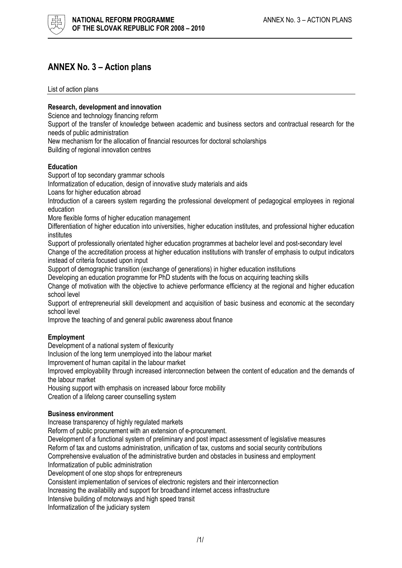

# ANNEX No. 3 – Action plans

List of action plans

### Research, development and innovation

Science and technology financing reform

Support of the transfer of knowledge between academic and business sectors and contractual research for the needs of public administration

New mechanism for the allocation of financial resources for doctoral scholarships

Building of regional innovation centres

#### **Education**

Support of top secondary grammar schools

Informatization of education, design of innovative study materials and aids

Loans for higher education abroad

Introduction of a careers system regarding the professional development of pedagogical employees in regional education

More flexible forms of higher education management

Differentiation of higher education into universities, higher education institutes, and professional higher education institutes

Support of professionally orientated higher education programmes at bachelor level and post-secondary level Change of the accreditation process at higher education institutions with transfer of emphasis to output indicators instead of criteria focused upon input

Support of demographic transition (exchange of generations) in higher education institutions

Developing an education programme for PhD students with the focus on acquiring teaching skills

Change of motivation with the objective to achieve performance efficiency at the regional and higher education school level

Support of entrepreneurial skill development and acquisition of basic business and economic at the secondary school level

Improve the teaching of and general public awareness about finance

#### **Employment**

Development of a national system of flexicurity

Inclusion of the long term unemployed into the labour market

Improvement of human capital in the labour market

Improved employability through increased interconnection between the content of education and the demands of the labour market

Housing support with emphasis on increased labour force mobility

Creation of a lifelong career counselling system

#### Business environment

Increase transparency of highly regulated markets

Reform of public procurement with an extension of e-procurement.

Development of a functional system of preliminary and post impact assessment of legislative measures Reform of tax and customs administration, unification of tax, customs and social security contributions Comprehensive evaluation of the administrative burden and obstacles in business and employment

Informatization of public administration

Development of one stop shops for entrepreneurs

Consistent implementation of services of electronic registers and their interconnection

Increasing the availability and support for broadband internet access infrastructure

Intensive building of motorways and high speed transit

Informatization of the judiciary system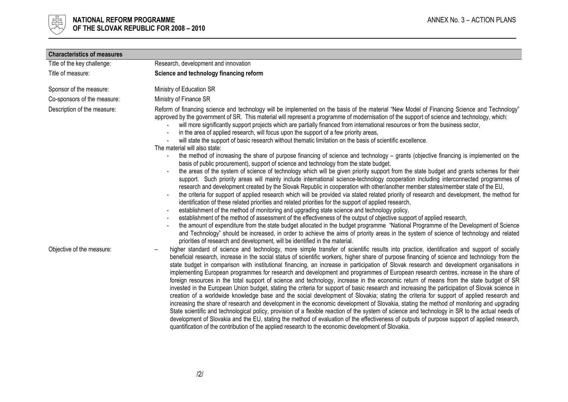

| <b>Characteristics of measures</b> |                                                                                                                                                                                                                                                                                                                                                                                                                                                                                                                                                                                                                                                                                                                                                                                                                                                                                                                                                                                                                                                                                                                                                                                                                                                                                                                                                                                                                                                                                                                                                                                                                                                                                                                                                                                                                                                                                                                                                                                                                                                                                                                                                                                      |  |  |
|------------------------------------|--------------------------------------------------------------------------------------------------------------------------------------------------------------------------------------------------------------------------------------------------------------------------------------------------------------------------------------------------------------------------------------------------------------------------------------------------------------------------------------------------------------------------------------------------------------------------------------------------------------------------------------------------------------------------------------------------------------------------------------------------------------------------------------------------------------------------------------------------------------------------------------------------------------------------------------------------------------------------------------------------------------------------------------------------------------------------------------------------------------------------------------------------------------------------------------------------------------------------------------------------------------------------------------------------------------------------------------------------------------------------------------------------------------------------------------------------------------------------------------------------------------------------------------------------------------------------------------------------------------------------------------------------------------------------------------------------------------------------------------------------------------------------------------------------------------------------------------------------------------------------------------------------------------------------------------------------------------------------------------------------------------------------------------------------------------------------------------------------------------------------------------------------------------------------------------|--|--|
| Title of the key challenge:        | Research, development and innovation                                                                                                                                                                                                                                                                                                                                                                                                                                                                                                                                                                                                                                                                                                                                                                                                                                                                                                                                                                                                                                                                                                                                                                                                                                                                                                                                                                                                                                                                                                                                                                                                                                                                                                                                                                                                                                                                                                                                                                                                                                                                                                                                                 |  |  |
| Title of measure:                  | Science and technology financing reform                                                                                                                                                                                                                                                                                                                                                                                                                                                                                                                                                                                                                                                                                                                                                                                                                                                                                                                                                                                                                                                                                                                                                                                                                                                                                                                                                                                                                                                                                                                                                                                                                                                                                                                                                                                                                                                                                                                                                                                                                                                                                                                                              |  |  |
| Sponsor of the measure:            | Ministry of Education SR                                                                                                                                                                                                                                                                                                                                                                                                                                                                                                                                                                                                                                                                                                                                                                                                                                                                                                                                                                                                                                                                                                                                                                                                                                                                                                                                                                                                                                                                                                                                                                                                                                                                                                                                                                                                                                                                                                                                                                                                                                                                                                                                                             |  |  |
| Co-sponsors of the measure:        | Ministry of Finance SR                                                                                                                                                                                                                                                                                                                                                                                                                                                                                                                                                                                                                                                                                                                                                                                                                                                                                                                                                                                                                                                                                                                                                                                                                                                                                                                                                                                                                                                                                                                                                                                                                                                                                                                                                                                                                                                                                                                                                                                                                                                                                                                                                               |  |  |
| Description of the measure:        | Reform of financing science and technology will be implemented on the basis of the material "New Model of Financing Science and Technology"<br>approved by the government of SR. This material will represent a programme of modernisation of the support of science and technology, which:<br>will more significantly support projects which are partially financed from international resources or from the business sector,<br>in the area of applied research, will focus upon the support of a few priority areas,<br>will state the support of basic research without thematic limitation on the basis of scientific excellence.<br>The material will also state:<br>the method of increasing the share of purpose financing of science and technology – grants (objective financing is implemented on the<br>basis of public procurement), support of science and technology from the state budget,<br>the areas of the system of science of technology which will be given priority support from the state budget and grants schemes for their<br>support. Such priority areas will mainly include international science-technology cooperation including interconnected programmes of<br>research and development created by the Slovak Republic in cooperation with other/another member states/member state of the EU,<br>the criteria for support of applied research which will be provided via stated related priority of research and development, the method for<br>identification of these related priorities and related priorities for the support of applied research,<br>establishment of the method of monitoring and upgrading state science and technology policy,<br>establishment of the method of assessment of the effectiveness of the output of objective support of applied research,<br>the amount of expenditure from the state budget allocated in the budget programme "National Programme of the Development of Science<br>and Technology" should be increased, in order to achieve the aims of priority areas in the system of science of technology and related<br>priorities of research and development, will be identified in the material. |  |  |
| Objective of the measure:          | higher standard of science and technology, more simple transfer of scientific results into practice, identification and support of socially<br>beneficial research, increase in the social status of scientific workers, higher share of purpose financing of science and technology from the<br>state budget in comparison with institutional financing, an increase in participation of Slovak research and development organisations in<br>implementing European programmes for research and development and programmes of European research centres, increase in the share of<br>foreign resources in the total support of science and technology, increase in the economic return of means from the state budget of SR<br>invested in the European Union budget, stating the criteria for support of basic research and increasing the participation of Slovak science in<br>creation of a worldwide knowledge base and the social development of Slovakia; stating the criteria for support of applied research and<br>increasing the share of research and development in the economic development of Slovakia, stating the method of monitoring and upgrading<br>State scientific and technological policy, provision of a flexible reaction of the system of science and technology in SR to the actual needs of<br>development of Slovakia and the EU, stating the method of evaluation of the effectiveness of outputs of purpose support of applied research,<br>quantification of the contribution of the applied research to the economic development of Slovakia.                                                                                                                                                                                                                                                                                                                                                                                                                                                                                                                                                                                                     |  |  |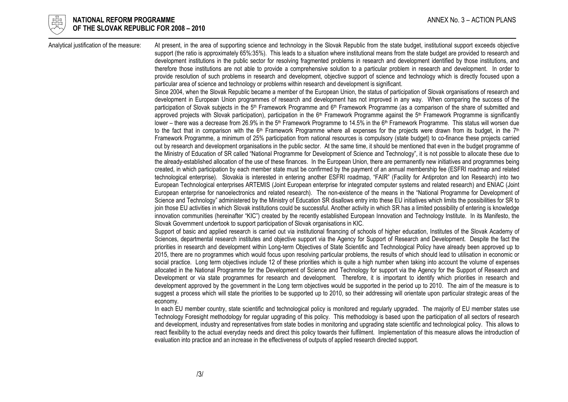

#### NATIONAL REFORM PROGRAMME ANNO 1999 ANNEX No. 3 – ACTION PLANS OF THE SLOVAK REPUBLIC FOR 2008 – 2010

Analytical justification of the measure: At present, in the area of supporting science and technology in the Slovak Republic from the state budget, institutional support exceeds objective support (the ratio is approximately 65%:35%). This leads to a situation where institutional means from the state budget are provided to research and development institutions in the public sector for resolving fragmented problems in research and development identified by those institutions, and therefore those institutions are not able to provide a comprehensive solution to a particular problem in research and development. In order to provide resolution of such problems in research and development, objective support of science and technology which is directly focused upon a particular area of science and technology or problems within research and development is significant.

> Since 2004, when the Slovak Republic became a member of the European Union, the status of participation of Slovak organisations of research and development in European Union programmes of research and development has not improved in any way. When comparing the success of the participation of Slovak subjects in the 5<sup>th</sup> Framework Programme and  $6<sup>th</sup>$  Framework Programme (as a comparison of the share of submitted and approved projects with Slovak participation), participation in the  $6<sup>th</sup>$  Framework Programme against the  $5<sup>th</sup>$  Framework Programme is significantly lower – there was a decrease from 26.9% in the 5<sup>th</sup> Framework Programme to 14.5% in the 6<sup>th</sup> Framework Programme. This status will worsen due to the fact that in comparison with the 6<sup>th</sup> Framework Programme where all expenses for the projects were drawn from its budget, in the 7<sup>th</sup> Framework Programme, a minimum of 25% participation from national resources is compulsory (state budget) to co-finance these projects carried out by research and development organisations in the public sector. At the same time, it should be mentioned that even in the budget programme of the Ministry of Education of SR called "National Programme for Development of Science and Technology", it is not possible to allocate these due to the already-established allocation of the use of these finances. In the European Union, there are permanently new initiatives and programmes being created, in which participation by each member state must be confirmed by the payment of an annual membership fee (ESFRI roadmap and related technological enterprise). Slovakia is interested in entering another ESFRI roadmap, "FAIR" (Facility for Antiproton and Ion Research) into two European Technological enterprises ARTEMIS (Joint European enterprise for integrated computer systems and related research) and ENIAC (Joint European enterprise for nanoelectronics and related research). The non-existence of the means in the "National Programme for Development of Science and Technology" administered by the Ministry of Education SR disallows entry into these EU initiatives which limits the possibilities for SR to join those EU activities in which Slovak institutions could be successful. Another activity in which SR has a limited possibility of entering is knowledge innovation communities (hereinafter "KIC") created by the recently established European Innovation and Technology Institute. In its Manifesto, the Slovak Government undertook to support participation of Slovak organisations in KIC.

> Support of basic and applied research is carried out via institutional financing of schools of higher education, Institutes of the Slovak Academy of Sciences, departmental research institutes and objective support via the Agency for Support of Research and Development. Despite the fact the priorities in research and development within Long-term Objectives of State Scientific and Technological Policy have already been approved up to 2015, there are no programmes which would focus upon resolving particular problems, the results of which should lead to utilisation in economic or social practice. Long term objectives include 12 of these priorities which is quite a high number when taking into account the volume of expenses allocated in the National Programme for the Development of Science and Technology for support via the Agency for the Support of Research and Development or via state programmes for research and development. Therefore, it is important to identify which priorities in research and development approved by the government in the Long term objectives would be supported in the period up to 2010. The aim of the measure is to suggest a process which will state the priorities to be supported up to 2010, so their addressing will orientate upon particular strategic areas of the economy.

> In each EU member country, state scientific and technological policy is monitored and regularly upgraded. The majority of EU member states use Technology Foresight methodology for regular upgrading of this policy. This methodology is based upon the participation of all sectors of research and development, industry and representatives from state bodies in monitoring and upgrading state scientific and technological policy. This allows to react flexibility to the actual everyday needs and direct this policy towards their fulfilment. Implementation of this measure allows the introduction of evaluation into practice and an increase in the effectiveness of outputs of applied research directed support.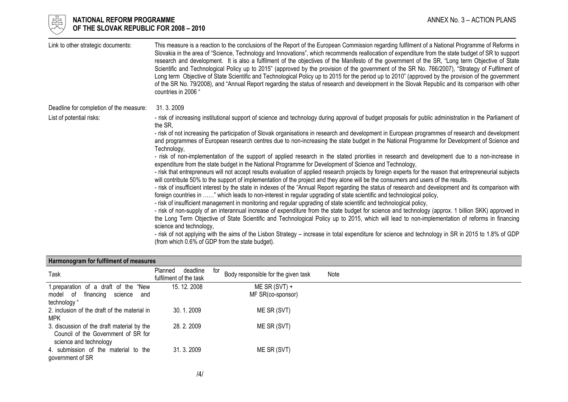

# $\frac{175}{65}$  NATIONAL REFORM PROGRAMME and the set of the set of the set of the set of the set of the set of the set of the set of the set of the set of the set of the set of the set of the set of the set of the set of th OF THE SLOVAK REPUBLIC FOR 2008 – 2010

| Link to other strategic documents:      | This measure is a reaction to the conclusions of the Report of the European Commission regarding fulfilment of a National Programme of Reforms in<br>Slovakia in the area of "Science, Technology and Innovations", which recommends reallocation of expenditure from the state budget of SR to support<br>research and development. It is also a fulfilment of the objectives of the Manifesto of the government of the SR, "Long term Objective of State<br>Scientific and Technological Policy up to 2015" (approved by the provision of the government of the SR No. 766/2007), "Strategy of Fulfilment of<br>Long term Objective of State Scientific and Technological Policy up to 2015 for the period up to 2010" (approved by the provision of the government<br>of the SR No. 79/2008), and "Annual Report regarding the status of research and development in the Slovak Republic and its comparison with other<br>countries in 2006 " |
|-----------------------------------------|--------------------------------------------------------------------------------------------------------------------------------------------------------------------------------------------------------------------------------------------------------------------------------------------------------------------------------------------------------------------------------------------------------------------------------------------------------------------------------------------------------------------------------------------------------------------------------------------------------------------------------------------------------------------------------------------------------------------------------------------------------------------------------------------------------------------------------------------------------------------------------------------------------------------------------------------------|
| Deadline for completion of the measure: | 31.3.2009                                                                                                                                                                                                                                                                                                                                                                                                                                                                                                                                                                                                                                                                                                                                                                                                                                                                                                                                        |
| List of potential risks:                | - risk of increasing institutional support of science and technology during approval of budget proposals for public administration in the Parliament of<br>the SR,                                                                                                                                                                                                                                                                                                                                                                                                                                                                                                                                                                                                                                                                                                                                                                               |
|                                         | - risk of not increasing the participation of Slovak organisations in research and development in European programmes of research and development<br>and programmes of European research centres due to non-increasing the state budget in the National Programme for Development of Science and<br>Technology,                                                                                                                                                                                                                                                                                                                                                                                                                                                                                                                                                                                                                                  |
|                                         | - risk of non-implementation of the support of applied research in the stated priorities in research and development due to a non-increase in<br>expenditure from the state budget in the National Programme for Development of Science and Technology,                                                                                                                                                                                                                                                                                                                                                                                                                                                                                                                                                                                                                                                                                          |
|                                         | - risk that entrepreneurs will not accept results evaluation of applied research projects by foreign experts for the reason that entrepreneurial subjects<br>will contribute 50% to the support of implementation of the project and they alone will be the consumers and users of the results.                                                                                                                                                                                                                                                                                                                                                                                                                                                                                                                                                                                                                                                  |
|                                         | - risk of insufficient interest by the state in indexes of the "Annual Report regarding the status of research and development and its comparison with<br>foreign countries in " which leads to non-interest in regular upgrading of state scientific and technological policy,                                                                                                                                                                                                                                                                                                                                                                                                                                                                                                                                                                                                                                                                  |
|                                         | - risk of insufficient management in monitoring and regular upgrading of state scientific and technological policy,                                                                                                                                                                                                                                                                                                                                                                                                                                                                                                                                                                                                                                                                                                                                                                                                                              |
|                                         | - risk of non-supply of an interannual increase of expenditure from the state budget for science and technology (approx. 1 billion SKK) approved in<br>the Long Term Objective of State Scientific and Technological Policy up to 2015, which will lead to non-implementation of reforms in financing<br>science and technology,                                                                                                                                                                                                                                                                                                                                                                                                                                                                                                                                                                                                                 |
|                                         | - risk of not applying with the aims of the Lisbon Strategy – increase in total expenditure for science and technology in SR in 2015 to 1.8% of GDP<br>(from which 0.6% of GDP from the state budget).                                                                                                                                                                                                                                                                                                                                                                                                                                                                                                                                                                                                                                                                                                                                           |

### Harmonogram for fulfilment of measures

| Task                                         | deadline<br>Planned<br>fulfilment of the task | for<br>Body responsible for the given task | Note |
|----------------------------------------------|-----------------------------------------------|--------------------------------------------|------|
| 1.preparation of a draft of the "New         | 15. 12. 2008                                  | $ME SR (SVT) +$                            |      |
| financing<br>model of<br>science and         |                                               | MF SR(co-sponsor)                          |      |
| technology "                                 |                                               |                                            |      |
| 2. inclusion of the draft of the material in | 30.1.2009                                     | ME SR (SVT)                                |      |
| <b>MPK</b>                                   |                                               |                                            |      |
| 3. discussion of the draft material by the   | 28.2.2009                                     | ME SR (SVT)                                |      |
| Council of the Government of SR for          |                                               |                                            |      |
| science and technology                       |                                               |                                            |      |
| 4. submission of the material to the         | 31, 3, 2009                                   | ME SR (SVT)                                |      |
| government of SR                             |                                               |                                            |      |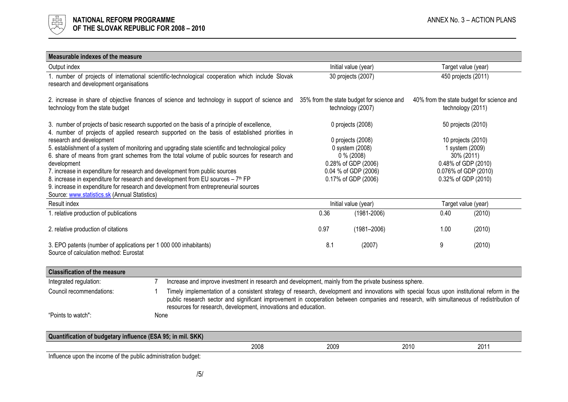

## Measurable indexes of the measure

| Output index                                                                                                                               |                                                                                                                                                                                                                                                                                                                                                            |                   | Initial value (year) |        | Target value (year)                                            |  |
|--------------------------------------------------------------------------------------------------------------------------------------------|------------------------------------------------------------------------------------------------------------------------------------------------------------------------------------------------------------------------------------------------------------------------------------------------------------------------------------------------------------|-------------------|----------------------|--------|----------------------------------------------------------------|--|
| 1. number of projects of international scientific-technological cooperation which include Slovak<br>research and development organisations |                                                                                                                                                                                                                                                                                                                                                            |                   | 30 projects (2007)   |        | 450 projects (2011)                                            |  |
| technology from the state budget                                                                                                           | 2. increase in share of objective finances of science and technology in support of science and 35% from the state budget for science and                                                                                                                                                                                                                   | technology (2007) |                      |        | 40% from the state budget for science and<br>technology (2011) |  |
|                                                                                                                                            | 3. number of projects of basic research supported on the basis of a principle of excellence,<br>4. number of projects of applied research supported on the basis of established priorities in                                                                                                                                                              |                   | 0 projects (2008)    |        | 50 projects (2010)                                             |  |
| research and development                                                                                                                   |                                                                                                                                                                                                                                                                                                                                                            |                   | 0 projects (2008)    |        | 10 projects (2010)                                             |  |
|                                                                                                                                            | 5. establishment of a system of monitoring and upgrading state scientific and technological policy                                                                                                                                                                                                                                                         |                   | 0 system (2008)      |        | 1 system (2009)                                                |  |
|                                                                                                                                            | 6. share of means from grant schemes from the total volume of public sources for research and                                                                                                                                                                                                                                                              |                   | $0\%$ (2008)         |        | 30% (2011)                                                     |  |
| development                                                                                                                                |                                                                                                                                                                                                                                                                                                                                                            |                   | 0.28% of GDP (2006)  |        | 0.48% of GDP (2010)                                            |  |
| 7. increase in expenditure for research and development from public sources                                                                |                                                                                                                                                                                                                                                                                                                                                            |                   | 0.04 % of GDP (2006) |        | 0.076% of GDP (2010)                                           |  |
|                                                                                                                                            | 8. increase in expenditure for research and development from EU sources - 7 <sup>th</sup> FP<br>9. increase in expenditure for research and development from entrepreneurial sources                                                                                                                                                                       |                   | 0.17% of GDP (2006)  |        | 0.32% of GDP (2010)                                            |  |
| Source: www.statistics.sk (Annual Statistics)                                                                                              |                                                                                                                                                                                                                                                                                                                                                            |                   |                      |        |                                                                |  |
| Result index                                                                                                                               |                                                                                                                                                                                                                                                                                                                                                            |                   | Initial value (year) |        | Target value (year)                                            |  |
| 1. relative production of publications                                                                                                     |                                                                                                                                                                                                                                                                                                                                                            | 0.36              | $(1981 - 2006)$      | 0.40   | (2010)                                                         |  |
|                                                                                                                                            |                                                                                                                                                                                                                                                                                                                                                            |                   |                      |        |                                                                |  |
| 2. relative production of citations                                                                                                        | 0.97                                                                                                                                                                                                                                                                                                                                                       | $(1981 - 2006)$   | 1.00                 | (2010) |                                                                |  |
| 3. EPO patents (number of applications per 1 000 000 inhabitants)<br>Source of calculation method: Eurostat                                | 8.1                                                                                                                                                                                                                                                                                                                                                        | (2007)            | 9                    | (2010) |                                                                |  |
| <b>Classification of the measure</b>                                                                                                       |                                                                                                                                                                                                                                                                                                                                                            |                   |                      |        |                                                                |  |
| Integrated regulation:                                                                                                                     | Increase and improve investment in research and development, mainly from the private business sphere.                                                                                                                                                                                                                                                      |                   |                      |        |                                                                |  |
| Council recommendations:                                                                                                                   | Timely implementation of a consistent strategy of research, development and innovations with special focus upon institutional reform in the<br>public research sector and significant improvement in cooperation between companies and research, with simultaneous of redistribution of<br>resources for research, development, innovations and education. |                   |                      |        |                                                                |  |
| "Points to watch":                                                                                                                         | None                                                                                                                                                                                                                                                                                                                                                       |                   |                      |        |                                                                |  |
| Quantification of budgetary influence (ESA 95; in mil. SKK)                                                                                |                                                                                                                                                                                                                                                                                                                                                            |                   |                      |        |                                                                |  |
|                                                                                                                                            | 2008                                                                                                                                                                                                                                                                                                                                                       | 2009              |                      | 2010   | 2011                                                           |  |
|                                                                                                                                            |                                                                                                                                                                                                                                                                                                                                                            |                   |                      |        |                                                                |  |

Influence upon the income of the public administration budget: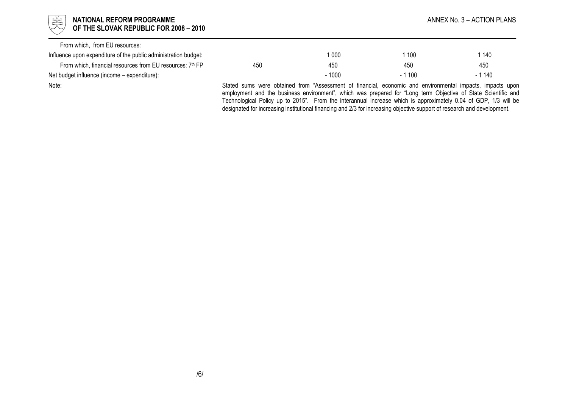| 强<br>NATIONAL REFORM PROGRAMME<br>OF THE SLOVAK REPUBLIC FOR 2008 - 2010 |     |         |                                                                                                                                                                                                                            | ANNEX No. 3 – ACTION PLANS |
|--------------------------------------------------------------------------|-----|---------|----------------------------------------------------------------------------------------------------------------------------------------------------------------------------------------------------------------------------|----------------------------|
| From which, from EU resources:                                           |     |         |                                                                                                                                                                                                                            |                            |
| Influence upon expenditure of the public administration budget:          |     | 1 000   | 100                                                                                                                                                                                                                        | 140                        |
| From which, financial resources from EU resources: 7th FP                | 450 | 450     | 450                                                                                                                                                                                                                        | 450                        |
| Net budget influence (income - expenditure):                             |     | $-1000$ | $-1100$                                                                                                                                                                                                                    | $-1140$                    |
| Note:                                                                    |     |         | Stated sums were obtained from "Assessment of financial, economic and environmental impacts, impacts upon<br>employment and the business environment", which was prepared for "Long term Objective of State Scientific and |                            |

 Technological Policy up to 2015". From the interannual increase which is approximately 0.04 of GDP, 1/3 will be designated for increasing institutional financing and 2/3 for increasing objective support of research and development.

/6/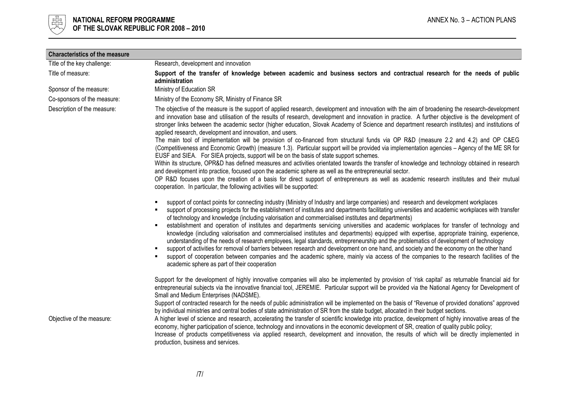

| <b>Characteristics of the measure</b> |                                                                                                                                                                                                                                                                                                                                                                                                                                                                                                                                                                                                                                                                                                                                                                                                            |  |  |  |
|---------------------------------------|------------------------------------------------------------------------------------------------------------------------------------------------------------------------------------------------------------------------------------------------------------------------------------------------------------------------------------------------------------------------------------------------------------------------------------------------------------------------------------------------------------------------------------------------------------------------------------------------------------------------------------------------------------------------------------------------------------------------------------------------------------------------------------------------------------|--|--|--|
| Title of the key challenge:           | Research, development and innovation                                                                                                                                                                                                                                                                                                                                                                                                                                                                                                                                                                                                                                                                                                                                                                       |  |  |  |
| Title of measure:                     | Support of the transfer of knowledge between academic and business sectors and contractual research for the needs of public<br>administration                                                                                                                                                                                                                                                                                                                                                                                                                                                                                                                                                                                                                                                              |  |  |  |
| Sponsor of the measure:               | Ministry of Education SR                                                                                                                                                                                                                                                                                                                                                                                                                                                                                                                                                                                                                                                                                                                                                                                   |  |  |  |
| Co-sponsors of the measure:           | Ministry of the Economy SR, Ministry of Finance SR                                                                                                                                                                                                                                                                                                                                                                                                                                                                                                                                                                                                                                                                                                                                                         |  |  |  |
| Description of the measure:           | The objective of the measure is the support of applied research, development and innovation with the aim of broadening the research-development<br>and innovation base and utilisation of the results of research, development and innovation in practice. A further objective is the development of<br>stronger links between the academic sector (higher education, Slovak Academy of Science and department research institutes) and institutions of<br>applied research, development and innovation, and users.<br>The main tool of implementation will be provision of co-financed from structural funds via OP R&D (measure 2.2 and 4.2) and OP C&EG                                                                                                                                                 |  |  |  |
|                                       | (Competitiveness and Economic Growth) (measure 1.3). Particular support will be provided via implementation agencies - Agency of the ME SR for<br>EUSF and SIEA. For SIEA projects, support will be on the basis of state support schemes.                                                                                                                                                                                                                                                                                                                                                                                                                                                                                                                                                                 |  |  |  |
|                                       | Within its structure, OPR&D has defined measures and activities orientated towards the transfer of knowledge and technology obtained in research<br>and development into practice, focused upon the academic sphere as well as the entrepreneurial sector.                                                                                                                                                                                                                                                                                                                                                                                                                                                                                                                                                 |  |  |  |
|                                       | OP R&D focuses upon the creation of a basis for direct support of entrepreneurs as well as academic research institutes and their mutual<br>cooperation. In particular, the following activities will be supported:                                                                                                                                                                                                                                                                                                                                                                                                                                                                                                                                                                                        |  |  |  |
|                                       | support of contact points for connecting industry (Ministry of Industry and large companies) and research and development workplaces<br>$\blacksquare$<br>support of processing projects for the establishment of institutes and departments facilitating universities and academic workplaces with transfer<br>$\blacksquare$<br>of technology and knowledge (including valorisation and commercialised institutes and departments)                                                                                                                                                                                                                                                                                                                                                                       |  |  |  |
|                                       | establishment and operation of institutes and departments servicing universities and academic workplaces for transfer of technology and<br>$\blacksquare$<br>knowledge (including valorisation and commercialised institutes and departments) equipped with expertise, appropriate training, experience,<br>understanding of the needs of research employees, legal standards, entrepreneurship and the problematics of development of technology<br>support of activities for removal of barriers between research and development on one hand, and society and the economy on the other hand<br>$\blacksquare$<br>support of cooperation between companies and the academic sphere, mainly via access of the companies to the research facilities of the<br>academic sphere as part of their cooperation |  |  |  |
|                                       | Support for the development of highly innovative companies will also be implemented by provision of 'risk capital' as returnable financial aid for<br>entrepreneurial subjects via the innovative financial tool, JEREMIE. Particular support will be provided via the National Agency for Development of<br>Small and Medium Enterprises (NADSME).                                                                                                                                                                                                                                                                                                                                                                                                                                                        |  |  |  |
|                                       | Support of contracted research for the needs of public administration will be implemented on the basis of "Revenue of provided donations" approved<br>by individual ministries and central bodies of state administration of SR from the state budget, allocated in their budget sections.                                                                                                                                                                                                                                                                                                                                                                                                                                                                                                                 |  |  |  |
| Objective of the measure:             | A higher level of science and research, accelerating the transfer of scientific knowledge into practice, development of highly innovative areas of the<br>economy, higher participation of science, technology and innovations in the economic development of SR, creation of quality public policy;<br>Increase of products competitiveness via applied research, development and innovation, the results of which will be directly implemented in<br>production, business and services.                                                                                                                                                                                                                                                                                                                  |  |  |  |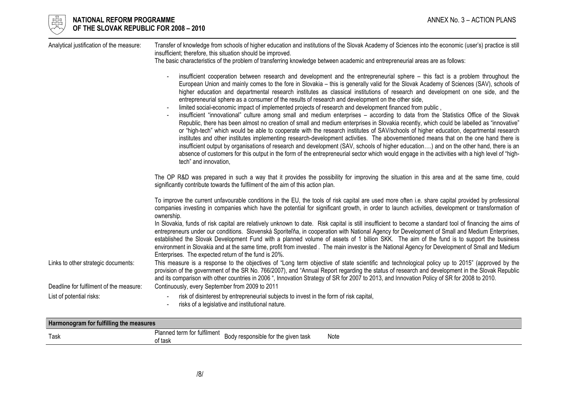| Analytical justification of the measure:                                       | Transfer of knowledge from schools of higher education and institutions of the Slovak Academy of Sciences into the economic (user's) practice is still<br>insufficient; therefore, this situation should be improved.<br>The basic characteristics of the problem of transferring knowledge between academic and entrepreneurial areas are as follows:                                                                                                                                                                                                                                                                                                                                                                                                                                                                                                                                                                                                                                                                                                                                                                                                                                                                                                                                                                                                                                                                                                                                                                       |  |  |  |  |  |
|--------------------------------------------------------------------------------|------------------------------------------------------------------------------------------------------------------------------------------------------------------------------------------------------------------------------------------------------------------------------------------------------------------------------------------------------------------------------------------------------------------------------------------------------------------------------------------------------------------------------------------------------------------------------------------------------------------------------------------------------------------------------------------------------------------------------------------------------------------------------------------------------------------------------------------------------------------------------------------------------------------------------------------------------------------------------------------------------------------------------------------------------------------------------------------------------------------------------------------------------------------------------------------------------------------------------------------------------------------------------------------------------------------------------------------------------------------------------------------------------------------------------------------------------------------------------------------------------------------------------|--|--|--|--|--|
|                                                                                | insufficient cooperation between research and development and the entrepreneurial sphere – this fact is a problem throughout the<br>European Union and mainly comes to the fore in Slovakia – this is generally valid for the Slovak Academy of Sciences (SAV), schools of<br>higher education and departmental research institutes as classical institutions of research and development on one side, and the<br>entrepreneurial sphere as a consumer of the results of research and development on the other side,<br>limited social-economic impact of implemented projects of research and development financed from public,<br>insufficient "innovational" culture among small and medium enterprises - according to data from the Statistics Office of the Slovak<br>Republic, there has been almost no creation of small and medium enterprises in Slovakia recently, which could be labelled as "innovative"<br>or "high-tech" which would be able to cooperate with the research institutes of SAV/schools of higher education, departmental research<br>institutes and other institutes implementing research-development activities. The abovementioned means that on the one hand there is<br>insufficient output by organisations of research and development (SAV, schools of higher education) and on the other hand, there is an<br>absence of customers for this output in the form of the entrepreneurial sector which would engage in the activities with a high level of "high-<br>tech" and innovation, |  |  |  |  |  |
|                                                                                | The OP R&D was prepared in such a way that it provides the possibility for improving the situation in this area and at the same time, could<br>significantly contribute towards the fulfilment of the aim of this action plan.                                                                                                                                                                                                                                                                                                                                                                                                                                                                                                                                                                                                                                                                                                                                                                                                                                                                                                                                                                                                                                                                                                                                                                                                                                                                                               |  |  |  |  |  |
|                                                                                | To improve the current unfavourable conditions in the EU, the tools of risk capital are used more often i.e. share capital provided by professional<br>companies investing in companies which have the potential for significant growth, in order to launch activities, development or transformation of<br>ownership.                                                                                                                                                                                                                                                                                                                                                                                                                                                                                                                                                                                                                                                                                                                                                                                                                                                                                                                                                                                                                                                                                                                                                                                                       |  |  |  |  |  |
|                                                                                | In Slovakia, funds of risk capital are relatively unknown to date. Risk capital is still insufficient to become a standard tool of financing the aims of<br>entrepreneurs under our conditions. Slovenská Sporiteľňa, in cooperation with National Agency for Development of Small and Medium Enterprises,<br>established the Slovak Development Fund with a planned volume of assets of 1 billion SKK. The aim of the fund is to support the business<br>environment in Slovakia and at the same time, profit from invested. The main investor is the National Agency for Development of Small and Medium<br>Enterprises. The expected return of the fund is 20%.                                                                                                                                                                                                                                                                                                                                                                                                                                                                                                                                                                                                                                                                                                                                                                                                                                                           |  |  |  |  |  |
| Links to other strategic documents:<br>Deadline for fulfilment of the measure: | This measure is a response to the objectives of "Long term objective of state scientific and technological policy up to 2015" (approved by the<br>provision of the government of the SR No. 766/2007), and "Annual Report regarding the status of research and development in the Slovak Republic<br>and its comparison with other countries in 2006 ", Innovation Strategy of SR for 2007 to 2013, and Innovation Policy of SR for 2008 to 2010.<br>Continuously, every September from 2009 to 2011                                                                                                                                                                                                                                                                                                                                                                                                                                                                                                                                                                                                                                                                                                                                                                                                                                                                                                                                                                                                                         |  |  |  |  |  |
| List of potential risks:                                                       | risk of disinterest by entrepreneurial subjects to invest in the form of risk capital,<br>risks of a legislative and institutional nature.                                                                                                                                                                                                                                                                                                                                                                                                                                                                                                                                                                                                                                                                                                                                                                                                                                                                                                                                                                                                                                                                                                                                                                                                                                                                                                                                                                                   |  |  |  |  |  |

| Harmonogram for fulfilling the measures |                             |                                |      |
|-----------------------------------------|-----------------------------|--------------------------------|------|
|                                         | Planned term for fulfilment | Body                           | Note |
| Task                                    | of task                     | responsible for the given task |      |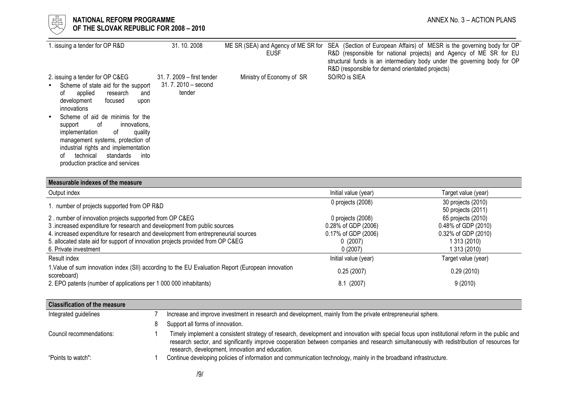### NATIONAL REFORM PROGRAMME AND ANNEX No. 3 – ACTION PLANS OF THE SLOVAK REPUBLIC FOR 2008 – 2010

| 1. issuing a tender for OP R&D                                                                                                                                                                                                                                                                                                                                                                                                | 31.10.2008                                                   | ME SR (SEA) and Agency of ME SR for<br><b>EUSF</b> | SEA (Section of European Affairs) of MESR is the governing body for OP<br>R&D (responsible for national projects) and Agency of ME SR for EU<br>structural funds is an intermediary body under the governing body for OP<br>R&D (responsible for demand orientated projects) |
|-------------------------------------------------------------------------------------------------------------------------------------------------------------------------------------------------------------------------------------------------------------------------------------------------------------------------------------------------------------------------------------------------------------------------------|--------------------------------------------------------------|----------------------------------------------------|------------------------------------------------------------------------------------------------------------------------------------------------------------------------------------------------------------------------------------------------------------------------------|
| 2. issuing a tender for OP C&EG<br>Scheme of state aid for the support<br>applied<br>research<br>and<br>0t<br>focused<br>development<br>upon<br>innovations<br>Scheme of aid de minimis for the<br>-of<br>innovations,<br>support<br>implementation<br>of<br>quality<br>management systems, protection of<br>industrial rights and implementation<br>technical<br>standards<br>into<br>ot<br>production practice and services | 31, 7, 2009 – first tender<br>$31.7.2010 -$ second<br>tender | Ministry of Economy of SR                          | SO/RO is SIEA                                                                                                                                                                                                                                                                |

| Measurable indexes of the measure                                                                                |                      |                                          |
|------------------------------------------------------------------------------------------------------------------|----------------------|------------------------------------------|
| Output index                                                                                                     | Initial value (year) | Target value (year)                      |
| 1. number of projects supported from OP R&D                                                                      | 0 projects (2008)    | 30 projects (2010)<br>50 projects (2011) |
| 2. number of innovation projects supported from OP C&EG                                                          | 0 projects (2008)    | 65 projects (2010)                       |
| 3 .increased expenditure for research and development from public sources                                        | 0.28% of GDP (2006)  | 0.48% of GDP (2010)                      |
| 4. increased expenditure for research and development from entrepreneurial sources                               | 0.17% of GDP (2006)  | 0.32% of GDP (2010)                      |
| 5. allocated state aid for support of innovation projects provided from OP C&EG                                  | 0(2007)              | 1 313 (2010)                             |
| 6. Private investment                                                                                            | 0(2007)              | 1 313 (2010)                             |
| Result index                                                                                                     | Initial value (year) | Target value (year)                      |
| 1. Value of sum innovation index (SII) according to the EU Evaluation Report (European innovation<br>scoreboard) | 0.25(2007)           | 0.29(2010)                               |
| 2. EPO patents (number of applications per 1 000 000 inhabitants)                                                | 8.1(2007)            | 9(2010)                                  |

| <b>Classification of the measure</b> |                                                                                                                                                                                                                                                                                                                                                |
|--------------------------------------|------------------------------------------------------------------------------------------------------------------------------------------------------------------------------------------------------------------------------------------------------------------------------------------------------------------------------------------------|
| Integrated guidelines                | Increase and improve investment in research and development, mainly from the private entrepreneurial sphere.                                                                                                                                                                                                                                   |
|                                      | Support all forms of innovation.                                                                                                                                                                                                                                                                                                               |
| Council recommendations:             | Timely implement a consistent strategy of research, development and innovation with special focus upon institutional reform in the public and<br>research sector, and significantly improve cooperation between companies and research simultaneously with redistribution of resources for<br>research, development, innovation and education. |
| "Points to watch":                   | Continue developing policies of information and communication technology, mainly in the broadband infrastructure.                                                                                                                                                                                                                              |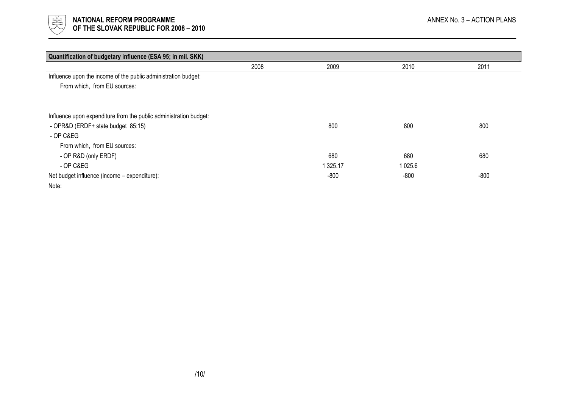

| Quantification of budgetary influence (ESA 95; in mil. SKK)       |      |               |        |        |
|-------------------------------------------------------------------|------|---------------|--------|--------|
|                                                                   | 2008 | 2009          | 2010   | 2011   |
| Influence upon the income of the public administration budget:    |      |               |        |        |
| From which, from EU sources:                                      |      |               |        |        |
|                                                                   |      |               |        |        |
| Influence upon expenditure from the public administration budget: |      |               |        |        |
| - OPR&D (ERDF+ state budget 85:15)                                |      | 800           | 800    | 800    |
| - OP C&EG                                                         |      |               |        |        |
| From which, from EU sources:                                      |      |               |        |        |
| - OP R&D (only ERDF)                                              |      | 680           | 680    | 680    |
| - OP C&EG                                                         |      | 1 3 2 5 . 1 7 | 1025.6 |        |
| Net budget influence (income – expenditure):                      |      | $-800$        | $-800$ | $-800$ |
| Note:                                                             |      |               |        |        |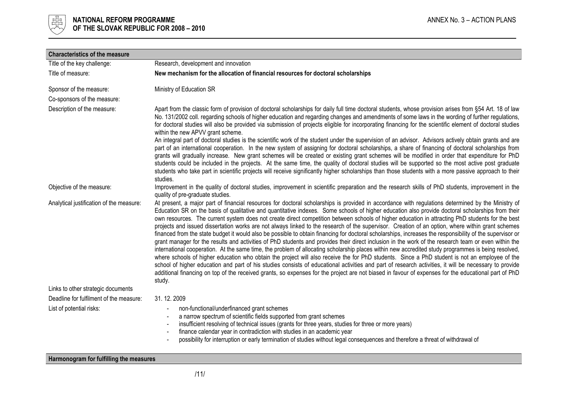

| <b>Characteristics of the measure</b>    |                                                                                                                                                                                                                                                                                                                                                                                                                                                                                                                                                                                                                                                                                                                                                                                                                                                                                                                                                                                                                                                                                                                                                                                                                                                                                                                                                                                                                                                                                                                                                                            |
|------------------------------------------|----------------------------------------------------------------------------------------------------------------------------------------------------------------------------------------------------------------------------------------------------------------------------------------------------------------------------------------------------------------------------------------------------------------------------------------------------------------------------------------------------------------------------------------------------------------------------------------------------------------------------------------------------------------------------------------------------------------------------------------------------------------------------------------------------------------------------------------------------------------------------------------------------------------------------------------------------------------------------------------------------------------------------------------------------------------------------------------------------------------------------------------------------------------------------------------------------------------------------------------------------------------------------------------------------------------------------------------------------------------------------------------------------------------------------------------------------------------------------------------------------------------------------------------------------------------------------|
| Title of the key challenge:              | Research, development and innovation                                                                                                                                                                                                                                                                                                                                                                                                                                                                                                                                                                                                                                                                                                                                                                                                                                                                                                                                                                                                                                                                                                                                                                                                                                                                                                                                                                                                                                                                                                                                       |
| Title of measure:                        | New mechanism for the allocation of financial resources for doctoral scholarships                                                                                                                                                                                                                                                                                                                                                                                                                                                                                                                                                                                                                                                                                                                                                                                                                                                                                                                                                                                                                                                                                                                                                                                                                                                                                                                                                                                                                                                                                          |
| Sponsor of the measure:                  | Ministry of Education SR                                                                                                                                                                                                                                                                                                                                                                                                                                                                                                                                                                                                                                                                                                                                                                                                                                                                                                                                                                                                                                                                                                                                                                                                                                                                                                                                                                                                                                                                                                                                                   |
| Co-sponsors of the measure:              |                                                                                                                                                                                                                                                                                                                                                                                                                                                                                                                                                                                                                                                                                                                                                                                                                                                                                                                                                                                                                                                                                                                                                                                                                                                                                                                                                                                                                                                                                                                                                                            |
| Description of the measure:              | Apart from the classic form of provision of doctoral scholarships for daily full time doctoral students, whose provision arises from §54 Art. 18 of law<br>No. 131/2002 coll. regarding schools of higher education and regarding changes and amendments of some laws in the wording of further regulations,<br>for doctoral studies will also be provided via submission of projects eligible for incorporating financing for the scientific element of doctoral studies<br>within the new APVV grant scheme.                                                                                                                                                                                                                                                                                                                                                                                                                                                                                                                                                                                                                                                                                                                                                                                                                                                                                                                                                                                                                                                             |
|                                          | An integral part of doctoral studies is the scientific work of the student under the supervision of an advisor. Advisors actively obtain grants and are<br>part of an international cooperation. In the new system of assigning for doctoral scholarships, a share of financing of doctoral scholarships from<br>grants will gradually increase. New grant schemes will be created or existing grant schemes will be modified in order that expenditure for PhD<br>students could be included in the projects. At the same time, the quality of doctoral studies will be supported so the most active post graduate<br>students who take part in scientific projects will receive significantly higher scholarships than those students with a more passive approach to their<br>studies.                                                                                                                                                                                                                                                                                                                                                                                                                                                                                                                                                                                                                                                                                                                                                                                  |
| Objective of the measure:                | Improvement in the quality of doctoral studies, improvement in scientific preparation and the research skills of PhD students, improvement in the<br>quality of pre-graduate studies.                                                                                                                                                                                                                                                                                                                                                                                                                                                                                                                                                                                                                                                                                                                                                                                                                                                                                                                                                                                                                                                                                                                                                                                                                                                                                                                                                                                      |
| Analytical justification of the measure: | At present, a major part of financial resources for doctoral scholarships is provided in accordance with regulations determined by the Ministry of<br>Education SR on the basis of qualitative and quantitative indexes. Some schools of higher education also provide doctoral scholarships from their<br>own resources. The current system does not create direct competition between schools of higher education in attracting PhD students for the best<br>projects and issued dissertation works are not always linked to the research of the supervisor. Creation of an option, where within grant schemes<br>financed from the state budget it would also be possible to obtain financing for doctoral scholarships, increases the responsibility of the supervisor or<br>grant manager for the results and activities of PhD students and provides their direct inclusion in the work of the research team or even within the<br>international cooperation. At the same time, the problem of allocating scholarship places within new accredited study programmes is being resolved,<br>where schools of higher education who obtain the project will also receive the for PhD students. Since a PhD student is not an employee of the<br>school of higher education and part of his studies consists of educational activities and part of research activities, it will be necessary to provide<br>additional financing on top of the received grants, so expenses for the project are not biased in favour of expenses for the educational part of PhD<br>study. |
| Links to other strategic documents       |                                                                                                                                                                                                                                                                                                                                                                                                                                                                                                                                                                                                                                                                                                                                                                                                                                                                                                                                                                                                                                                                                                                                                                                                                                                                                                                                                                                                                                                                                                                                                                            |
| Deadline for fulfilment of the measure:  | 31.12.2009                                                                                                                                                                                                                                                                                                                                                                                                                                                                                                                                                                                                                                                                                                                                                                                                                                                                                                                                                                                                                                                                                                                                                                                                                                                                                                                                                                                                                                                                                                                                                                 |
| List of potential risks:                 | non-functional/underfinanced grant schemes<br>a narrow spectrum of scientific fields supported from grant schemes<br>insufficient resolving of technical issues (grants for three years, studies for three or more years)<br>finance calendar year in contradiction with studies in an academic year<br>possibility for interruption or early termination of studies without legal consequences and therefore a threat of withdrawal of                                                                                                                                                                                                                                                                                                                                                                                                                                                                                                                                                                                                                                                                                                                                                                                                                                                                                                                                                                                                                                                                                                                                    |

Harmonogram for fulfilling the measures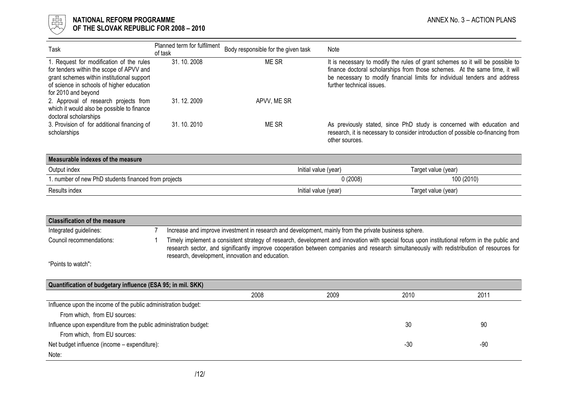

| Task                                                                                                                                                                                                   | Planned term for fulfilment<br>of task | Body responsible for the given task | Note                                                                                                                                                                                                                                                                     |
|--------------------------------------------------------------------------------------------------------------------------------------------------------------------------------------------------------|----------------------------------------|-------------------------------------|--------------------------------------------------------------------------------------------------------------------------------------------------------------------------------------------------------------------------------------------------------------------------|
| 1. Request for modification of the rules<br>for tenders within the scope of APVV and<br>grant schemes within institutional support<br>of science in schools of higher education<br>for 2010 and beyond | 31.10.2008                             | ME SR                               | It is necessary to modify the rules of grant schemes so it will be possible to<br>finance doctoral scholarships from those schemes. At the same time, it will<br>be necessary to modify financial limits for individual tenders and address<br>further technical issues. |
| 2. Approval of research projects from<br>which it would also be possible to finance<br>doctoral scholarships                                                                                           | 31, 12, 2009                           | APVV, ME SR                         |                                                                                                                                                                                                                                                                          |
| 3. Provision of for additional financing of<br>scholarships                                                                                                                                            | 31, 10, 2010                           | ME SR                               | As previously stated, since PhD study is concerned with education and<br>research, it is necessary to consider introduction of possible co-financing from<br>other sources.                                                                                              |

| Measurable indexes of the measure                    |                      |                     |  |  |  |  |
|------------------------------------------------------|----------------------|---------------------|--|--|--|--|
| Output index                                         | Initial value (year) | Target value (year) |  |  |  |  |
| 1. number of new PhD students financed from projects | 0(2008)              | 100 (2010)          |  |  |  |  |
| Results index                                        | Initial value (year) | Target value (year) |  |  |  |  |

| <b>Classification of the measure</b>                                          |  |                                                                                                                                                                                                                                                                                                                                                |      |       |       |
|-------------------------------------------------------------------------------|--|------------------------------------------------------------------------------------------------------------------------------------------------------------------------------------------------------------------------------------------------------------------------------------------------------------------------------------------------|------|-------|-------|
| Integrated guidelines:                                                        |  | Increase and improve investment in research and development, mainly from the private business sphere.                                                                                                                                                                                                                                          |      |       |       |
| Council recommendations:                                                      |  | Timely implement a consistent strategy of research, development and innovation with special focus upon institutional reform in the public and<br>research sector, and significantly improve cooperation between companies and research simultaneously with redistribution of resources for<br>research, development, innovation and education. |      |       |       |
| "Points to watch":                                                            |  |                                                                                                                                                                                                                                                                                                                                                |      |       |       |
|                                                                               |  |                                                                                                                                                                                                                                                                                                                                                |      |       |       |
| Quantification of budgetary influence (ESA 95; in mil. SKK)                   |  |                                                                                                                                                                                                                                                                                                                                                |      |       |       |
|                                                                               |  | 2008                                                                                                                                                                                                                                                                                                                                           | 2009 | 2010  | 2011  |
| Influence upon the income of the public administration budget:                |  |                                                                                                                                                                                                                                                                                                                                                |      |       |       |
| From which, from EU sources:                                                  |  |                                                                                                                                                                                                                                                                                                                                                |      |       |       |
| 30<br>90<br>Influence upon expenditure from the public administration budget: |  |                                                                                                                                                                                                                                                                                                                                                |      |       |       |
| From which, from EU sources:                                                  |  |                                                                                                                                                                                                                                                                                                                                                |      |       |       |
| Net budget influence (income - expenditure):                                  |  |                                                                                                                                                                                                                                                                                                                                                |      | $-30$ | $-90$ |
| Note:                                                                         |  |                                                                                                                                                                                                                                                                                                                                                |      |       |       |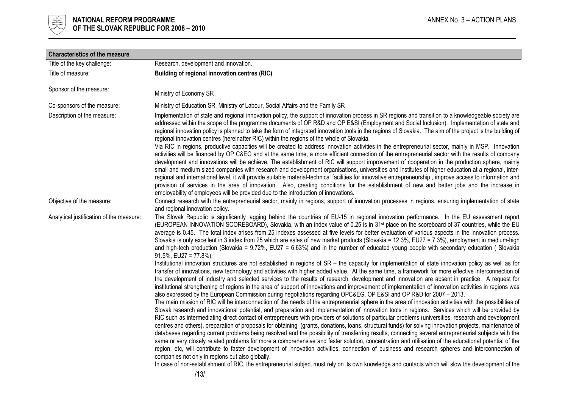

| <b>Characteristics of the measure</b>    |                                                                                                                                                                                                                                                                                                                                                                                                                                                                                                                                                                                                                                                                                                                                                                                                                                                                                                                                                                                                                                                                                                                                                                                                                                                                                                                                                                                                                                                                                                                                                                                                                                                                                                                                                                                                                                                                                                                                                                                                                   |
|------------------------------------------|-------------------------------------------------------------------------------------------------------------------------------------------------------------------------------------------------------------------------------------------------------------------------------------------------------------------------------------------------------------------------------------------------------------------------------------------------------------------------------------------------------------------------------------------------------------------------------------------------------------------------------------------------------------------------------------------------------------------------------------------------------------------------------------------------------------------------------------------------------------------------------------------------------------------------------------------------------------------------------------------------------------------------------------------------------------------------------------------------------------------------------------------------------------------------------------------------------------------------------------------------------------------------------------------------------------------------------------------------------------------------------------------------------------------------------------------------------------------------------------------------------------------------------------------------------------------------------------------------------------------------------------------------------------------------------------------------------------------------------------------------------------------------------------------------------------------------------------------------------------------------------------------------------------------------------------------------------------------------------------------------------------------|
| Title of the key challenge:              | Research, development and innovation.                                                                                                                                                                                                                                                                                                                                                                                                                                                                                                                                                                                                                                                                                                                                                                                                                                                                                                                                                                                                                                                                                                                                                                                                                                                                                                                                                                                                                                                                                                                                                                                                                                                                                                                                                                                                                                                                                                                                                                             |
| Title of measure:                        | Building of regional innovation centres (RIC)                                                                                                                                                                                                                                                                                                                                                                                                                                                                                                                                                                                                                                                                                                                                                                                                                                                                                                                                                                                                                                                                                                                                                                                                                                                                                                                                                                                                                                                                                                                                                                                                                                                                                                                                                                                                                                                                                                                                                                     |
| Sponsor of the measure:                  | Ministry of Economy SR                                                                                                                                                                                                                                                                                                                                                                                                                                                                                                                                                                                                                                                                                                                                                                                                                                                                                                                                                                                                                                                                                                                                                                                                                                                                                                                                                                                                                                                                                                                                                                                                                                                                                                                                                                                                                                                                                                                                                                                            |
| Co-sponsors of the measure:              | Ministry of Education SR, Ministry of Labour, Social Affairs and the Family SR                                                                                                                                                                                                                                                                                                                                                                                                                                                                                                                                                                                                                                                                                                                                                                                                                                                                                                                                                                                                                                                                                                                                                                                                                                                                                                                                                                                                                                                                                                                                                                                                                                                                                                                                                                                                                                                                                                                                    |
| Description of the measure:              | Implementation of state and regional innovation policy, the support of innovation process in SR regions and transition to a knowledgeable society are<br>addressed within the scope of the programme documents of OP R&D and OP E&SI (Employment and Social Inclusion). Implementation of state and<br>regional innovation policy is planned to take the form of integrated innovation tools in the regions of Slovakia. The aim of the project is the building of<br>regional innovation centres (hereinafter RIC) within the regions of the whole of Slovakia.<br>Via RIC in regions, productive capacities will be created to address innovation activities in the entrepreneurial sector, mainly in MSP. Innovation<br>activities will be financed by OP C&EG and at the same time, a more efficient connection of the entrepreneurial sector with the results of company<br>development and innovations will be achieve. The establishment of RIC will support improvement of cooperation in the production sphere, mainly<br>small and medium sized companies with research and development organisations, universities and institutes of higher education at a regional, inter-<br>regional and international level, it will provide suitable material-technical facilities for innovative entrepreneurship, improve access to information and<br>provision of services in the area of innovation. Also, creating conditions for the establishment of new and better jobs and the increase in<br>employability of employees will be provided due to the introduction of innovations.                                                                                                                                                                                                                                                                                                                                                                                                                       |
| Objective of the measure:                | Connect research with the entrepreneurial sector, mainly in regions, support of innovation processes in regions, ensuring implementation of state<br>and regional innovation policy.                                                                                                                                                                                                                                                                                                                                                                                                                                                                                                                                                                                                                                                                                                                                                                                                                                                                                                                                                                                                                                                                                                                                                                                                                                                                                                                                                                                                                                                                                                                                                                                                                                                                                                                                                                                                                              |
| Analytical justification of the measure: | The Slovak Republic is significantly lagging behind the countries of EU-15 in regional innovation performance. In the EU assessment report<br>(EUROPEAN INNOVATION SCOREBOARD), Slovakia, with an index value of 0.25 is in 31 <sup>st</sup> place on the scoreboard of 37 countries, while the EU<br>average is 0.45. The total index arises from 25 indexes assessed at five levels for better evaluation of various aspects in the innovation process.<br>Slovakia is only excellent in 3 index from 25 which are sales of new market products (Slovakia = 12.3%, EU27 = 7.3%), employment in medium-high<br>and high-tech production (Slovakia = 9.72%, EU27 = 6.63%) and in the number of educated young people with secondary education (Slovakia<br>$91.5\%$ , EU27 = 77.8%).<br>Institutional innovation structures are not established in regions of SR - the capacity for implementation of state innovation policy as well as for<br>transfer of innovations, new technology and activities with higher added value. At the same time, a framework for more effective interconnection of<br>the development of industry and selected services to the results of research, development and innovation are absent in practice. A request for<br>institutional strengthening of regions in the area of support of innovations and improvement of implementation of innovation activities in regions was<br>also expressed by the European Commission during negotiations regarding OPC&EG, OP E&SI and OP R&D for 2007 - 2013.<br>The main mission of RIC will be interconnection of the needs of the entrepreneurial sphere in the area of innovation activities with the possibilities of<br>Slovak research and innovational potential, and preparation and implementation of innovation tools in regions. Services which will be provided by<br>RIC such as intermediating direct contact of entrepreneurs with providers of solutions of particular problems (universities, research and development |
|                                          | centres and others), preparation of proposals for obtaining (grants, donations, loans, structural funds) for solving innovation projects, maintenance of<br>databases regarding current problems being resolved and the possibility of transferring results, connecting several entrepreneurial subjects with the<br>same or very closely related problems for more a comprehensive and faster solution, concentration and utilisation of the educational potential of the<br>region, etc, will contribute to faster development of innovation activities, connection of business and research spheres and interconnection of<br>companies not only in regions but also globally.<br>In case of non-establishment of RIC, the entrepreneurial subject must rely on its own knowledge and contacts which will slow the development of the                                                                                                                                                                                                                                                                                                                                                                                                                                                                                                                                                                                                                                                                                                                                                                                                                                                                                                                                                                                                                                                                                                                                                                          |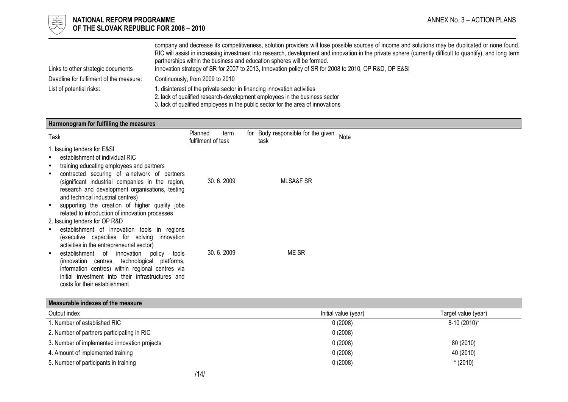

# $\frac{1}{\frac{1}{\sqrt{1-\frac{1}{\sqrt{1-\frac{1}{\sqrt{1-\frac{1}{\sqrt{1-\frac{1}{\sqrt{1-\frac{1}{\sqrt{1-\frac{1}{\sqrt{1-\frac{1}{\sqrt{1-\frac{1}{\sqrt{1-\frac{1}{\sqrt{1-\frac{1}{\sqrt{1+\frac{1}{\sqrt{1+\frac{1}{\sqrt{1+\frac{1}{\sqrt{1+\frac{1}{\sqrt{1+\frac{1}{\sqrt{1+\frac{1}{\sqrt{1+\frac{1}{\sqrt{1+\frac{1}{\sqrt{1+\frac{1}{\sqrt{1+\frac{1}{\sqrt{1+\frac{1}{\sqrt{1+\frac{1}{\sqrt{1+\frac{1}{\sqrt{$ OF THE SLOVAK REPUBLIC FOR 2008 – 2010

|                                         | company and decrease its competitiveness, solution providers will lose possible sources of income and solutions may be duplicated or none found.          |
|-----------------------------------------|-----------------------------------------------------------------------------------------------------------------------------------------------------------|
|                                         | RIC will assist in increasing investment into research, development and innovation in the private sphere (currently difficult to quantify), and long term |
|                                         | partnerships within the business and education spheres will be formed.                                                                                    |
| Links to other strategic documents      | Innovation strategy of SR for 2007 to 2013, Innovation policy of SR for 2008 to 2010, OP R&D, OP E&SI                                                     |
| Deadline for fulfilment of the measure: | Continuously, from 2009 to 2010                                                                                                                           |
| List of potential risks:                | disinterest of the private sector in financing innovation activities                                                                                      |
|                                         | 2. lack of qualified research-development employees in the business sector                                                                                |
|                                         |                                                                                                                                                           |

3. lack of qualified employees in the public sector for the area of innovations

| Harmonogram for fulfilling the measures                                                                                                                                                                                                                                                                                                                                                                                                                 |                                       |                                                    |
|---------------------------------------------------------------------------------------------------------------------------------------------------------------------------------------------------------------------------------------------------------------------------------------------------------------------------------------------------------------------------------------------------------------------------------------------------------|---------------------------------------|----------------------------------------------------|
| Task                                                                                                                                                                                                                                                                                                                                                                                                                                                    | Planned<br>term<br>fulfilment of task | for Body responsible for the given<br>Note<br>task |
| 1. Issuing tenders for E&SI<br>establishment of individual RIC<br>training educating employees and partners<br>$\bullet$<br>contracted securing of a network of partners<br>$\bullet$<br>(significant industrial companies in the region,<br>research and development organisations, testing<br>and technical industrial centres)<br>supporting the creation of higher quality jobs<br>$\bullet$<br>related to introduction of innovation processes     | 30.6.2009                             | <b>MLSA&amp;F SR</b>                               |
| 2. Issuing tenders for OP R&D<br>establishment of innovation tools in regions<br>$\bullet$<br>(executive capacities for solving<br>innovation<br>activities in the entrepreneurial sector)<br>establishment of innovation<br>policy<br>tools<br>$\bullet$<br>(innovation centres, technological<br>platforms,<br>information centres) within regional centres via<br>initial investment into their infrastructures and<br>costs for their establishment | 30.6.2009                             | ME SR                                              |

| Output index                                 | Initial value (year) | Target value (year) |
|----------------------------------------------|----------------------|---------------------|
| l. Number of established RIC                 | 0(2008)              | 8-10 (2010)*        |
| 2. Number of partners participating in RIC   | 0(2008)              |                     |
| 3. Number of implemented innovation projects | 0(2008)              | 80 (2010)           |
| 4. Amount of implemented training            | 0(2008)              | 40 (2010)           |
| 5. Number of participants in training        | 0(2008)              | $*(2010)$           |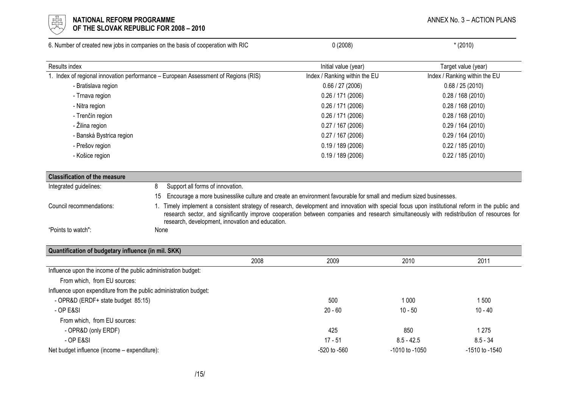

#### l 너는 NATIONAL REFORM PROGRAMME AND THE SECOND MANNEX No. 3 – ACTION PLANS ANNEX No. 3 – ACTION PLANS  $\forall\forall$  OF THE SLOVAK REPUBLIC FOR 2008 – 2010

|                                      | 6. Number of created new jobs in companies on the basis of cooperation with RIC                                                                                                                                                                                                                                                                | 0(2008)                                                                                                           | $*(2010)$                     |  |
|--------------------------------------|------------------------------------------------------------------------------------------------------------------------------------------------------------------------------------------------------------------------------------------------------------------------------------------------------------------------------------------------|-------------------------------------------------------------------------------------------------------------------|-------------------------------|--|
| Results index                        |                                                                                                                                                                                                                                                                                                                                                | Initial value (year)                                                                                              | Target value (year)           |  |
|                                      | 1. Index of regional innovation performance - European Assessment of Regions (RIS)                                                                                                                                                                                                                                                             | Index / Ranking within the EU                                                                                     | Index / Ranking within the EU |  |
| - Bratislava region                  |                                                                                                                                                                                                                                                                                                                                                | 0.66 / 27 (2006)                                                                                                  | 0.68 / 25 (2010)              |  |
| - Trnava region                      |                                                                                                                                                                                                                                                                                                                                                | 0.26 / 171 (2006)                                                                                                 | 0.28 / 168 (2010)             |  |
| - Nitra region                       |                                                                                                                                                                                                                                                                                                                                                | 0.26 / 171 (2006)                                                                                                 | 0.28 / 168 (2010)             |  |
| - Trenčín region                     |                                                                                                                                                                                                                                                                                                                                                | 0.26 / 171 (2006)                                                                                                 | 0.28 / 168 (2010)             |  |
| - Žilina region                      |                                                                                                                                                                                                                                                                                                                                                | 0.27 / 167 (2006)                                                                                                 | 0.29/164(2010)                |  |
| - Banská Bystrica region             |                                                                                                                                                                                                                                                                                                                                                | 0.27 / 167 (2006)                                                                                                 | 0.29/164(2010)                |  |
| - Prešov region                      |                                                                                                                                                                                                                                                                                                                                                | 0.19/189(2006)                                                                                                    | 0.22 / 185 (2010)             |  |
| - Košice region                      |                                                                                                                                                                                                                                                                                                                                                | 0.19/189(2006)                                                                                                    | 0.22 / 185 (2010)             |  |
| <b>Classification of the measure</b> |                                                                                                                                                                                                                                                                                                                                                |                                                                                                                   |                               |  |
| Integrated guidelines:               | 8<br>Support all forms of innovation.                                                                                                                                                                                                                                                                                                          |                                                                                                                   |                               |  |
|                                      | 15                                                                                                                                                                                                                                                                                                                                             | Encourage a more businesslike culture and create an environment favourable for small and medium sized businesses. |                               |  |
| Council recommendations:             | Timely implement a consistent strategy of research, development and innovation with special focus upon institutional reform in the public and<br>research sector, and significantly improve cooperation between companies and research simultaneously with redistribution of resources for<br>research, development, innovation and education. |                                                                                                                   |                               |  |
| "Points to watch":                   | None                                                                                                                                                                                                                                                                                                                                           |                                                                                                                   |                               |  |

| CVIY<br><b>Quantification</b><br>י mil.<br><b>TIN</b><br>uddetary<br>′ infiuence ⊦<br><b>SKKI</b> |                     |      |      |                       |
|---------------------------------------------------------------------------------------------------|---------------------|------|------|-----------------------|
|                                                                                                   | ∍∩∩ר<br><b>ZUUO</b> | 2009 | 2010 | 0 <sub>0</sub><br>້∟∪ |
| . .                                                                                               |                     |      |      |                       |

| Influence upon the income of the public administration budget:    |                  |                |                |
|-------------------------------------------------------------------|------------------|----------------|----------------|
| From which, from EU sources:                                      |                  |                |                |
| Influence upon expenditure from the public administration budget: |                  |                |                |
| - OPR&D (ERDF+ state budget 85:15)                                | 500              | 1 000          | 500            |
| - OP E&SI                                                         | $20 - 60$        | $10 - 50$      | $10 - 40$      |
| From which, from EU sources:                                      |                  |                |                |
| - OPR&D (only ERDF)                                               | 425              | 850            | 1 275          |
| $-$ OP E&SI                                                       | $17 - 51$        | $8.5 - 42.5$   | $8.5 - 34$     |
| Net budget influence (income – expenditure):                      | $-520$ to $-560$ | -1010 to -1050 | -1510 to -1540 |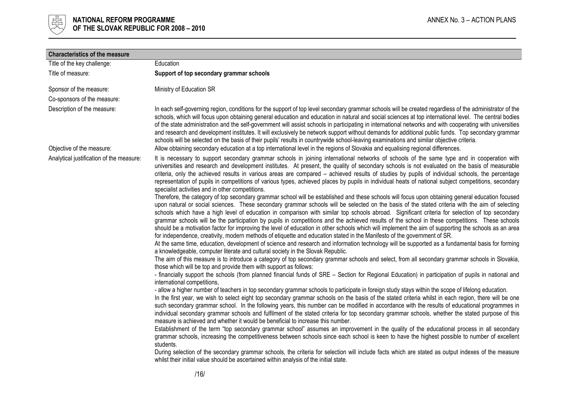

| Education<br>Support of top secondary grammar schools<br>Ministry of Education SR<br>In each self-governing region, conditions for the support of top level secondary grammar schools will be created regardless of the administrator of the<br>schools, which will focus upon obtaining general education and education in natural and social sciences at top international level. The central bodies<br>of the state administration and the self-government will assist schools in participating in international networks and with cooperating with universities<br>and research and development institutes. It will exclusively be network support without demands for additional public funds. Top secondary grammar<br>schools will be selected on the basis of their pupils' results in countrywide school-leaving examinations and similar objective criteria.<br>Allow obtaining secondary education at a top international level in the regions of Slovakia and equalising regional differences.                                                                                                                                                                                                                                                                                                                                                                                                                                                                                                                                                                                                                                                                                                                                                                                                                                                                                                                                                                                                                                                                                                                                                                                                                                                                                                                                                                                                                                                                                                                                                                                                                                                                                                                                                                                                                                                                                                                                                                                                                                                                                                                                                                                                                                                                                                                                                                                                                                                                              |
|-----------------------------------------------------------------------------------------------------------------------------------------------------------------------------------------------------------------------------------------------------------------------------------------------------------------------------------------------------------------------------------------------------------------------------------------------------------------------------------------------------------------------------------------------------------------------------------------------------------------------------------------------------------------------------------------------------------------------------------------------------------------------------------------------------------------------------------------------------------------------------------------------------------------------------------------------------------------------------------------------------------------------------------------------------------------------------------------------------------------------------------------------------------------------------------------------------------------------------------------------------------------------------------------------------------------------------------------------------------------------------------------------------------------------------------------------------------------------------------------------------------------------------------------------------------------------------------------------------------------------------------------------------------------------------------------------------------------------------------------------------------------------------------------------------------------------------------------------------------------------------------------------------------------------------------------------------------------------------------------------------------------------------------------------------------------------------------------------------------------------------------------------------------------------------------------------------------------------------------------------------------------------------------------------------------------------------------------------------------------------------------------------------------------------------------------------------------------------------------------------------------------------------------------------------------------------------------------------------------------------------------------------------------------------------------------------------------------------------------------------------------------------------------------------------------------------------------------------------------------------------------------------------------------------------------------------------------------------------------------------------------------------------------------------------------------------------------------------------------------------------------------------------------------------------------------------------------------------------------------------------------------------------------------------------------------------------------------------------------------------------------------------------------------------------------------------------------------------------------------|
|                                                                                                                                                                                                                                                                                                                                                                                                                                                                                                                                                                                                                                                                                                                                                                                                                                                                                                                                                                                                                                                                                                                                                                                                                                                                                                                                                                                                                                                                                                                                                                                                                                                                                                                                                                                                                                                                                                                                                                                                                                                                                                                                                                                                                                                                                                                                                                                                                                                                                                                                                                                                                                                                                                                                                                                                                                                                                                                                                                                                                                                                                                                                                                                                                                                                                                                                                                                                                                                                                         |
|                                                                                                                                                                                                                                                                                                                                                                                                                                                                                                                                                                                                                                                                                                                                                                                                                                                                                                                                                                                                                                                                                                                                                                                                                                                                                                                                                                                                                                                                                                                                                                                                                                                                                                                                                                                                                                                                                                                                                                                                                                                                                                                                                                                                                                                                                                                                                                                                                                                                                                                                                                                                                                                                                                                                                                                                                                                                                                                                                                                                                                                                                                                                                                                                                                                                                                                                                                                                                                                                                         |
|                                                                                                                                                                                                                                                                                                                                                                                                                                                                                                                                                                                                                                                                                                                                                                                                                                                                                                                                                                                                                                                                                                                                                                                                                                                                                                                                                                                                                                                                                                                                                                                                                                                                                                                                                                                                                                                                                                                                                                                                                                                                                                                                                                                                                                                                                                                                                                                                                                                                                                                                                                                                                                                                                                                                                                                                                                                                                                                                                                                                                                                                                                                                                                                                                                                                                                                                                                                                                                                                                         |
|                                                                                                                                                                                                                                                                                                                                                                                                                                                                                                                                                                                                                                                                                                                                                                                                                                                                                                                                                                                                                                                                                                                                                                                                                                                                                                                                                                                                                                                                                                                                                                                                                                                                                                                                                                                                                                                                                                                                                                                                                                                                                                                                                                                                                                                                                                                                                                                                                                                                                                                                                                                                                                                                                                                                                                                                                                                                                                                                                                                                                                                                                                                                                                                                                                                                                                                                                                                                                                                                                         |
|                                                                                                                                                                                                                                                                                                                                                                                                                                                                                                                                                                                                                                                                                                                                                                                                                                                                                                                                                                                                                                                                                                                                                                                                                                                                                                                                                                                                                                                                                                                                                                                                                                                                                                                                                                                                                                                                                                                                                                                                                                                                                                                                                                                                                                                                                                                                                                                                                                                                                                                                                                                                                                                                                                                                                                                                                                                                                                                                                                                                                                                                                                                                                                                                                                                                                                                                                                                                                                                                                         |
|                                                                                                                                                                                                                                                                                                                                                                                                                                                                                                                                                                                                                                                                                                                                                                                                                                                                                                                                                                                                                                                                                                                                                                                                                                                                                                                                                                                                                                                                                                                                                                                                                                                                                                                                                                                                                                                                                                                                                                                                                                                                                                                                                                                                                                                                                                                                                                                                                                                                                                                                                                                                                                                                                                                                                                                                                                                                                                                                                                                                                                                                                                                                                                                                                                                                                                                                                                                                                                                                                         |
| It is necessary to support secondary grammar schools in joining international networks of schools of the same type and in cooperation with<br>universities and research and development institutes. At present, the quality of secondary schools is not evaluated on the basis of measurable<br>criteria, only the achieved results in various areas are compared – achieved results of studies by pupils of individual schools, the percentage<br>representation of pupils in competitions of various types, achieved places by pupils in individual heats of national subject competitions, secondary<br>specialist activities and in other competitions.<br>Therefore, the category of top secondary grammar school will be established and these schools will focus upon obtaining general education focused<br>upon natural or social sciences. These secondary grammar schools will be selected on the basis of the stated criteria with the aim of selecting<br>schools which have a high level of education in comparison with similar top schools abroad. Significant criteria for selection of top secondary<br>grammar schools will be the participation by pupils in competitions and the achieved results of the school in these competitions. These schools<br>should be a motivation factor for improving the level of education in other schools which will implement the aim of supporting the schools as an area<br>for independence, creativity, modern methods of etiquette and education stated in the Manifesto of the government of SR.<br>At the same time, education, development of science and research and information technology will be supported as a fundamental basis for forming<br>a knowledgeable, computer literate and cultural society in the Slovak Republic.<br>The aim of this measure is to introduce a category of top secondary grammar schools and select, from all secondary grammar schools in Slovakia,<br>those which will be top and provide them with support as follows:<br>- financially support the schools (from planned financial funds of SRE - Section for Regional Education) in participation of pupils in national and<br>international competitions,<br>- allow a higher number of teachers in top secondary grammar schools to participate in foreign study stays within the scope of lifelong education.<br>In the first year, we wish to select eight top secondary grammar schools on the basis of the stated criteria whilst in each region, there will be one<br>such secondary grammar school. In the following years, this number can be modified in accordance with the results of educational programmes in<br>individual secondary grammar schools and fulfilment of the stated criteria for top secondary grammar schools, whether the stated purpose of this<br>measure is achieved and whether it would be beneficial to increase this number.<br>Establishment of the term "top secondary grammar school" assumes an improvement in the quality of the educational process in all secondary<br>grammar schools, increasing the competitiveness between schools since each school is keen to have the highest possible to number of excellent<br>students.<br>During selection of the secondary grammar schools, the criteria for selection will include facts which are stated as output indexes of the measure<br>whilst their initial value should be ascertained within analysis of the initial state. |
|                                                                                                                                                                                                                                                                                                                                                                                                                                                                                                                                                                                                                                                                                                                                                                                                                                                                                                                                                                                                                                                                                                                                                                                                                                                                                                                                                                                                                                                                                                                                                                                                                                                                                                                                                                                                                                                                                                                                                                                                                                                                                                                                                                                                                                                                                                                                                                                                                                                                                                                                                                                                                                                                                                                                                                                                                                                                                                                                                                                                                                                                                                                                                                                                                                                                                                                                                                                                                                                                                         |
|                                                                                                                                                                                                                                                                                                                                                                                                                                                                                                                                                                                                                                                                                                                                                                                                                                                                                                                                                                                                                                                                                                                                                                                                                                                                                                                                                                                                                                                                                                                                                                                                                                                                                                                                                                                                                                                                                                                                                                                                                                                                                                                                                                                                                                                                                                                                                                                                                                                                                                                                                                                                                                                                                                                                                                                                                                                                                                                                                                                                                                                                                                                                                                                                                                                                                                                                                                                                                                                                                         |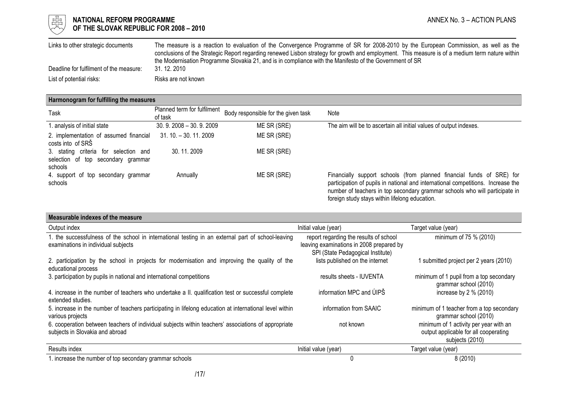

# $\begin{array}{cc} \mathbb{H} & \mathbb{R}^{\mathbb{Z}} \\ \mathbb{H} & \mathbb{R} \end{array}$  NATIONAL REFORM PROGRAMME<br>
OF THE SLOVAK REPUBLIC FOR 2008 – 2010 OF THE SLOVAK REPUBLIC FOR 2008 – 2010

| Links to other strategic documents      | The measure is a reaction to evaluation of the Convergence Programme of SR for 2008-2010 by the European Commission, as well as the             |
|-----------------------------------------|-------------------------------------------------------------------------------------------------------------------------------------------------|
|                                         | conclusions of the Strategic Report regarding renewed Lisbon strategy for growth and employment. This measure is of a medium term nature within |
|                                         | the Modernisation Programme Slovakia 21, and is in compliance with the Manifesto of the Government of SR                                        |
| Deadline for fulfilment of the measure: | 31, 12, 2010                                                                                                                                    |
| List of potential risks:                | Risks are not known                                                                                                                             |

## Harmonogram for fulfilling the measures

| Task                                                                                   | Planned term for fulfilment<br>of task | Body responsible for the given task | Note                                                                                                                                                                                                                                                                                       |
|----------------------------------------------------------------------------------------|----------------------------------------|-------------------------------------|--------------------------------------------------------------------------------------------------------------------------------------------------------------------------------------------------------------------------------------------------------------------------------------------|
| 1. analysis of initial state                                                           | $30.9.2008 - 30.9.2009$                | ME SR (SRE)                         | The aim will be to ascertain all initial values of output indexes.                                                                                                                                                                                                                         |
| 2. implementation of assumed financial<br>costs into of SRS                            | 31. 10. - 30. 11. 2009                 | ME SR (SRE)                         |                                                                                                                                                                                                                                                                                            |
| 3. stating criteria for selection and<br>selection of top secondary grammar<br>schools | 30.11.2009                             | ME SR (SRE)                         |                                                                                                                                                                                                                                                                                            |
| 4. support of top secondary grammar<br>schools                                         | Annually                               | ME SR (SRE)                         | Financially support schools (from planned financial funds of SRE) for<br>participation of pupils in national and international competitions. Increase the<br>number of teachers in top secondary grammar schools who will participate in<br>foreign study stays within lifelong education. |

| Measurable indexes of the measure                                                                                                         |                                                                                                                         |                                                                                                    |
|-------------------------------------------------------------------------------------------------------------------------------------------|-------------------------------------------------------------------------------------------------------------------------|----------------------------------------------------------------------------------------------------|
| Output index                                                                                                                              | Initial value (year)                                                                                                    | Target value (year)                                                                                |
| 1. the successfulness of the school in international testing in an external part of school-leaving<br>examinations in individual subjects | report regarding the results of school<br>leaving examinations in 2008 prepared by<br>SPI (State Pedagogical Institute) | minimum of 75 % (2010)                                                                             |
| 2. participation by the school in projects for modernisation and improving the quality of the<br>educational process                      | lists published on the internet                                                                                         | 1 submitted project per 2 years (2010)                                                             |
| 3. participation by pupils in national and international competitions                                                                     | results sheets - IUVENTA                                                                                                | minimum of 1 pupil from a top secondary<br>grammar school (2010)                                   |
| 4. increase in the number of teachers who undertake a II. qualification test or successful complete<br>extended studies.                  | information MPC and UIPS                                                                                                | increase by $2\%$ (2010)                                                                           |
| 5. increase in the number of teachers participating in lifelong education at international level within<br>various projects               | information from SAAIC                                                                                                  | minimum of 1 teacher from a top secondary<br>grammar school (2010)                                 |
| 6. cooperation between teachers of individual subjects within teachers' associations of appropriate<br>subjects in Slovakia and abroad    | not known                                                                                                               | minimum of 1 activity per year with an<br>output applicable for all cooperating<br>subjects (2010) |
| Results index                                                                                                                             | Initial value (year)                                                                                                    | Target value (year)                                                                                |
| 1. increase the number of top secondary grammar schools                                                                                   | 0                                                                                                                       | 8(2010)                                                                                            |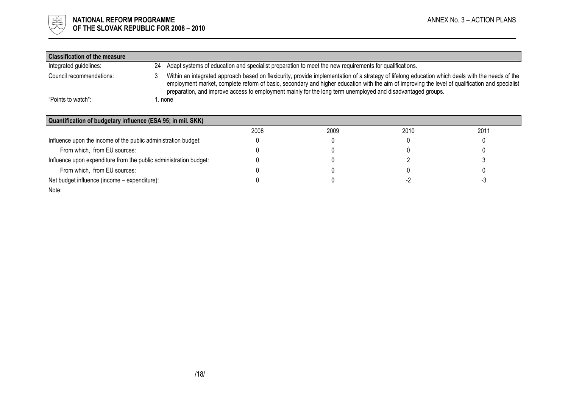

| <b>Classification of the measure</b> |                                                                                                                                                                                                                                                                                                                                                                                                                    |
|--------------------------------------|--------------------------------------------------------------------------------------------------------------------------------------------------------------------------------------------------------------------------------------------------------------------------------------------------------------------------------------------------------------------------------------------------------------------|
| Integrated guidelines:               | Adapt systems of education and specialist preparation to meet the new requirements for qualifications.<br>24                                                                                                                                                                                                                                                                                                       |
| Council recommendations:             | Within an integrated approach based on flexicurity, provide implementation of a strategy of lifelong education which deals with the needs of the<br>employment market, complete reform of basic, secondary and higher education with the aim of improving the level of qualification and specialist<br>preparation, and improve access to employment mainly for the long term unemployed and disadvantaged groups. |
| "Points to watch":                   | none.                                                                                                                                                                                                                                                                                                                                                                                                              |
|                                      |                                                                                                                                                                                                                                                                                                                                                                                                                    |

| Quantification of budgetary influence (ESA 95; in mil. SKK)       |      |      |      |      |
|-------------------------------------------------------------------|------|------|------|------|
|                                                                   | 2008 | 2009 | 2010 | 2011 |
| Influence upon the income of the public administration budget:    |      |      |      |      |
| From which, from EU sources:                                      |      |      |      |      |
| Influence upon expenditure from the public administration budget: |      |      |      |      |
| From which, from EU sources:                                      |      |      |      |      |
| Net budget influence (income – expenditure):                      |      |      |      |      |
| Note:                                                             |      |      |      |      |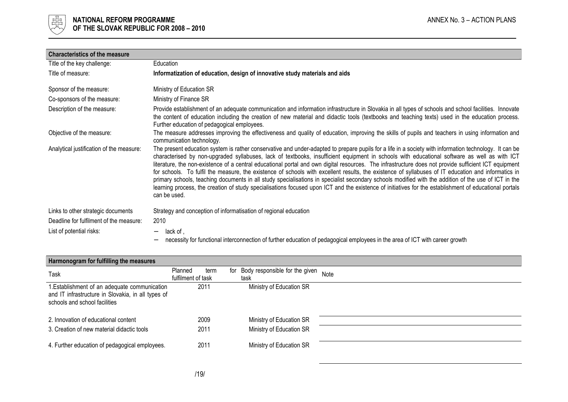

| <b>Characteristics of the measure</b>    |                                                                                                                                                                                                                                                                                                                                                                                                                                                                                                                                                                                                                                                                                                                                                                                                                                                                                                                                                          |
|------------------------------------------|----------------------------------------------------------------------------------------------------------------------------------------------------------------------------------------------------------------------------------------------------------------------------------------------------------------------------------------------------------------------------------------------------------------------------------------------------------------------------------------------------------------------------------------------------------------------------------------------------------------------------------------------------------------------------------------------------------------------------------------------------------------------------------------------------------------------------------------------------------------------------------------------------------------------------------------------------------|
| Title of the key challenge:              | Education                                                                                                                                                                                                                                                                                                                                                                                                                                                                                                                                                                                                                                                                                                                                                                                                                                                                                                                                                |
| Title of measure:                        | Informatization of education, design of innovative study materials and aids                                                                                                                                                                                                                                                                                                                                                                                                                                                                                                                                                                                                                                                                                                                                                                                                                                                                              |
| Sponsor of the measure:                  | Ministry of Education SR                                                                                                                                                                                                                                                                                                                                                                                                                                                                                                                                                                                                                                                                                                                                                                                                                                                                                                                                 |
| Co-sponsors of the measure:              | Ministry of Finance SR                                                                                                                                                                                                                                                                                                                                                                                                                                                                                                                                                                                                                                                                                                                                                                                                                                                                                                                                   |
| Description of the measure:              | Provide establishment of an adequate communication and information infrastructure in Slovakia in all types of schools and school facilities. Innovate<br>the content of education including the creation of new material and didactic tools (textbooks and teaching texts) used in the education process.<br>Further education of pedagogical employees.                                                                                                                                                                                                                                                                                                                                                                                                                                                                                                                                                                                                 |
| Objective of the measure:                | The measure addresses improving the effectiveness and quality of education, improving the skills of pupils and teachers in using information and<br>communication technology.                                                                                                                                                                                                                                                                                                                                                                                                                                                                                                                                                                                                                                                                                                                                                                            |
| Analytical justification of the measure: | The present education system is rather conservative and under-adapted to prepare pupils for a life in a society with information technology. It can be<br>characterised by non-upgraded syllabuses, lack of textbooks, insufficient equipment in schools with educational software as well as with ICT<br>literature, the non-existence of a central educational portal and own digital resources. The infrastructure does not provide sufficient ICT equipment<br>for schools. To fulfil the measure, the existence of schools with excellent results, the existence of syllabuses of IT education and informatics in<br>primary schools, teaching documents in all study specialisations in specialist secondary schools modified with the addition of the use of ICT in the<br>learning process, the creation of study specialisations focused upon ICT and the existence of initiatives for the establishment of educational portals<br>can be used. |
| Links to other strategic documents       | Strategy and conception of informatisation of regional education                                                                                                                                                                                                                                                                                                                                                                                                                                                                                                                                                                                                                                                                                                                                                                                                                                                                                         |
| Deadline for fulfilment of the measure:  | 2010                                                                                                                                                                                                                                                                                                                                                                                                                                                                                                                                                                                                                                                                                                                                                                                                                                                                                                                                                     |
| List of potential risks:                 | lack of,<br>necessity for functional interconnection of further education of pedagogical employees in the area of ICT with career growth                                                                                                                                                                                                                                                                                                                                                                                                                                                                                                                                                                                                                                                                                                                                                                                                                 |

| Harmonogram for fulfilling the measures                                                                                              |                                       |                                               |      |
|--------------------------------------------------------------------------------------------------------------------------------------|---------------------------------------|-----------------------------------------------|------|
| Task                                                                                                                                 | Planned<br>term<br>fulfilment of task | Body responsible for the given<br>for<br>task | Note |
| 1. Establishment of an adequate communication<br>and IT infrastructure in Slovakia, in all types of<br>schools and school facilities | 2011                                  | Ministry of Education SR                      |      |
| 2. Innovation of educational content                                                                                                 | 2009                                  | Ministry of Education SR                      |      |
| 3. Creation of new material didactic tools                                                                                           | 2011                                  | Ministry of Education SR                      |      |
| 4. Further education of pedagogical employees.                                                                                       | 2011                                  | Ministry of Education SR                      |      |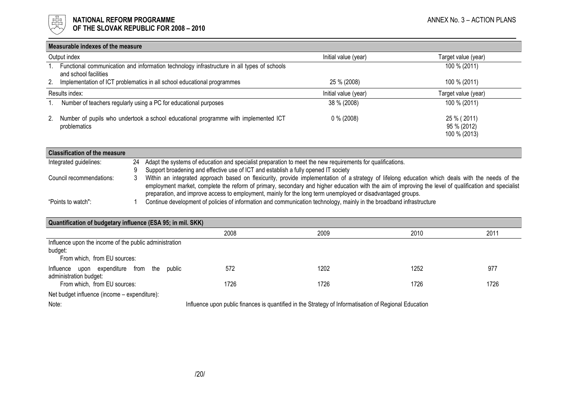

| Measurable indexes of the measure |                                                                                                                     |                      |                                            |  |
|-----------------------------------|---------------------------------------------------------------------------------------------------------------------|----------------------|--------------------------------------------|--|
|                                   | Output index                                                                                                        | Initial value (year) | Target value (year)                        |  |
|                                   | Functional communication and information technology infrastructure in all types of schools<br>and school facilities |                      | 100 % (2011)                               |  |
| 2.                                | Implementation of ICT problematics in all school educational programmes                                             | 25 % (2008)          | 100 % (2011)                               |  |
| Results index:                    |                                                                                                                     | Initial value (year) | Target value (year)                        |  |
|                                   | Number of teachers regularly using a PC for educational purposes                                                    | 38 % (2008)          | 100 % (2011)                               |  |
| 2.                                | Number of pupils who undertook a school educational programme with implemented ICT<br>problematics                  | $0\%$ (2008)         | 25 % (2011)<br>95 % (2012)<br>100 % (2013) |  |

| <b>Classification of the measure</b> |    |                                                                                                                                                       |
|--------------------------------------|----|-------------------------------------------------------------------------------------------------------------------------------------------------------|
| Integrated guidelines:               | 24 | Adapt the systems of education and specialist preparation to meet the new requirements for qualifications.                                            |
|                                      |    | Support broadening and effective use of ICT and establish a fully opened IT society                                                                   |
| Council recommendations:             |    | Within an integrated approach based on flexicurity, provide implementation of a strategy of lifelong education which deals with the needs of the      |
|                                      |    | employment market, complete the reform of primary, secondary and higher education with the aim of improving the level of qualification and specialist |
|                                      |    | preparation, and improve access to employment, mainly for the long term unemployed or disadvantaged groups.                                           |
| "Points to watch":                   |    | Continue development of policies of information and communication technology, mainly in the broadband infrastructure                                  |

| Quantification of budgetary influence (ESA 95; in mil. SKK) |      |                                                                                                                                                                                                                                    |      |      |  |
|-------------------------------------------------------------|------|------------------------------------------------------------------------------------------------------------------------------------------------------------------------------------------------------------------------------------|------|------|--|
|                                                             | 2008 | 2009                                                                                                                                                                                                                               | 2010 | 2011 |  |
| Influence upon the income of the public administration      |      |                                                                                                                                                                                                                                    |      |      |  |
| budget:                                                     |      |                                                                                                                                                                                                                                    |      |      |  |
| From which, from EU sources:                                |      |                                                                                                                                                                                                                                    |      |      |  |
| upon expenditure from<br>Influence<br>public<br>the         | 572  | 1202                                                                                                                                                                                                                               | 1252 | 977  |  |
| administration budget:                                      |      |                                                                                                                                                                                                                                    |      |      |  |
| From which, from EU sources:                                | 1726 | 1726                                                                                                                                                                                                                               | 1726 | 1726 |  |
| Net budget influence (income - expenditure):                |      |                                                                                                                                                                                                                                    |      |      |  |
| $\mathbf{r}$<br>.                                           | .    | $\mathcal{L}$ . The contract of the contract of the contract of the contract of the contract of the contract of the contract of the contract of the contract of the contract of the contract of the contract of the contract of th |      |      |  |

Note: Influence upon public finances is quantified in the Strategy of Informatisation of Regional Education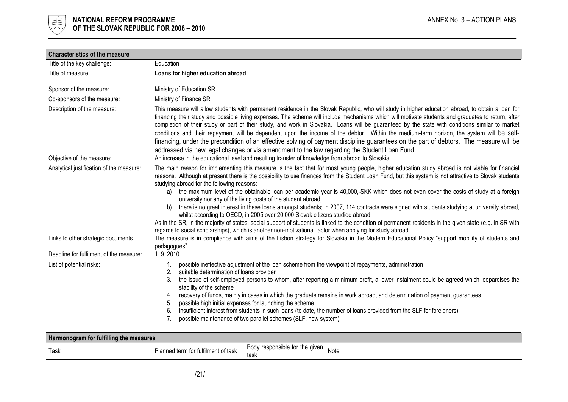

| <b>Characteristics of the measure</b>    |                                                                                                                                                                                                                                                                                                                                                                                                                                                                                                                                                                                                                                                                                                                                                                                                                                                                                                                                                                                                                                                                                       |  |  |  |
|------------------------------------------|---------------------------------------------------------------------------------------------------------------------------------------------------------------------------------------------------------------------------------------------------------------------------------------------------------------------------------------------------------------------------------------------------------------------------------------------------------------------------------------------------------------------------------------------------------------------------------------------------------------------------------------------------------------------------------------------------------------------------------------------------------------------------------------------------------------------------------------------------------------------------------------------------------------------------------------------------------------------------------------------------------------------------------------------------------------------------------------|--|--|--|
| Title of the key challenge:              | Education                                                                                                                                                                                                                                                                                                                                                                                                                                                                                                                                                                                                                                                                                                                                                                                                                                                                                                                                                                                                                                                                             |  |  |  |
| Title of measure:                        | Loans for higher education abroad                                                                                                                                                                                                                                                                                                                                                                                                                                                                                                                                                                                                                                                                                                                                                                                                                                                                                                                                                                                                                                                     |  |  |  |
| Sponsor of the measure:                  | Ministry of Education SR                                                                                                                                                                                                                                                                                                                                                                                                                                                                                                                                                                                                                                                                                                                                                                                                                                                                                                                                                                                                                                                              |  |  |  |
| Co-sponsors of the measure:              | Ministry of Finance SR                                                                                                                                                                                                                                                                                                                                                                                                                                                                                                                                                                                                                                                                                                                                                                                                                                                                                                                                                                                                                                                                |  |  |  |
| Description of the measure:              | This measure will allow students with permanent residence in the Slovak Republic, who will study in higher education abroad, to obtain a loan for<br>financing their study and possible living expenses. The scheme will include mechanisms which will motivate students and graduates to return, after<br>completion of their study or part of their study, and work in Slovakia. Loans will be guaranteed by the state with conditions similar to market<br>conditions and their repayment will be dependent upon the income of the debtor. Within the medium-term horizon, the system will be self-<br>financing, under the precondition of an effective solving of payment discipline guarantees on the part of debtors. The measure will be<br>addressed via new legal changes or via amendment to the law regarding the Student Loan Fund.                                                                                                                                                                                                                                      |  |  |  |
| Objective of the measure:                | An increase in the educational level and resulting transfer of knowledge from abroad to Slovakia.                                                                                                                                                                                                                                                                                                                                                                                                                                                                                                                                                                                                                                                                                                                                                                                                                                                                                                                                                                                     |  |  |  |
| Analytical justification of the measure: | The main reason for implementing this measure is the fact that for most young people, higher education study abroad is not viable for financial<br>reasons. Although at present there is the possibility to use finances from the Student Loan Fund, but this system is not attractive to Slovak students<br>studying abroad for the following reasons:<br>the maximum level of the obtainable loan per academic year is 40,000,-SKK which does not even cover the costs of study at a foreign<br>a)<br>university nor any of the living costs of the student abroad,<br>there is no great interest in these loans amongst students; in 2007, 114 contracts were signed with students studying at university abroad,<br>b)<br>whilst according to OECD, in 2005 over 20,000 Slovak citizens studied abroad.<br>As in the SR, in the majority of states, social support of students is linked to the condition of permanent residents in the given state (e.g. in SR with<br>regards to social scholarships), which is another non-motivational factor when applying for study abroad. |  |  |  |
| Links to other strategic documents       | The measure is in compliance with aims of the Lisbon strategy for Slovakia in the Modern Educational Policy "support mobility of students and<br>pedagogues".                                                                                                                                                                                                                                                                                                                                                                                                                                                                                                                                                                                                                                                                                                                                                                                                                                                                                                                         |  |  |  |
| Deadline for fulfilment of the measure:  | 1.9.2010                                                                                                                                                                                                                                                                                                                                                                                                                                                                                                                                                                                                                                                                                                                                                                                                                                                                                                                                                                                                                                                                              |  |  |  |
| List of potential risks:                 | possible ineffective adjustment of the loan scheme from the viewpoint of repayments, administration<br>suitable determination of loans provider<br>2.<br>the issue of self-employed persons to whom, after reporting a minimum profit, a lower instalment could be agreed which jeopardises the<br>3.<br>stability of the scheme<br>recovery of funds, mainly in cases in which the graduate remains in work abroad, and determination of payment guarantees<br>4.<br>possible high initial expenses for launching the scheme<br>5.<br>insufficient interest from students in such loans (to date, the number of loans provided from the SLF for foreigners)<br>6.<br>possible maintenance of two parallel schemes (SLF, new system)<br>7.                                                                                                                                                                                                                                                                                                                                            |  |  |  |
| Harmonogram for fulfilling the measures  |                                                                                                                                                                                                                                                                                                                                                                                                                                                                                                                                                                                                                                                                                                                                                                                                                                                                                                                                                                                                                                                                                       |  |  |  |
| Task                                     | Body responsible for the given<br>Planned term for fulfilment of task<br>Note<br>task                                                                                                                                                                                                                                                                                                                                                                                                                                                                                                                                                                                                                                                                                                                                                                                                                                                                                                                                                                                                 |  |  |  |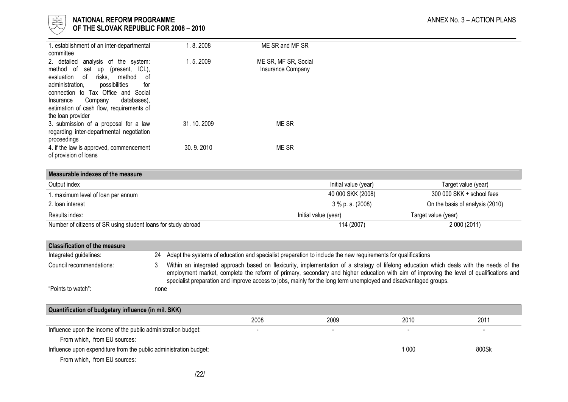

# l 너는 NATIONAL REFORM PROGRAMME AND THE SECOND MANNEX No. 3 – ACTION PLANS ANNEX No. 3 – ACTION PLANS

 $\forall\forall$  OF THE SLOVAK REPUBLIC FOR 2008 – 2010

| 1. establishment of an inter-departmental                                             | 1.8.2008   | ME SR and MF SR      |                      |                                 |
|---------------------------------------------------------------------------------------|------------|----------------------|----------------------|---------------------------------|
| committee<br>2. detailed<br>analysis of the system:                                   | 1.5.2009   | ME SR, MF SR, Social |                      |                                 |
| method<br>of<br>set up (present,<br>ICL),                                             |            | Insurance Company    |                      |                                 |
| method<br>evaluation<br>0f<br>risks,<br>οf<br>administration,<br>possibilities<br>for |            |                      |                      |                                 |
| connection to Tax Office and Social                                                   |            |                      |                      |                                 |
| databases),<br>Company<br>Insurance<br>estimation of cash flow, requirements of       |            |                      |                      |                                 |
| the loan provider                                                                     |            |                      |                      |                                 |
| 3. submission of a proposal for a law                                                 | 31.10.2009 | ME SR                |                      |                                 |
| regarding inter-departmental negotiation<br>proceedings                               |            |                      |                      |                                 |
| 4. if the law is approved, commencement<br>of provision of loans                      | 30.9.2010  | ME SR                |                      |                                 |
|                                                                                       |            |                      |                      |                                 |
| Measurable indexes of the measure                                                     |            |                      |                      |                                 |
| Output index                                                                          |            |                      | Initial value (year) | Target value (year)             |
| 1. maximum level of loan per annum                                                    |            |                      | 40 000 SKK (2008)    | 300 000 SKK + school fees       |
| 2. Ioan interest                                                                      |            |                      | $3\%$ p. a. (2008)   | On the basis of analysis (2010) |
| Results index:                                                                        |            | Initial value (year) |                      | Target value (year)             |
| Number of citizens of SR using student loans for study abroad                         |            |                      | 114 (2007)           | 2 000 (2011)                    |
|                                                                                       |            |                      |                      |                                 |

| <b>Classification of the measure</b> |      |                                                                                                                                                                                                                                                                                                                                                                                                         |
|--------------------------------------|------|---------------------------------------------------------------------------------------------------------------------------------------------------------------------------------------------------------------------------------------------------------------------------------------------------------------------------------------------------------------------------------------------------------|
| Integrated guidelines:               |      | 24 Adapt the systems of education and specialist preparation to include the new requirements for qualifications                                                                                                                                                                                                                                                                                         |
| Council recommendations:             |      | Within an integrated approach based on flexicurity, implementation of a strategy of lifelong education which deals with the needs of the<br>employment market, complete the reform of primary, secondary and higher education with aim of improving the level of qualifications and<br>specialist preparation and improve access to jobs, mainly for the long term unemployed and disadvantaged groups. |
| "Points to watch":                   | none |                                                                                                                                                                                                                                                                                                                                                                                                         |

| Quantification of budgetary influence (in mil. SKK)               |                          |      |       |       |  |  |
|-------------------------------------------------------------------|--------------------------|------|-------|-------|--|--|
|                                                                   | 2008                     | 2009 | 2010  | 2011  |  |  |
| Influence upon the income of the public administration budget:    | $\overline{\phantom{0}}$ |      |       |       |  |  |
| From which, from EU sources:                                      |                          |      |       |       |  |  |
| Influence upon expenditure from the public administration budget: |                          |      | 1 000 | 800Sk |  |  |
| From which, from EU sources:                                      |                          |      |       |       |  |  |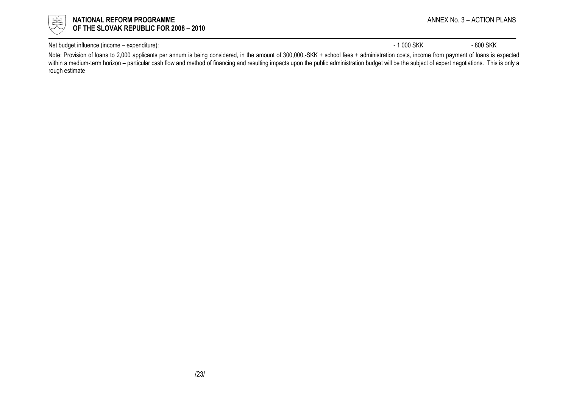

Net budget influence (income – expenditure): 4800 SKK - 800 SKK - 800 SKK - 800 SKK

Note: Provision of loans to 2,000 applicants per annum is being considered, in the amount of 300,000,-SKK + school fees + administration costs, income from payment of loans is expected within a medium-term horizon – particular cash flow and method of financing and resulting impacts upon the public administration budget will be the subject of expert negotiations. This is only a rough estimate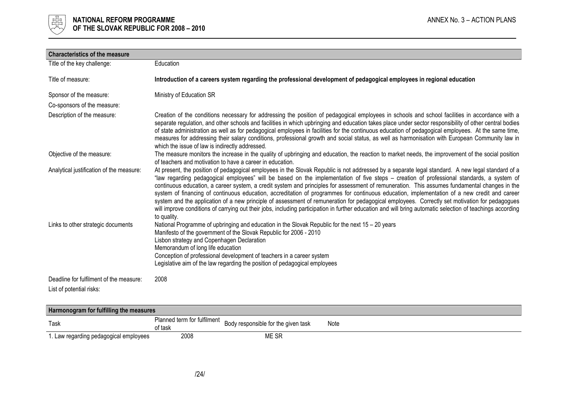

| <b>Characteristics of the measure</b>                                          |                                                                                                                                                                                                                                                                                                                                                                                                                                                                                                                                                                                                                                                                                                                                                                                                                                                                                                                                                                                                                                                                                                                                                                                             |
|--------------------------------------------------------------------------------|---------------------------------------------------------------------------------------------------------------------------------------------------------------------------------------------------------------------------------------------------------------------------------------------------------------------------------------------------------------------------------------------------------------------------------------------------------------------------------------------------------------------------------------------------------------------------------------------------------------------------------------------------------------------------------------------------------------------------------------------------------------------------------------------------------------------------------------------------------------------------------------------------------------------------------------------------------------------------------------------------------------------------------------------------------------------------------------------------------------------------------------------------------------------------------------------|
| Title of the key challenge:                                                    | Education                                                                                                                                                                                                                                                                                                                                                                                                                                                                                                                                                                                                                                                                                                                                                                                                                                                                                                                                                                                                                                                                                                                                                                                   |
| Title of measure:                                                              | Introduction of a careers system regarding the professional development of pedagogical employees in regional education                                                                                                                                                                                                                                                                                                                                                                                                                                                                                                                                                                                                                                                                                                                                                                                                                                                                                                                                                                                                                                                                      |
| Sponsor of the measure:                                                        | Ministry of Education SR                                                                                                                                                                                                                                                                                                                                                                                                                                                                                                                                                                                                                                                                                                                                                                                                                                                                                                                                                                                                                                                                                                                                                                    |
| Co-sponsors of the measure:                                                    |                                                                                                                                                                                                                                                                                                                                                                                                                                                                                                                                                                                                                                                                                                                                                                                                                                                                                                                                                                                                                                                                                                                                                                                             |
| Description of the measure:                                                    | Creation of the conditions necessary for addressing the position of pedagogical employees in schools and school facilities in accordance with a<br>separate regulation, and other schools and facilities in which upbringing and education takes place under sector responsibility of other central bodies<br>of state administration as well as for pedagogical employees in facilities for the continuous education of pedagogical employees. At the same time,<br>measures for addressing their salary conditions, professional growth and social status, as well as harmonisation with European Community law in<br>which the issue of law is indirectly addressed.                                                                                                                                                                                                                                                                                                                                                                                                                                                                                                                     |
| Objective of the measure:                                                      | The measure monitors the increase in the quality of upbringing and education, the reaction to market needs, the improvement of the social position<br>of teachers and motivation to have a career in education.                                                                                                                                                                                                                                                                                                                                                                                                                                                                                                                                                                                                                                                                                                                                                                                                                                                                                                                                                                             |
| Analytical justification of the measure:<br>Links to other strategic documents | At present, the position of pedagogical employees in the Slovak Republic is not addressed by a separate legal standard. A new legal standard of a<br>"law regarding pedagogical employees" will be based on the implementation of five steps - creation of professional standards, a system of<br>continuous education, a career system, a credit system and principles for assessment of remuneration. This assumes fundamental changes in the<br>system of financing of continuous education, accreditation of programmes for continuous education, implementation of a new credit and career<br>system and the application of a new principle of assessment of remuneration for pedagogical employees. Correctly set motivation for pedagogues<br>will improve conditions of carrying out their jobs, including participation in further education and will bring automatic selection of teachings according<br>to quality.<br>National Programme of upbringing and education in the Slovak Republic for the next 15 - 20 years<br>Manifesto of the government of the Slovak Republic for 2006 - 2010<br>Lisbon strategy and Copenhagen Declaration<br>Memorandum of long life education |
|                                                                                | Conception of professional development of teachers in a career system<br>Legislative aim of the law regarding the position of pedagogical employees                                                                                                                                                                                                                                                                                                                                                                                                                                                                                                                                                                                                                                                                                                                                                                                                                                                                                                                                                                                                                                         |
| Deadline for fulfilment of the measure:<br>List of potential risks:            | 2008                                                                                                                                                                                                                                                                                                                                                                                                                                                                                                                                                                                                                                                                                                                                                                                                                                                                                                                                                                                                                                                                                                                                                                                        |

| Harmonogram for fulfilling the measures |         |                                                                 |      |  |
|-----------------------------------------|---------|-----------------------------------------------------------------|------|--|
| Task                                    | of task | Planned term for fulfilment Body responsible for the given task | Note |  |
| 1. Law regarding pedagogical employees  | 2008    | ME SR                                                           |      |  |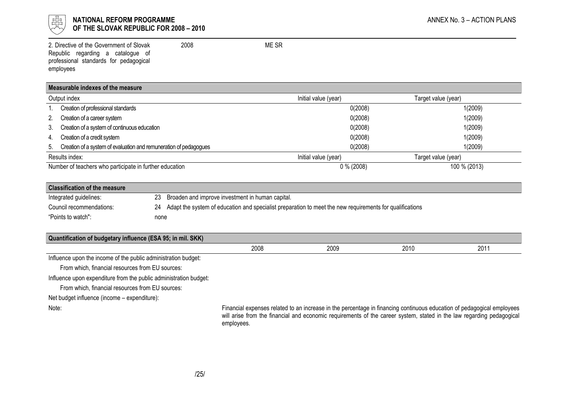

## $\frac{1}{\frac{1}{\sqrt{10}}}\sqrt{2}$  NATIONAL REFORM PROGRAMME OF THE SLOVAK REPUBLIC FOR 2008 – 2010

2. Directive of the Government of Slovak Republic regarding a catalogue of professional standards for pedagogical employees 2008 ME SR

#### Measurable indexes of the measure

|                                                         | Output index                                                      | Initial value (year) | Target value (year) |  |
|---------------------------------------------------------|-------------------------------------------------------------------|----------------------|---------------------|--|
|                                                         | Creation of professional standards                                | 0(2008)              | 1(2009)             |  |
| 2.                                                      | Creation of a career system                                       | 0(2008)              | 1(2009)             |  |
| 3.                                                      | Creation of a system of continuous education                      | 0(2008)              | 1(2009)             |  |
| 4.                                                      | Creation of a credit system                                       | 0(2008)              | 1(2009)             |  |
| 5.                                                      | Creation of a system of evaluation and remuneration of pedagogues | 0(2008)              | 1(2009)             |  |
|                                                         | Results index:                                                    | Initial value (year) | Target value (year) |  |
| Number of teachers who participate in further education |                                                                   | $0\%$ (2008)         | 100 % (2013)        |  |

| <b>Classification of the measure</b> |      |                                                                                                             |
|--------------------------------------|------|-------------------------------------------------------------------------------------------------------------|
| Integrated guidelines:               |      | 23 Broaden and improve investment in human capital.                                                         |
| Council recommendations:             |      | 24 Adapt the system of education and specialist preparation to meet the new requirements for qualifications |
| "Points to watch":                   | none |                                                                                                             |

Influence upon the income of the public administration budget:

From which, financial resources from EU sources:

Influence upon expenditure from the public administration budget:

From which, financial resources from EU sources:

Net budget influence (income – expenditure):

Note: Financial expenses related to an increase in the percentage in financing continuous education of pedagogical employees will arise from the financial and economic requirements of the career system, stated in the law regarding pedagogical employees.

2008 2009 2010 2011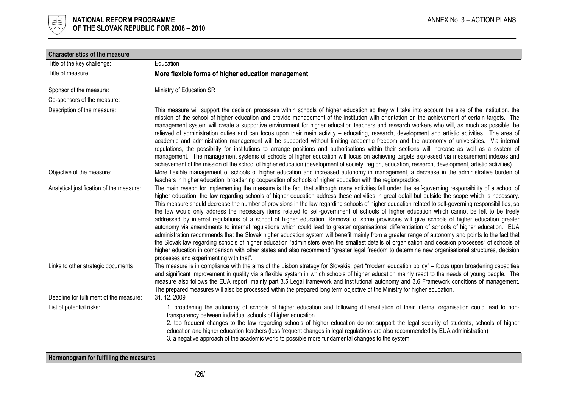

| <b>Characteristics of the measure</b>    |                                                                                                                                                                                                                                                                                                                                                                                                                                                                                                                                                                                                                                                                                                                                                                                                                                                                                                                                                                                                                                                                                                                                                                                                                                                                                                                                                                                                                           |
|------------------------------------------|---------------------------------------------------------------------------------------------------------------------------------------------------------------------------------------------------------------------------------------------------------------------------------------------------------------------------------------------------------------------------------------------------------------------------------------------------------------------------------------------------------------------------------------------------------------------------------------------------------------------------------------------------------------------------------------------------------------------------------------------------------------------------------------------------------------------------------------------------------------------------------------------------------------------------------------------------------------------------------------------------------------------------------------------------------------------------------------------------------------------------------------------------------------------------------------------------------------------------------------------------------------------------------------------------------------------------------------------------------------------------------------------------------------------------|
| Title of the key challenge:              | Education                                                                                                                                                                                                                                                                                                                                                                                                                                                                                                                                                                                                                                                                                                                                                                                                                                                                                                                                                                                                                                                                                                                                                                                                                                                                                                                                                                                                                 |
| Title of measure:                        | More flexible forms of higher education management                                                                                                                                                                                                                                                                                                                                                                                                                                                                                                                                                                                                                                                                                                                                                                                                                                                                                                                                                                                                                                                                                                                                                                                                                                                                                                                                                                        |
| Sponsor of the measure:                  | Ministry of Education SR                                                                                                                                                                                                                                                                                                                                                                                                                                                                                                                                                                                                                                                                                                                                                                                                                                                                                                                                                                                                                                                                                                                                                                                                                                                                                                                                                                                                  |
| Co-sponsors of the measure:              |                                                                                                                                                                                                                                                                                                                                                                                                                                                                                                                                                                                                                                                                                                                                                                                                                                                                                                                                                                                                                                                                                                                                                                                                                                                                                                                                                                                                                           |
| Description of the measure:              | This measure will support the decision processes within schools of higher education so they will take into account the size of the institution, the<br>mission of the school of higher education and provide management of the institution with orientation on the achievement of certain targets. The<br>management system will create a supportive environment for higher education teachers and research workers who will, as much as possible, be<br>relieved of administration duties and can focus upon their main activity - educating, research, development and artistic activities. The area of<br>academic and administration management will be supported without limiting academic freedom and the autonomy of universities. Via internal<br>regulations, the possibility for institutions to arrange positions and authorisations within their sections will increase as well as a system of<br>management. The management systems of schools of higher education will focus on achieving targets expressed via measurement indexes and<br>achievement of the mission of the school of higher education (development of society, region, education, research, development, artistic activities).                                                                                                                                                                                                            |
| Objective of the measure:                | More flexible management of schools of higher education and increased autonomy in management, a decrease in the administrative burden of<br>teachers in higher education, broadening cooperation of schools of higher education with the region/practice.                                                                                                                                                                                                                                                                                                                                                                                                                                                                                                                                                                                                                                                                                                                                                                                                                                                                                                                                                                                                                                                                                                                                                                 |
| Analytical justification of the measure: | The main reason for implementing the measure is the fact that although many activities fall under the self-governing responsibility of a school of<br>higher education, the law regarding schools of higher education address these activities in great detail but outside the scope which is necessary.<br>This measure should decrease the number of provisions in the law regarding schools of higher education related to self-governing responsibilities, so<br>the law would only address the necessary items related to self-government of schools of higher education which cannot be left to be freely<br>addressed by internal regulations of a school of higher education. Removal of some provisions will give schools of higher education greater<br>autonomy via amendments to internal regulations which could lead to greater organisational differentiation of schools of higher education. EUA<br>administration recommends that the Slovak higher education system will benefit mainly from a greater range of autonomy and points to the fact that<br>the Slovak law regarding schools of higher education "administers even the smallest details of organisation and decision processes" of schools of<br>higher education in comparison with other states and also recommend "greater legal freedom to determine new organisational structures, decision<br>processes and experimenting with that". |
| Links to other strategic documents       | The measure is in compliance with the aims of the Lisbon strategy for Slovakia, part "modern education policy" – focus upon broadening capacities<br>and significant improvement in quality via a flexible system in which schools of higher education mainly react to the needs of young people. The<br>measure also follows the EUA report, mainly part 3.5 Legal framework and institutional autonomy and 3.6 Framework conditions of management.<br>The prepared measures will also be processed within the prepared long term objective of the Ministry for higher education.                                                                                                                                                                                                                                                                                                                                                                                                                                                                                                                                                                                                                                                                                                                                                                                                                                        |
| Deadline for fulfilment of the measure:  | 31.12.2009                                                                                                                                                                                                                                                                                                                                                                                                                                                                                                                                                                                                                                                                                                                                                                                                                                                                                                                                                                                                                                                                                                                                                                                                                                                                                                                                                                                                                |
| List of potential risks:                 | 1. broadening the autonomy of schools of higher education and following differentiation of their internal organisation could lead to non-<br>transparency between individual schools of higher education<br>2. too frequent changes to the law regarding schools of higher education do not support the legal security of students, schools of higher<br>education and higher education teachers (less frequent changes in legal regulations are also recommended by EUA administration)<br>3. a negative approach of the academic world to possible more fundamental changes to the system                                                                                                                                                                                                                                                                                                                                                                                                                                                                                                                                                                                                                                                                                                                                                                                                                               |

Harmonogram for fulfilling the measures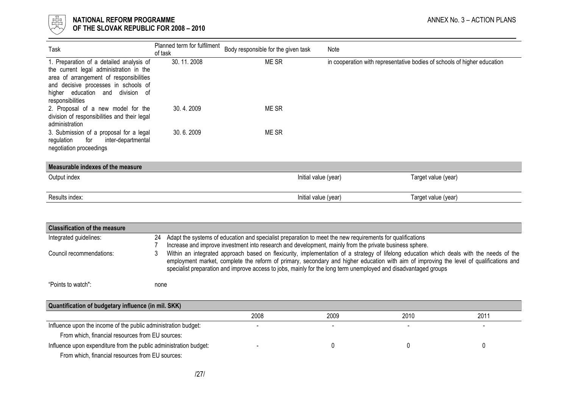

| Task                                                                               | Planned term for fulfilment<br>of task | Body responsible for the given task | Note                                                                     |  |
|------------------------------------------------------------------------------------|----------------------------------------|-------------------------------------|--------------------------------------------------------------------------|--|
| 1. Preparation of a detailed analysis of                                           | 30.11.2008                             | ME SR                               | in cooperation with representative bodies of schools of higher education |  |
| the current legal administration in the<br>area of arrangement of responsibilities |                                        |                                     |                                                                          |  |
| and decisive processes in schools of                                               |                                        |                                     |                                                                          |  |
| higher education and division of                                                   |                                        |                                     |                                                                          |  |
| responsibilities<br>2. Proposal of a new model for the                             | 30.4.2009                              | ME SR                               |                                                                          |  |
| division of responsibilities and their legal                                       |                                        |                                     |                                                                          |  |
| administration                                                                     |                                        |                                     |                                                                          |  |
| 3. Submission of a proposal for a legal                                            | 30.6.2009                              | ME SR                               |                                                                          |  |
| inter-departmental<br>regulation<br>for<br>negotiation proceedings                 |                                        |                                     |                                                                          |  |
|                                                                                    |                                        |                                     |                                                                          |  |
| Measurable indexes of the measure                                                  |                                        |                                     |                                                                          |  |
| Output index                                                                       |                                        |                                     | Initial value (year)<br>Target value (year)                              |  |
|                                                                                    |                                        |                                     |                                                                          |  |
| Results index:                                                                     |                                        |                                     | Initial value (year)<br>Target value (year)                              |  |

| <b>Classification of the measure</b>                              |      |                                                                                                                                                                                                                                                                                                                                                                                                        |      |      |          |
|-------------------------------------------------------------------|------|--------------------------------------------------------------------------------------------------------------------------------------------------------------------------------------------------------------------------------------------------------------------------------------------------------------------------------------------------------------------------------------------------------|------|------|----------|
| Integrated guidelines:                                            | 24   | Adapt the systems of education and specialist preparation to meet the new requirements for qualifications<br>Increase and improve investment into research and development, mainly from the private business sphere.                                                                                                                                                                                   |      |      |          |
| Council recommendations:                                          |      | Within an integrated approach based on flexicurity, implementation of a strategy of lifelong education which deals with the needs of the<br>employment market, complete the reform of primary, secondary and higher education with aim of improving the level of qualifications and<br>specialist preparation and improve access to jobs, mainly for the long term unemployed and disadvantaged groups |      |      |          |
| "Points to watch":                                                | none |                                                                                                                                                                                                                                                                                                                                                                                                        |      |      |          |
| Quantification of budgetary influence (in mil. SKK)               |      |                                                                                                                                                                                                                                                                                                                                                                                                        |      |      |          |
|                                                                   |      | 2008                                                                                                                                                                                                                                                                                                                                                                                                   | 2009 | 2010 | 2011     |
| Influence upon the income of the public administration budget:    |      |                                                                                                                                                                                                                                                                                                                                                                                                        |      |      |          |
| From which, financial resources from EU sources:                  |      |                                                                                                                                                                                                                                                                                                                                                                                                        |      |      |          |
| Influence upon expenditure from the public administration budget: |      |                                                                                                                                                                                                                                                                                                                                                                                                        | 0    |      | $\Omega$ |
| From which, financial resources from EU sources:                  |      |                                                                                                                                                                                                                                                                                                                                                                                                        |      |      |          |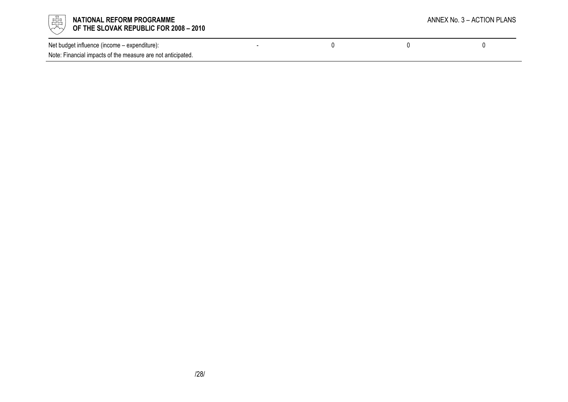

| Net budget influence (income – expenditure):                |  |  |
|-------------------------------------------------------------|--|--|
| Note: Financial impacts of the measure are not anticipated. |  |  |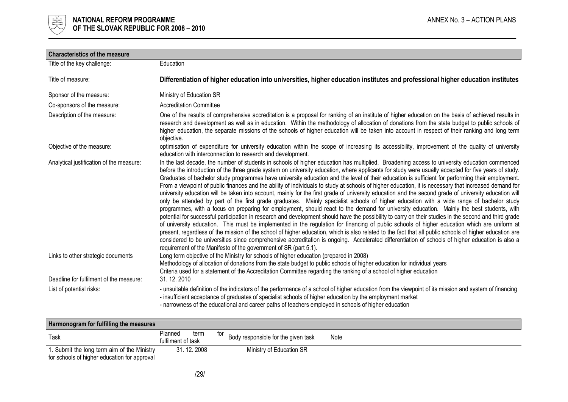

| <b>Characteristics of the measure</b>    |                                                                                                                                                                                                                                                                                                                                                                                                                                                                                                                                                                                                                                                                                                                                                                                                                                                                                                                                                                                                                                                                                                                                                                                                                                                                                                                                                                                                                                                                                                                                                                                                                                                                                                                                                                   |
|------------------------------------------|-------------------------------------------------------------------------------------------------------------------------------------------------------------------------------------------------------------------------------------------------------------------------------------------------------------------------------------------------------------------------------------------------------------------------------------------------------------------------------------------------------------------------------------------------------------------------------------------------------------------------------------------------------------------------------------------------------------------------------------------------------------------------------------------------------------------------------------------------------------------------------------------------------------------------------------------------------------------------------------------------------------------------------------------------------------------------------------------------------------------------------------------------------------------------------------------------------------------------------------------------------------------------------------------------------------------------------------------------------------------------------------------------------------------------------------------------------------------------------------------------------------------------------------------------------------------------------------------------------------------------------------------------------------------------------------------------------------------------------------------------------------------|
| Title of the key challenge:              | Education                                                                                                                                                                                                                                                                                                                                                                                                                                                                                                                                                                                                                                                                                                                                                                                                                                                                                                                                                                                                                                                                                                                                                                                                                                                                                                                                                                                                                                                                                                                                                                                                                                                                                                                                                         |
| Title of measure:                        | Differentiation of higher education into universities, higher education institutes and professional higher education institutes                                                                                                                                                                                                                                                                                                                                                                                                                                                                                                                                                                                                                                                                                                                                                                                                                                                                                                                                                                                                                                                                                                                                                                                                                                                                                                                                                                                                                                                                                                                                                                                                                                   |
| Sponsor of the measure:                  | Ministry of Education SR                                                                                                                                                                                                                                                                                                                                                                                                                                                                                                                                                                                                                                                                                                                                                                                                                                                                                                                                                                                                                                                                                                                                                                                                                                                                                                                                                                                                                                                                                                                                                                                                                                                                                                                                          |
| Co-sponsors of the measure:              | <b>Accreditation Committee</b>                                                                                                                                                                                                                                                                                                                                                                                                                                                                                                                                                                                                                                                                                                                                                                                                                                                                                                                                                                                                                                                                                                                                                                                                                                                                                                                                                                                                                                                                                                                                                                                                                                                                                                                                    |
| Description of the measure:              | One of the results of comprehensive accreditation is a proposal for ranking of an institute of higher education on the basis of achieved results in<br>research and development as well as in education. Within the methodology of allocation of donations from the state budget to public schools of<br>higher education, the separate missions of the schools of higher education will be taken into account in respect of their ranking and long term<br>objective.                                                                                                                                                                                                                                                                                                                                                                                                                                                                                                                                                                                                                                                                                                                                                                                                                                                                                                                                                                                                                                                                                                                                                                                                                                                                                            |
| Objective of the measure:                | optimisation of expenditure for university education within the scope of increasing its accessibility, improvement of the quality of university<br>education with interconnection to research and development.                                                                                                                                                                                                                                                                                                                                                                                                                                                                                                                                                                                                                                                                                                                                                                                                                                                                                                                                                                                                                                                                                                                                                                                                                                                                                                                                                                                                                                                                                                                                                    |
| Analytical justification of the measure: | In the last decade, the number of students in schools of higher education has multiplied. Broadening access to university education commenced<br>before the introduction of the three grade system on university education, where applicants for study were usually accepted for five years of study.<br>Graduates of bachelor study programmes have university education and the level of their education is sufficient for performing their employment.<br>From a viewpoint of public finances and the ability of individuals to study at schools of higher education, it is necessary that increased demand for<br>university education will be taken into account, mainly for the first grade of university education and the second grade of university education will<br>only be attended by part of the first grade graduates. Mainly specialist schools of higher education with a wide range of bachelor study<br>programmes, with a focus on preparing for employment, should react to the demand for university education. Mainly the best students, with<br>potential for successful participation in research and development should have the possibility to carry on their studies in the second and third grade<br>of university education. This must be implemented in the regulation for financing of public schools of higher education which are uniform at<br>present, regardless of the mission of the school of higher education, which is also related to the fact that all public schools of higher education are<br>considered to be universities since comprehensive accreditation is ongoing. Accelerated differentiation of schools of higher education is also a<br>requirement of the Manifesto of the government of SR (part 5.1). |
| Links to other strategic documents       | Long term objective of the Ministry for schools of higher education (prepared in 2008)<br>Methodology of allocation of donations from the state budget to public schools of higher education for individual years<br>Criteria used for a statement of the Accreditation Committee regarding the ranking of a school of higher education                                                                                                                                                                                                                                                                                                                                                                                                                                                                                                                                                                                                                                                                                                                                                                                                                                                                                                                                                                                                                                                                                                                                                                                                                                                                                                                                                                                                                           |
| Deadline for fulfilment of the measure:  | 31, 12, 2010                                                                                                                                                                                                                                                                                                                                                                                                                                                                                                                                                                                                                                                                                                                                                                                                                                                                                                                                                                                                                                                                                                                                                                                                                                                                                                                                                                                                                                                                                                                                                                                                                                                                                                                                                      |
| List of potential risks:                 | - unsuitable definition of the indicators of the performance of a school of higher education from the viewpoint of its mission and system of financing<br>- insufficient acceptance of graduates of specialist schools of higher education by the employment market<br>- narrowness of the educational and career paths of teachers employed in schools of higher education                                                                                                                                                                                                                                                                                                                                                                                                                                                                                                                                                                                                                                                                                                                                                                                                                                                                                                                                                                                                                                                                                                                                                                                                                                                                                                                                                                                       |

| Harmonogram for fulfilling the measures                                                     |                                       |                                            |      |  |
|---------------------------------------------------------------------------------------------|---------------------------------------|--------------------------------------------|------|--|
| Task                                                                                        | Planned<br>term<br>fulfilment of task | tor<br>Body responsible for the given task | Note |  |
| 1. Submit the long term aim of the Ministry<br>for schools of higher education for approval | 31, 12, 2008                          | Ministry of Education SR                   |      |  |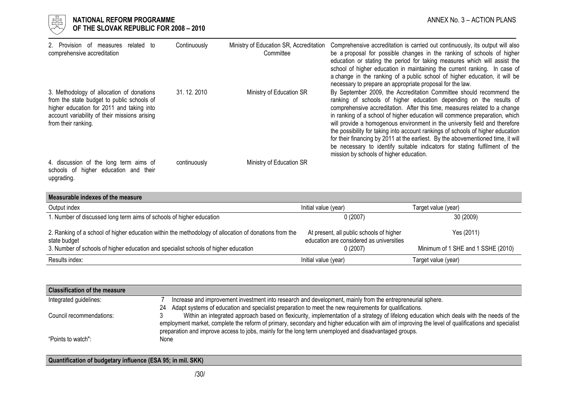

| 2. Provision of measures related to<br>comprehensive accreditation                                                                                                                                           | Continuously | Ministry of Education SR, Accreditation<br>Committee | Comprehensive accreditation is carried out continuously, its output will also<br>be a proposal for possible changes in the ranking of schools of higher<br>education or stating the period for taking measures which will assist the<br>school of higher education in maintaining the current ranking. In case of<br>a change in the ranking of a public school of higher education, it will be<br>necessary to prepare an appropriate proposal for the law.                                                                                                                                                                                                                          |
|--------------------------------------------------------------------------------------------------------------------------------------------------------------------------------------------------------------|--------------|------------------------------------------------------|---------------------------------------------------------------------------------------------------------------------------------------------------------------------------------------------------------------------------------------------------------------------------------------------------------------------------------------------------------------------------------------------------------------------------------------------------------------------------------------------------------------------------------------------------------------------------------------------------------------------------------------------------------------------------------------|
| 3. Methodology of allocation of donations<br>from the state budget to public schools of<br>higher education for 2011 and taking into<br>account variability of their missions arising<br>from their ranking. | 31.12.2010   | Ministry of Education SR                             | By September 2009, the Accreditation Committee should recommend the<br>ranking of schools of higher education depending on the results of<br>comprehensive accreditation. After this time, measures related to a change<br>in ranking of a school of higher education will commence preparation, which<br>will provide a homogenous environment in the university field and therefore<br>the possibility for taking into account rankings of schools of higher education<br>for their financing by 2011 at the earliest. By the abovementioned time, it will<br>be necessary to identify suitable indicators for stating fulfilment of the<br>mission by schools of higher education. |
| 4. discussion of the long term aims of<br>schools of higher education and their<br>upgrading.                                                                                                                | continuously | Ministry of Education SR                             |                                                                                                                                                                                                                                                                                                                                                                                                                                                                                                                                                                                                                                                                                       |

| Measurable indexes of the measure                                                                                     |                                                                                      |                                    |
|-----------------------------------------------------------------------------------------------------------------------|--------------------------------------------------------------------------------------|------------------------------------|
| Output index                                                                                                          | Initial value (year)                                                                 | Target value (year)                |
| 1. Number of discussed long term aims of schools of higher education                                                  | 0(2007)                                                                              | 30 (2009)                          |
| 2. Ranking of a school of higher education within the methodology of allocation of donations from the<br>state budget | At present, all public schools of higher<br>education are considered as universities | Yes (2011)                         |
| 3. Number of schools of higher education and specialist schools of higher education                                   | 0(2007)                                                                              | Minimum of 1 SHE and 1 SSHE (2010) |
| Results index:                                                                                                        | Initial value (year)                                                                 | Target value (year)                |

| <b>Classification of the measure</b> |                                                                                                                                                                                                                                                                                                |
|--------------------------------------|------------------------------------------------------------------------------------------------------------------------------------------------------------------------------------------------------------------------------------------------------------------------------------------------|
| Integrated guidelines:               | Increase and improvement investment into research and development, mainly from the entrepreneurial sphere.                                                                                                                                                                                     |
|                                      | Adapt systems of education and specialist preparation to meet the new requirements for qualifications.<br>24                                                                                                                                                                                   |
| Council recommendations:             | Within an integrated approach based on flexicurity, implementation of a strategy of lifelong education which deals with the needs of the<br>employment market, complete the reform of primary, secondary and higher education with aim of improving the level of qualifications and specialist |
| "Points to watch":                   | preparation and improve access to jobs, mainly for the long term unemployed and disadvantaged groups.<br>None                                                                                                                                                                                  |

### Quantification of budgetary influence (ESA 95; in mil. SKK)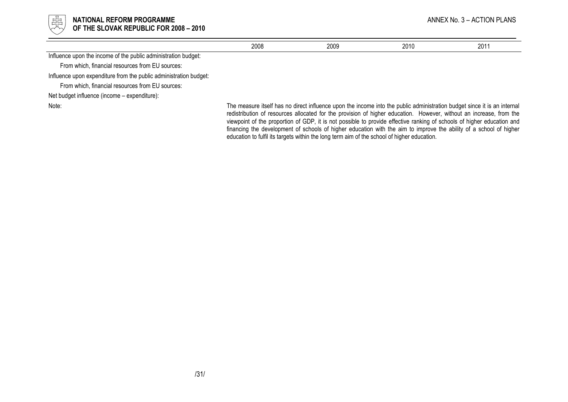

|                                                                   | 2008 | 2009                                                                                                                                                                                                                                            | 2010 | 2011 |
|-------------------------------------------------------------------|------|-------------------------------------------------------------------------------------------------------------------------------------------------------------------------------------------------------------------------------------------------|------|------|
| Influence upon the income of the public administration budget:    |      |                                                                                                                                                                                                                                                 |      |      |
| From which, financial resources from EU sources:                  |      |                                                                                                                                                                                                                                                 |      |      |
| Influence upon expenditure from the public administration budget: |      |                                                                                                                                                                                                                                                 |      |      |
| From which, financial resources from EU sources:                  |      |                                                                                                                                                                                                                                                 |      |      |
| Net budget influence (income – expenditure):                      |      |                                                                                                                                                                                                                                                 |      |      |
| Note:                                                             |      | The measure itself has no direct influence upon the income into the public administration budget since it is an internal<br>redistribution of resources allocated for the provision of higher education. However, without an increase, from the |      |      |

 viewpoint of the proportion of GDP, it is not possible to provide effective ranking of schools of higher education and financing the development of schools of higher education with the aim to improve the ability of a school of higher education to fulfil its targets within the long term aim of the school of higher education.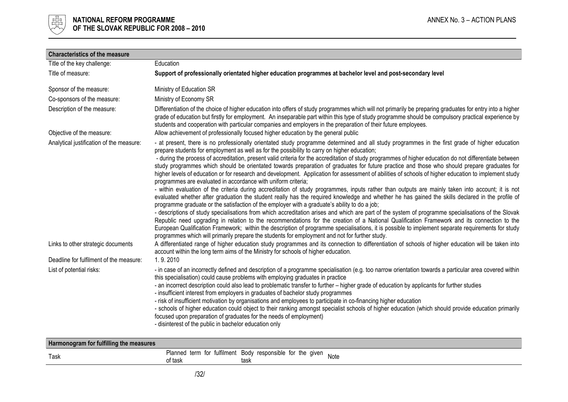

| <b>Characteristics of the measure</b>                                                                                     |                                                                                                                                                                                                                                                                                                                                                                                                                                                                                                                                                                                                                                                                                                                                                                                                                                                                                                                                                                                                                                                                                                                                                                                                                                                                                                                                                                                                                                                                                                                                                                                                                                                                                                                                                                                                                                                                                                                                                                                                                      |
|---------------------------------------------------------------------------------------------------------------------------|----------------------------------------------------------------------------------------------------------------------------------------------------------------------------------------------------------------------------------------------------------------------------------------------------------------------------------------------------------------------------------------------------------------------------------------------------------------------------------------------------------------------------------------------------------------------------------------------------------------------------------------------------------------------------------------------------------------------------------------------------------------------------------------------------------------------------------------------------------------------------------------------------------------------------------------------------------------------------------------------------------------------------------------------------------------------------------------------------------------------------------------------------------------------------------------------------------------------------------------------------------------------------------------------------------------------------------------------------------------------------------------------------------------------------------------------------------------------------------------------------------------------------------------------------------------------------------------------------------------------------------------------------------------------------------------------------------------------------------------------------------------------------------------------------------------------------------------------------------------------------------------------------------------------------------------------------------------------------------------------------------------------|
| Title of the key challenge:                                                                                               | Education                                                                                                                                                                                                                                                                                                                                                                                                                                                                                                                                                                                                                                                                                                                                                                                                                                                                                                                                                                                                                                                                                                                                                                                                                                                                                                                                                                                                                                                                                                                                                                                                                                                                                                                                                                                                                                                                                                                                                                                                            |
| Title of measure:                                                                                                         | Support of professionally orientated higher education programmes at bachelor level and post-secondary level                                                                                                                                                                                                                                                                                                                                                                                                                                                                                                                                                                                                                                                                                                                                                                                                                                                                                                                                                                                                                                                                                                                                                                                                                                                                                                                                                                                                                                                                                                                                                                                                                                                                                                                                                                                                                                                                                                          |
| Sponsor of the measure:                                                                                                   | Ministry of Education SR                                                                                                                                                                                                                                                                                                                                                                                                                                                                                                                                                                                                                                                                                                                                                                                                                                                                                                                                                                                                                                                                                                                                                                                                                                                                                                                                                                                                                                                                                                                                                                                                                                                                                                                                                                                                                                                                                                                                                                                             |
| Co-sponsors of the measure:                                                                                               | Ministry of Economy SR                                                                                                                                                                                                                                                                                                                                                                                                                                                                                                                                                                                                                                                                                                                                                                                                                                                                                                                                                                                                                                                                                                                                                                                                                                                                                                                                                                                                                                                                                                                                                                                                                                                                                                                                                                                                                                                                                                                                                                                               |
| Description of the measure:                                                                                               | Differentiation of the choice of higher education into offers of study programmes which will not primarily be preparing graduates for entry into a higher<br>grade of education but firstly for employment. An inseparable part within this type of study programme should be compulsory practical experience by<br>students and cooperation with particular companies and employers in the preparation of their future employees.                                                                                                                                                                                                                                                                                                                                                                                                                                                                                                                                                                                                                                                                                                                                                                                                                                                                                                                                                                                                                                                                                                                                                                                                                                                                                                                                                                                                                                                                                                                                                                                   |
| Objective of the measure:                                                                                                 | Allow achievement of professionally focused higher education by the general public                                                                                                                                                                                                                                                                                                                                                                                                                                                                                                                                                                                                                                                                                                                                                                                                                                                                                                                                                                                                                                                                                                                                                                                                                                                                                                                                                                                                                                                                                                                                                                                                                                                                                                                                                                                                                                                                                                                                   |
| Analytical justification of the measure:<br>Links to other strategic documents<br>Deadline for fulfilment of the measure: | - at present, there is no professionally orientated study programme determined and all study programmes in the first grade of higher education<br>prepare students for employment as well as for the possibility to carry on higher education;<br>- during the process of accreditation, present valid criteria for the accreditation of study programmes of higher education do not differentiate between<br>study programmes which should be orientated towards preparation of graduates for future practice and those who should prepare graduates for<br>higher levels of education or for research and development. Application for assessment of abilities of schools of higher education to implement study<br>programmes are evaluated in accordance with uniform criteria;<br>- within evaluation of the criteria during accreditation of study programmes, inputs rather than outputs are mainly taken into account; it is not<br>evaluated whether after graduation the student really has the required knowledge and whether he has gained the skills declared in the profile of<br>programme graduate or the satisfaction of the employer with a graduate's ability to do a job;<br>- descriptions of study specialisations from which accreditation arises and which are part of the system of programme specialisations of the Slovak<br>Republic need upgrading in relation to the recommendations for the creation of a National Qualification Framework and its connection to the<br>European Qualification Framework; within the description of programme specialisations, it is possible to implement separate requirements for study<br>programmes which will primarily prepare the students for employment and not for further study.<br>A differentiated range of higher education study programmes and its connection to differentiation of schools of higher education will be taken into<br>account within the long term aims of the Ministry for schools of higher education.<br>1.9.2010 |
| List of potential risks:                                                                                                  | - in case of an incorrectly defined and description of a programme specialisation (e.g. too narrow orientation towards a particular area covered within<br>this specialisation) could cause problems with employing graduates in practice<br>- an incorrect description could also lead to problematic transfer to further – higher grade of education by applicants for further studies<br>- insufficient interest from employers in graduates of bachelor study programmes<br>- risk of insufficient motivation by organisations and employees to participate in co-financing higher education<br>- schools of higher education could object to their ranking amongst specialist schools of higher education (which should provide education primarily<br>focused upon preparation of graduates for the needs of employment)<br>- disinterest of the public in bachelor education only                                                                                                                                                                                                                                                                                                                                                                                                                                                                                                                                                                                                                                                                                                                                                                                                                                                                                                                                                                                                                                                                                                                             |

| Harmonogram for fulfilling the measures |        |                                                                    |      |
|-----------------------------------------|--------|--------------------------------------------------------------------|------|
| Task                                    | * task | Planned term for fulfilment Body responsible for the given<br>task | Note |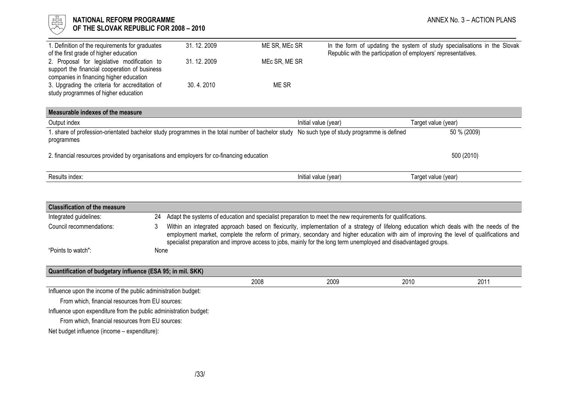# NATIONAL REFORM PROGRAMME AND ANNEX No. 3 – ACTION PLANS OF THE SLOVAK REPUBLIC FOR 2008 - 2010

| I. Definition of the requirements for graduates<br>of the first grade of higher education                                               | 31.12.2009   | ME SR, MEC SR | Republic with the participation of employers' representatives. | In the form of updating the system of study specialisations in the Slovak |
|-----------------------------------------------------------------------------------------------------------------------------------------|--------------|---------------|----------------------------------------------------------------|---------------------------------------------------------------------------|
| 2. Proposal for legislative modification to<br>support the financial cooperation of business<br>companies in financing higher education | 31, 12, 2009 | MEC SR, ME SR |                                                                |                                                                           |
| 3. Upgrading the criteria for accreditation of<br>study programmes of higher education                                                  | 30.4.2010    | ME SR         |                                                                |                                                                           |
| Measurable indexes of the measure                                                                                                       |              |               |                                                                |                                                                           |
| Output index                                                                                                                            |              |               | Initial value (year)                                           | Target value (year)                                                       |
| . share of profession-orientated bachelor study programmes in the total number of bachelor study<br>programmes                          |              |               | No such type of study programme is defined                     | 50 % (2009)                                                               |
| 2. financial resources provided by organisations and employers for co-financing education                                               |              |               |                                                                | 500 (2010)                                                                |

|--|

| <b>Classification of the measure</b>                              |                                                                                                                                                                                                                                                                                     |      |      |      |                                                                                                                                                                                                                                |  |
|-------------------------------------------------------------------|-------------------------------------------------------------------------------------------------------------------------------------------------------------------------------------------------------------------------------------------------------------------------------------|------|------|------|--------------------------------------------------------------------------------------------------------------------------------------------------------------------------------------------------------------------------------|--|
| 24                                                                |                                                                                                                                                                                                                                                                                     |      |      |      |                                                                                                                                                                                                                                |  |
|                                                                   | Within an integrated approach based on flexicurity, implementation of a strategy of lifelong education which deals with the needs of the<br>employment market, complete the reform of primary, secondary and higher education with aim of improving the level of qualifications and |      |      |      |                                                                                                                                                                                                                                |  |
|                                                                   |                                                                                                                                                                                                                                                                                     |      |      |      |                                                                                                                                                                                                                                |  |
|                                                                   |                                                                                                                                                                                                                                                                                     |      |      |      |                                                                                                                                                                                                                                |  |
| Quantification of budgetary influence (ESA 95; in mil. SKK)       |                                                                                                                                                                                                                                                                                     |      |      |      |                                                                                                                                                                                                                                |  |
|                                                                   |                                                                                                                                                                                                                                                                                     | 2008 | 2009 | 2010 | 2011                                                                                                                                                                                                                           |  |
| Influence upon the income of the public administration budget:    |                                                                                                                                                                                                                                                                                     |      |      |      |                                                                                                                                                                                                                                |  |
| From which, financial resources from EU sources:                  |                                                                                                                                                                                                                                                                                     |      |      |      |                                                                                                                                                                                                                                |  |
| Influence upon expenditure from the public administration budget: |                                                                                                                                                                                                                                                                                     |      |      |      |                                                                                                                                                                                                                                |  |
| From which, financial resources from EU sources:                  |                                                                                                                                                                                                                                                                                     |      |      |      |                                                                                                                                                                                                                                |  |
| Net budget influence (income – expenditure):                      |                                                                                                                                                                                                                                                                                     |      |      |      |                                                                                                                                                                                                                                |  |
|                                                                   |                                                                                                                                                                                                                                                                                     | None |      |      | Adapt the systems of education and specialist preparation to meet the new requirements for qualifications.<br>specialist preparation and improve access to jobs, mainly for the long term unemployed and disadvantaged groups. |  |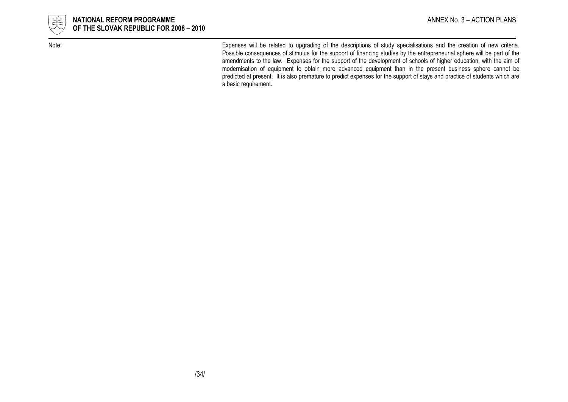

Note: Expenses will be related to upgrading of the descriptions of study specialisations and the creation of new criteria. Possible consequences of stimulus for the support of financing studies by the entrepreneurial sphere will be part of the amendments to the law. Expenses for the support of the development of schools of higher education, with the aim of modernisation of equipment to obtain more advanced equipment than in the present business sphere cannot be predicted at present. It is also premature to predict expenses for the support of stays and practice of students which are a basic requirement.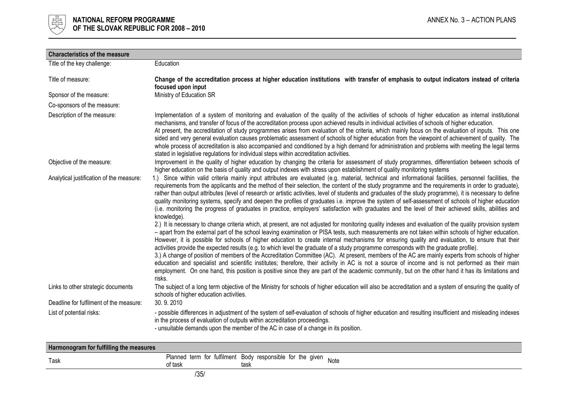

| <b>Characteristics of the measure</b>    |                                                                                                                                                                                                                                                                                                                                                                                                                                                                                                                                                                                                                                                                                                                                                                                                                                                                                                                                                                                                                                                                                                                                                                                                                                                                                                                                                                                                                                                                                                                                                                                                                                                                                                                                                                                                                                                                                                   |
|------------------------------------------|---------------------------------------------------------------------------------------------------------------------------------------------------------------------------------------------------------------------------------------------------------------------------------------------------------------------------------------------------------------------------------------------------------------------------------------------------------------------------------------------------------------------------------------------------------------------------------------------------------------------------------------------------------------------------------------------------------------------------------------------------------------------------------------------------------------------------------------------------------------------------------------------------------------------------------------------------------------------------------------------------------------------------------------------------------------------------------------------------------------------------------------------------------------------------------------------------------------------------------------------------------------------------------------------------------------------------------------------------------------------------------------------------------------------------------------------------------------------------------------------------------------------------------------------------------------------------------------------------------------------------------------------------------------------------------------------------------------------------------------------------------------------------------------------------------------------------------------------------------------------------------------------------|
| Title of the key challenge:              | Education                                                                                                                                                                                                                                                                                                                                                                                                                                                                                                                                                                                                                                                                                                                                                                                                                                                                                                                                                                                                                                                                                                                                                                                                                                                                                                                                                                                                                                                                                                                                                                                                                                                                                                                                                                                                                                                                                         |
| Title of measure:                        | Change of the accreditation process at higher education institutions with transfer of emphasis to output indicators instead of criteria<br>focused upon input                                                                                                                                                                                                                                                                                                                                                                                                                                                                                                                                                                                                                                                                                                                                                                                                                                                                                                                                                                                                                                                                                                                                                                                                                                                                                                                                                                                                                                                                                                                                                                                                                                                                                                                                     |
| Sponsor of the measure:                  | Ministry of Education SR                                                                                                                                                                                                                                                                                                                                                                                                                                                                                                                                                                                                                                                                                                                                                                                                                                                                                                                                                                                                                                                                                                                                                                                                                                                                                                                                                                                                                                                                                                                                                                                                                                                                                                                                                                                                                                                                          |
| Co-sponsors of the measure:              |                                                                                                                                                                                                                                                                                                                                                                                                                                                                                                                                                                                                                                                                                                                                                                                                                                                                                                                                                                                                                                                                                                                                                                                                                                                                                                                                                                                                                                                                                                                                                                                                                                                                                                                                                                                                                                                                                                   |
| Description of the measure:              | Implementation of a system of monitoring and evaluation of the quality of the activities of schools of higher education as internal institutional<br>mechanisms, and transfer of focus of the accreditation process upon achieved results in individual activities of schools of higher education.<br>At present, the accreditation of study programmes arises from evaluation of the criteria, which mainly focus on the evaluation of inputs. This one<br>sided and very general evaluation causes problematic assessment of schools of higher education from the viewpoint of achievement of quality. The<br>whole process of accreditation is also accompanied and conditioned by a high demand for administration and problems with meeting the legal terms<br>stated in legislative regulations for individual steps within accreditation activities.                                                                                                                                                                                                                                                                                                                                                                                                                                                                                                                                                                                                                                                                                                                                                                                                                                                                                                                                                                                                                                       |
| Objective of the measure:                | Improvement in the quality of higher education by changing the criteria for assessment of study programmes, differentiation between schools of<br>higher education on the basis of quality and output indexes with stress upon establishment of quality monitoring systems                                                                                                                                                                                                                                                                                                                                                                                                                                                                                                                                                                                                                                                                                                                                                                                                                                                                                                                                                                                                                                                                                                                                                                                                                                                                                                                                                                                                                                                                                                                                                                                                                        |
| Analytical justification of the measure: | 1.) Since within valid criteria mainly input attributes are evaluated (e.g. material, technical and informational facilities, personnel facilities, the<br>requirements from the applicants and the method of their selection, the content of the study programme and the requirements in order to graduate),<br>rather than output attributes (level of research or artistic activities, level of students and graduates of the study programme), it is necessary to define<br>quality monitoring systems, specify and deepen the profiles of graduates i.e. improve the system of self-assessment of schools of higher education<br>(i.e. monitoring the progress of graduates in practice, employers' satisfaction with graduates and the level of their achieved skills, abilities and<br>knowledge).<br>2.) It is necessary to change criteria which, at present, are not adjusted for monitoring quality indexes and evaluation of the quality provision system<br>- apart from the external part of the school leaving examination or PISA tests, such measurements are not taken within schools of higher education.<br>However, it is possible for schools of higher education to create internal mechanisms for ensuring quality and evaluation, to ensure that their<br>activities provide the expected results (e.g. to which level the graduate of a study programme corresponds with the graduate profile).<br>3.) A change of position of members of the Accreditation Committee (AC). At present, members of the AC are mainly experts from schools of higher<br>education and specialist and scientific institutes; therefore, their activity in AC is not a source of income and is not performed as their main<br>employment. On one hand, this position is positive since they are part of the academic community, but on the other hand it has its limitations and<br>risks. |
| Links to other strategic documents       | The subject of a long term objective of the Ministry for schools of higher education will also be accreditation and a system of ensuring the quality of<br>schools of higher education activities.                                                                                                                                                                                                                                                                                                                                                                                                                                                                                                                                                                                                                                                                                                                                                                                                                                                                                                                                                                                                                                                                                                                                                                                                                                                                                                                                                                                                                                                                                                                                                                                                                                                                                                |
| Deadline for fulfilment of the measure:  | 30.9.2010                                                                                                                                                                                                                                                                                                                                                                                                                                                                                                                                                                                                                                                                                                                                                                                                                                                                                                                                                                                                                                                                                                                                                                                                                                                                                                                                                                                                                                                                                                                                                                                                                                                                                                                                                                                                                                                                                         |
| List of potential risks:                 | - possible differences in adjustment of the system of self-evaluation of schools of higher education and resulting insufficient and misleading indexes<br>in the process of evaluation of outputs within accreditation proceedings.<br>- unsuitable demands upon the member of the AC in case of a change in its position.                                                                                                                                                                                                                                                                                                                                                                                                                                                                                                                                                                                                                                                                                                                                                                                                                                                                                                                                                                                                                                                                                                                                                                                                                                                                                                                                                                                                                                                                                                                                                                        |

| Harmonogram for fulfilling the measures |                                                                       |      |      |
|-----------------------------------------|-----------------------------------------------------------------------|------|------|
| Task                                    | Planned term for fulfilment Body responsible for the given<br>of task | task | Note |
|                                         | IDE                                                                   |      |      |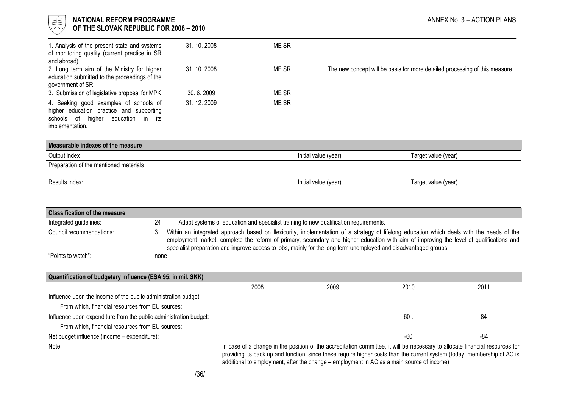

### l 너는 NATIONAL REFORM PROGRAMME AND THE SECOND MANNEX No. 3 – ACTION PLANS ANNEX No. 3 – ACTION PLANS  $\forall\forall$  OF THE SLOVAK REPUBLIC FOR 2008 – 2010

| 1. Analysis of the present state and systems<br>of monitoring quality (current practice in SR<br>and abroad)                                   | 31, 10, 2008 | ME SR       |                                                                             |
|------------------------------------------------------------------------------------------------------------------------------------------------|--------------|-------------|-----------------------------------------------------------------------------|
| 2. Long term aim of the Ministry for higher<br>education submitted to the proceedings of the<br>government of SR                               | 31, 10, 2008 | <b>MESR</b> | The new concept will be basis for more detailed processing of this measure. |
| 3. Submission of legislative proposal for MPK                                                                                                  | 30.6.2009    | ME SR       |                                                                             |
| 4. Seeking good examples of schools of<br>higher education practice and supporting<br>higher education in its<br>schools of<br>implementation. | 31, 12, 2009 | ME SR       |                                                                             |
| Measurable indexes of the measure                                                                                                              |              |             |                                                                             |
| Output index                                                                                                                                   |              |             | Initial value (year)<br>Target value (year)                                 |

Preparation of the mentioned materials

| Results index: |  |  |
|----------------|--|--|
|                |  |  |

Results index: Initial value (year) Target value (year)

| <b>Classification of the measure</b>                                                                                                                                                                                                                                                                                                                           |      |                                                                                                                                                                                                                                                                                                                                                                                                         |                                                                                       |      |       |      |
|----------------------------------------------------------------------------------------------------------------------------------------------------------------------------------------------------------------------------------------------------------------------------------------------------------------------------------------------------------------|------|---------------------------------------------------------------------------------------------------------------------------------------------------------------------------------------------------------------------------------------------------------------------------------------------------------------------------------------------------------------------------------------------------------|---------------------------------------------------------------------------------------|------|-------|------|
| Integrated guidelines:                                                                                                                                                                                                                                                                                                                                         | 24   |                                                                                                                                                                                                                                                                                                                                                                                                         | Adapt systems of education and specialist training to new qualification requirements. |      |       |      |
| Council recommendations:                                                                                                                                                                                                                                                                                                                                       | 3    | Within an integrated approach based on flexicurity, implementation of a strategy of lifelong education which deals with the needs of the<br>employment market, complete the reform of primary, secondary and higher education with aim of improving the level of qualifications and<br>specialist preparation and improve access to jobs, mainly for the long term unemployed and disadvantaged groups. |                                                                                       |      |       |      |
| "Points to watch":                                                                                                                                                                                                                                                                                                                                             | none |                                                                                                                                                                                                                                                                                                                                                                                                         |                                                                                       |      |       |      |
|                                                                                                                                                                                                                                                                                                                                                                |      |                                                                                                                                                                                                                                                                                                                                                                                                         |                                                                                       |      |       |      |
| Quantification of budgetary influence (ESA 95; in mil. SKK)                                                                                                                                                                                                                                                                                                    |      |                                                                                                                                                                                                                                                                                                                                                                                                         |                                                                                       |      |       |      |
|                                                                                                                                                                                                                                                                                                                                                                |      |                                                                                                                                                                                                                                                                                                                                                                                                         | 2008                                                                                  | 2009 | 2010  | 2011 |
| Influence upon the income of the public administration budget:                                                                                                                                                                                                                                                                                                 |      |                                                                                                                                                                                                                                                                                                                                                                                                         |                                                                                       |      |       |      |
| From which, financial resources from EU sources:                                                                                                                                                                                                                                                                                                               |      |                                                                                                                                                                                                                                                                                                                                                                                                         |                                                                                       |      |       |      |
| Influence upon expenditure from the public administration budget:                                                                                                                                                                                                                                                                                              |      |                                                                                                                                                                                                                                                                                                                                                                                                         |                                                                                       | 60   | 84    |      |
| From which, financial resources from EU sources:                                                                                                                                                                                                                                                                                                               |      |                                                                                                                                                                                                                                                                                                                                                                                                         |                                                                                       |      |       |      |
| Net budget influence (income - expenditure):                                                                                                                                                                                                                                                                                                                   |      |                                                                                                                                                                                                                                                                                                                                                                                                         |                                                                                       |      | $-60$ | -84  |
| In case of a change in the position of the accreditation committee, it will be necessary to allocate financial resources for<br>Note:<br>providing its back up and function, since these require higher costs than the current system (today, membership of AC is<br>additional to employment, after the change – employment in AC as a main source of income) |      |                                                                                                                                                                                                                                                                                                                                                                                                         |                                                                                       |      |       |      |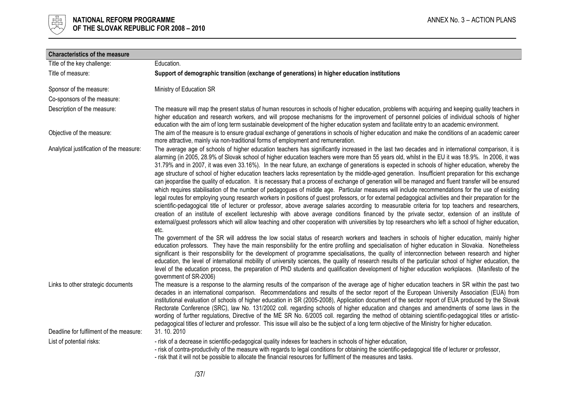

| <b>Characteristics of the measure</b>    |                                                                                                                                                                                                                                                                                                                                                                                                                                                                                                                                                                                                                                                                                                                                                                                                                                                                                                                                                                                                                                                                                                                                                                                                                                                                                                                                                                                                                                                                                                                                                                                                                                                                                                                                                                                                                                                                    |
|------------------------------------------|--------------------------------------------------------------------------------------------------------------------------------------------------------------------------------------------------------------------------------------------------------------------------------------------------------------------------------------------------------------------------------------------------------------------------------------------------------------------------------------------------------------------------------------------------------------------------------------------------------------------------------------------------------------------------------------------------------------------------------------------------------------------------------------------------------------------------------------------------------------------------------------------------------------------------------------------------------------------------------------------------------------------------------------------------------------------------------------------------------------------------------------------------------------------------------------------------------------------------------------------------------------------------------------------------------------------------------------------------------------------------------------------------------------------------------------------------------------------------------------------------------------------------------------------------------------------------------------------------------------------------------------------------------------------------------------------------------------------------------------------------------------------------------------------------------------------------------------------------------------------|
| Title of the key challenge:              | Education.                                                                                                                                                                                                                                                                                                                                                                                                                                                                                                                                                                                                                                                                                                                                                                                                                                                                                                                                                                                                                                                                                                                                                                                                                                                                                                                                                                                                                                                                                                                                                                                                                                                                                                                                                                                                                                                         |
| Title of measure:                        | Support of demographic transition (exchange of generations) in higher education institutions                                                                                                                                                                                                                                                                                                                                                                                                                                                                                                                                                                                                                                                                                                                                                                                                                                                                                                                                                                                                                                                                                                                                                                                                                                                                                                                                                                                                                                                                                                                                                                                                                                                                                                                                                                       |
| Sponsor of the measure:                  | Ministry of Education SR                                                                                                                                                                                                                                                                                                                                                                                                                                                                                                                                                                                                                                                                                                                                                                                                                                                                                                                                                                                                                                                                                                                                                                                                                                                                                                                                                                                                                                                                                                                                                                                                                                                                                                                                                                                                                                           |
| Co-sponsors of the measure:              |                                                                                                                                                                                                                                                                                                                                                                                                                                                                                                                                                                                                                                                                                                                                                                                                                                                                                                                                                                                                                                                                                                                                                                                                                                                                                                                                                                                                                                                                                                                                                                                                                                                                                                                                                                                                                                                                    |
| Description of the measure:              | The measure will map the present status of human resources in schools of higher education, problems with acquiring and keeping quality teachers in<br>higher education and research workers, and will propose mechanisms for the improvement of personnel policies of individual schools of higher<br>education with the aim of long term sustainable development of the higher education system and facilitate entry to an academic environment.                                                                                                                                                                                                                                                                                                                                                                                                                                                                                                                                                                                                                                                                                                                                                                                                                                                                                                                                                                                                                                                                                                                                                                                                                                                                                                                                                                                                                  |
| Objective of the measure:                | The aim of the measure is to ensure gradual exchange of generations in schools of higher education and make the conditions of an academic career<br>more attractive, mainly via non-traditional forms of employment and remuneration.                                                                                                                                                                                                                                                                                                                                                                                                                                                                                                                                                                                                                                                                                                                                                                                                                                                                                                                                                                                                                                                                                                                                                                                                                                                                                                                                                                                                                                                                                                                                                                                                                              |
| Analytical justification of the measure: | The average age of schools of higher education teachers has significantly increased in the last two decades and in international comparison, it is<br>alarming (in 2005, 28.9% of Slovak school of higher education teachers were more than 55 years old, whilst in the EU it was 18.9%. In 2006, it was<br>31.79% and in 2007, it was even 33.16%). In the near future, an exchange of generations is expected in schools of higher education, whereby the<br>age structure of school of higher education teachers lacks representation by the middle-aged generation. Insufficient preparation for this exchange<br>can jeopardise the quality of education. It is necessary that a process of exchange of generation will be managed and fluent transfer will be ensured<br>which requires stabilisation of the number of pedagogues of middle age. Particular measures will include recommendations for the use of existing<br>legal routes for employing young research workers in positions of guest professors, or for external pedagogical activities and their preparation for the<br>scientific-pedagogical title of lecturer or professor, above average salaries according to measurable criteria for top teachers and researchers,<br>creation of an institute of excellent lectureship with above average conditions financed by the private sector, extension of an institute of<br>external/guest professors which will allow teaching and other cooperation with universities by top researchers who left a school of higher education,<br>etc.<br>The government of the SR will address the low social status of research workers and teachers in schools of higher education, mainly higher<br>education professors. They have the main responsibility for the entire profiling and specialisation of higher education in Slovakia. Nonetheless |
|                                          | significant is their responsibility for the development of programme specialisations, the quality of interconnection between research and higher<br>education, the level of international mobility of university sciences, the quality of research results of the particular school of higher education, the<br>level of the education process, the preparation of PhD students and qualification development of higher education workplaces. (Manifesto of the<br>government of SR-2006)                                                                                                                                                                                                                                                                                                                                                                                                                                                                                                                                                                                                                                                                                                                                                                                                                                                                                                                                                                                                                                                                                                                                                                                                                                                                                                                                                                          |
| Links to other strategic documents       | The measure is a response to the alarming results of the comparison of the average age of higher education teachers in SR within the past two<br>decades in an international comparison. Recommendations and results of the sector report of the European University Association (EUA) from<br>institutional evaluation of schools of higher education in SR (2005-2008), Application document of the sector report of EUA produced by the Slovak<br>Rectorate Conference (SRC), law No. 131/2002 coll. regarding schools of higher education and changes and amendments of some laws in the<br>wording of further regulations, Directive of the ME SR No. 6/2005 coll. regarding the method of obtaining scientific-pedagogical titles or artistic-<br>pedagogical titles of lecturer and professor. This issue will also be the subject of a long term objective of the Ministry for higher education.                                                                                                                                                                                                                                                                                                                                                                                                                                                                                                                                                                                                                                                                                                                                                                                                                                                                                                                                                           |
| Deadline for fulfilment of the measure:  | 31.10.2010                                                                                                                                                                                                                                                                                                                                                                                                                                                                                                                                                                                                                                                                                                                                                                                                                                                                                                                                                                                                                                                                                                                                                                                                                                                                                                                                                                                                                                                                                                                                                                                                                                                                                                                                                                                                                                                         |
| List of potential risks:                 | - risk of a decrease in scientific-pedagogical quality indexes for teachers in schools of higher education,<br>- risk of contra-productivity of the measure with regards to legal conditions for obtaining the scientific-pedagogical title of lecturer or professor,<br>- risk that it will not be possible to allocate the financial resources for fulfilment of the measures and tasks.                                                                                                                                                                                                                                                                                                                                                                                                                                                                                                                                                                                                                                                                                                                                                                                                                                                                                                                                                                                                                                                                                                                                                                                                                                                                                                                                                                                                                                                                         |

/37/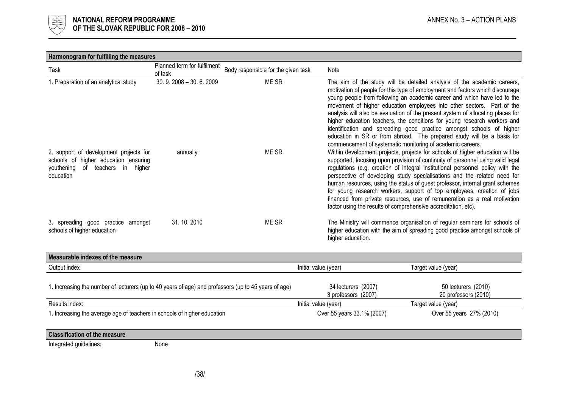

| Harmonogram for fulfilling the measures                                                                                            |                                        |                                     |                      |                                                                                                                                                                                                                                                                                                                                                                                                                                                                                                                                                                                                                                         |                                                                                                                                                                                                                                                                                                                                                                                                                                                                                                                                                                                                                                                                                               |  |
|------------------------------------------------------------------------------------------------------------------------------------|----------------------------------------|-------------------------------------|----------------------|-----------------------------------------------------------------------------------------------------------------------------------------------------------------------------------------------------------------------------------------------------------------------------------------------------------------------------------------------------------------------------------------------------------------------------------------------------------------------------------------------------------------------------------------------------------------------------------------------------------------------------------------|-----------------------------------------------------------------------------------------------------------------------------------------------------------------------------------------------------------------------------------------------------------------------------------------------------------------------------------------------------------------------------------------------------------------------------------------------------------------------------------------------------------------------------------------------------------------------------------------------------------------------------------------------------------------------------------------------|--|
| Task                                                                                                                               | Planned term for fulfilment<br>of task | Body responsible for the given task |                      | Note                                                                                                                                                                                                                                                                                                                                                                                                                                                                                                                                                                                                                                    |                                                                                                                                                                                                                                                                                                                                                                                                                                                                                                                                                                                                                                                                                               |  |
| 1. Preparation of an analytical study                                                                                              | $30.9.2008 - 30.6.2009$                | ME SR                               |                      |                                                                                                                                                                                                                                                                                                                                                                                                                                                                                                                                                                                                                                         | The aim of the study will be detailed analysis of the academic careers,<br>motivation of people for this type of employment and factors which discourage<br>young people from following an academic career and which have led to the<br>movement of higher education employees into other sectors. Part of the<br>analysis will also be evaluation of the present system of allocating places for<br>higher education teachers, the conditions for young research workers and<br>identification and spreading good practice amongst schools of higher<br>education in SR or from abroad. The prepared study will be a basis for<br>commencement of systematic monitoring of academic careers. |  |
| 2. support of development projects for<br>schools of higher education ensuring<br>of teachers in higher<br>youthening<br>education | annually                               | ME SR                               |                      | Within development projects, projects for schools of higher education will be<br>supported, focusing upon provision of continuity of personnel using valid legal<br>regulations (e.g. creation of integral institutional personnel policy with the<br>perspective of developing study specialisations and the related need for<br>human resources, using the status of guest professor, internal grant schemes<br>for young research workers, support of top employees, creation of jobs<br>financed from private resources, use of remuneration as a real motivation<br>factor using the results of comprehensive accreditation, etc). |                                                                                                                                                                                                                                                                                                                                                                                                                                                                                                                                                                                                                                                                                               |  |
| 3. spreading good practice amongst<br>schools of higher education                                                                  | 31.10.2010                             | ME SR                               |                      | higher education.                                                                                                                                                                                                                                                                                                                                                                                                                                                                                                                                                                                                                       | The Ministry will commence organisation of regular seminars for schools of<br>higher education with the aim of spreading good practice amongst schools of                                                                                                                                                                                                                                                                                                                                                                                                                                                                                                                                     |  |
| Measurable indexes of the measure                                                                                                  |                                        |                                     |                      |                                                                                                                                                                                                                                                                                                                                                                                                                                                                                                                                                                                                                                         |                                                                                                                                                                                                                                                                                                                                                                                                                                                                                                                                                                                                                                                                                               |  |
| Output index                                                                                                                       |                                        |                                     | Initial value (year) |                                                                                                                                                                                                                                                                                                                                                                                                                                                                                                                                                                                                                                         | Target value (year)                                                                                                                                                                                                                                                                                                                                                                                                                                                                                                                                                                                                                                                                           |  |
| 1. Increasing the number of lecturers (up to 40 years of age) and professors (up to 45 years of age)                               |                                        |                                     |                      | 34 lecturers (2007)<br>3 professors (2007)                                                                                                                                                                                                                                                                                                                                                                                                                                                                                                                                                                                              | 50 lecturers (2010)<br>20 professors (2010)                                                                                                                                                                                                                                                                                                                                                                                                                                                                                                                                                                                                                                                   |  |
| Results index:                                                                                                                     |                                        |                                     |                      | Initial value (year)                                                                                                                                                                                                                                                                                                                                                                                                                                                                                                                                                                                                                    | Target value (year)                                                                                                                                                                                                                                                                                                                                                                                                                                                                                                                                                                                                                                                                           |  |
| 1. Increasing the average age of teachers in schools of higher education                                                           |                                        |                                     |                      | Over 55 years 33.1% (2007)                                                                                                                                                                                                                                                                                                                                                                                                                                                                                                                                                                                                              | Over 55 years 27% (2010)                                                                                                                                                                                                                                                                                                                                                                                                                                                                                                                                                                                                                                                                      |  |

# Classification of the measure

Integrated guidelines: None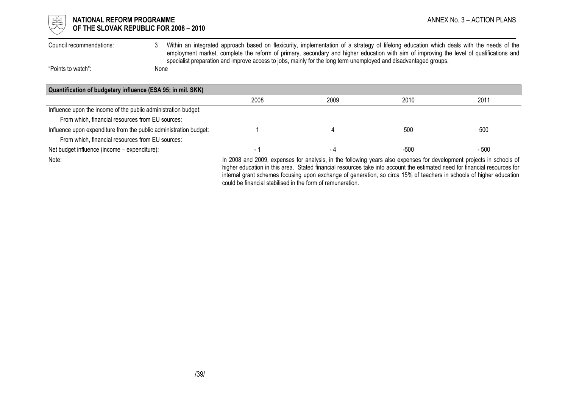

# $\mathbb{H}$  **NATIONAL REFORM PROGRAMME** ANNEX No. 3 – ACTION PLANS OF THE SLOVAK REPUBLIC FOR 2008 – 2010

Council recommendations: 3 Within an integrated approach based on flexicurity, implementation of a strategy of lifelong education which deals with the needs of the employment market, complete the reform of primary, secondary and higher education with aim of improving the level of qualifications and specialist preparation and improve access to jobs, mainly for the long term unemployed and disadvantaged groups.

"Points to watch": None

Quantification of budgetary influence (ESA 95; in mil. SKK) 2008 2009 2010 2011 Influence upon the income of the public administration budget: From which, financial resources from EU sources: Influence upon expenditure from the public administration budget:  $\frac{1}{1}$  1  $\frac{1}{4}$  1 500 500 500 500 500 From which, financial resources from EU sources: Net budget influence (income – expenditure):  $\sim$  500  $\sim$  500  $\sim$  500  $\sim$  500  $\sim$  500  $\sim$  500

Note: In 2008 and 2009, expenses for analysis, in the following years also expenses for development projects in schools of higher education in this area. Stated financial resources take into account the estimated need for financial resources for internal grant schemes focusing upon exchange of generation, so circa 15% of teachers in schools of higher education could be financial stabilised in the form of remuneration.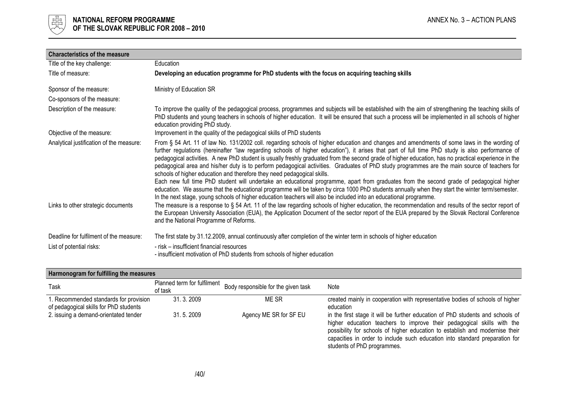

| <b>Characteristics of the measure</b>    |                                                                                                                                                                                                                                                                                                                                                                                                                                                                                                                                                                                                                                                                                                                                                                                                                                                                                                                                                                                                                                                                                                          |
|------------------------------------------|----------------------------------------------------------------------------------------------------------------------------------------------------------------------------------------------------------------------------------------------------------------------------------------------------------------------------------------------------------------------------------------------------------------------------------------------------------------------------------------------------------------------------------------------------------------------------------------------------------------------------------------------------------------------------------------------------------------------------------------------------------------------------------------------------------------------------------------------------------------------------------------------------------------------------------------------------------------------------------------------------------------------------------------------------------------------------------------------------------|
| Title of the key challenge:              | Education                                                                                                                                                                                                                                                                                                                                                                                                                                                                                                                                                                                                                                                                                                                                                                                                                                                                                                                                                                                                                                                                                                |
| Title of measure:                        | Developing an education programme for PhD students with the focus on acquiring teaching skills                                                                                                                                                                                                                                                                                                                                                                                                                                                                                                                                                                                                                                                                                                                                                                                                                                                                                                                                                                                                           |
| Sponsor of the measure:                  | Ministry of Education SR                                                                                                                                                                                                                                                                                                                                                                                                                                                                                                                                                                                                                                                                                                                                                                                                                                                                                                                                                                                                                                                                                 |
| Co-sponsors of the measure:              |                                                                                                                                                                                                                                                                                                                                                                                                                                                                                                                                                                                                                                                                                                                                                                                                                                                                                                                                                                                                                                                                                                          |
| Description of the measure:              | To improve the quality of the pedagogical process, programmes and subjects will be established with the aim of strengthening the teaching skills of<br>PhD students and young teachers in schools of higher education. It will be ensured that such a process will be implemented in all schools of higher<br>education providing PhD study.                                                                                                                                                                                                                                                                                                                                                                                                                                                                                                                                                                                                                                                                                                                                                             |
| Objective of the measure:                | Improvement in the quality of the pedagogical skills of PhD students                                                                                                                                                                                                                                                                                                                                                                                                                                                                                                                                                                                                                                                                                                                                                                                                                                                                                                                                                                                                                                     |
| Analytical justification of the measure: | From § 54 Art. 11 of law No. 131/2002 coll. regarding schools of higher education and changes and amendments of some laws in the wording of<br>further regulations (hereinafter "law regarding schools of higher education"), it arises that part of full time PhD study is also performance of<br>pedagogical activities. A new PhD student is usually freshly graduated from the second grade of higher education, has no practical experience in the<br>pedagogical area and his/her duty is to perform pedagogical activities. Graduates of PhD study programmes are the main source of teachers for<br>schools of higher education and therefore they need pedagogical skills.<br>Each new full time PhD student will undertake an educational programme, apart from graduates from the second grade of pedagogical higher<br>education. We assume that the educational programme will be taken by circa 1000 PhD students annually when they start the winter term/semester.<br>In the next stage, young schools of higher education teachers will also be included into an educational programme. |
| Links to other strategic documents       | The measure is a response to § 54 Art. 11 of the law regarding schools of higher education, the recommendation and results of the sector report of<br>the European University Association (EUA), the Application Document of the sector report of the EUA prepared by the Slovak Rectoral Conference<br>and the National Programme of Reforms.                                                                                                                                                                                                                                                                                                                                                                                                                                                                                                                                                                                                                                                                                                                                                           |
| Deadline for fulfilment of the measure:  | The first state by 31.12.2009, annual continuously after completion of the winter term in schools of higher education                                                                                                                                                                                                                                                                                                                                                                                                                                                                                                                                                                                                                                                                                                                                                                                                                                                                                                                                                                                    |
| List of potential risks:                 | - risk - insufficient financial resources<br>- insufficient motivation of PhD students from schools of higher education                                                                                                                                                                                                                                                                                                                                                                                                                                                                                                                                                                                                                                                                                                                                                                                                                                                                                                                                                                                  |

| Harmonogram for fulfilling the measures |  |  |
|-----------------------------------------|--|--|
|                                         |  |  |

| Task                                                                            | Planned term for fulfilment<br>of task | Body responsible for the given task | Note                                                                                                                                                                                                                                                                                                                                                   |
|---------------------------------------------------------------------------------|----------------------------------------|-------------------------------------|--------------------------------------------------------------------------------------------------------------------------------------------------------------------------------------------------------------------------------------------------------------------------------------------------------------------------------------------------------|
| . Recommended standards for provision<br>of pedagogical skills for PhD students | 31, 3, 2009                            | ME SR                               | created mainly in cooperation with representative bodies of schools of higher<br>education                                                                                                                                                                                                                                                             |
| 2. issuing a demand-orientated tender                                           | 31.5.2009                              | Agency ME SR for SF EU              | in the first stage it will be further education of PhD students and schools of<br>higher education teachers to improve their pedagogical skills with the<br>possibility for schools of higher education to establish and modernise their<br>capacities in order to include such education into standard preparation for<br>students of PhD programmes. |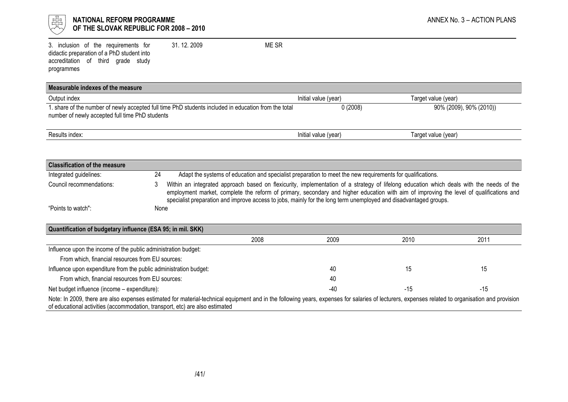

# $\frac{1}{\frac{1}{\sqrt{1-\frac{1}{\sqrt{1-\frac{1}{\sqrt{1-\frac{1}{\sqrt{1-\frac{1}{\sqrt{1-\frac{1}{\sqrt{1-\frac{1}{\sqrt{1-\frac{1}{\sqrt{1-\frac{1}{\sqrt{1-\frac{1}{\sqrt{1-\frac{1}{\sqrt{1+\frac{1}{\sqrt{1+\frac{1}{\sqrt{1+\frac{1}{\sqrt{1+\frac{1}{\sqrt{1+\frac{1}{\sqrt{1+\frac{1}{\sqrt{1+\frac{1}{\sqrt{1+\frac{1}{\sqrt{1+\frac{1}{\sqrt{1+\frac{1}{\sqrt{1+\frac{1}{\sqrt{1+\frac{1}{\sqrt{1+\frac{1}{\sqrt{$ OF THE SLOVAK REPUBLIC FOR 2008 – 2010

3. inclusion of the requirements for didactic preparation of a PhD student into accreditation of third grade study programmes 31. 12. 2009 ME SR

| Measurable indexes of the measure                                                                                                                       |                      |                         |
|---------------------------------------------------------------------------------------------------------------------------------------------------------|----------------------|-------------------------|
| Output index                                                                                                                                            | Initial value (year) | Target value (year)     |
| 1. share of the number of newly accepted full time PhD students included in education from the total<br>number of newly accepted full time PhD students | 0(2008)              | 90% (2009), 90% (2010)) |
| Results index:                                                                                                                                          | Initial value (year) | Target value (year)     |

| <b>Classification of the measure</b> |      |                                                                                                                                                                                                                                                                                                                                                                                                         |
|--------------------------------------|------|---------------------------------------------------------------------------------------------------------------------------------------------------------------------------------------------------------------------------------------------------------------------------------------------------------------------------------------------------------------------------------------------------------|
| Integrated guidelines:               | 24   | Adapt the systems of education and specialist preparation to meet the new requirements for qualifications.                                                                                                                                                                                                                                                                                              |
| Council recommendations:             |      | Within an integrated approach based on flexicurity, implementation of a strategy of lifelong education which deals with the needs of the<br>employment market, complete the reform of primary, secondary and higher education with aim of improving the level of qualifications and<br>specialist preparation and improve access to jobs, mainly for the long term unemployed and disadvantaged groups. |
| "Points to watch":                   | None |                                                                                                                                                                                                                                                                                                                                                                                                         |

| Quantification of budgetary influence (ESA 95; in mil. SKK)                                                                                                                                                                                                                      |      |      |      |      |
|----------------------------------------------------------------------------------------------------------------------------------------------------------------------------------------------------------------------------------------------------------------------------------|------|------|------|------|
|                                                                                                                                                                                                                                                                                  | 2008 | 2009 | 2010 | 2011 |
| Influence upon the income of the public administration budget:                                                                                                                                                                                                                   |      |      |      |      |
| From which, financial resources from EU sources:                                                                                                                                                                                                                                 |      |      |      |      |
| Influence upon expenditure from the public administration budget:                                                                                                                                                                                                                |      | 40   |      | 15   |
| From which, financial resources from EU sources:                                                                                                                                                                                                                                 |      | 40   |      |      |
| Net budget influence (income – expenditure):                                                                                                                                                                                                                                     |      | -40  | -15  | -15  |
| Note: In 2009, there are also expenses estimated for material-technical equipment and in the following years, expenses for salaries of lecturers, expenses related to organisation and provision<br>of educational activities (accommodation, transport, etc) are also estimated |      |      |      |      |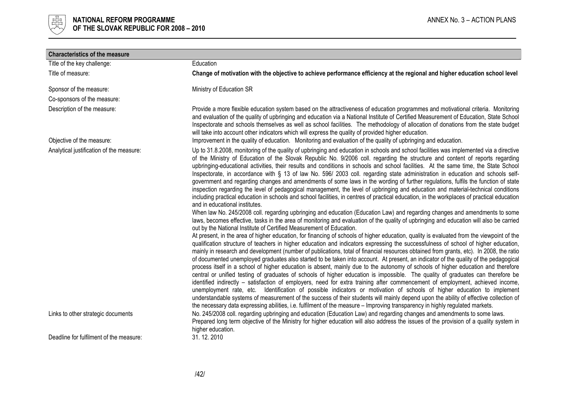

| <b>Characteristics of the measure</b>    |                                                                                                                                                                                                                                                                                                                                                                                                                                                                                                                                                                                                                                                                                                                                                                                                                                                                                                                                                                                                                                                                                                                                                                                                                                                                                                                                                                                                                                                                                                                                                                                                                                                                                                                                                                                                                                                                                                                                                                                                                                                                                                                                                                                                                                                                                                                                                                                                                                                                                                                                                                                                                                                                                                                                                      |
|------------------------------------------|------------------------------------------------------------------------------------------------------------------------------------------------------------------------------------------------------------------------------------------------------------------------------------------------------------------------------------------------------------------------------------------------------------------------------------------------------------------------------------------------------------------------------------------------------------------------------------------------------------------------------------------------------------------------------------------------------------------------------------------------------------------------------------------------------------------------------------------------------------------------------------------------------------------------------------------------------------------------------------------------------------------------------------------------------------------------------------------------------------------------------------------------------------------------------------------------------------------------------------------------------------------------------------------------------------------------------------------------------------------------------------------------------------------------------------------------------------------------------------------------------------------------------------------------------------------------------------------------------------------------------------------------------------------------------------------------------------------------------------------------------------------------------------------------------------------------------------------------------------------------------------------------------------------------------------------------------------------------------------------------------------------------------------------------------------------------------------------------------------------------------------------------------------------------------------------------------------------------------------------------------------------------------------------------------------------------------------------------------------------------------------------------------------------------------------------------------------------------------------------------------------------------------------------------------------------------------------------------------------------------------------------------------------------------------------------------------------------------------------------------------|
| Title of the key challenge:              | Education                                                                                                                                                                                                                                                                                                                                                                                                                                                                                                                                                                                                                                                                                                                                                                                                                                                                                                                                                                                                                                                                                                                                                                                                                                                                                                                                                                                                                                                                                                                                                                                                                                                                                                                                                                                                                                                                                                                                                                                                                                                                                                                                                                                                                                                                                                                                                                                                                                                                                                                                                                                                                                                                                                                                            |
| Title of measure:                        | Change of motivation with the objective to achieve performance efficiency at the regional and higher education school level                                                                                                                                                                                                                                                                                                                                                                                                                                                                                                                                                                                                                                                                                                                                                                                                                                                                                                                                                                                                                                                                                                                                                                                                                                                                                                                                                                                                                                                                                                                                                                                                                                                                                                                                                                                                                                                                                                                                                                                                                                                                                                                                                                                                                                                                                                                                                                                                                                                                                                                                                                                                                          |
| Sponsor of the measure:                  | Ministry of Education SR                                                                                                                                                                                                                                                                                                                                                                                                                                                                                                                                                                                                                                                                                                                                                                                                                                                                                                                                                                                                                                                                                                                                                                                                                                                                                                                                                                                                                                                                                                                                                                                                                                                                                                                                                                                                                                                                                                                                                                                                                                                                                                                                                                                                                                                                                                                                                                                                                                                                                                                                                                                                                                                                                                                             |
| Co-sponsors of the measure:              |                                                                                                                                                                                                                                                                                                                                                                                                                                                                                                                                                                                                                                                                                                                                                                                                                                                                                                                                                                                                                                                                                                                                                                                                                                                                                                                                                                                                                                                                                                                                                                                                                                                                                                                                                                                                                                                                                                                                                                                                                                                                                                                                                                                                                                                                                                                                                                                                                                                                                                                                                                                                                                                                                                                                                      |
| Description of the measure:              | Provide a more flexible education system based on the attractiveness of education programmes and motivational criteria. Monitoring<br>and evaluation of the quality of upbringing and education via a National Institute of Certified Measurement of Education, State School<br>Inspectorate and schools themselves as well as school facilities. The methodology of allocation of donations from the state budget<br>will take into account other indicators which will express the quality of provided higher education.                                                                                                                                                                                                                                                                                                                                                                                                                                                                                                                                                                                                                                                                                                                                                                                                                                                                                                                                                                                                                                                                                                                                                                                                                                                                                                                                                                                                                                                                                                                                                                                                                                                                                                                                                                                                                                                                                                                                                                                                                                                                                                                                                                                                                           |
| Objective of the measure:                | Improvement in the quality of education. Monitoring and evaluation of the quality of upbringing and education.                                                                                                                                                                                                                                                                                                                                                                                                                                                                                                                                                                                                                                                                                                                                                                                                                                                                                                                                                                                                                                                                                                                                                                                                                                                                                                                                                                                                                                                                                                                                                                                                                                                                                                                                                                                                                                                                                                                                                                                                                                                                                                                                                                                                                                                                                                                                                                                                                                                                                                                                                                                                                                       |
| Analytical justification of the measure: | Up to 31.8.2008, monitoring of the quality of upbringing and education in schools and school facilities was implemented via a directive<br>of the Ministry of Education of the Slovak Republic No. 9/2006 coll. regarding the structure and content of reports regarding<br>upbringing-educational activities, their results and conditions in schools and school facilities. At the same time, the State School<br>Inspectorate, in accordance with § 13 of law No. 596/ 2003 coll. regarding state administration in education and schools self-<br>government and regarding changes and amendments of some laws in the wording of further regulations, fulfils the function of state<br>inspection regarding the level of pedagogical management, the level of upbringing and education and material-technical conditions<br>including practical education in schools and school facilities, in centres of practical education, in the workplaces of practical education<br>and in educational institutes.<br>When law No. 245/2008 coll. regarding upbringing and education (Education Law) and regarding changes and amendments to some<br>laws, becomes effective, tasks in the area of monitoring and evaluation of the quality of upbringing and education will also be carried<br>out by the National Institute of Certified Measurement of Education.<br>At present, in the area of higher education, for financing of schools of higher education, quality is evaluated from the viewpoint of the<br>qualification structure of teachers in higher education and indicators expressing the successfulness of school of higher education,<br>mainly in research and development (number of publications, total of financial resources obtained from grants, etc). In 2008, the ratio<br>of documented unemployed graduates also started to be taken into account. At present, an indicator of the quality of the pedagogical<br>process itself in a school of higher education is absent, mainly due to the autonomy of schools of higher education and therefore<br>central or unified testing of graduates of schools of higher education is impossible. The quality of graduates can therefore be<br>identified indirectly - satisfaction of employers, need for extra training after commencement of employment, achieved income,<br>unemployment rate, etc. Identification of possible indicators or motivation of schools of higher education to implement<br>understandable systems of measurement of the success of their students will mainly depend upon the ability of effective collection of<br>the necessary data expressing abilities, i.e. fulfilment of the measure - Improving transparency in highly regulated markets. |
| Links to other strategic documents       | No. 245/2008 coll. regarding upbringing and education (Education Law) and regarding changes and amendments to some laws.<br>Prepared long term objective of the Ministry for higher education will also address the issues of the provision of a quality system in<br>higher education.                                                                                                                                                                                                                                                                                                                                                                                                                                                                                                                                                                                                                                                                                                                                                                                                                                                                                                                                                                                                                                                                                                                                                                                                                                                                                                                                                                                                                                                                                                                                                                                                                                                                                                                                                                                                                                                                                                                                                                                                                                                                                                                                                                                                                                                                                                                                                                                                                                                              |
| Deadline for fulfilment of the measure:  | 31.12.2010                                                                                                                                                                                                                                                                                                                                                                                                                                                                                                                                                                                                                                                                                                                                                                                                                                                                                                                                                                                                                                                                                                                                                                                                                                                                                                                                                                                                                                                                                                                                                                                                                                                                                                                                                                                                                                                                                                                                                                                                                                                                                                                                                                                                                                                                                                                                                                                                                                                                                                                                                                                                                                                                                                                                           |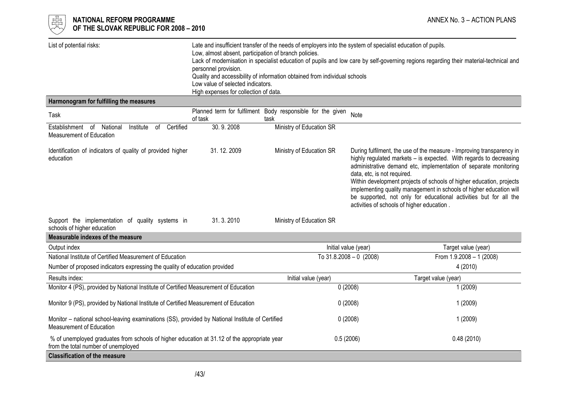| List of potential risks:                                                                                                           | Late and insufficient transfer of the needs of employers into the system of specialist education of pupils.<br>Low, almost absent, participation of branch policies.<br>Lack of modernisation in specialist education of pupils and low care by self-governing regions regarding their material-technical and<br>personnel provision.<br>Quality and accessibility of information obtained from individual schools<br>Low value of selected indicators.<br>High expenses for collection of data. |                                                                    |                                                                                                                                                                                                                                                                                                                                                                                                                                                                                                                  |                            |
|------------------------------------------------------------------------------------------------------------------------------------|--------------------------------------------------------------------------------------------------------------------------------------------------------------------------------------------------------------------------------------------------------------------------------------------------------------------------------------------------------------------------------------------------------------------------------------------------------------------------------------------------|--------------------------------------------------------------------|------------------------------------------------------------------------------------------------------------------------------------------------------------------------------------------------------------------------------------------------------------------------------------------------------------------------------------------------------------------------------------------------------------------------------------------------------------------------------------------------------------------|----------------------------|
| Harmonogram for fulfilling the measures                                                                                            |                                                                                                                                                                                                                                                                                                                                                                                                                                                                                                  |                                                                    |                                                                                                                                                                                                                                                                                                                                                                                                                                                                                                                  |                            |
| Task                                                                                                                               | of task                                                                                                                                                                                                                                                                                                                                                                                                                                                                                          | Planned term for fulfilment Body responsible for the given<br>task | Note                                                                                                                                                                                                                                                                                                                                                                                                                                                                                                             |                            |
| Establishment of National<br>of Certified<br>Institute<br>Measurement of Education                                                 | 30.9.2008                                                                                                                                                                                                                                                                                                                                                                                                                                                                                        | Ministry of Education SR                                           |                                                                                                                                                                                                                                                                                                                                                                                                                                                                                                                  |                            |
| 31.12.2009<br>Identification of indicators of quality of provided higher<br>education                                              |                                                                                                                                                                                                                                                                                                                                                                                                                                                                                                  | Ministry of Education SR                                           | During fulfilment, the use of the measure - Improving transparency in<br>highly regulated markets - is expected. With regards to decreasing<br>administrative demand etc, implementation of separate monitoring<br>data, etc, is not required.<br>Within development projects of schools of higher education, projects<br>implementing quality management in schools of higher education will<br>be supported, not only for educational activities but for all the<br>activities of schools of higher education. |                            |
| Support the implementation of quality systems in<br>schools of higher education                                                    | 31.3.2010                                                                                                                                                                                                                                                                                                                                                                                                                                                                                        | Ministry of Education SR                                           |                                                                                                                                                                                                                                                                                                                                                                                                                                                                                                                  |                            |
| Measurable indexes of the measure                                                                                                  |                                                                                                                                                                                                                                                                                                                                                                                                                                                                                                  |                                                                    |                                                                                                                                                                                                                                                                                                                                                                                                                                                                                                                  |                            |
| Output index                                                                                                                       |                                                                                                                                                                                                                                                                                                                                                                                                                                                                                                  |                                                                    | Initial value (year)                                                                                                                                                                                                                                                                                                                                                                                                                                                                                             | Target value (year)        |
| National Institute of Certified Measurement of Education                                                                           |                                                                                                                                                                                                                                                                                                                                                                                                                                                                                                  |                                                                    | To $31.8.2008 - 0$ (2008)                                                                                                                                                                                                                                                                                                                                                                                                                                                                                        | From $1.9.2008 - 1$ (2008) |
| Number of proposed indicators expressing the quality of education provided                                                         |                                                                                                                                                                                                                                                                                                                                                                                                                                                                                                  |                                                                    |                                                                                                                                                                                                                                                                                                                                                                                                                                                                                                                  | 4 (2010)                   |
| Results index:                                                                                                                     |                                                                                                                                                                                                                                                                                                                                                                                                                                                                                                  | Initial value (year)                                               |                                                                                                                                                                                                                                                                                                                                                                                                                                                                                                                  | Target value (year)        |
| Monitor 4 (PS), provided by National Institute of Certified Measurement of Education                                               |                                                                                                                                                                                                                                                                                                                                                                                                                                                                                                  |                                                                    | 0(2008)                                                                                                                                                                                                                                                                                                                                                                                                                                                                                                          | 1 (2009)                   |
| Monitor 9 (PS), provided by National Institute of Certified Measurement of Education                                               |                                                                                                                                                                                                                                                                                                                                                                                                                                                                                                  | 0(2008)                                                            | 1 (2009)                                                                                                                                                                                                                                                                                                                                                                                                                                                                                                         |                            |
| Monitor - national school-leaving examinations (SS), provided by National Institute of Certified<br>Measurement of Education       |                                                                                                                                                                                                                                                                                                                                                                                                                                                                                                  | 0(2008)                                                            | 1 (2009)                                                                                                                                                                                                                                                                                                                                                                                                                                                                                                         |                            |
| % of unemployed graduates from schools of higher education at 31.12 of the appropriate year<br>from the total number of unemployed |                                                                                                                                                                                                                                                                                                                                                                                                                                                                                                  | 0.5(2006)                                                          | 0.48(2010)                                                                                                                                                                                                                                                                                                                                                                                                                                                                                                       |                            |
| <b>Classification of the measure</b>                                                                                               |                                                                                                                                                                                                                                                                                                                                                                                                                                                                                                  |                                                                    |                                                                                                                                                                                                                                                                                                                                                                                                                                                                                                                  |                            |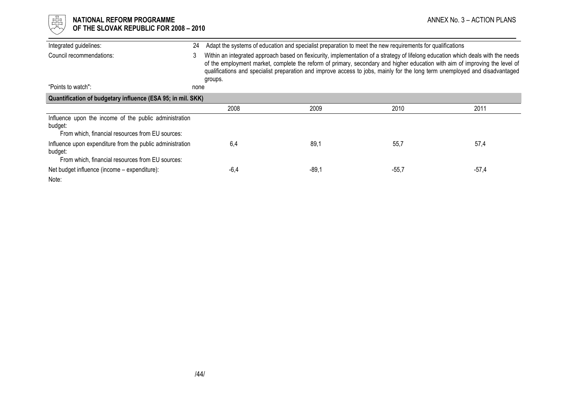| 遲<br>NATIONAL REFORM PROGRAMME<br>OF THE SLOVAK REPUBLIC FOR 2008 - 2010                                                 |              |        |                                                                                                                                                                                                                                                                                                                                                                                                 |         | ANNEX No. 3 – ACTION PLANS |
|--------------------------------------------------------------------------------------------------------------------------|--------------|--------|-------------------------------------------------------------------------------------------------------------------------------------------------------------------------------------------------------------------------------------------------------------------------------------------------------------------------------------------------------------------------------------------------|---------|----------------------------|
| Integrated guidelines:                                                                                                   | 24           |        | Adapt the systems of education and specialist preparation to meet the new requirements for qualifications                                                                                                                                                                                                                                                                                       |         |                            |
| Council recommendations:                                                                                                 | 3<br>groups. |        | Within an integrated approach based on flexicurity, implementation of a strategy of lifelong education which deals with the needs<br>of the employment market, complete the reform of primary, secondary and higher education with aim of improving the level of<br>qualifications and specialist preparation and improve access to jobs, mainly for the long term unemployed and disadvantaged |         |                            |
| "Points to watch":                                                                                                       | none         |        |                                                                                                                                                                                                                                                                                                                                                                                                 |         |                            |
| Quantification of budgetary influence (ESA 95; in mil. SKK)                                                              |              |        |                                                                                                                                                                                                                                                                                                                                                                                                 |         |                            |
|                                                                                                                          |              | 2008   | 2009                                                                                                                                                                                                                                                                                                                                                                                            | 2010    | 2011                       |
| Influence upon the income of the public administration<br>budget:<br>From which, financial resources from EU sources:    |              |        |                                                                                                                                                                                                                                                                                                                                                                                                 |         |                            |
| Influence upon expenditure from the public administration<br>budget:<br>From which, financial resources from EU sources: |              | 6,4    | 89,1                                                                                                                                                                                                                                                                                                                                                                                            | 55,7    | 57,4                       |
| Net budget influence (income – expenditure):<br>Note:                                                                    |              | $-6,4$ | -89,1                                                                                                                                                                                                                                                                                                                                                                                           | $-55,7$ | $-57,4$                    |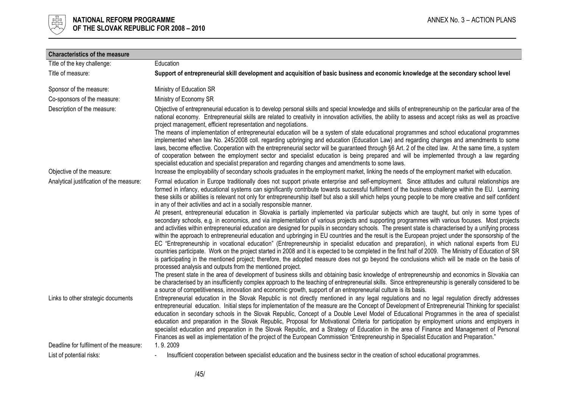

| <b>Characteristics of the measure</b>    |                                                                                                                                                                                                                                                                                                                                                                                                                                                                                                                                                                                                                                                                                                                                                                                                                                                                                                                                                                                                                                                                                                                                               |
|------------------------------------------|-----------------------------------------------------------------------------------------------------------------------------------------------------------------------------------------------------------------------------------------------------------------------------------------------------------------------------------------------------------------------------------------------------------------------------------------------------------------------------------------------------------------------------------------------------------------------------------------------------------------------------------------------------------------------------------------------------------------------------------------------------------------------------------------------------------------------------------------------------------------------------------------------------------------------------------------------------------------------------------------------------------------------------------------------------------------------------------------------------------------------------------------------|
| Title of the key challenge:              | Education                                                                                                                                                                                                                                                                                                                                                                                                                                                                                                                                                                                                                                                                                                                                                                                                                                                                                                                                                                                                                                                                                                                                     |
| Title of measure:                        | Support of entrepreneurial skill development and acquisition of basic business and economic knowledge at the secondary school level                                                                                                                                                                                                                                                                                                                                                                                                                                                                                                                                                                                                                                                                                                                                                                                                                                                                                                                                                                                                           |
| Sponsor of the measure:                  | Ministry of Education SR                                                                                                                                                                                                                                                                                                                                                                                                                                                                                                                                                                                                                                                                                                                                                                                                                                                                                                                                                                                                                                                                                                                      |
| Co-sponsors of the measure:              | Ministry of Economy SR                                                                                                                                                                                                                                                                                                                                                                                                                                                                                                                                                                                                                                                                                                                                                                                                                                                                                                                                                                                                                                                                                                                        |
| Description of the measure:              | Objective of entrepreneurial education is to develop personal skills and special knowledge and skills of entrepreneurship on the particular area of the<br>national economy. Entrepreneurial skills are related to creativity in innovation activities, the ability to assess and accept risks as well as proactive<br>project management, efficient representation and negotiations.                                                                                                                                                                                                                                                                                                                                                                                                                                                                                                                                                                                                                                                                                                                                                         |
|                                          | The means of implementation of entrepreneurial education will be a system of state educational programmes and school educational programmes<br>implemented when law No. 245/2008 coll. regarding upbringing and education (Education Law) and regarding changes and amendments to some<br>laws, become effective. Cooperation with the entrepreneurial sector will be guaranteed through §6 Art. 2 of the cited law. At the same time, a system<br>of cooperation between the employment sector and specialist education is being prepared and will be implemented through a law regarding<br>specialist education and specialist preparation and regarding changes and amendments to some laws.                                                                                                                                                                                                                                                                                                                                                                                                                                              |
| Objective of the measure:                | Increase the employability of secondary schools graduates in the employment market, linking the needs of the employment market with education.                                                                                                                                                                                                                                                                                                                                                                                                                                                                                                                                                                                                                                                                                                                                                                                                                                                                                                                                                                                                |
| Analytical justification of the measure: | Formal education in Europe traditionally does not support private enterprise and self-employment. Since attitudes and cultural relationships are<br>formed in infancy, educational systems can significantly contribute towards successful fulfilment of the business challenge within the EU. Learning<br>these skills or abilities is relevant not only for entrepreneurship itself but also a skill which helps young people to be more creative and self confident<br>in any of their activities and act in a socially responsible manner.                                                                                                                                                                                                                                                                                                                                                                                                                                                                                                                                                                                                |
|                                          | At present, entrepreneurial education in Slovakia is partially implemented via particular subjects which are taught, but only in some types of<br>secondary schools, e.g. in economics, and via implementation of various projects and supporting programmes with various focuses. Most projects<br>and activities within entrepreneurial education are designed for pupils in secondary schools. The present state is characterised by a unifying process<br>within the approach to entrepreneurial education and upbringing in EU countries and the result is the European project under the sponsorship of the<br>EC "Entrepreneurship in vocational education" (Entrepreneurship in specialist education and preparation), in which national experts from EU<br>countries participate. Work on the project started in 2008 and it is expected to be completed in the first half of 2009. The Ministry of Education of SR<br>is participating in the mentioned project; therefore, the adopted measure does not go beyond the conclusions which will be made on the basis of<br>processed analysis and outputs from the mentioned project. |
|                                          | The present state in the area of development of business skills and obtaining basic knowledge of entrepreneurship and economics in Slovakia can<br>be characterised by an insufficiently complex approach to the teaching of entrepreneurial skills. Since entrepreneurship is generally considered to be<br>a source of competitiveness, innovation and economic growth, support of an entrepreneurial culture is its basis.                                                                                                                                                                                                                                                                                                                                                                                                                                                                                                                                                                                                                                                                                                                 |
| Links to other strategic documents       | Entrepreneurial education in the Slovak Republic is not directly mentioned in any legal regulations and no legal regulation directly addresses<br>entrepreneurial education. Initial steps for implementation of the measure are the Concept of Development of Entrepreneurial Thinking for specialist<br>education in secondary schools in the Slovak Republic, Concept of a Double Level Model of Educational Programmes in the area of specialist<br>education and preparation in the Slovak Republic, Proposal for Motivational Criteria for participation by employment unions and employers in<br>specialist education and preparation in the Slovak Republic, and a Strategy of Education in the area of Finance and Management of Personal<br>Finances as well as implementation of the project of the European Commission "Entrepreneurship in Specialist Education and Preparation."                                                                                                                                                                                                                                                |
| Deadline for fulfilment of the measure:  | 1.9.2009                                                                                                                                                                                                                                                                                                                                                                                                                                                                                                                                                                                                                                                                                                                                                                                                                                                                                                                                                                                                                                                                                                                                      |
| List of potential risks:                 | Insufficient cooperation between specialist education and the business sector in the creation of school educational programmes.                                                                                                                                                                                                                                                                                                                                                                                                                                                                                                                                                                                                                                                                                                                                                                                                                                                                                                                                                                                                               |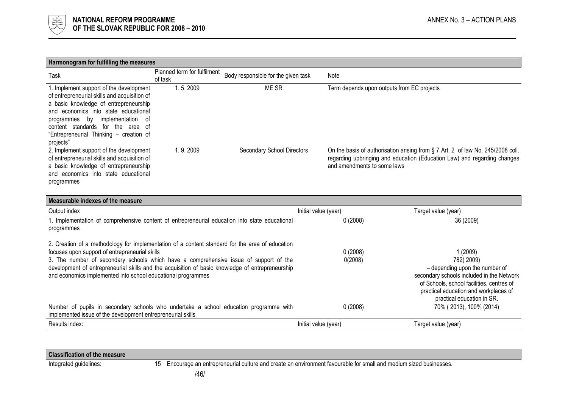

| Harmonogram for fulfilling the measures                                                                                                                                                                                                                                                                     |                                        |                                     |                                                                                                                                                                                            |  |  |
|-------------------------------------------------------------------------------------------------------------------------------------------------------------------------------------------------------------------------------------------------------------------------------------------------------------|----------------------------------------|-------------------------------------|--------------------------------------------------------------------------------------------------------------------------------------------------------------------------------------------|--|--|
| Task                                                                                                                                                                                                                                                                                                        | Planned term for fulfilment<br>of task | Body responsible for the given task | Note                                                                                                                                                                                       |  |  |
| 1. Implement support of the development<br>of entrepreneurial skills and acquisition of<br>a basic knowledge of entrepreneurship<br>and economics into state educational<br>implementation of<br>programmes by<br>content standards for the area of<br>"Entrepreneurial Thinking - creation of<br>projects" | 1.5.2009                               | ME SR                               | Term depends upon outputs from EC projects                                                                                                                                                 |  |  |
| 2. Implement support of the development<br>of entrepreneurial skills and acquisition of<br>a basic knowledge of entrepreneurship<br>and economics into state educational<br>programmes                                                                                                                      | 1.9.2009                               | Secondary School Directors          | On the basis of authorisation arising from § 7 Art. 2 of law No. 245/2008 coll.<br>regarding upbringing and education (Education Law) and regarding changes<br>and amendments to some laws |  |  |

| Measurable indexes of the measure                                                                                                                                                                                                                                                                                                                                                                              |                      |                                                                                                                                                                                                                         |
|----------------------------------------------------------------------------------------------------------------------------------------------------------------------------------------------------------------------------------------------------------------------------------------------------------------------------------------------------------------------------------------------------------------|----------------------|-------------------------------------------------------------------------------------------------------------------------------------------------------------------------------------------------------------------------|
| Output index                                                                                                                                                                                                                                                                                                                                                                                                   | Initial value (year) | Target value (year)                                                                                                                                                                                                     |
| I. Implementation of comprehensive content of entrepreneurial education into state educational<br>programmes                                                                                                                                                                                                                                                                                                   | 0(2008)              | 36 (2009)                                                                                                                                                                                                               |
| 2. Creation of a methodology for implementation of a content standard for the area of education<br>focuses upon support of entrepreneurial skills<br>3. The number of secondary schools which have a comprehensive issue of support of the<br>development of entrepreneurial skills and the acquisition of basic knowledge of entrepreneurship<br>and economics implemented into school educational programmes | 0(2008)<br>0(2008)   | 1(2009)<br>782(2009)<br>- depending upon the number of<br>secondary schools included in the Network<br>of Schools, school facilities, centres of<br>practical education and workplaces of<br>practical education in SR. |
| Number of pupils in secondary schools who undertake a school education programme with<br>implemented issue of the development entrepreneurial skills                                                                                                                                                                                                                                                           | 0(2008)              | 70% (2013), 100% (2014)                                                                                                                                                                                                 |
| Results index:                                                                                                                                                                                                                                                                                                                                                                                                 | Initial value (year) | Target value (year)                                                                                                                                                                                                     |
|                                                                                                                                                                                                                                                                                                                                                                                                                |                      |                                                                                                                                                                                                                         |

# Classification of the measure

Integrated guidelines: 15 Encourage an entrepreneurial culture and create an environment favourable for small and medium sized businesses.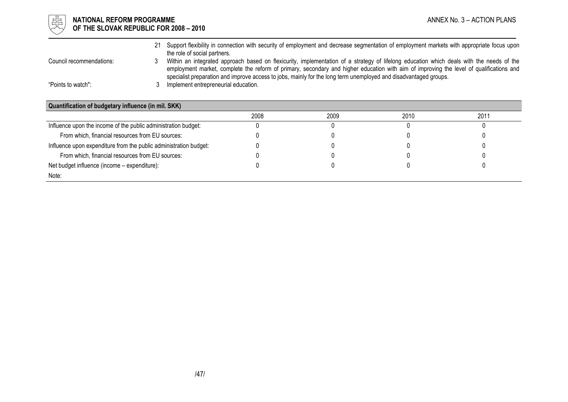

# $\mathbb{E}^{\mathbb{I}}_{\mathbb{H}}$  **NATIONAL REFORM PROGRAMME** ANNEX No. 3 – ACTION PLANS OF THE SLOVAK REPUBLIC FOR 2008 – 2010

 21 Support flexibility in connection with security of employment and decrease segmentation of employment markets with appropriate focus upon the role of social partners. Council recommendations: 3 Within an integrated approach based on flexicurity, implementation of a strategy of lifelong education which deals with the needs of the employment market, complete the reform of primary, secondary and higher education with aim of improving the level of qualifications and specialist preparation and improve access to jobs, mainly for the long term unemployed and disadvantaged groups. "Points to watch": 3 Implement entrepreneurial education.

| Quantification of budgetary influence (in mil. SKK)               |      |      |      |      |
|-------------------------------------------------------------------|------|------|------|------|
|                                                                   | 2008 | 2009 | 2010 | 2011 |
| Influence upon the income of the public administration budget:    |      |      |      |      |
| From which, financial resources from EU sources:                  |      |      |      |      |
| Influence upon expenditure from the public administration budget: |      |      |      |      |
| From which, financial resources from EU sources:                  |      |      |      |      |
| Net budget influence (income – expenditure):                      |      |      |      |      |
| Note:                                                             |      |      |      |      |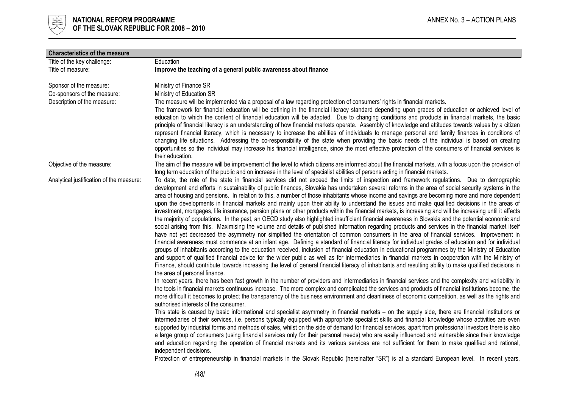

| <b>Characteristics of the measure</b>    |                                                                                                                                                                                                                                                                                                                    |
|------------------------------------------|--------------------------------------------------------------------------------------------------------------------------------------------------------------------------------------------------------------------------------------------------------------------------------------------------------------------|
| Title of the key challenge:              | Education                                                                                                                                                                                                                                                                                                          |
| Title of measure:                        | Improve the teaching of a general public awareness about finance                                                                                                                                                                                                                                                   |
|                                          |                                                                                                                                                                                                                                                                                                                    |
| Sponsor of the measure:                  | Ministry of Finance SR                                                                                                                                                                                                                                                                                             |
| Co-sponsors of the measure:              | Ministry of Education SR                                                                                                                                                                                                                                                                                           |
| Description of the measure:              | The measure will be implemented via a proposal of a law regarding protection of consumers' rights in financial markets.                                                                                                                                                                                            |
|                                          | The framework for financial education will be defining in the financial literacy standard depending upon grades of education or achieved level of<br>education to which the content of financial education will be adapted. Due to changing conditions and products in financial markets, the basic                |
|                                          | principle of financial literacy is an understanding of how financial markets operate. Assembly of knowledge and attitudes towards values by a citizen                                                                                                                                                              |
|                                          | represent financial literacy, which is necessary to increase the abilities of individuals to manage personal and family finances in conditions of                                                                                                                                                                  |
|                                          | changing life situations. Addressing the co-responsibility of the state when providing the basic needs of the individual is based on creating                                                                                                                                                                      |
|                                          | opportunities so the individual may increase his financial intelligence, since the most effective protection of the consumers of financial services is                                                                                                                                                             |
|                                          | their education.                                                                                                                                                                                                                                                                                                   |
| Objective of the measure:                | The aim of the measure will be improvement of the level to which citizens are informed about the financial markets, with a focus upon the provision of                                                                                                                                                             |
|                                          | long term education of the public and on increase in the level of specialist abilities of persons acting in financial markets.                                                                                                                                                                                     |
| Analytical justification of the measure: | To date, the role of the state in financial services did not exceed the limits of inspection and framework regulations. Due to demographic                                                                                                                                                                         |
|                                          | development and efforts in sustainability of public finances, Slovakia has undertaken several reforms in the area of social security systems in the                                                                                                                                                                |
|                                          | area of housing and pensions. In relation to this, a number of those inhabitants whose income and savings are becoming more and more dependent                                                                                                                                                                     |
|                                          | upon the developments in financial markets and mainly upon their ability to understand the issues and make qualified decisions in the areas of                                                                                                                                                                     |
|                                          | investment, mortgages, life insurance, pension plans or other products within the financial markets, is increasing and will be increasing until it affects<br>the majority of populations. In the past, an OECD study also highlighted insufficient financial awareness in Slovakia and the potential economic and |
|                                          | social arising from this. Maximising the volume and details of published information regarding products and services in the financial market itself                                                                                                                                                                |
|                                          | have not yet decreased the asymmetry nor simplified the orientation of common consumers in the area of financial services. Improvement in                                                                                                                                                                          |
|                                          | financial awareness must commence at an infant age. Defining a standard of financial literacy for individual grades of education and for individual                                                                                                                                                                |
|                                          | groups of inhabitants according to the education received, inclusion of financial education in educational programmes by the Ministry of Education                                                                                                                                                                 |
|                                          | and support of qualified financial advice for the wider public as well as for intermediaries in financial markets in cooperation with the Ministry of                                                                                                                                                              |
|                                          | Finance, should contribute towards increasing the level of general financial literacy of inhabitants and resulting ability to make qualified decisions in                                                                                                                                                          |
|                                          | the area of personal finance.                                                                                                                                                                                                                                                                                      |
|                                          | In recent years, there has been fast growth in the number of providers and intermediaries in financial services and the complexity and variability in                                                                                                                                                              |
|                                          | the tools in financial markets continuous increase. The more complex and complicated the services and products of financial institutions become, the                                                                                                                                                               |
|                                          | more difficult it becomes to protect the transparency of the business environment and cleanliness of economic competition, as well as the rights and<br>authorised interests of the consumer.                                                                                                                      |
|                                          | This state is caused by basic informational and specialist asymmetry in financial markets - on the supply side, there are financial institutions or                                                                                                                                                                |
|                                          | intermediaries of their services, i.e. persons typically equipped with appropriate specialist skills and financial knowledge whose activities are even                                                                                                                                                             |
|                                          | supported by industrial forms and methods of sales, whilst on the side of demand for financial services, apart from professional investors there is also                                                                                                                                                           |
|                                          | a large group of consumers (using financial services only for their personal needs) who are easily influenced and vulnerable since their knowledge                                                                                                                                                                 |
|                                          | and education regarding the operation of financial markets and its various services are not sufficient for them to make qualified and rational,                                                                                                                                                                    |
|                                          | independent decisions.                                                                                                                                                                                                                                                                                             |
|                                          | Protection of entrepreneurship in financial markets in the Slovak Republic (hereinafter "SR") is at a standard European level. In recent years,                                                                                                                                                                    |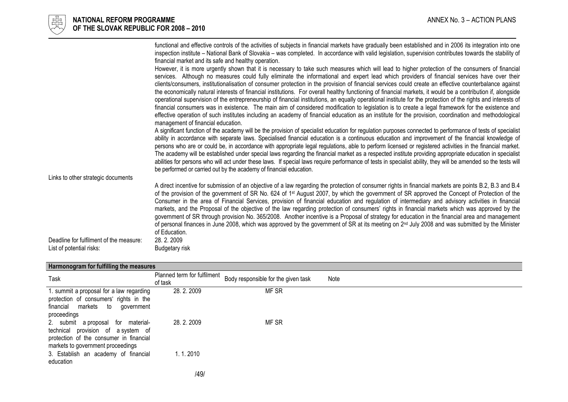

|                                                                     | functional and effective controls of the activities of subjects in financial markets have gradually been established and in 2006 its integration into one<br>inspection institute - National Bank of Slovakia - was completed. In accordance with valid legislation, supervision contributes towards the stability of<br>financial market and its safe and healthy operation.                                                                                                                                                                                                                                                                                                                                                                                                                                                                                                                                                                                |
|---------------------------------------------------------------------|--------------------------------------------------------------------------------------------------------------------------------------------------------------------------------------------------------------------------------------------------------------------------------------------------------------------------------------------------------------------------------------------------------------------------------------------------------------------------------------------------------------------------------------------------------------------------------------------------------------------------------------------------------------------------------------------------------------------------------------------------------------------------------------------------------------------------------------------------------------------------------------------------------------------------------------------------------------|
|                                                                     | However, it is more urgently shown that it is necessary to take such measures which will lead to higher protection of the consumers of financial<br>services. Although no measures could fully eliminate the informational and expert lead which providers of financial services have over their<br>clients/consumers, institutionalisation of consumer protection in the provision of financial services could create an effective counterbalance against                                                                                                                                                                                                                                                                                                                                                                                                                                                                                                   |
|                                                                     | the economically natural interests of financial institutions. For overall healthy functioning of financial markets, it would be a contribution if, alongside<br>operational supervision of the entrepreneurship of financial institutions, an equally operational institute for the protection of the rights and interests of<br>financial consumers was in existence. The main aim of considered modification to legislation is to create a legal framework for the existence and                                                                                                                                                                                                                                                                                                                                                                                                                                                                           |
|                                                                     | effective operation of such institutes including an academy of financial education as an institute for the provision, coordination and methodological<br>management of financial education.                                                                                                                                                                                                                                                                                                                                                                                                                                                                                                                                                                                                                                                                                                                                                                  |
|                                                                     | A significant function of the academy will be the provision of specialist education for regulation purposes connected to performance of tests of specialist<br>ability in accordance with separate laws. Specialised financial education is a continuous education and improvement of the financial knowledge of<br>persons who are or could be, in accordance with appropriate legal regulations, able to perform licensed or registered activities in the financial market.<br>The academy will be established under special laws regarding the financial market as a respected institute providing appropriate education in specialist<br>abilities for persons who will act under these laws. If special laws require performance of tests in specialist ability, they will be amended so the tests will<br>be performed or carried out by the academy of financial education.                                                                           |
| Links to other strategic documents                                  |                                                                                                                                                                                                                                                                                                                                                                                                                                                                                                                                                                                                                                                                                                                                                                                                                                                                                                                                                              |
|                                                                     | A direct incentive for submission of an objective of a law regarding the protection of consumer rights in financial markets are points B.2, B.3 and B.4<br>of the provision of the government of SR No. 624 of 1 <sup>st</sup> August 2007, by which the government of SR approved the Concept of Protection of the<br>Consumer in the area of Financial Services, provision of financial education and regulation of intermediary and advisory activities in financial<br>markets, and the Proposal of the objective of the law regarding protection of consumers' rights in financial markets which was approved by the<br>government of SR through provision No. 365/2008. Another incentive is a Proposal of strategy for education in the financial area and management<br>of personal finances in June 2008, which was approved by the government of SR at its meeting on 2 <sup>nd</sup> July 2008 and was submitted by the Minister<br>of Education. |
| Deadline for fulfilment of the measure:<br>List of potential risks: | 28.2.2009<br>Budgetary risk                                                                                                                                                                                                                                                                                                                                                                                                                                                                                                                                                                                                                                                                                                                                                                                                                                                                                                                                  |

| Harmonogram for fulfilling the measures                                                                                                                        |                                        |                                     |      |  |
|----------------------------------------------------------------------------------------------------------------------------------------------------------------|----------------------------------------|-------------------------------------|------|--|
| Task                                                                                                                                                           | Planned term for fulfilment<br>of task | Body responsible for the given task | Note |  |
| 1. summit a proposal for a law regarding<br>protection of consumers' rights in the<br>financial markets<br>to<br>government<br>proceedings                     | 28.2.2009                              | MF SR                               |      |  |
| 2. submit a proposal<br>for<br>material-<br>technical provision of a system of<br>protection of the consumer in financial<br>markets to government proceedings | 28.2.2009                              | MF SR                               |      |  |
| 3. Establish an academy of financial<br>education                                                                                                              | 1.1.2010                               |                                     |      |  |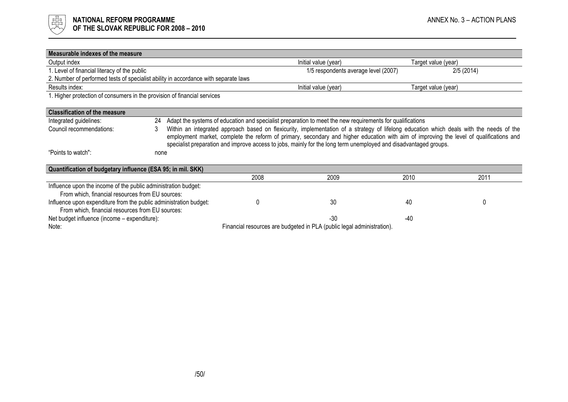

| Measurable indexes of the measure                                                                                     |      |                                                                                                                                                                                                                                                                                                                                                                                                         |                                                                                                           |                     |           |
|-----------------------------------------------------------------------------------------------------------------------|------|---------------------------------------------------------------------------------------------------------------------------------------------------------------------------------------------------------------------------------------------------------------------------------------------------------------------------------------------------------------------------------------------------------|-----------------------------------------------------------------------------------------------------------|---------------------|-----------|
| Output index                                                                                                          |      |                                                                                                                                                                                                                                                                                                                                                                                                         | Initial value (year)                                                                                      | Target value (year) |           |
| 1. Level of financial literacy of the public                                                                          |      |                                                                                                                                                                                                                                                                                                                                                                                                         | 1/5 respondents average level (2007)                                                                      |                     | 2/5(2014) |
| 2. Number of performed tests of specialist ability in accordance with separate laws                                   |      |                                                                                                                                                                                                                                                                                                                                                                                                         |                                                                                                           |                     |           |
| Results index:                                                                                                        |      |                                                                                                                                                                                                                                                                                                                                                                                                         | Initial value (year)                                                                                      | Target value (year) |           |
| 1. Higher protection of consumers in the provision of financial services                                              |      |                                                                                                                                                                                                                                                                                                                                                                                                         |                                                                                                           |                     |           |
| <b>Classification of the measure</b>                                                                                  |      |                                                                                                                                                                                                                                                                                                                                                                                                         |                                                                                                           |                     |           |
| Integrated guidelines:                                                                                                | 24   |                                                                                                                                                                                                                                                                                                                                                                                                         | Adapt the systems of education and specialist preparation to meet the new requirements for qualifications |                     |           |
| Council recommendations:                                                                                              | 3    | Within an integrated approach based on flexicurity, implementation of a strategy of lifelong education which deals with the needs of the<br>employment market, complete the reform of primary, secondary and higher education with aim of improving the level of qualifications and<br>specialist preparation and improve access to jobs, mainly for the long term unemployed and disadvantaged groups. |                                                                                                           |                     |           |
| "Points to watch":                                                                                                    | none |                                                                                                                                                                                                                                                                                                                                                                                                         |                                                                                                           |                     |           |
| Quantification of budgetary influence (ESA 95; in mil. SKK)                                                           |      |                                                                                                                                                                                                                                                                                                                                                                                                         |                                                                                                           |                     |           |
|                                                                                                                       |      | 2008                                                                                                                                                                                                                                                                                                                                                                                                    | 2009                                                                                                      | 2010                | 2011      |
| Influence upon the income of the public administration budget:<br>From which, financial resources from EU sources:    |      |                                                                                                                                                                                                                                                                                                                                                                                                         |                                                                                                           |                     |           |
| Influence upon expenditure from the public administration budget:<br>From which, financial resources from EU sources: |      |                                                                                                                                                                                                                                                                                                                                                                                                         | 30                                                                                                        | 40                  |           |
| Net budget influence (income - expenditure):                                                                          |      |                                                                                                                                                                                                                                                                                                                                                                                                         | $-30$                                                                                                     | -40                 |           |
| Financial resources are budgeted in PLA (public legal administration).<br>Note:                                       |      |                                                                                                                                                                                                                                                                                                                                                                                                         |                                                                                                           |                     |           |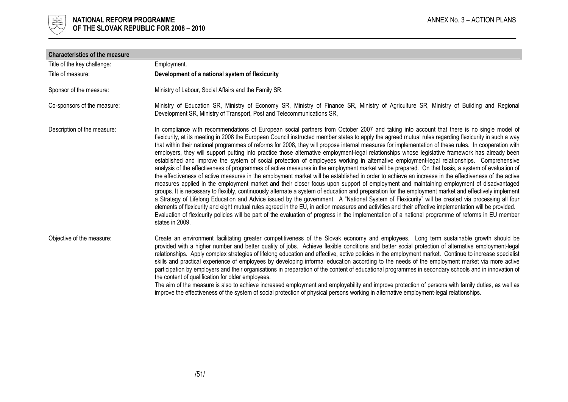

| <b>Characteristics of the measure</b> |                                                                                                                                                                                                                                                                                                                                                                                                                                                                                                                                                                                                                                                                                                                                                                                                                                                                                                                                                                                                                                                                                                                                                                                                                                                                                                                                                                                                                                                                                                                                                                                                                                                                                                                                                                                                                                                                          |
|---------------------------------------|--------------------------------------------------------------------------------------------------------------------------------------------------------------------------------------------------------------------------------------------------------------------------------------------------------------------------------------------------------------------------------------------------------------------------------------------------------------------------------------------------------------------------------------------------------------------------------------------------------------------------------------------------------------------------------------------------------------------------------------------------------------------------------------------------------------------------------------------------------------------------------------------------------------------------------------------------------------------------------------------------------------------------------------------------------------------------------------------------------------------------------------------------------------------------------------------------------------------------------------------------------------------------------------------------------------------------------------------------------------------------------------------------------------------------------------------------------------------------------------------------------------------------------------------------------------------------------------------------------------------------------------------------------------------------------------------------------------------------------------------------------------------------------------------------------------------------------------------------------------------------|
| Title of the key challenge:           | Employment.                                                                                                                                                                                                                                                                                                                                                                                                                                                                                                                                                                                                                                                                                                                                                                                                                                                                                                                                                                                                                                                                                                                                                                                                                                                                                                                                                                                                                                                                                                                                                                                                                                                                                                                                                                                                                                                              |
| Title of measure:                     | Development of a national system of flexicurity                                                                                                                                                                                                                                                                                                                                                                                                                                                                                                                                                                                                                                                                                                                                                                                                                                                                                                                                                                                                                                                                                                                                                                                                                                                                                                                                                                                                                                                                                                                                                                                                                                                                                                                                                                                                                          |
| Sponsor of the measure:               | Ministry of Labour, Social Affairs and the Family SR.                                                                                                                                                                                                                                                                                                                                                                                                                                                                                                                                                                                                                                                                                                                                                                                                                                                                                                                                                                                                                                                                                                                                                                                                                                                                                                                                                                                                                                                                                                                                                                                                                                                                                                                                                                                                                    |
| Co-sponsors of the measure:           | Ministry of Education SR, Ministry of Economy SR, Ministry of Finance SR, Ministry of Agriculture SR, Ministry of Building and Regional<br>Development SR, Ministry of Transport, Post and Telecommunications SR,                                                                                                                                                                                                                                                                                                                                                                                                                                                                                                                                                                                                                                                                                                                                                                                                                                                                                                                                                                                                                                                                                                                                                                                                                                                                                                                                                                                                                                                                                                                                                                                                                                                        |
| Description of the measure:           | In compliance with recommendations of European social partners from October 2007 and taking into account that there is no single model of<br>flexicurity, at its meeting in 2008 the European Council instructed member states to apply the agreed mutual rules regarding flexicurity in such a way<br>that within their national programmes of reforms for 2008, they will propose internal measures for implementation of these rules. In cooperation with<br>employers, they will support putting into practice those alternative employment-legal relationships whose legislative framework has already been<br>established and improve the system of social protection of employees working in alternative employment-legal relationships. Comprehensive<br>analysis of the effectiveness of programmes of active measures in the employment market will be prepared. On that basis, a system of evaluation of<br>the effectiveness of active measures in the employment market will be established in order to achieve an increase in the effectiveness of the active<br>measures applied in the employment market and their closer focus upon support of employment and maintaining employment of disadvantaged<br>groups. It is necessary to flexibly, continuously alternate a system of education and preparation for the employment market and effectively implement<br>a Strategy of Lifelong Education and Advice issued by the government. A "National System of Flexicurity" will be created via processing all four<br>elements of flexicurity and eight mutual rules agreed in the EU, in action measures and activities and their effective implementation will be provided.<br>Evaluation of flexicurity policies will be part of the evaluation of progress in the implementation of a national programme of reforms in EU member<br>states in 2009. |
| Objective of the measure:             | Create an environment facilitating greater competitiveness of the Slovak economy and employees. Long term sustainable growth should be<br>provided with a higher number and better quality of jobs. Achieve flexible conditions and better social protection of alternative employment-legal<br>relationships. Apply complex strategies of lifelong education and effective, active policies in the employment market. Continue to increase specialist<br>skills and practical experience of employees by developing informal education according to the needs of the employment market via more active<br>participation by employers and their organisations in preparation of the content of educational programmes in secondary schools and in innovation of<br>the content of qualification for older employees.<br>The aim of the measure is also to achieve increased employment and employability and improve protection of persons with family duties, as well as<br>improve the effectiveness of the system of social protection of physical persons working in alternative employment-legal relationships.                                                                                                                                                                                                                                                                                                                                                                                                                                                                                                                                                                                                                                                                                                                                                     |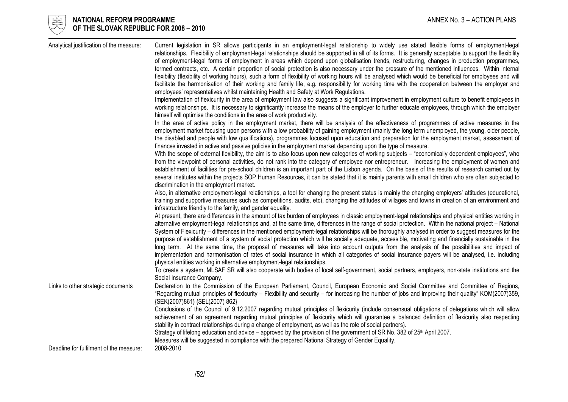

# $\begin{array}{cc} \frac{17}{150} \\ \frac{17}{150} \end{array}$  NATIONAL REFORM PROGRAMME<br>Of the slovak republic for 2008 – 2010 OF THE SLOVAK REPUBLIC FOR 2008 – 2010

| Analytical justification of the measure: | Current legislation in SR allows participants in an employment-legal relationship to widely use stated flexible forms of employment-legal<br>relationships. Flexibility of employment-legal relationships should be supported in all of its forms. It is generally acceptable to support the flexibility<br>of employment-legal forms of employment in areas which depend upon globalisation trends, restructuring, changes in production programmes,<br>termed contracts, etc. A certain proportion of social protection is also necessary under the pressure of the mentioned influences. Within internal<br>flexibility (flexibility of working hours), such a form of flexibility of working hours will be analysed which would be beneficial for employees and will<br>facilitate the harmonisation of their working and family life, e.g. responsibility for working time with the cooperation between the employer and<br>employees' representatives whilst maintaining Health and Safety at Work Regulations.<br>Implementation of flexicurity in the area of employment law also suggests a significant improvement in employment culture to benefit employees in<br>working relationships. It is necessary to significantly increase the means of the employer to further educate employees, through which the employer<br>himself will optimise the conditions in the area of work productivity.<br>In the area of active policy in the employment market, there will be analysis of the effectiveness of programmes of active measures in the<br>employment market focusing upon persons with a low probability of gaining employment (mainly the long term unemployed, the young, older people,<br>the disabled and people with low qualifications), programmes focused upon education and preparation for the employment market, assessment of<br>finances invested in active and passive policies in the employment market depending upon the type of measure.<br>With the scope of external flexibility, the aim is to also focus upon new categories of working subjects – "economically dependent employees", who<br>from the viewpoint of personal activities, do not rank into the category of employee nor entrepreneur. Increasing the employment of women and<br>establishment of facilities for pre-school children is an important part of the Lisbon agenda. On the basis of the results of research carried out by<br>several institutes within the projects SOP Human Resources, it can be stated that it is mainly parents with small children who are often subjected to<br>discrimination in the employment market.<br>Also, in alternative employment-legal relationships, a tool for changing the present status is mainly the changing employers' attitudes (educational, |
|------------------------------------------|-------------------------------------------------------------------------------------------------------------------------------------------------------------------------------------------------------------------------------------------------------------------------------------------------------------------------------------------------------------------------------------------------------------------------------------------------------------------------------------------------------------------------------------------------------------------------------------------------------------------------------------------------------------------------------------------------------------------------------------------------------------------------------------------------------------------------------------------------------------------------------------------------------------------------------------------------------------------------------------------------------------------------------------------------------------------------------------------------------------------------------------------------------------------------------------------------------------------------------------------------------------------------------------------------------------------------------------------------------------------------------------------------------------------------------------------------------------------------------------------------------------------------------------------------------------------------------------------------------------------------------------------------------------------------------------------------------------------------------------------------------------------------------------------------------------------------------------------------------------------------------------------------------------------------------------------------------------------------------------------------------------------------------------------------------------------------------------------------------------------------------------------------------------------------------------------------------------------------------------------------------------------------------------------------------------------------------------------------------------------------------------------------------------------------------------------------------------------------------------------------------------------------------------------------------------------------------------------------------------------------------------------------------------------------------------------------------------------------------------------------------------------------------------------------------------|
|                                          | training and supportive measures such as competitions, audits, etc), changing the attitudes of villages and towns in creation of an environment and<br>infrastructure friendly to the family, and gender equality.<br>At present, there are differences in the amount of tax burden of employees in classic employment-legal relationships and physical entities working in<br>alternative employment-legal relationships and, at the same time, differences in the range of social protection. Within the national project - National<br>System of Flexicurity – differences in the mentioned employment-legal relationships will be thoroughly analysed in order to suggest measures for the<br>purpose of establishment of a system of social protection which will be socially adequate, accessible, motivating and financially sustainable in the<br>long term. At the same time, the proposal of measures will take into account outputs from the analysis of the possibilities and impact of                                                                                                                                                                                                                                                                                                                                                                                                                                                                                                                                                                                                                                                                                                                                                                                                                                                                                                                                                                                                                                                                                                                                                                                                                                                                                                                                                                                                                                                                                                                                                                                                                                                                                                                                                                                                         |
|                                          | implementation and harmonisation of rates of social insurance in which all categories of social insurance payers will be analysed, i.e. including<br>physical entities working in alternative employment-legal relationships.<br>To create a system, MLSAF SR will also cooperate with bodies of local self-government, social partners, employers, non-state institutions and the<br>Social Insurance Company.                                                                                                                                                                                                                                                                                                                                                                                                                                                                                                                                                                                                                                                                                                                                                                                                                                                                                                                                                                                                                                                                                                                                                                                                                                                                                                                                                                                                                                                                                                                                                                                                                                                                                                                                                                                                                                                                                                                                                                                                                                                                                                                                                                                                                                                                                                                                                                                             |
| Links to other strategic documents       | Declaration to the Commission of the European Parliament, Council, European Economic and Social Committee and Committee of Regions,<br>"Regarding mutual principles of flexicurity – Flexibility and security – for increasing the number of jobs and improving their quality" KOM(2007)359,<br>{SEK(2007)861} {SEL(2007) 862}<br>Conclusions of the Council of 9.12.2007 regarding mutual principles of flexicurity (include consensual obligations of delegations which will allow<br>achievement of an agreement regarding mutual principles of flexicurity which will guarantee a balanced definition of flexicurity also respecting<br>stability in contract relationships during a change of employment, as well as the role of social partners).                                                                                                                                                                                                                                                                                                                                                                                                                                                                                                                                                                                                                                                                                                                                                                                                                                                                                                                                                                                                                                                                                                                                                                                                                                                                                                                                                                                                                                                                                                                                                                                                                                                                                                                                                                                                                                                                                                                                                                                                                                                     |
| Deadline for fulfilment of the measure:  | Strategy of lifelong education and advice – approved by the provision of the government of SR No. 382 of 25 <sup>th</sup> April 2007.<br>Measures will be suggested in compliance with the prepared National Strategy of Gender Equality.<br>2008-2010                                                                                                                                                                                                                                                                                                                                                                                                                                                                                                                                                                                                                                                                                                                                                                                                                                                                                                                                                                                                                                                                                                                                                                                                                                                                                                                                                                                                                                                                                                                                                                                                                                                                                                                                                                                                                                                                                                                                                                                                                                                                                                                                                                                                                                                                                                                                                                                                                                                                                                                                                      |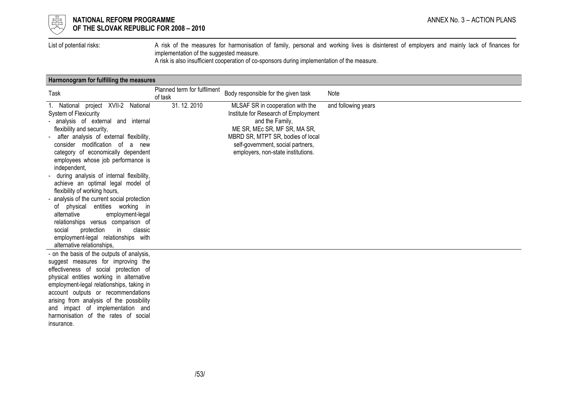

# $\frac{1}{\frac{1}{\sqrt{10}}}\sqrt{2}$  NATIONAL REFORM PROGRAMME ANNEX No. 3 – ACTION PLANS OF THE SLOVAK REPUBLIC FOR 2008 – 2010

List of potential risks: A risk of the measures for harmonisation of family, personal and working lives is disinterest of employers and mainly lack of finances for implementation of the suggested measure.

A risk is also insufficient cooperation of co-sponsors during implementation of the measure.

# Harmonogram for fulfilling the measures

| Task                                                                                                                                                                                                                                                                                                                                                                                                                                                                                                                                                                                                                                                                                                                        | Planned term for fulfilment<br>of task | Body responsible for the given task                                                                                                                                                                                                         | Note                |
|-----------------------------------------------------------------------------------------------------------------------------------------------------------------------------------------------------------------------------------------------------------------------------------------------------------------------------------------------------------------------------------------------------------------------------------------------------------------------------------------------------------------------------------------------------------------------------------------------------------------------------------------------------------------------------------------------------------------------------|----------------------------------------|---------------------------------------------------------------------------------------------------------------------------------------------------------------------------------------------------------------------------------------------|---------------------|
| 1. National project XVII-2 National<br>System of Flexicurity<br>analysis of external and internal<br>flexibility and security,<br>after analysis of external flexibility,<br>$\blacksquare$<br>consider modification of<br>a<br>new<br>category of economically dependent<br>employees whose job performance is<br>independent,<br>during analysis of internal flexibility,<br>achieve an optimal legal model of<br>flexibility of working hours,<br>- analysis of the current social protection<br>of physical entities working in<br>alternative<br>employment-legal<br>relationships versus comparison of<br>protection<br>classic<br>social<br>in.<br>employment-legal relationships with<br>alternative relationships, | 31.12.2010                             | MLSAF SR in cooperation with the<br>Institute for Research of Employment<br>and the Family,<br>ME SR, MEc SR, MF SR, MA SR,<br>MBRD SR, MTPT SR, bodies of local<br>self-government, social partners,<br>employers, non-state institutions. | and following years |
| - on the basis of the outputs of analysis,<br>suggest measures for improving the<br>effectiveness of social protection of<br>physical entities working in alternative<br>employment-legal relationships, taking in<br>account outputs or recommendations<br>arising from analysis of the possibility<br>and impact of implementation and<br>harmonisation of the rates of social<br>insurance.                                                                                                                                                                                                                                                                                                                              |                                        |                                                                                                                                                                                                                                             |                     |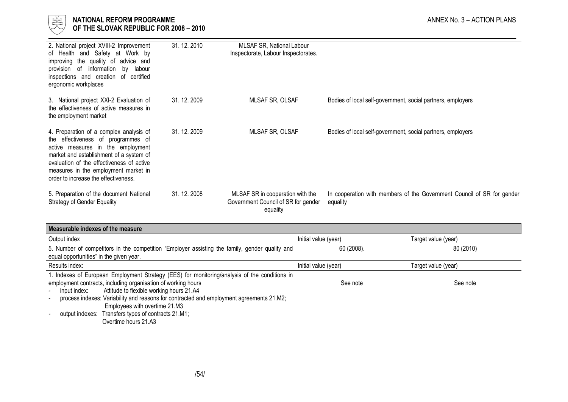

| 2. National project XVIII-2 Improvement<br>of Health and Safety at Work by<br>improving the quality of advice and<br>provision of information<br>labour<br>by<br>inspections and creation of<br>certified<br>ergonomic workplaces                                                          | 31.12.2010   | MLSAF SR, National Labour<br>Inspectorate, Labour Inspectorates.                    |                                                                                    |
|--------------------------------------------------------------------------------------------------------------------------------------------------------------------------------------------------------------------------------------------------------------------------------------------|--------------|-------------------------------------------------------------------------------------|------------------------------------------------------------------------------------|
| 3. National project XXI-2 Evaluation of<br>the effectiveness of active measures in<br>the employment market                                                                                                                                                                                | 31, 12, 2009 | MLSAF SR, OLSAF                                                                     | Bodies of local self-government, social partners, employers                        |
| 4. Preparation of a complex analysis of<br>the effectiveness of programmes of<br>active measures in the employment<br>market and establishment of a system of<br>evaluation of the effectiveness of active<br>measures in the employment market in<br>order to increase the effectiveness. | 31.12.2009   | <b>MLSAF SR, OLSAF</b>                                                              | Bodies of local self-government, social partners, employers                        |
| 5. Preparation of the document National<br><b>Strategy of Gender Equality</b>                                                                                                                                                                                                              | 31, 12, 2008 | MLSAF SR in cooperation with the<br>Government Council of SR for gender<br>equality | In cooperation with members of the Government Council of SR for gender<br>equality |

| Measurable indexes of the measure |                     |  |  |  |  |  |
|-----------------------------------|---------------------|--|--|--|--|--|
| Initial value (year)              | Target value (year) |  |  |  |  |  |
| 60 (2008).                        | 80 (2010)           |  |  |  |  |  |
| Initial value (year)              | Target value (year) |  |  |  |  |  |
|                                   |                     |  |  |  |  |  |
| See note                          | See note            |  |  |  |  |  |
|                                   |                     |  |  |  |  |  |
|                                   |                     |  |  |  |  |  |
|                                   |                     |  |  |  |  |  |
|                                   |                     |  |  |  |  |  |
|                                   |                     |  |  |  |  |  |

Overtime hours 21.A3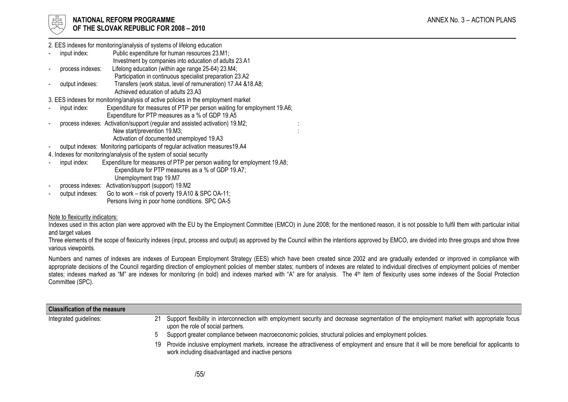

2. EES indexes for monitoring/analysis of systems of lifelong education

- input index: Public expenditure for human resources 23.M1; Investment by companies into education of adults 23.A1 process indexes: Lifelong education (within age range 25-64) 23.M4;
	- Participation in continuous specialist preparation 23.A2
- output indexes: Transfers (work status, level of remuneration) 17.A4 &18.A8; Achieved education of adults 23.A3

3. EES indexes for monitoring/analysis of active policies in the employment market

- input index: Expenditure for measures of PTP per person waiting for employment 19.A6; Expenditure for PTP measures as a % of GDP 19.A5
- process indexes: Activation/support (regular and assisted activation) 19.M2; New start/prevention 19.M3;

Activation of documented unemployed 19.A3

- output indexes: Monitoring participants of regular activation measures19.A4
- 4. Indexes for monitoring/analysis of the system of social security
- input index: Expenditure for measures of PTP per person waiting for employment 19.A8;
	- Expenditure for PTP measures as a % of GDP 19.A7;
		- Unemployment trap 19.M7
- process indexes: Activation/support (support) 19.M2
- output indexes: Go to work – risk of poverty 19.A10 & SPC OA-11; Persons living in poor home conditions. SPC OA-5

# Note to flexicurity indicators:

Indexes used in this action plan were approved with the EU by the Employment Committee (EMCO) in June 2008; for the mentioned reason, it is not possible to fulfil them with particular initial and target values

: :

Three elements of the scope of flexicurity indexes (input, process and output) as approved by the Council within the intentions approved by EMCO, are divided into three groups and show three various viewpoints.

Numbers and names of indexes are indexes of European Employment Strategy (EES) which have been created since 2002 and are gradually extended or improved in compliance with appropriate decisions of the Council regarding direction of employment policies of member states; numbers of indexes are related to individual directives of employment policies of member states; indexes marked as "M" are indexes for monitoring (in bold) and indexes marked with "A" are for analysis. The 4<sup>th</sup> item of flexicurity uses some indexes of the Social Protection Committee (SPC).

| <b>Classification of the measure</b> |    |                                                                                                                                                                                                   |
|--------------------------------------|----|---------------------------------------------------------------------------------------------------------------------------------------------------------------------------------------------------|
| Integrated guidelines:               | 21 | Support flexibility in interconnection with employment security and decrease segmentation of the employment market with appropriate focus<br>upon the role of social partners.                    |
|                                      |    | Support greater compliance between macroeconomic policies, structural policies and employment policies.                                                                                           |
|                                      | 19 | Provide inclusive employment markets, increase the attractiveness of employment and ensure that it will be more beneficial for applicants to<br>work including disadvantaged and inactive persons |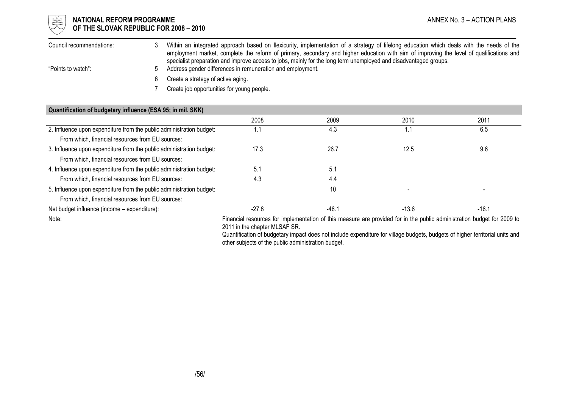

# $\begin{array}{cc} \frac{17}{150} \\ \frac{17}{150} \end{array}$  NATIONAL REFORM PROGRAMME<br>Of the slovak republic for 2008 – 2010  $\forall\forall$  OF THE SLOVAK REPUBLIC FOR 2008 – 2010

| Council recommendations: | Within an integrated approach based on flexicurity, implementation of a strategy of lifelong education which deals with the needs of the<br>employment market, complete the reform of primary, secondary and higher education with aim of improving the level of qualifications and |
|--------------------------|-------------------------------------------------------------------------------------------------------------------------------------------------------------------------------------------------------------------------------------------------------------------------------------|
| "Points to watch":       | specialist preparation and improve access to jobs, mainly for the long term unemployed and disadvantaged groups.<br>Address gender differences in remuneration and employment.                                                                                                      |
|                          | Create a strategy of active aging.                                                                                                                                                                                                                                                  |

7 Create job opportunities for young people.

| Quantification of budgetary influence (ESA 95; in mil. SKK)                                                                                                                                                                                                                                                                                              |         |       |         |         |
|----------------------------------------------------------------------------------------------------------------------------------------------------------------------------------------------------------------------------------------------------------------------------------------------------------------------------------------------------------|---------|-------|---------|---------|
|                                                                                                                                                                                                                                                                                                                                                          | 2008    | 2009  | 2010    | 2011    |
| 2. Influence upon expenditure from the public administration budget:                                                                                                                                                                                                                                                                                     |         | 4.3   | 1.1     | 6.5     |
| From which, financial resources from EU sources:                                                                                                                                                                                                                                                                                                         |         |       |         |         |
| 3. Influence upon expenditure from the public administration budget:                                                                                                                                                                                                                                                                                     | 17.3    | 26.7  | 12.5    | 9.6     |
| From which, financial resources from EU sources:                                                                                                                                                                                                                                                                                                         |         |       |         |         |
| 4. Influence upon expenditure from the public administration budget:                                                                                                                                                                                                                                                                                     | 5.1     | 5.1   |         |         |
| From which, financial resources from EU sources:                                                                                                                                                                                                                                                                                                         | 4.3     | 4.4   |         |         |
| 5. Influence upon expenditure from the public administration budget:                                                                                                                                                                                                                                                                                     |         | 10    |         |         |
| From which, financial resources from EU sources:                                                                                                                                                                                                                                                                                                         |         |       |         |         |
| Net budget influence (income - expenditure):                                                                                                                                                                                                                                                                                                             | $-27.8$ | -46.1 | $-13.6$ | $-16.1$ |
| Financial resources for implementation of this measure are provided for in the public administration budget for 2009 to<br>Note:<br>2011 in the chapter MLSAF SR.<br>Quantification of budgetary impact does not include expenditure for village budgets, budgets of higher territorial units and<br>other subjects of the public administration budget. |         |       |         |         |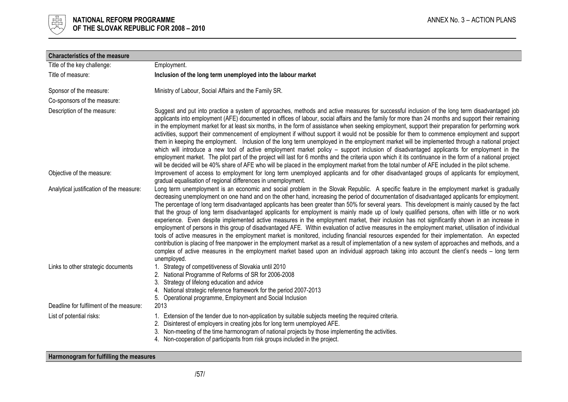

| <b>Characteristics of the measure</b>    |                                                                                                                                                                                                                                                                                                                                                                                                                                                                                                                                                                                                                                                                                                                                                                                                                                                                                                                                                                                                                                                                                                                                                                                                                                                                                                                                                                      |
|------------------------------------------|----------------------------------------------------------------------------------------------------------------------------------------------------------------------------------------------------------------------------------------------------------------------------------------------------------------------------------------------------------------------------------------------------------------------------------------------------------------------------------------------------------------------------------------------------------------------------------------------------------------------------------------------------------------------------------------------------------------------------------------------------------------------------------------------------------------------------------------------------------------------------------------------------------------------------------------------------------------------------------------------------------------------------------------------------------------------------------------------------------------------------------------------------------------------------------------------------------------------------------------------------------------------------------------------------------------------------------------------------------------------|
| Title of the key challenge:              | Employment.                                                                                                                                                                                                                                                                                                                                                                                                                                                                                                                                                                                                                                                                                                                                                                                                                                                                                                                                                                                                                                                                                                                                                                                                                                                                                                                                                          |
| Title of measure:                        | Inclusion of the long term unemployed into the labour market                                                                                                                                                                                                                                                                                                                                                                                                                                                                                                                                                                                                                                                                                                                                                                                                                                                                                                                                                                                                                                                                                                                                                                                                                                                                                                         |
| Sponsor of the measure:                  | Ministry of Labour, Social Affairs and the Family SR.                                                                                                                                                                                                                                                                                                                                                                                                                                                                                                                                                                                                                                                                                                                                                                                                                                                                                                                                                                                                                                                                                                                                                                                                                                                                                                                |
| Co-sponsors of the measure:              |                                                                                                                                                                                                                                                                                                                                                                                                                                                                                                                                                                                                                                                                                                                                                                                                                                                                                                                                                                                                                                                                                                                                                                                                                                                                                                                                                                      |
| Description of the measure:              | Suggest and put into practice a system of approaches, methods and active measures for successful inclusion of the long term disadvantaged job<br>applicants into employment (AFE) documented in offices of labour, social affairs and the family for more than 24 months and support their remaining<br>in the employment market for at least six months, in the form of assistance when seeking employment, support their preparation for performing work<br>activities, support their commencement of employment if without support it would not be possible for them to commence employment and support<br>them in keeping the employment. Inclusion of the long term unemployed in the employment market will be implemented through a national project<br>which will introduce a new tool of active employment market policy – support inclusion of disadvantaged applicants for employment in the<br>employment market. The pilot part of the project will last for 6 months and the criteria upon which it its continuance in the form of a national project<br>will be decided will be 40% share of AFE who will be placed in the employment market from the total number of AFE included in the pilot scheme.                                                                                                                                               |
| Objective of the measure:                | Improvement of access to employment for long term unemployed applicants and for other disadvantaged groups of applicants for employment,<br>gradual equalisation of regional differences in unemployment.                                                                                                                                                                                                                                                                                                                                                                                                                                                                                                                                                                                                                                                                                                                                                                                                                                                                                                                                                                                                                                                                                                                                                            |
| Analytical justification of the measure: | Long term unemployment is an economic and social problem in the Slovak Republic. A specific feature in the employment market is gradually<br>decreasing unemployment on one hand and on the other hand, increasing the period of documentation of disadvantaged applicants for employment.<br>The percentage of long term disadvantaged applicants has been greater than 50% for several years. This development is mainly caused by the fact<br>that the group of long term disadvantaged applicants for employment is mainly made up of lowly qualified persons, often with little or no work<br>experience. Even despite implemented active measures in the employment market, their inclusion has not significantly shown in an increase in<br>employment of persons in this group of disadvantaged AFE. Within evaluation of active measures in the employment market, utilisation of individual<br>tools of active measures in the employment market is monitored, including financial resources expended for their implementation. An expected<br>contribution is placing of free manpower in the employment market as a result of implementation of a new system of approaches and methods, and a<br>complex of active measures in the employment market based upon an individual approach taking into account the client's needs - long term<br>unemployed. |
| Links to other strategic documents       | 1. Strategy of competitiveness of Slovakia until 2010<br>National Programme of Reforms of SR for 2006-2008<br>Strategy of lifelong education and advice<br>3.<br>National strategic reference framework for the period 2007-2013<br>4.<br>5. Operational programme, Employment and Social Inclusion                                                                                                                                                                                                                                                                                                                                                                                                                                                                                                                                                                                                                                                                                                                                                                                                                                                                                                                                                                                                                                                                  |
| Deadline for fulfilment of the measure:  | 2013                                                                                                                                                                                                                                                                                                                                                                                                                                                                                                                                                                                                                                                                                                                                                                                                                                                                                                                                                                                                                                                                                                                                                                                                                                                                                                                                                                 |
| List of potential risks:                 | 1. Extension of the tender due to non-application by suitable subjects meeting the required criteria.<br>2. Disinterest of employers in creating jobs for long term unemployed AFE.<br>3. Non-meeting of the time harmonogram of national projects by those implementing the activities.<br>4. Non-cooperation of participants from risk groups included in the project.                                                                                                                                                                                                                                                                                                                                                                                                                                                                                                                                                                                                                                                                                                                                                                                                                                                                                                                                                                                             |

# Harmonogram for fulfilling the measures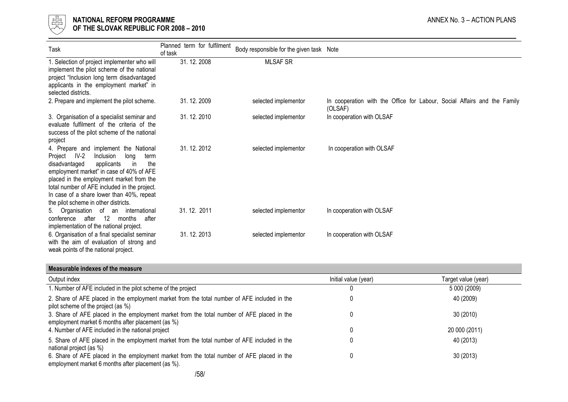

# $\frac{1}{\frac{1}{\sqrt{1-\frac{1}{\sqrt{1-\frac{1}{\sqrt{1-\frac{1}{\sqrt{1-\frac{1}{\sqrt{1-\frac{1}{\sqrt{1-\frac{1}{\sqrt{1-\frac{1}{\sqrt{1-\frac{1}{\sqrt{1-\frac{1}{\sqrt{1-\frac{1}{\sqrt{1+\frac{1}{\sqrt{1+\frac{1}{\sqrt{1+\frac{1}{\sqrt{1+\frac{1}{\sqrt{1+\frac{1}{\sqrt{1+\frac{1}{\sqrt{1+\frac{1}{\sqrt{1+\frac{1}{\sqrt{1+\frac{1}{\sqrt{1+\frac{1}{\sqrt{1+\frac{1}{\sqrt{1+\frac{1}{\sqrt{1+\frac{1}{\sqrt{$ OF THE SLOVAK REPUBLIC FOR 2008 – 2010

| Task                                                                                                                                                                                                                                                                                                                                                             | Planned term for fulfilment<br>of task | Body responsible for the given task Note |                                                                                     |
|------------------------------------------------------------------------------------------------------------------------------------------------------------------------------------------------------------------------------------------------------------------------------------------------------------------------------------------------------------------|----------------------------------------|------------------------------------------|-------------------------------------------------------------------------------------|
| 1. Selection of project implementer who will<br>implement the pilot scheme of the national<br>project "Inclusion long term disadvantaged<br>applicants in the employment market" in<br>selected districts.                                                                                                                                                       | 31.12.2008                             | <b>MLSAF SR</b>                          |                                                                                     |
| 2. Prepare and implement the pilot scheme.                                                                                                                                                                                                                                                                                                                       | 31.12.2009                             | selected implementor                     | In cooperation with the Office for Labour, Social Affairs and the Family<br>(OLSAF) |
| 3. Organisation of a specialist seminar and<br>evaluate fulfilment of the criteria of the<br>success of the pilot scheme of the national<br>project                                                                                                                                                                                                              | 31.12.2010                             | selected implementor                     | In cooperation with OLSAF                                                           |
| 4. Prepare and implement the National<br>$IV-2$<br>Project<br>Inclusion<br>long<br>term<br>disadvantaged<br>applicants<br>in<br>the<br>employment market" in case of 40% of AFE<br>placed in the employment market from the<br>total number of AFE included in the project.<br>In case of a share lower than 40%, repeat<br>the pilot scheme in other districts. | 31.12.2012                             | selected implementor                     | In cooperation with OLSAF                                                           |
| 5. Organisation of an international<br>after 12 months<br>after<br>conference<br>implementation of the national project.                                                                                                                                                                                                                                         | 31.12.2011                             | selected implementor                     | In cooperation with OLSAF                                                           |
| 6. Organisation of a final specialist seminar<br>with the aim of evaluation of strong and<br>weak points of the national project.                                                                                                                                                                                                                                | 31.12.2013                             | selected implementor                     | In cooperation with OLSAF                                                           |

#### Measurable indexes of the measure

| Output index                                                                                                                                     | Initial value (year) | Target value (year) |
|--------------------------------------------------------------------------------------------------------------------------------------------------|----------------------|---------------------|
| 1. Number of AFE included in the pilot scheme of the project                                                                                     |                      | 5 000 (2009)        |
| 2. Share of AFE placed in the employment market from the total number of AFE included in the<br>pilot scheme of the project (as %)               |                      | 40 (2009)           |
| 3. Share of AFE placed in the employment market from the total number of AFE placed in the<br>employment market 6 months after placement (as %)  | $^{(1)}$             | 30(2010)            |
| 4. Number of AFE included in the national project                                                                                                | 0                    | 20 000 (2011)       |
| 5. Share of AFE placed in the employment market from the total number of AFE included in the<br>national project (as %)                          | 0                    | 40 (2013)           |
| 6. Share of AFE placed in the employment market from the total number of AFE placed in the<br>employment market 6 months after placement (as %). | 0                    | 30(2013)            |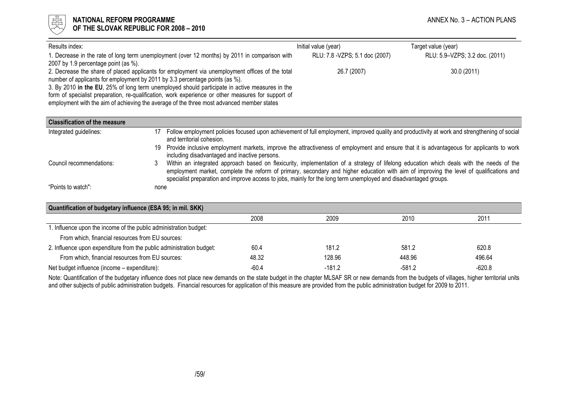

| Results index:                                                                                     | Initial value (year)            | Target value (year)            |
|----------------------------------------------------------------------------------------------------|---------------------------------|--------------------------------|
| 1. Decrease in the rate of long term unemployment (over 12 months) by 2011 in comparison with      | RLU: 7.8 - VZPS; 5.1 doc (2007) | RLU: 5.9-VZPS; 3.2 doc. (2011) |
| 2007 by 1.9 percentage point (as %).                                                               |                                 |                                |
| 2. Decrease the share of placed applicants for employment via unemployment offices of the total    | 26.7 (2007)                     | 30.0 (2011)                    |
| number of applicants for employment by 2011 by 3.3 percentage points (as %).                       |                                 |                                |
| 3. By 2010 in the EU, 25% of long term unemployed should participate in active measures in the     |                                 |                                |
| form of specialist preparation, re-qualification, work experience or other measures for support of |                                 |                                |
| employment with the aim of achieving the average of the three most advanced member states          |                                 |                                |

| <b>Classification of the measure</b> |                                                                                                                                                                                                                                                                                                                                                                                                              |
|--------------------------------------|--------------------------------------------------------------------------------------------------------------------------------------------------------------------------------------------------------------------------------------------------------------------------------------------------------------------------------------------------------------------------------------------------------------|
| Integrated guidelines:               | Follow employment policies focused upon achievement of full employment, improved quality and productivity at work and strengthening of social<br>17<br>and territorial cohesion.                                                                                                                                                                                                                             |
|                                      | 19 Provide inclusive employment markets, improve the attractiveness of employment and ensure that it is advantageous for applicants to work<br>including disadvantaged and inactive persons.                                                                                                                                                                                                                 |
| Council recommendations:             | Within an integrated approach based on flexicurity, implementation of a strategy of lifelong education which deals with the needs of the<br>3<br>employment market, complete the reform of primary, secondary and higher education with aim of improving the level of qualifications and<br>specialist preparation and improve access to jobs, mainly for the long term unemployed and disadvantaged groups. |
| "Points to watch":                   | none                                                                                                                                                                                                                                                                                                                                                                                                         |

| Quantification of budgetary influence (ESA 95; in mil. SKK)          |         |          |        |          |  |
|----------------------------------------------------------------------|---------|----------|--------|----------|--|
|                                                                      | 2008    | 2009     | 2010   | 2011     |  |
| 1. Influence upon the income of the public administration budget:    |         |          |        |          |  |
| From which, financial resources from EU sources:                     |         |          |        |          |  |
| 2. Influence upon expenditure from the public administration budget: | 60.4    | 181.2    | 581.2  | 620.8    |  |
| From which, financial resources from EU sources:                     | 48.32   | 128.96   | 448.96 | 496.64   |  |
| Net budget influence (income - expenditure):                         | $-60.4$ | $-181.2$ | -581.2 | $-620.8$ |  |

Note: Quantification of the budgetary influence does not place new demands on the state budget in the chapter MLSAF SR or new demands from the budgets of villages, higher territorial units<br>and other subjects of public admi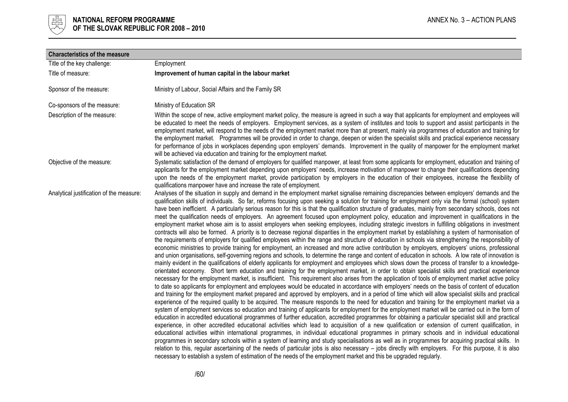

| <b>Characteristics of the measure</b>    |                                                                                                                                                                                                                                                                                                                                                                                                                                                                                                                                                                                                                                                                                                                                                                                                                                                                                                                                                                                                                                                                                                                                                                                                                                                                                                                                                                                                                                                                                                                                                                                                                                                                                                                                                                                                                                                                                                                                                                                                                                                                                                                                                                                                                                                                                                                                                                                                                                                                                                                                                                                                                                                                                                                                                                                                                                                                                                                                                                                                                                                                                                                                                                                                                                                                                                                                                                             |
|------------------------------------------|-----------------------------------------------------------------------------------------------------------------------------------------------------------------------------------------------------------------------------------------------------------------------------------------------------------------------------------------------------------------------------------------------------------------------------------------------------------------------------------------------------------------------------------------------------------------------------------------------------------------------------------------------------------------------------------------------------------------------------------------------------------------------------------------------------------------------------------------------------------------------------------------------------------------------------------------------------------------------------------------------------------------------------------------------------------------------------------------------------------------------------------------------------------------------------------------------------------------------------------------------------------------------------------------------------------------------------------------------------------------------------------------------------------------------------------------------------------------------------------------------------------------------------------------------------------------------------------------------------------------------------------------------------------------------------------------------------------------------------------------------------------------------------------------------------------------------------------------------------------------------------------------------------------------------------------------------------------------------------------------------------------------------------------------------------------------------------------------------------------------------------------------------------------------------------------------------------------------------------------------------------------------------------------------------------------------------------------------------------------------------------------------------------------------------------------------------------------------------------------------------------------------------------------------------------------------------------------------------------------------------------------------------------------------------------------------------------------------------------------------------------------------------------------------------------------------------------------------------------------------------------------------------------------------------------------------------------------------------------------------------------------------------------------------------------------------------------------------------------------------------------------------------------------------------------------------------------------------------------------------------------------------------------------------------------------------------------------------------------------------------------|
| Title of the key challenge:              | Employment                                                                                                                                                                                                                                                                                                                                                                                                                                                                                                                                                                                                                                                                                                                                                                                                                                                                                                                                                                                                                                                                                                                                                                                                                                                                                                                                                                                                                                                                                                                                                                                                                                                                                                                                                                                                                                                                                                                                                                                                                                                                                                                                                                                                                                                                                                                                                                                                                                                                                                                                                                                                                                                                                                                                                                                                                                                                                                                                                                                                                                                                                                                                                                                                                                                                                                                                                                  |
| Title of measure:                        | Improvement of human capital in the labour market                                                                                                                                                                                                                                                                                                                                                                                                                                                                                                                                                                                                                                                                                                                                                                                                                                                                                                                                                                                                                                                                                                                                                                                                                                                                                                                                                                                                                                                                                                                                                                                                                                                                                                                                                                                                                                                                                                                                                                                                                                                                                                                                                                                                                                                                                                                                                                                                                                                                                                                                                                                                                                                                                                                                                                                                                                                                                                                                                                                                                                                                                                                                                                                                                                                                                                                           |
| Sponsor of the measure:                  | Ministry of Labour, Social Affairs and the Family SR                                                                                                                                                                                                                                                                                                                                                                                                                                                                                                                                                                                                                                                                                                                                                                                                                                                                                                                                                                                                                                                                                                                                                                                                                                                                                                                                                                                                                                                                                                                                                                                                                                                                                                                                                                                                                                                                                                                                                                                                                                                                                                                                                                                                                                                                                                                                                                                                                                                                                                                                                                                                                                                                                                                                                                                                                                                                                                                                                                                                                                                                                                                                                                                                                                                                                                                        |
| Co-sponsors of the measure:              | Ministry of Education SR                                                                                                                                                                                                                                                                                                                                                                                                                                                                                                                                                                                                                                                                                                                                                                                                                                                                                                                                                                                                                                                                                                                                                                                                                                                                                                                                                                                                                                                                                                                                                                                                                                                                                                                                                                                                                                                                                                                                                                                                                                                                                                                                                                                                                                                                                                                                                                                                                                                                                                                                                                                                                                                                                                                                                                                                                                                                                                                                                                                                                                                                                                                                                                                                                                                                                                                                                    |
| Description of the measure:              | Within the scope of new, active employment market policy, the measure is agreed in such a way that applicants for employment and employees will<br>be educated to meet the needs of employers. Employment services, as a system of institutes and tools to support and assist participants in the<br>employment market, will respond to the needs of the employment market more than at present, mainly via programmes of education and training for<br>the employment market. Programmes will be provided in order to change, deepen or widen the specialist skills and practical experience necessary<br>for performance of jobs in workplaces depending upon employers' demands. Improvement in the quality of manpower for the employment market<br>will be achieved via education and training for the employment market.                                                                                                                                                                                                                                                                                                                                                                                                                                                                                                                                                                                                                                                                                                                                                                                                                                                                                                                                                                                                                                                                                                                                                                                                                                                                                                                                                                                                                                                                                                                                                                                                                                                                                                                                                                                                                                                                                                                                                                                                                                                                                                                                                                                                                                                                                                                                                                                                                                                                                                                                              |
| Objective of the measure:                | Systematic satisfaction of the demand of employers for qualified manpower, at least from some applicants for employment, education and training of<br>applicants for the employment market depending upon employers' needs, increase motivation of manpower to change their qualifications depending<br>upon the needs of the employment market, provide participation by employers in the education of their employees, increase the flexibility of<br>qualifications manpower have and increase the rate of employment.                                                                                                                                                                                                                                                                                                                                                                                                                                                                                                                                                                                                                                                                                                                                                                                                                                                                                                                                                                                                                                                                                                                                                                                                                                                                                                                                                                                                                                                                                                                                                                                                                                                                                                                                                                                                                                                                                                                                                                                                                                                                                                                                                                                                                                                                                                                                                                                                                                                                                                                                                                                                                                                                                                                                                                                                                                                   |
| Analytical justification of the measure: | Analyses of the situation in supply and demand in the employment market signalise remaining discrepancies between employers' demands and the<br>qualification skills of individuals. So far, reforms focusing upon seeking a solution for training for employment only via the formal (school) system<br>have been inefficient. A particularly serious reason for this is that the qualification structure of graduates, mainly from secondary schools, does not<br>meet the qualification needs of employers. An agreement focused upon employment policy, education and improvement in qualifications in the<br>employment market whose aim is to assist employers when seeking employees, including strategic investors in fulfilling obligations in investment<br>contracts will also be formed. A priority is to decrease regional disparities in the employment market by establishing a system of harmonisation of<br>the requirements of employers for qualified employees within the range and structure of education in schools via strengthening the responsibility of<br>economic ministries to provide training for employment, an increased and more active contribution by employers, employers' unions, professional<br>and union organisations, self-governing regions and schools, to determine the range and content of education in schools. A low rate of innovation is<br>mainly evident in the qualifications of elderly applicants for employment and employees which slows down the process of transfer to a knowledge-<br>orientated economy. Short term education and training for the employment market, in order to obtain specialist skills and practical experience<br>necessary for the employment market, is insufficient. This requirement also arises from the application of tools of employment market active policy<br>to date so applicants for employment and employees would be educated in accordance with employers' needs on the basis of content of education<br>and training for the employment market prepared and approved by employers, and in a period of time which will allow specialist skills and practical<br>experience of the required quality to be acquired. The measure responds to the need for education and training for the employment market via a<br>system of employment services so education and training of applicants for employment for the employment market will be carried out in the form of<br>education in accredited educational programmes of further education, accredited programmes for obtaining a particular specialist skill and practical<br>experience, in other accredited educational activities which lead to acquisition of a new qualification or extension of current qualification, in<br>educational activities within international programmes, in individual educational programmes in primary schools and in individual educational<br>programmes in secondary schools within a system of learning and study specialisations as well as in programmes for acquiring practical skills. In<br>relation to this, regular ascertaining of the needs of particular jobs is also necessary - jobs directly with employers. For this purpose, it is also<br>necessary to establish a system of estimation of the needs of the employment market and this be upgraded regularly. |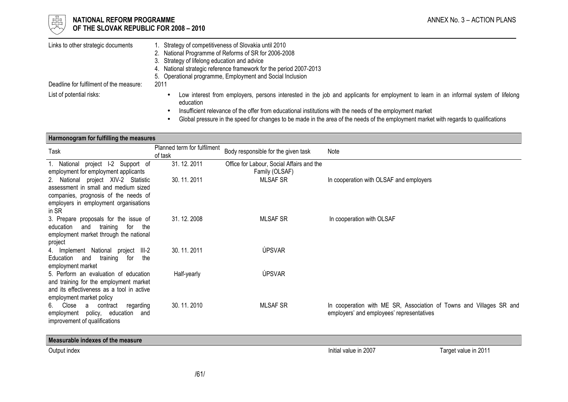

# $\frac{1}{\frac{1}{\sqrt{10}}}\sqrt{2}$  NATIONAL REFORM PROGRAMME ANNEX No. 3 – ACTION PLANS OF THE SLOVAK REPUBLIC FOR 2008 – 2010

| Links to other strategic documents      | Strategy of competitiveness of Slovakia until 2010<br>2. National Programme of Reforms of SR for 2006-2008<br>3. Strategy of lifelong education and advice<br>4. National strategic reference framework for the period 2007-2013<br>5. Operational programme, Employment and Social Inclusion |
|-----------------------------------------|-----------------------------------------------------------------------------------------------------------------------------------------------------------------------------------------------------------------------------------------------------------------------------------------------|
| Deadline for fulfilment of the measure: | 2011                                                                                                                                                                                                                                                                                          |
| List of potential risks:                | Low interest from employers, persons interested in the job and applicants for employment to learn in an informal system of lifelong<br>education<br>Insufficient relevance of the offer from educational institutions with the needs of the employment market                                 |

•Global pressure in the speed for changes to be made in the area of the needs of the employment market with regards to qualifications

#### Harmonogram for fulfilling the measures

| Task                                                            | Planned term for fulfilment<br>of task | Body responsible for the given task       | Note                                                                |
|-----------------------------------------------------------------|----------------------------------------|-------------------------------------------|---------------------------------------------------------------------|
| 1. National project I-2 Support of                              | 31.12.2011                             | Office for Labour, Social Affairs and the |                                                                     |
| employment for employment applicants                            |                                        | Family (OLSAF)                            |                                                                     |
| 2. National project XIV-2 Statistic                             | 30.11.2011                             | <b>MLSAF SR</b>                           | In cooperation with OLSAF and employers                             |
| assessment in small and medium sized                            |                                        |                                           |                                                                     |
| companies, prognosis of the needs of                            |                                        |                                           |                                                                     |
| employers in employment organisations<br>in SR                  |                                        |                                           |                                                                     |
| 3. Prepare proposals for the issue of                           | 31.12.2008                             | <b>MLSAF SR</b>                           | In cooperation with OLSAF                                           |
| education<br>and<br>training<br>for<br>the                      |                                        |                                           |                                                                     |
| employment market through the national                          |                                        |                                           |                                                                     |
| project                                                         |                                        |                                           |                                                                     |
| 4. Implement National project<br>$III-2$                        | 30.11.2011                             | ÚPSVAR                                    |                                                                     |
| Education<br>training<br>and<br>for<br>the<br>employment market |                                        |                                           |                                                                     |
| 5. Perform an evaluation of education                           | Half-yearly                            | ÚPSVAR                                    |                                                                     |
| and training for the employment market                          |                                        |                                           |                                                                     |
| and its effectiveness as a tool in active                       |                                        |                                           |                                                                     |
| employment market policy                                        |                                        |                                           |                                                                     |
| Close<br>6.<br>a contract<br>regarding                          | 30.11.2010                             | <b>MLSAF SR</b>                           | In cooperation with ME SR, Association of Towns and Villages SR and |
| employment policy, education<br>and                             |                                        |                                           | employers' and employees' representatives                           |
| improvement of qualifications                                   |                                        |                                           |                                                                     |
|                                                                 |                                        |                                           |                                                                     |

Measurable indexes of the measure

Output index Target value in 2011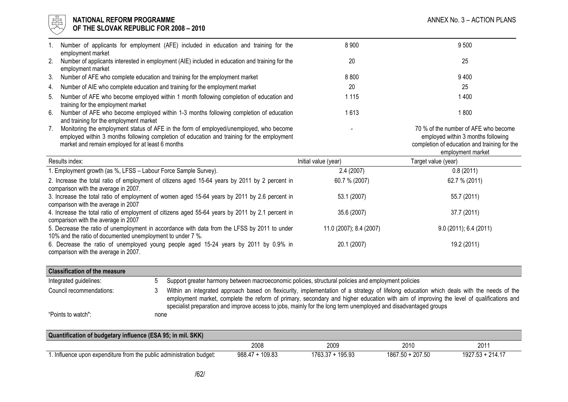

#### l 너는 NATIONAL REFORM PROGRAMME AND THE SECOND MANNEX No. 3 – ACTION PLANS ANNEX No. 3 – ACTION PLANS  $\forall\forall$  OF THE SLOVAK REPUBLIC FOR 2008 – 2010

|    | Number of applicants for employment (AFE) included in education and training for the<br>employment market                                                                                                                                | 8 9 0 0                 | 9500                                                                                                                       |
|----|------------------------------------------------------------------------------------------------------------------------------------------------------------------------------------------------------------------------------------------|-------------------------|----------------------------------------------------------------------------------------------------------------------------|
| 2. | Number of applicants interested in employment (AIE) included in education and training for the<br>employment market                                                                                                                      | 20                      | 25                                                                                                                         |
| 3. | Number of AFE who complete education and training for the employment market                                                                                                                                                              | 8 8 0 0                 | 9400                                                                                                                       |
| 4. | Number of AIE who complete education and training for the employment market                                                                                                                                                              | 20                      | 25                                                                                                                         |
| 5. | Number of AFE who become employed within 1 month following completion of education and<br>training for the employment market                                                                                                             | 1 1 1 5                 | 1400                                                                                                                       |
| 6. | Number of AFE who become employed within 1-3 months following completion of education<br>and training for the employment market                                                                                                          | 1613                    | 1800                                                                                                                       |
| 7. | Monitoring the employment status of AFE in the form of employed/unemployed, who become<br>employed within 3 months following completion of education and training for the employment<br>market and remain employed for at least 6 months |                         | 70 % of the number of AFE who become<br>employed within 3 months following<br>completion of education and training for the |
|    |                                                                                                                                                                                                                                          |                         | employment market                                                                                                          |
|    | Results index:                                                                                                                                                                                                                           | Initial value (year)    | Target value (year)                                                                                                        |
|    | 1. Employment growth (as %, LFSS - Labour Force Sample Survey).                                                                                                                                                                          | 2.4(2007)               | 0.8(2011)                                                                                                                  |
|    | 2. Increase the total ratio of employment of citizens aged 15-64 years by 2011 by 2 percent in                                                                                                                                           | 60.7 % (2007)           | 62.7 % (2011)                                                                                                              |
|    | comparison with the average in 2007.<br>3. Increase the total ratio of employment of women aged 15-64 years by 2011 by 2.6 percent in                                                                                                    | 53.1 (2007)             | 55.7 (2011)                                                                                                                |
|    | comparison with the average in 2007<br>4. Increase the total ratio of employment of citizens aged 55-64 years by 2011 by 2.1 percent in<br>comparison with the average in 2007                                                           | 35.6 (2007)             | 37.7 (2011)                                                                                                                |
|    | 5. Decrease the ratio of unemployment in accordance with data from the LFSS by 2011 to under<br>10% and the ratio of documented unemployment to under 7 %.                                                                               | 11.0 (2007); 8.4 (2007) | 9.0(2011); 6.4(2011)                                                                                                       |

| <b>Classification of the measure</b> |      |                                                                                                                                                                                                                                                                                                                                                                                                        |  |  |  |
|--------------------------------------|------|--------------------------------------------------------------------------------------------------------------------------------------------------------------------------------------------------------------------------------------------------------------------------------------------------------------------------------------------------------------------------------------------------------|--|--|--|
| Integrated guidelines:               | ٠h   | Support greater harmony between macroeconomic policies, structural policies and employment policies                                                                                                                                                                                                                                                                                                    |  |  |  |
| Council recommendations:             |      | Within an integrated approach based on flexicurity, implementation of a strategy of lifelong education which deals with the needs of the<br>employment market, complete the reform of primary, secondary and higher education with aim of improving the level of qualifications and<br>specialist preparation and improve access to jobs, mainly for the long term unemployed and disadvantaged groups |  |  |  |
| "Points to watch":                   | none |                                                                                                                                                                                                                                                                                                                                                                                                        |  |  |  |

| Quantification of budgetary influence (ESA 95; in mil. SKK)       |                   |                  |                  |                  |  |
|-------------------------------------------------------------------|-------------------|------------------|------------------|------------------|--|
|                                                                   | 2008              | 2009             | 2010             | 201              |  |
| Influence upon expenditure from the public administration budget: | $988.47 + 109.83$ | 1763.37 + 195.93 | 1867.50 + 207.50 | 1927.53 + 214.17 |  |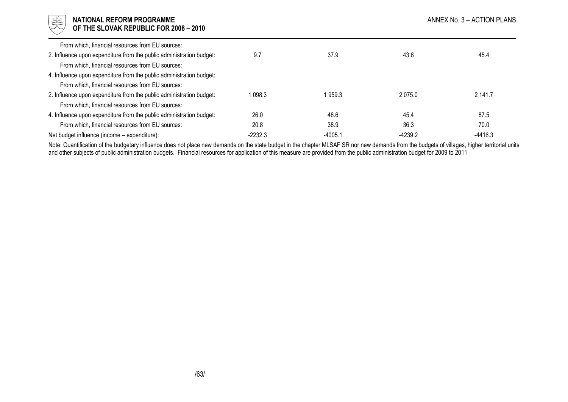| 强<br><b>NATIONAL REFORM PROGRAMME</b><br>ANNEX No. 3 - ACTION PLANS<br>OF THE SLOVAK REPUBLIC FOR 2008 - 2010            |           |           |           |           |
|--------------------------------------------------------------------------------------------------------------------------|-----------|-----------|-----------|-----------|
| From which, financial resources from EU sources:                                                                         |           |           |           |           |
| 2. Influence upon expenditure from the public administration budget:<br>From which, financial resources from EU sources: | 9.7       | 37.9      | 43.8      | 45.4      |
| 4. Influence upon expenditure from the public administration budget:<br>From which, financial resources from EU sources: |           |           |           |           |
| 2. Influence upon expenditure from the public administration budget:<br>From which, financial resources from EU sources: | 1 098.3   | 959.3     | 2075.0    | 2 141.7   |
| 4. Influence upon expenditure from the public administration budget:                                                     | 26.0      | 48.6      | 45.4      | 87.5      |
| From which, financial resources from EU sources:                                                                         | 20.8      | 38.9      | 36.3      | 70.0      |
| Net budget influence (income – expenditure):                                                                             | $-2232.3$ | $-4005.1$ | $-4239.2$ | $-4416.3$ |

Note: Quantification of the budgetary influence does not place new demands on the state budget in the chapter MLSAF SR nor new demands from the budgets of villages, higher territorial units<br>and other subjects of public adm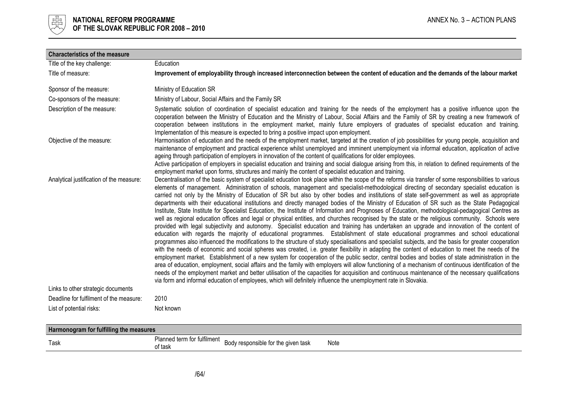

| <b>Characteristics of the measure</b>    |                                                                                                                                                                                                                                                                                                                                                                                                                                                                                                                                                                                                                                                                                                                                                                                                                                                                                                                                                                                                                                                                                                                                                                                                                                                                                                                                                                                                                                                                                                                                                                                                                                                                                                                                                                                                                                                                                                                                                                                                                                                                                                              |
|------------------------------------------|--------------------------------------------------------------------------------------------------------------------------------------------------------------------------------------------------------------------------------------------------------------------------------------------------------------------------------------------------------------------------------------------------------------------------------------------------------------------------------------------------------------------------------------------------------------------------------------------------------------------------------------------------------------------------------------------------------------------------------------------------------------------------------------------------------------------------------------------------------------------------------------------------------------------------------------------------------------------------------------------------------------------------------------------------------------------------------------------------------------------------------------------------------------------------------------------------------------------------------------------------------------------------------------------------------------------------------------------------------------------------------------------------------------------------------------------------------------------------------------------------------------------------------------------------------------------------------------------------------------------------------------------------------------------------------------------------------------------------------------------------------------------------------------------------------------------------------------------------------------------------------------------------------------------------------------------------------------------------------------------------------------------------------------------------------------------------------------------------------------|
| Title of the key challenge:              | Education                                                                                                                                                                                                                                                                                                                                                                                                                                                                                                                                                                                                                                                                                                                                                                                                                                                                                                                                                                                                                                                                                                                                                                                                                                                                                                                                                                                                                                                                                                                                                                                                                                                                                                                                                                                                                                                                                                                                                                                                                                                                                                    |
| Title of measure:                        | Improvement of employability through increased interconnection between the content of education and the demands of the labour market                                                                                                                                                                                                                                                                                                                                                                                                                                                                                                                                                                                                                                                                                                                                                                                                                                                                                                                                                                                                                                                                                                                                                                                                                                                                                                                                                                                                                                                                                                                                                                                                                                                                                                                                                                                                                                                                                                                                                                         |
| Sponsor of the measure:                  | Ministry of Education SR                                                                                                                                                                                                                                                                                                                                                                                                                                                                                                                                                                                                                                                                                                                                                                                                                                                                                                                                                                                                                                                                                                                                                                                                                                                                                                                                                                                                                                                                                                                                                                                                                                                                                                                                                                                                                                                                                                                                                                                                                                                                                     |
| Co-sponsors of the measure:              | Ministry of Labour, Social Affairs and the Family SR                                                                                                                                                                                                                                                                                                                                                                                                                                                                                                                                                                                                                                                                                                                                                                                                                                                                                                                                                                                                                                                                                                                                                                                                                                                                                                                                                                                                                                                                                                                                                                                                                                                                                                                                                                                                                                                                                                                                                                                                                                                         |
| Description of the measure:              | Systematic solution of coordination of specialist education and training for the needs of the employment has a positive influence upon the<br>cooperation between the Ministry of Education and the Ministry of Labour, Social Affairs and the Family of SR by creating a new framework of<br>cooperation between institutions in the employment market, mainly future employers of graduates of specialist education and training.<br>Implementation of this measure is expected to bring a positive impact upon employment.                                                                                                                                                                                                                                                                                                                                                                                                                                                                                                                                                                                                                                                                                                                                                                                                                                                                                                                                                                                                                                                                                                                                                                                                                                                                                                                                                                                                                                                                                                                                                                                |
| Objective of the measure:                | Harmonisation of education and the needs of the employment market, targeted at the creation of job possibilities for young people, acquisition and<br>maintenance of employment and practical experience whilst unemployed and imminent unemployment via informal education, application of active<br>ageing through participation of employers in innovation of the content of qualifications for older employees.<br>Active participation of employers in specialist education and training and social dialogue arising from this, in relation to defined requirements of the<br>employment market upon forms, structures and mainly the content of specialist education and training.                                                                                                                                                                                                                                                                                                                                                                                                                                                                                                                                                                                                                                                                                                                                                                                                                                                                                                                                                                                                                                                                                                                                                                                                                                                                                                                                                                                                                     |
| Analytical justification of the measure: | Decentralisation of the basic system of specialist education took place within the scope of the reforms via transfer of some responsibilities to various<br>elements of management. Administration of schools, management and specialist-methodological directing of secondary specialist education is<br>carried not only by the Ministry of Education of SR but also by other bodies and institutions of state self-government as well as appropriate<br>departments with their educational institutions and directly managed bodies of the Ministry of Education of SR such as the State Pedagogical<br>Institute, State Institute for Specialist Education, the Institute of Information and Prognoses of Education, methodological-pedagogical Centres as<br>well as regional education offices and legal or physical entities, and churches recognised by the state or the religious community. Schools were<br>provided with legal subjectivity and autonomy. Specialist education and training has undertaken an upgrade and innovation of the content of<br>education with regards the majority of educational programmes. Establishment of state educational programmes and school educational<br>programmes also influenced the modifications to the structure of study specialisations and specialist subjects, and the basis for greater cooperation<br>with the needs of economic and social spheres was created, i.e. greater flexibility in adapting the content of education to meet the needs of the<br>employment market. Establishment of a new system for cooperation of the public sector, central bodies and bodies of state administration in the<br>area of education, employment, social affairs and the family with employers will allow functioning of a mechanism of continuous identification of the<br>needs of the employment market and better utilisation of the capacities for acquisition and continuous maintenance of the necessary qualifications<br>via form and informal education of employees, which will definitely influence the unemployment rate in Slovakia. |
| Links to other strategic documents       |                                                                                                                                                                                                                                                                                                                                                                                                                                                                                                                                                                                                                                                                                                                                                                                                                                                                                                                                                                                                                                                                                                                                                                                                                                                                                                                                                                                                                                                                                                                                                                                                                                                                                                                                                                                                                                                                                                                                                                                                                                                                                                              |
| Deadline for fulfilment of the measure:  | 2010                                                                                                                                                                                                                                                                                                                                                                                                                                                                                                                                                                                                                                                                                                                                                                                                                                                                                                                                                                                                                                                                                                                                                                                                                                                                                                                                                                                                                                                                                                                                                                                                                                                                                                                                                                                                                                                                                                                                                                                                                                                                                                         |
| List of potential risks:                 | Not known                                                                                                                                                                                                                                                                                                                                                                                                                                                                                                                                                                                                                                                                                                                                                                                                                                                                                                                                                                                                                                                                                                                                                                                                                                                                                                                                                                                                                                                                                                                                                                                                                                                                                                                                                                                                                                                                                                                                                                                                                                                                                                    |

| Harmonogram for fulfilling the measures |                                        |                                     |      |  |
|-----------------------------------------|----------------------------------------|-------------------------------------|------|--|
| Task                                    | Planned term for fulfilment<br>of task | Body responsible for the given task | Note |  |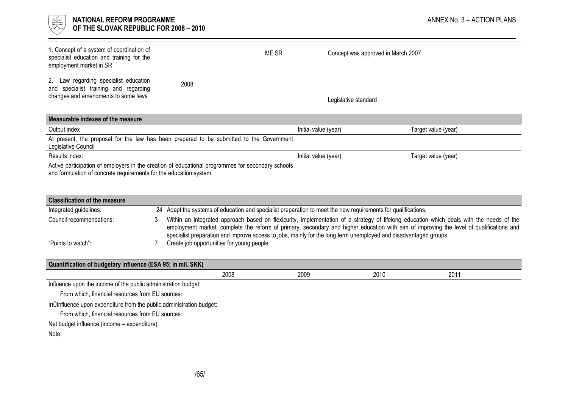

| 1. Concept of a system of coordination of<br>specialist education and training for the<br>employment market in SR     |      | ME SR<br>Concept was approved in March 2007. |                     |  |  |
|-----------------------------------------------------------------------------------------------------------------------|------|----------------------------------------------|---------------------|--|--|
| 2. Law regarding specialist education<br>and specialist training and regarding<br>changes and amendments to some laws | 2008 | Legislative standard                         |                     |  |  |
| Measurable indexes of the measure                                                                                     |      |                                              |                     |  |  |
| Output index                                                                                                          |      | Initial value (year)                         | Target value (year) |  |  |
| At present, the proposal for the law has been prepared to be submitted to the Government<br>Legislative Council       |      |                                              |                     |  |  |
| Results index:                                                                                                        |      | Initial value (year)                         | Target value (year) |  |  |
| Active participation of employers in the creation of educational programmes for secondary schools                     |      |                                              |                     |  |  |

and formulation of concrete requirements for the education system

| <b>Classification of the measure</b> |  |                                                                                                                                                                                                                                                                                                                                                                                                         |  |  |  |
|--------------------------------------|--|---------------------------------------------------------------------------------------------------------------------------------------------------------------------------------------------------------------------------------------------------------------------------------------------------------------------------------------------------------------------------------------------------------|--|--|--|
| Integrated guidelines:               |  | 24 Adapt the systems of education and specialist preparation to meet the new requirements for qualifications.                                                                                                                                                                                                                                                                                           |  |  |  |
| Council recommendations:             |  | Within an integrated approach based on flexicurity, implementation of a strategy of lifelong education which deals with the needs of the<br>employment market, complete the reform of primary, secondary and higher education with aim of improving the level of qualifications and<br>specialist preparation and improve access to jobs, mainly for the long term unemployed and disadvantaged groups. |  |  |  |
| "Points to watch":                   |  | Create job opportunities for young people                                                                                                                                                                                                                                                                                                                                                               |  |  |  |

| Quantification of budgetary influence (ESA 95; in mil. SKK)    |                                                                      |      |      |      |  |  |
|----------------------------------------------------------------|----------------------------------------------------------------------|------|------|------|--|--|
|                                                                | 2008                                                                 | 2009 | 2010 | 2011 |  |  |
| Influence upon the income of the public administration budget: |                                                                      |      |      |      |  |  |
| From which, financial resources from EU sources:               |                                                                      |      |      |      |  |  |
|                                                                | inOInfluence upon expenditure from the public administration budget: |      |      |      |  |  |
| From which, financial resources from EU sources:               |                                                                      |      |      |      |  |  |
| Net budget influence (income – expenditure):                   |                                                                      |      |      |      |  |  |
| Note:                                                          |                                                                      |      |      |      |  |  |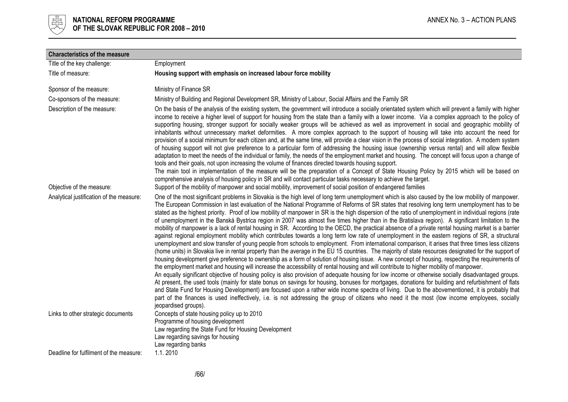

| <b>Characteristics of the measure</b>    |                                                                                                                                                                                                                                                                                                                                                                                                                                                                                                                                                                                                                                                                                                                                                                                                                                                                                                                                                                                                                                                                                                                                                                                                                                                                                                                                                                                                                                                                                                                                                                                                                                                                                                                                                                                                                                                                                                                                                                                                                                                                                                                                                                  |
|------------------------------------------|------------------------------------------------------------------------------------------------------------------------------------------------------------------------------------------------------------------------------------------------------------------------------------------------------------------------------------------------------------------------------------------------------------------------------------------------------------------------------------------------------------------------------------------------------------------------------------------------------------------------------------------------------------------------------------------------------------------------------------------------------------------------------------------------------------------------------------------------------------------------------------------------------------------------------------------------------------------------------------------------------------------------------------------------------------------------------------------------------------------------------------------------------------------------------------------------------------------------------------------------------------------------------------------------------------------------------------------------------------------------------------------------------------------------------------------------------------------------------------------------------------------------------------------------------------------------------------------------------------------------------------------------------------------------------------------------------------------------------------------------------------------------------------------------------------------------------------------------------------------------------------------------------------------------------------------------------------------------------------------------------------------------------------------------------------------------------------------------------------------------------------------------------------------|
| Title of the key challenge:              | Employment                                                                                                                                                                                                                                                                                                                                                                                                                                                                                                                                                                                                                                                                                                                                                                                                                                                                                                                                                                                                                                                                                                                                                                                                                                                                                                                                                                                                                                                                                                                                                                                                                                                                                                                                                                                                                                                                                                                                                                                                                                                                                                                                                       |
| Title of measure:                        | Housing support with emphasis on increased labour force mobility                                                                                                                                                                                                                                                                                                                                                                                                                                                                                                                                                                                                                                                                                                                                                                                                                                                                                                                                                                                                                                                                                                                                                                                                                                                                                                                                                                                                                                                                                                                                                                                                                                                                                                                                                                                                                                                                                                                                                                                                                                                                                                 |
| Sponsor of the measure:                  | Ministry of Finance SR                                                                                                                                                                                                                                                                                                                                                                                                                                                                                                                                                                                                                                                                                                                                                                                                                                                                                                                                                                                                                                                                                                                                                                                                                                                                                                                                                                                                                                                                                                                                                                                                                                                                                                                                                                                                                                                                                                                                                                                                                                                                                                                                           |
| Co-sponsors of the measure:              | Ministry of Building and Regional Development SR, Ministry of Labour, Social Affairs and the Family SR                                                                                                                                                                                                                                                                                                                                                                                                                                                                                                                                                                                                                                                                                                                                                                                                                                                                                                                                                                                                                                                                                                                                                                                                                                                                                                                                                                                                                                                                                                                                                                                                                                                                                                                                                                                                                                                                                                                                                                                                                                                           |
| Description of the measure:              | On the basis of the analysis of the existing system, the government will introduce a socially orientated system which will prevent a family with higher<br>income to receive a higher level of support for housing from the state than a family with a lower income. Via a complex approach to the policy of<br>supporting housing, stronger support for socially weaker groups will be achieved as well as improvement in social and geographic mobility of<br>inhabitants without unnecessary market deformities. A more complex approach to the support of housing will take into account the need for<br>provision of a social minimum for each citizen and, at the same time, will provide a clear vision in the process of social integration. A modern system<br>of housing support will not give preference to a particular form of addressing the housing issue (ownership versus rental) and will allow flexible<br>adaptation to meet the needs of the individual or family, the needs of the employment market and housing. The concept will focus upon a change of<br>tools and their goals, not upon increasing the volume of finances directed towards housing support.<br>The main tool in implementation of the measure will be the preparation of a Concept of State Housing Policy by 2015 which will be based on<br>comprehensive analysis of housing policy in SR and will contact particular tasks necessary to achieve the target.                                                                                                                                                                                                                                                                                                                                                                                                                                                                                                                                                                                                                                                                                                        |
| Objective of the measure:                | Support of the mobility of manpower and social mobility, improvement of social position of endangered families                                                                                                                                                                                                                                                                                                                                                                                                                                                                                                                                                                                                                                                                                                                                                                                                                                                                                                                                                                                                                                                                                                                                                                                                                                                                                                                                                                                                                                                                                                                                                                                                                                                                                                                                                                                                                                                                                                                                                                                                                                                   |
| Analytical justification of the measure: | One of the most significant problems in Slovakia is the high level of long term unemployment which is also caused by the low mobility of manpower.<br>The European Commission in last evaluation of the National Programme of Reforms of SR states that resolving long term unemployment has to be<br>stated as the highest priority. Proof of low mobility of manpower in SR is the high dispersion of the ratio of unemployment in individual regions (rate<br>of unemployment in the Banská Bystrica region in 2007 was almost five times higher than in the Bratislava region). A significant limitation to the<br>mobility of manpower is a lack of rental housing in SR. According to the OECD, the practical absence of a private rental housing market is a barrier<br>against regional employment mobility which contributes towards a long term low rate of unemployment in the eastern regions of SR, a structural<br>unemployment and slow transfer of young people from schools to employment. From international comparison, it arises that three times less citizens<br>(home units) in Slovakia live in rental property than the average in the EU 15 countries. The majority of state resources designated for the support of<br>housing development give preference to ownership as a form of solution of housing issue. A new concept of housing, respecting the requirements of<br>the employment market and housing will increase the accessibility of rental housing and will contribute to higher mobility of manpower.<br>An equally significant objective of housing policy is also provision of adequate housing for low income or otherwise socially disadvantaged groups.<br>At present, the used tools (mainly for state bonus on savings for housing, bonuses for mortgages, donations for building and refurbishment of flats<br>and State Fund for Housing Development) are focused upon a rather wide income spectra of living. Due to the abovementioned, it is probably that<br>part of the finances is used ineffectively, i.e. is not addressing the group of citizens who need it the most (low income employees, socially |
| Links to other strategic documents       | jeopardised groups).<br>Concepts of state housing policy up to 2010<br>Programme of housing development<br>Law regarding the State Fund for Housing Development<br>Law regarding savings for housing<br>Law regarding banks                                                                                                                                                                                                                                                                                                                                                                                                                                                                                                                                                                                                                                                                                                                                                                                                                                                                                                                                                                                                                                                                                                                                                                                                                                                                                                                                                                                                                                                                                                                                                                                                                                                                                                                                                                                                                                                                                                                                      |
| Deadline for fulfilment of the measure:  | 1.1.2010                                                                                                                                                                                                                                                                                                                                                                                                                                                                                                                                                                                                                                                                                                                                                                                                                                                                                                                                                                                                                                                                                                                                                                                                                                                                                                                                                                                                                                                                                                                                                                                                                                                                                                                                                                                                                                                                                                                                                                                                                                                                                                                                                         |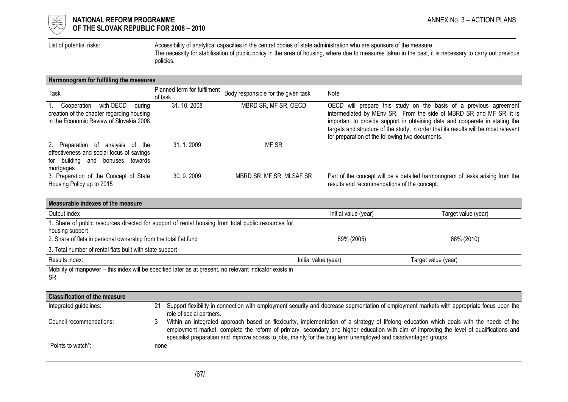

List of potential risks: Accessibility of analytical capacities in the central bodies of state administration who are sponsors of the measure. The necessity for stabilisation of public policy in the area of housing, where due to measures taken in the past, it is necessary to carry out previous policies.

#### Harmonogram for fulfilling the measures

| Task                                                                                                                               | Planned term for fulfilment<br>of task | Body responsible for the given task | Note                                                                                                                                                                                                                                                                                                                                                              |
|------------------------------------------------------------------------------------------------------------------------------------|----------------------------------------|-------------------------------------|-------------------------------------------------------------------------------------------------------------------------------------------------------------------------------------------------------------------------------------------------------------------------------------------------------------------------------------------------------------------|
| with OECD<br>Cooperation<br>durina<br>creation of the chapter regarding housing<br>in the Economic Review of Slovakia 2008         | 31.10.2008                             | MBRD SR, MF SR, OECD                | OECD will prepare this study on the basis of a previous agreement<br>intermediated by MEnv SR. From the side of MBRD SR and MF SR, it is<br>important to provide support in obtaining data and cooperate in stating the<br>targets and structure of the study, in order that its results will be most relevant<br>for preparation of the following two documents. |
| 2. Preparation of analysis of the<br>effectiveness and social focus of savings<br>for building and<br>bonuses towards<br>mortgages | 31, 1, 2009                            | MF SR                               |                                                                                                                                                                                                                                                                                                                                                                   |
| 3. Preparation of the Concept of State<br>Housing Policy up to 2015                                                                | 30.9.2009                              | MBRD SR, MF SR, MLSAF SR            | Part of the concept will be a detailed harmonogram of tasks arising from the<br>results and recommendations of the concept.                                                                                                                                                                                                                                       |

| Measurable indexes of the measure                                                                                                                                                          |                      |                     |  |  |  |
|--------------------------------------------------------------------------------------------------------------------------------------------------------------------------------------------|----------------------|---------------------|--|--|--|
| Output index                                                                                                                                                                               | Initial value (year) | Target value (year) |  |  |  |
| 1. Share of public resources directed for support of rental housing from total public resources for<br>housing support<br>2. Share of flats in personal ownership from the total flat fund | 89% (2005)           | 86% (2010)          |  |  |  |
| 3. Total number of rental flats built with state support                                                                                                                                   |                      |                     |  |  |  |
| Results index:                                                                                                                                                                             | Initial value (year) | Target value (year) |  |  |  |
| Mobility of manpower – this index will be specified later as at present, no relevant indicator exists in<br>SR.                                                                            |                      |                     |  |  |  |

| <b>Classification of the measure</b> |      |                                                                                                                                                                                                                                                                                                                                                                                                         |
|--------------------------------------|------|---------------------------------------------------------------------------------------------------------------------------------------------------------------------------------------------------------------------------------------------------------------------------------------------------------------------------------------------------------------------------------------------------------|
| Integrated guidelines:               | 21   | Support flexibility in connection with employment security and decrease segmentation of employment markets with appropriate focus upon the<br>role of social partners.                                                                                                                                                                                                                                  |
| Council recommendations:             |      | Within an integrated approach based on flexicurity, implementation of a strategy of lifelong education which deals with the needs of the<br>employment market, complete the reform of primary, secondary and higher education with aim of improving the level of qualifications and<br>specialist preparation and improve access to jobs, mainly for the long term unemployed and disadvantaged groups. |
| "Points to watch":                   | none |                                                                                                                                                                                                                                                                                                                                                                                                         |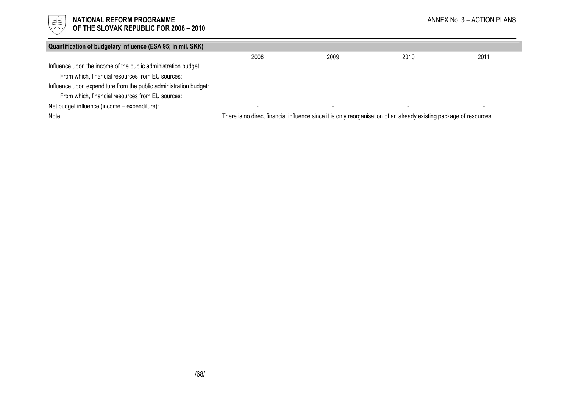

# $\begin{array}{cc} \frac{17}{150} \\ \frac{17}{150} \end{array}$  NATIONAL REFORM PROGRAMME<br>Of the slovak republic for 2008 – 2010

OF THE SLOVAK REPUBLIC FOR 2008 – 2010

| Quantification of budgetary influence (ESA 95; in mil. SKK)       |                                                                                                                     |      |      |      |
|-------------------------------------------------------------------|---------------------------------------------------------------------------------------------------------------------|------|------|------|
|                                                                   | 2008                                                                                                                | 2009 | 2010 | 2011 |
| Influence upon the income of the public administration budget:    |                                                                                                                     |      |      |      |
| From which, financial resources from EU sources:                  |                                                                                                                     |      |      |      |
| Influence upon expenditure from the public administration budget: |                                                                                                                     |      |      |      |
| From which, financial resources from EU sources:                  |                                                                                                                     |      |      |      |
| Net budget influence (income - expenditure):                      |                                                                                                                     |      |      |      |
| Note:                                                             | There is no direct financial influence since it is only reorganisation of an already existing package of resources. |      |      |      |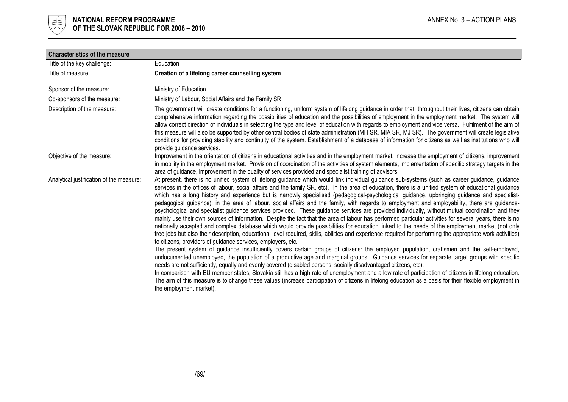

| <b>Characteristics of the measure</b>    |                                                                                                                                                                                                                                                                                                                                                                                                                                                                                                                                                                                                                                                                                                                                                                                                                                                                                                                                                                                                                                                                                                                                                                                                                                                                                                                                                                                                                                                                                                                                                                                                                                                                                                                                                                                                                                                                                                                                                                                                                                                                                |
|------------------------------------------|--------------------------------------------------------------------------------------------------------------------------------------------------------------------------------------------------------------------------------------------------------------------------------------------------------------------------------------------------------------------------------------------------------------------------------------------------------------------------------------------------------------------------------------------------------------------------------------------------------------------------------------------------------------------------------------------------------------------------------------------------------------------------------------------------------------------------------------------------------------------------------------------------------------------------------------------------------------------------------------------------------------------------------------------------------------------------------------------------------------------------------------------------------------------------------------------------------------------------------------------------------------------------------------------------------------------------------------------------------------------------------------------------------------------------------------------------------------------------------------------------------------------------------------------------------------------------------------------------------------------------------------------------------------------------------------------------------------------------------------------------------------------------------------------------------------------------------------------------------------------------------------------------------------------------------------------------------------------------------------------------------------------------------------------------------------------------------|
| Title of the key challenge:              | Education                                                                                                                                                                                                                                                                                                                                                                                                                                                                                                                                                                                                                                                                                                                                                                                                                                                                                                                                                                                                                                                                                                                                                                                                                                                                                                                                                                                                                                                                                                                                                                                                                                                                                                                                                                                                                                                                                                                                                                                                                                                                      |
| Title of measure:                        | Creation of a lifelong career counselling system                                                                                                                                                                                                                                                                                                                                                                                                                                                                                                                                                                                                                                                                                                                                                                                                                                                                                                                                                                                                                                                                                                                                                                                                                                                                                                                                                                                                                                                                                                                                                                                                                                                                                                                                                                                                                                                                                                                                                                                                                               |
| Sponsor of the measure:                  | Ministry of Education                                                                                                                                                                                                                                                                                                                                                                                                                                                                                                                                                                                                                                                                                                                                                                                                                                                                                                                                                                                                                                                                                                                                                                                                                                                                                                                                                                                                                                                                                                                                                                                                                                                                                                                                                                                                                                                                                                                                                                                                                                                          |
| Co-sponsors of the measure:              | Ministry of Labour, Social Affairs and the Family SR                                                                                                                                                                                                                                                                                                                                                                                                                                                                                                                                                                                                                                                                                                                                                                                                                                                                                                                                                                                                                                                                                                                                                                                                                                                                                                                                                                                                                                                                                                                                                                                                                                                                                                                                                                                                                                                                                                                                                                                                                           |
| Description of the measure:              | The government will create conditions for a functioning, uniform system of lifelong guidance in order that, throughout their lives, citizens can obtain<br>comprehensive information regarding the possibilities of education and the possibilities of employment in the employment market. The system will<br>allow correct direction of individuals in selecting the type and level of education with regards to employment and vice versa. Fulfilment of the aim of<br>this measure will also be supported by other central bodies of state administration (MH SR, MIA SR, MJ SR). The government will create legislative<br>conditions for providing stability and continuity of the system. Establishment of a database of information for citizens as well as institutions who will<br>provide guidance services.                                                                                                                                                                                                                                                                                                                                                                                                                                                                                                                                                                                                                                                                                                                                                                                                                                                                                                                                                                                                                                                                                                                                                                                                                                                        |
| Objective of the measure:                | Improvement in the orientation of citizens in educational activities and in the employment market, increase the employment of citizens, improvement<br>in mobility in the employment market. Provision of coordination of the activities of system elements, implementation of specific strategy targets in the<br>area of guidance, improvement in the quality of services provided and specialist training of advisors.                                                                                                                                                                                                                                                                                                                                                                                                                                                                                                                                                                                                                                                                                                                                                                                                                                                                                                                                                                                                                                                                                                                                                                                                                                                                                                                                                                                                                                                                                                                                                                                                                                                      |
| Analytical justification of the measure: | At present, there is no unified system of lifelong guidance which would link individual guidance sub-systems (such as career guidance, guidance<br>services in the offices of labour, social affairs and the family SR, etc). In the area of education, there is a unified system of educational guidance<br>which has a long history and experience but is narrowly specialised (pedagogical-psychological guidance, upbringing guidance and specialist-<br>pedagogical guidance); in the area of labour, social affairs and the family, with regards to employment and employability, there are guidance-<br>psychological and specialist guidance services provided. These guidance services are provided individually, without mutual coordination and they<br>mainly use their own sources of information. Despite the fact that the area of labour has performed particular activities for several years, there is no<br>nationally accepted and complex database which would provide possibilities for education linked to the needs of the employment market (not only<br>free jobs but also their description, educational level required, skills, abilities and experience required for performing the appropriate work activities)<br>to citizens, providers of guidance services, employers, etc.<br>The present system of guidance insufficiently covers certain groups of citizens: the employed population, craftsmen and the self-employed,<br>undocumented unemployed, the population of a productive age and marginal groups. Guidance services for separate target groups with specific<br>needs are not sufficiently, equally and evenly covered (disabled persons, socially disadvantaged citizens, etc).<br>In comparison with EU member states, Slovakia still has a high rate of unemployment and a low rate of participation of citizens in lifelong education.<br>The aim of this measure is to change these values (increase participation of citizens in lifelong education as a basis for their flexible employment in<br>the employment market). |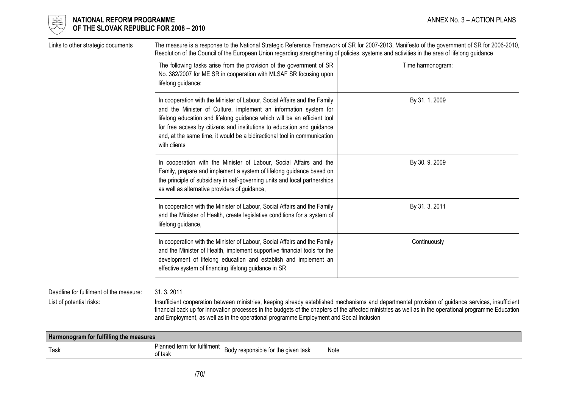

# $\begin{array}{cc} \frac{17}{150} \\ \frac{17}{150} \end{array}$  NATIONAL REFORM PROGRAMME<br>Of the slovak republic for 2008 – 2010 OF THE SLOVAK REPUBLIC FOR 2008 – 2010

| Links to other strategic documents                                  | The measure is a response to the National Strategic Reference Framework of SR for 2007-2013, Manifesto of the government of SR for 2006-2010,<br>Resolution of the Council of the European Union regarding strengthening of policies, systems and activities in the area of lifelong guidance                                                                                                   |                                                                                                                                                   |  |  |
|---------------------------------------------------------------------|-------------------------------------------------------------------------------------------------------------------------------------------------------------------------------------------------------------------------------------------------------------------------------------------------------------------------------------------------------------------------------------------------|---------------------------------------------------------------------------------------------------------------------------------------------------|--|--|
|                                                                     | The following tasks arise from the provision of the government of SR<br>No. 382/2007 for ME SR in cooperation with MLSAF SR focusing upon<br>lifelong guidance:                                                                                                                                                                                                                                 | Time harmonogram:                                                                                                                                 |  |  |
|                                                                     | In cooperation with the Minister of Labour, Social Affairs and the Family<br>and the Minister of Culture, implement an information system for<br>lifelong education and lifelong guidance which will be an efficient tool<br>for free access by citizens and institutions to education and guidance<br>and, at the same time, it would be a bidirectional tool in communication<br>with clients | By 31.1.2009                                                                                                                                      |  |  |
|                                                                     | In cooperation with the Minister of Labour, Social Affairs and the<br>Family, prepare and implement a system of lifelong guidance based on<br>the principle of subsidiary in self-governing units and local partnerships<br>as well as alternative providers of guidance,                                                                                                                       | By 30.9.2009                                                                                                                                      |  |  |
|                                                                     | In cooperation with the Minister of Labour, Social Affairs and the Family<br>and the Minister of Health, create legislative conditions for a system of<br>lifelong guidance,                                                                                                                                                                                                                    | By 31. 3. 2011                                                                                                                                    |  |  |
|                                                                     | In cooperation with the Minister of Labour, Social Affairs and the Family<br>and the Minister of Health, implement supportive financial tools for the<br>development of lifelong education and establish and implement an<br>effective system of financing lifelong guidance in SR                                                                                                              | Continuously                                                                                                                                      |  |  |
| Deadline for fulfilment of the measure:<br>List of potential risks: | 31.3.2011<br>financial back up for innovation processes in the budgets of the chapters of the affected ministries as well as in the operational programme Education<br>and Employment, as well as in the operational programme Employment and Social Inclusion                                                                                                                                  | Insufficient cooperation between ministries, keeping already established mechanisms and departmental provision of guidance services, insufficient |  |  |

| Harmonogram for fulfilling the measures |                                                      |                                        |      |
|-----------------------------------------|------------------------------------------------------|----------------------------------------|------|
| Task                                    | Planned term for fulfilment $_{\text{D}}$<br>of task | responsible for the given task<br>Rody | Note |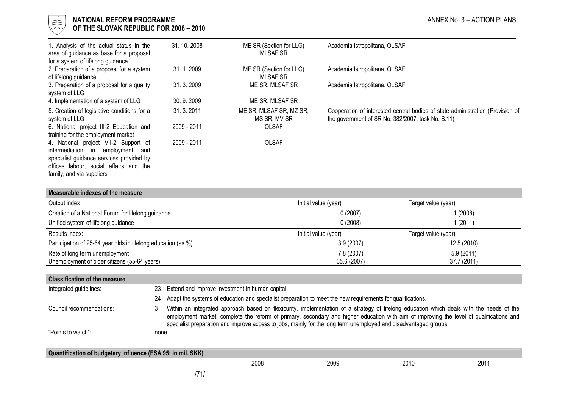

# l 너는 NATIONAL REFORM PROGRAMME AND THE SECOND MANNEX No. 3 – ACTION PLANS ANNEX No. 3 – ACTION PLANS  $\forall\forall$  OF THE SLOVAK REPUBLIC FOR 2008 – 2010

| 1. Analysis of the actual status in the<br>area of guidance as base for a proposal<br>for a system of lifelong guidance                                                                                         | 31.10.2008  | ME SR (Section for LLG)<br><b>MLSAF SR</b> | Academia Istropolitana, OLSAF                                                                                                       |
|-----------------------------------------------------------------------------------------------------------------------------------------------------------------------------------------------------------------|-------------|--------------------------------------------|-------------------------------------------------------------------------------------------------------------------------------------|
| 2. Preparation of a proposal for a system<br>of lifelong guidance                                                                                                                                               | 31.1.2009   | ME SR (Section for LLG)<br><b>MLSAF SR</b> | Academia Istropolitana, OLSAF                                                                                                       |
| 3. Preparation of a proposal for a quality<br>system of LLG                                                                                                                                                     | 31. 3. 2009 | ME SR, MLSAF SR                            | Academia Istropolitana, OLSAF                                                                                                       |
| 4. Implementation of a system of LLG                                                                                                                                                                            | 30.9.2009   | ME SR, MLSAF SR                            |                                                                                                                                     |
| 5. Creation of legislative conditions for a<br>system of LLG                                                                                                                                                    | 31.3.2011   | ME SR, MLSAF SR, MZ SR,<br>MS SR, MV SR    | Cooperation of interested central bodies of state administration (Provision of<br>the government of SR No. 382/2007, task No. B.11) |
| 6. National project III-2 Education and<br>training for the employment market                                                                                                                                   | 2009 - 2011 | <b>OLSAF</b>                               |                                                                                                                                     |
| 4. National project VII-2 Support of<br>intermediation<br>employment<br>$\mathsf{in}$<br>and<br>specialist guidance services provided by<br>offices labour, social affairs and the<br>family, and via suppliers | 2009 - 2011 | <b>OLSAF</b>                               |                                                                                                                                     |

| Measurable indexes of the measure                             |                      |                     |
|---------------------------------------------------------------|----------------------|---------------------|
| Output index                                                  | Initial value (year) | Target value (year) |
| Creation of a National Forum for lifelong guidance            | 0(2007)              | (2008)              |
| Unified system of lifelong guidance                           | 0(2008)              | (2011)              |
| Results index:                                                | Initial value (year) | Target value (year) |
| Participation of 25-64 year olds in lifelong education (as %) | 3.9(2007)            | 12.5 (2010)         |
| Rate of long term unemployment                                | 7.8 (2007)           | 5.9(2011)           |
| Unemployment of older citizens (55-64 years)                  | 35.6 (2007)          | 37.7 (2011)         |

| <b>Classification of the measure</b>                        |      |                                                                                                                                                                                                                                                                                                                                                                                                         |  |
|-------------------------------------------------------------|------|---------------------------------------------------------------------------------------------------------------------------------------------------------------------------------------------------------------------------------------------------------------------------------------------------------------------------------------------------------------------------------------------------------|--|
| Integrated guidelines:                                      |      | 23 Extend and improve investment in human capital.                                                                                                                                                                                                                                                                                                                                                      |  |
|                                                             | 24   | Adapt the systems of education and specialist preparation to meet the new requirements for qualifications.                                                                                                                                                                                                                                                                                              |  |
| Council recommendations:                                    | 3    | Within an integrated approach based on flexicurity, implementation of a strategy of lifelong education which deals with the needs of the<br>employment market, complete the reform of primary, secondary and higher education with aim of improving the level of qualifications and<br>specialist preparation and improve access to jobs, mainly for the long term unemployed and disadvantaged groups. |  |
| "Points to watch":                                          | none |                                                                                                                                                                                                                                                                                                                                                                                                         |  |
| Quantification of budgetary influence (ESA 95; in mil. SKK) |      |                                                                                                                                                                                                                                                                                                                                                                                                         |  |
|                                                             |      | 2008<br>2009<br>2010<br>2011                                                                                                                                                                                                                                                                                                                                                                            |  |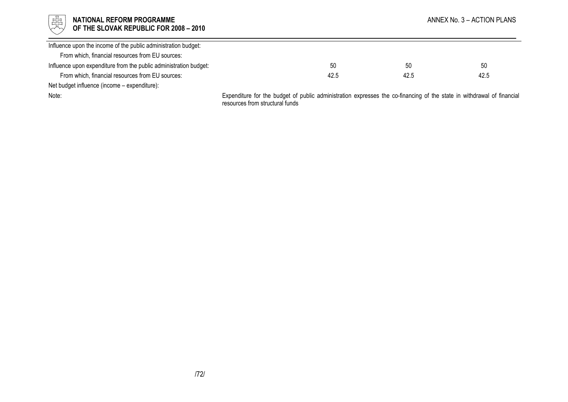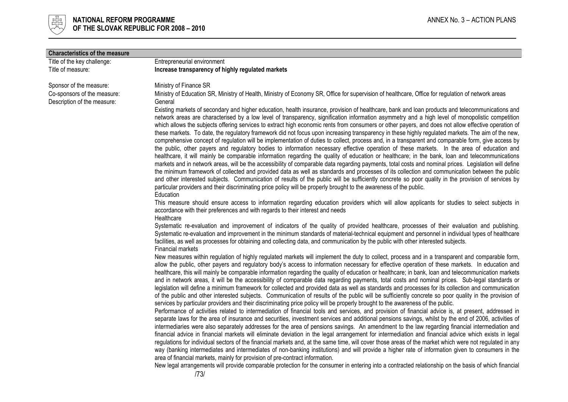

| <b>Characteristics of the measure</b>                      |                                                                                                                                                                                                                                                                                                                                                                                                                                                                                                                                                                                                                                                                                                                                                                                                                                                                                                                                                                                                                                                                                                                                                                                                                                                                                                                                                                                                                                                                                                                                                                                                                                                                                                                                                                                                                                                                                                                                                                                                                                                                                                                                                                                                                                                        |
|------------------------------------------------------------|--------------------------------------------------------------------------------------------------------------------------------------------------------------------------------------------------------------------------------------------------------------------------------------------------------------------------------------------------------------------------------------------------------------------------------------------------------------------------------------------------------------------------------------------------------------------------------------------------------------------------------------------------------------------------------------------------------------------------------------------------------------------------------------------------------------------------------------------------------------------------------------------------------------------------------------------------------------------------------------------------------------------------------------------------------------------------------------------------------------------------------------------------------------------------------------------------------------------------------------------------------------------------------------------------------------------------------------------------------------------------------------------------------------------------------------------------------------------------------------------------------------------------------------------------------------------------------------------------------------------------------------------------------------------------------------------------------------------------------------------------------------------------------------------------------------------------------------------------------------------------------------------------------------------------------------------------------------------------------------------------------------------------------------------------------------------------------------------------------------------------------------------------------------------------------------------------------------------------------------------------------|
| Title of the key challenge:                                | Entrepreneurial environment                                                                                                                                                                                                                                                                                                                                                                                                                                                                                                                                                                                                                                                                                                                                                                                                                                                                                                                                                                                                                                                                                                                                                                                                                                                                                                                                                                                                                                                                                                                                                                                                                                                                                                                                                                                                                                                                                                                                                                                                                                                                                                                                                                                                                            |
| Title of measure:                                          | Increase transparency of highly regulated markets                                                                                                                                                                                                                                                                                                                                                                                                                                                                                                                                                                                                                                                                                                                                                                                                                                                                                                                                                                                                                                                                                                                                                                                                                                                                                                                                                                                                                                                                                                                                                                                                                                                                                                                                                                                                                                                                                                                                                                                                                                                                                                                                                                                                      |
| Sponsor of the measure:                                    | Ministry of Finance SR                                                                                                                                                                                                                                                                                                                                                                                                                                                                                                                                                                                                                                                                                                                                                                                                                                                                                                                                                                                                                                                                                                                                                                                                                                                                                                                                                                                                                                                                                                                                                                                                                                                                                                                                                                                                                                                                                                                                                                                                                                                                                                                                                                                                                                 |
| Co-sponsors of the measure:<br>Description of the measure: | Ministry of Education SR, Ministry of Health, Ministry of Economy SR, Office for supervision of healthcare, Office for regulation of network areas<br>General                                                                                                                                                                                                                                                                                                                                                                                                                                                                                                                                                                                                                                                                                                                                                                                                                                                                                                                                                                                                                                                                                                                                                                                                                                                                                                                                                                                                                                                                                                                                                                                                                                                                                                                                                                                                                                                                                                                                                                                                                                                                                          |
|                                                            | Existing markets of secondary and higher education, health insurance, provision of healthcare, bank and loan products and telecommunications and<br>network areas are characterised by a low level of transparency, signification information asymmetry and a high level of monopolistic competition<br>which allows the subjects offering services to extract high economic rents from consumers or other payers, and does not allow effective operation of<br>these markets. To date, the regulatory framework did not focus upon increasing transparency in these highly regulated markets. The aim of the new,<br>comprehensive concept of regulation will be implementation of duties to collect, process and, in a transparent and comparable form, give access by<br>the public, other payers and regulatory bodies to information necessary effective operation of these markets. In the area of education and<br>healthcare, it will mainly be comparable information regarding the quality of education or healthcare; in the bank, loan and telecommunications<br>markets and in network areas, will be the accessibility of comparable data regarding payments, total costs and nominal prices. Legislation will define<br>the minimum framework of collected and provided data as well as standards and processes of its collection and communication between the public<br>and other interested subjects. Communication of results of the public will be sufficiently concrete so poor quality in the provision of services by<br>particular providers and their discriminating price policy will be properly brought to the awareness of the public.<br>Education                                                                                                                                                                                                                                                                                                                                                                                                                                                                                                                                                                       |
|                                                            | This measure should ensure access to information regarding education providers which will allow applicants for studies to select subjects in<br>accordance with their preferences and with regards to their interest and needs<br>Healthcare                                                                                                                                                                                                                                                                                                                                                                                                                                                                                                                                                                                                                                                                                                                                                                                                                                                                                                                                                                                                                                                                                                                                                                                                                                                                                                                                                                                                                                                                                                                                                                                                                                                                                                                                                                                                                                                                                                                                                                                                           |
|                                                            | Systematic re-evaluation and improvement of indicators of the quality of provided healthcare, processes of their evaluation and publishing.<br>Systematic re-evaluation and improvement in the minimum standards of material-technical equipment and personnel in individual types of healthcare<br>facilities, as well as processes for obtaining and collecting data, and communication by the public with other interested subjects.<br><b>Financial markets</b>                                                                                                                                                                                                                                                                                                                                                                                                                                                                                                                                                                                                                                                                                                                                                                                                                                                                                                                                                                                                                                                                                                                                                                                                                                                                                                                                                                                                                                                                                                                                                                                                                                                                                                                                                                                    |
|                                                            | New measures within regulation of highly regulated markets will implement the duty to collect, process and in a transparent and comparable form,<br>allow the public, other payers and regulatory body's access to information necessary for effective operation of these markets. In education and<br>healthcare, this will mainly be comparable information regarding the quality of education or healthcare; in bank, loan and telecommunication markets<br>and in network areas, it will be the accessibility of comparable data regarding payments, total costs and nominal prices. Sub-legal standards or<br>legislation will define a minimum framework for collected and provided data as well as standards and processes for its collection and communication<br>of the public and other interested subjects. Communication of results of the public will be sufficiently concrete so poor quality in the provision of<br>services by particular providers and their discriminating price policy will be properly brought to the awareness of the public.<br>Performance of activities related to intermediation of financial tools and services, and provision of financial advice is, at present, addressed in<br>separate laws for the area of insurance and securities, investment services and additional pensions savings, whilst by the end of 2006, activities of<br>intermediaries were also separately addresses for the area of pensions savings. An amendment to the law regarding financial intermediation and<br>financial advice in financial markets will eliminate deviation in the legal arrangement for intermediation and financial advice which exists in legal<br>regulations for individual sectors of the financial markets and, at the same time, will cover those areas of the market which were not regulated in any<br>way (banking intermediates and intermediates of non-banking institutions) and will provide a higher rate of information given to consumers in the<br>area of financial markets, mainly for provision of pre-contract information.<br>New legal arrangements will provide comparable protection for the consumer in entering into a contracted relationship on the basis of which financial |
|                                                            | 1731                                                                                                                                                                                                                                                                                                                                                                                                                                                                                                                                                                                                                                                                                                                                                                                                                                                                                                                                                                                                                                                                                                                                                                                                                                                                                                                                                                                                                                                                                                                                                                                                                                                                                                                                                                                                                                                                                                                                                                                                                                                                                                                                                                                                                                                   |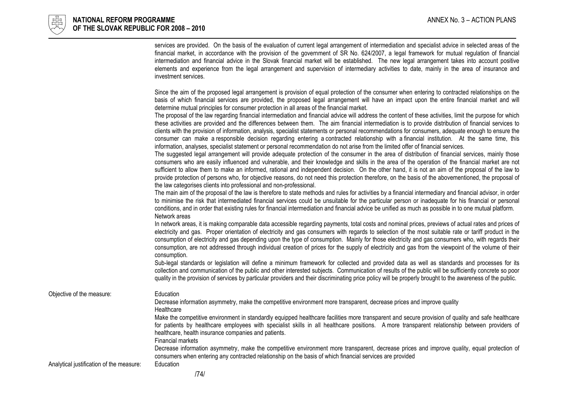|                                          | services are provided. On the basis of the evaluation of current legal arrangement of intermediation and specialist advice in selected areas of the<br>financial market, in accordance with the provision of the government of SR No. 624/2007, a legal framework for mutual regulation of financial<br>intermediation and financial advice in the Slovak financial market will be established. The new legal arrangement takes into account positive<br>elements and experience from the legal arrangement and supervision of intermediary activities to date, mainly in the area of insurance and<br>investment services.                                                                                                                                 |
|------------------------------------------|-------------------------------------------------------------------------------------------------------------------------------------------------------------------------------------------------------------------------------------------------------------------------------------------------------------------------------------------------------------------------------------------------------------------------------------------------------------------------------------------------------------------------------------------------------------------------------------------------------------------------------------------------------------------------------------------------------------------------------------------------------------|
|                                          | Since the aim of the proposed legal arrangement is provision of equal protection of the consumer when entering to contracted relationships on the<br>basis of which financial services are provided, the proposed legal arrangement will have an impact upon the entire financial market and will<br>determine mutual principles for consumer protection in all areas of the financial market.                                                                                                                                                                                                                                                                                                                                                              |
|                                          | The proposal of the law regarding financial intermediation and financial advice will address the content of these activities, limit the purpose for which<br>these activities are provided and the differences between them. The aim financial intermediation is to provide distribution of financial services to<br>clients with the provision of information, analysis, specialist statements or personal recommendations for consumers, adequate enough to ensure the<br>consumer can make a responsible decision regarding entering a contracted relationship with a financial institution. At the same time, this<br>information, analyses, specialist statement or personal recommendation do not arise from the limited offer of financial services. |
|                                          | The suggested legal arrangement will provide adequate protection of the consumer in the area of distribution of financial services, mainly those<br>consumers who are easily influenced and vulnerable, and their knowledge and skills in the area of the operation of the financial market are not<br>sufficient to allow them to make an informed, rational and independent decision. On the other hand, it is not an aim of the proposal of the law to<br>provide protection of persons who, for objective reasons, do not need this protection therefore, on the basis of the abovementioned, the proposal of<br>the law categorises clients into professional and non-professional.                                                                    |
|                                          | The main aim of the proposal of the law is therefore to state methods and rules for activities by a financial intermediary and financial advisor, in order<br>to minimise the risk that intermediated financial services could be unsuitable for the particular person or inadequate for his financial or personal<br>conditions, and in order that existing rules for financial intermediation and financial advice be unified as much as possible in to one mutual platform.<br>Network areas                                                                                                                                                                                                                                                             |
|                                          | In network areas, it is making comparable data accessible regarding payments, total costs and nominal prices, previews of actual rates and prices of<br>electricity and gas. Proper orientation of electricity and gas consumers with regards to selection of the most suitable rate or tariff product in the<br>consumption of electricity and gas depending upon the type of consumption. Mainly for those electricity and gas consumers who, with regards their<br>consumption, are not addressed through individual creation of prices for the supply of electricity and gas from the viewpoint of the volume of their<br>consumption.                                                                                                                  |
|                                          | Sub-legal standards or legislation will define a minimum framework for collected and provided data as well as standards and processes for its<br>collection and communication of the public and other interested subjects. Communication of results of the public will be sufficiently concrete so poor<br>quality in the provision of services by particular providers and their discriminating price policy will be properly brought to the awareness of the public.                                                                                                                                                                                                                                                                                      |
| Objective of the measure:                | Education<br>Decrease information asymmetry, make the competitive environment more transparent, decrease prices and improve quality<br>Healthcare                                                                                                                                                                                                                                                                                                                                                                                                                                                                                                                                                                                                           |
|                                          | Make the competitive environment in standardly equipped healthcare facilities more transparent and secure provision of quality and safe healthcare<br>for patients by healthcare employees with specialist skills in all healthcare positions. A more transparent relationship between providers of<br>healthcare, health insurance companies and patients.<br>Financial markets                                                                                                                                                                                                                                                                                                                                                                            |
| Analytical justification of the measure: | Decrease information asymmetry, make the competitive environment more transparent, decrease prices and improve quality, equal protection of<br>consumers when entering any contracted relationship on the basis of which financial services are provided<br>Education                                                                                                                                                                                                                                                                                                                                                                                                                                                                                       |
|                                          |                                                                                                                                                                                                                                                                                                                                                                                                                                                                                                                                                                                                                                                                                                                                                             |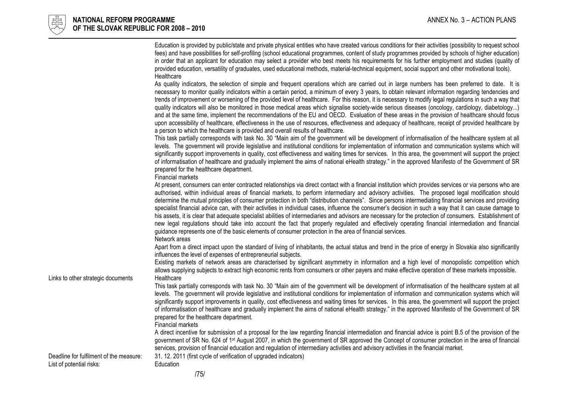

| As quality indicators, the selection of simple and frequent operations which are carried out in large numbers has been preferred to date. It is<br>necessary to monitor quality indicators within a certain period, a minimum of every 3 years, to obtain relevant information regarding tendencies and<br>trends of improvement or worsening of the provided level of healthcare. For this reason, it is necessary to modify legal regulations in such a way that<br>quality indicators will also be monitored in those medical areas which signalise society-wide serious diseases (oncology, cardiology, diabetology)<br>and at the same time, implement the recommendations of the EU and OECD. Evaluation of these areas in the provision of healthcare should focus<br>upon accessibility of healthcare, effectiveness in the use of resources, effectiveness and adequacy of healthcare, receipt of provided healthcare by<br>a person to which the healthcare is provided and overall results of healthcare.<br>This task partially corresponds with task No. 30 "Main aim of the government will be development of informatisation of the healthcare system at all<br>levels. The government will provide legislative and institutional conditions for implementation of information and communication systems which will<br>significantly support improvements in quality, cost effectiveness and waiting times for services. In this area, the government will support the project<br>of informatisation of healthcare and gradually implement the aims of national eHealth strategy." in the approved Manifesto of the Government of SR<br>prepared for the healthcare department.<br>Financial markets<br>At present, consumers can enter contracted relationships via direct contact with a financial institution which provides services or via persons who are<br>authorised, within individual areas of financial markets, to perform intermediary and advisory activities. The proposed legal modification should<br>determine the mutual principles of consumer protection in both "distribution channels". Since persons intermediating financial services and providing<br>specialist financial advice can, with their activities in individual cases, influence the consumer's decision in such a way that it can cause damage to<br>his assets, it is clear that adequate specialist abilities of intermediaries and advisors are necessary for the protection of consumers. Establishment of<br>new legal regulations should take into account the fact that properly regulated and effectively operating financial intermediation and financial<br>guidance represents one of the basic elements of consumer protection in the area of financial services.<br>Network areas<br>Apart from a direct impact upon the standard of living of inhabitants, the actual status and trend in the price of energy in Slovakia also significantly<br>influences the level of expenses of entrepreneurial subjects.<br>Existing markets of network areas are characterised by significant asymmetry in information and a high level of monopolistic competition which<br>allows supplying subjects to extract high economic rents from consumers or other payers and make effective operation of these markets impossible.<br>Links to other strategic documents<br>Healthcare<br>This task partially corresponds with task No. 30 "Main aim of the government will be development of informatisation of the healthcare system at all<br>levels. The government will provide legislative and institutional conditions for implementation of information and communication systems which will<br>significantly support improvements in quality, cost effectiveness and waiting times for services. In this area, the government will support the project<br>of informatisation of healthcare and gradually implement the aims of national eHealth strategy." in the approved Manifesto of the Government of SR<br>prepared for the healthcare department.<br>Financial markets<br>A direct incentive for submission of a proposal for the law regarding financial intermediation and financial advice is point B.5 of the provision of the<br>government of SR No. 624 of 1 <sup>st</sup> August 2007, in which the government of SR approved the Concept of consumer protection in the area of financial<br>services, provision of financial education and regulation of intermediary activities and advisory activities in the financial market. |                                         | Education is provided by public/state and private physical entities who have created various conditions for their activities (possibility to request school<br>fees) and have possibilities for self-profiling (school educational programmes, content of study programmes provided by schools of higher education)<br>in order that an applicant for education may select a provider who best meets his requirements for his further employment and studies (quality of<br>provided education, versatility of graduates, used educational methods, material-technical equipment, social support and other motivational tools).<br>Healthcare |
|-----------------------------------------------------------------------------------------------------------------------------------------------------------------------------------------------------------------------------------------------------------------------------------------------------------------------------------------------------------------------------------------------------------------------------------------------------------------------------------------------------------------------------------------------------------------------------------------------------------------------------------------------------------------------------------------------------------------------------------------------------------------------------------------------------------------------------------------------------------------------------------------------------------------------------------------------------------------------------------------------------------------------------------------------------------------------------------------------------------------------------------------------------------------------------------------------------------------------------------------------------------------------------------------------------------------------------------------------------------------------------------------------------------------------------------------------------------------------------------------------------------------------------------------------------------------------------------------------------------------------------------------------------------------------------------------------------------------------------------------------------------------------------------------------------------------------------------------------------------------------------------------------------------------------------------------------------------------------------------------------------------------------------------------------------------------------------------------------------------------------------------------------------------------------------------------------------------------------------------------------------------------------------------------------------------------------------------------------------------------------------------------------------------------------------------------------------------------------------------------------------------------------------------------------------------------------------------------------------------------------------------------------------------------------------------------------------------------------------------------------------------------------------------------------------------------------------------------------------------------------------------------------------------------------------------------------------------------------------------------------------------------------------------------------------------------------------------------------------------------------------------------------------------------------------------------------------------------------------------------------------------------------------------------------------------------------------------------------------------------------------------------------------------------------------------------------------------------------------------------------------------------------------------------------------------------------------------------------------------------------------------------------------------------------------------------------------------------------------------------------------------------------------------------------------------------------------------------------------------------------------------------------------------------------------------------------------------------------------------------------------------------------------------------------------------------------------------------------------------------------------------------------------------------------------------------------------------------------------------------------------------------------------------------------------------------------------------------------------------------------------------------------------------------------------------------------------------------------------------------------------------------------------------------------------------------|-----------------------------------------|-----------------------------------------------------------------------------------------------------------------------------------------------------------------------------------------------------------------------------------------------------------------------------------------------------------------------------------------------------------------------------------------------------------------------------------------------------------------------------------------------------------------------------------------------------------------------------------------------------------------------------------------------|
|                                                                                                                                                                                                                                                                                                                                                                                                                                                                                                                                                                                                                                                                                                                                                                                                                                                                                                                                                                                                                                                                                                                                                                                                                                                                                                                                                                                                                                                                                                                                                                                                                                                                                                                                                                                                                                                                                                                                                                                                                                                                                                                                                                                                                                                                                                                                                                                                                                                                                                                                                                                                                                                                                                                                                                                                                                                                                                                                                                                                                                                                                                                                                                                                                                                                                                                                                                                                                                                                                                                                                                                                                                                                                                                                                                                                                                                                                                                                                                                                                                                                                                                                                                                                                                                                                                                                                                                                                                                                                                                                                                 |                                         |                                                                                                                                                                                                                                                                                                                                                                                                                                                                                                                                                                                                                                               |
|                                                                                                                                                                                                                                                                                                                                                                                                                                                                                                                                                                                                                                                                                                                                                                                                                                                                                                                                                                                                                                                                                                                                                                                                                                                                                                                                                                                                                                                                                                                                                                                                                                                                                                                                                                                                                                                                                                                                                                                                                                                                                                                                                                                                                                                                                                                                                                                                                                                                                                                                                                                                                                                                                                                                                                                                                                                                                                                                                                                                                                                                                                                                                                                                                                                                                                                                                                                                                                                                                                                                                                                                                                                                                                                                                                                                                                                                                                                                                                                                                                                                                                                                                                                                                                                                                                                                                                                                                                                                                                                                                                 |                                         |                                                                                                                                                                                                                                                                                                                                                                                                                                                                                                                                                                                                                                               |
|                                                                                                                                                                                                                                                                                                                                                                                                                                                                                                                                                                                                                                                                                                                                                                                                                                                                                                                                                                                                                                                                                                                                                                                                                                                                                                                                                                                                                                                                                                                                                                                                                                                                                                                                                                                                                                                                                                                                                                                                                                                                                                                                                                                                                                                                                                                                                                                                                                                                                                                                                                                                                                                                                                                                                                                                                                                                                                                                                                                                                                                                                                                                                                                                                                                                                                                                                                                                                                                                                                                                                                                                                                                                                                                                                                                                                                                                                                                                                                                                                                                                                                                                                                                                                                                                                                                                                                                                                                                                                                                                                                 |                                         |                                                                                                                                                                                                                                                                                                                                                                                                                                                                                                                                                                                                                                               |
|                                                                                                                                                                                                                                                                                                                                                                                                                                                                                                                                                                                                                                                                                                                                                                                                                                                                                                                                                                                                                                                                                                                                                                                                                                                                                                                                                                                                                                                                                                                                                                                                                                                                                                                                                                                                                                                                                                                                                                                                                                                                                                                                                                                                                                                                                                                                                                                                                                                                                                                                                                                                                                                                                                                                                                                                                                                                                                                                                                                                                                                                                                                                                                                                                                                                                                                                                                                                                                                                                                                                                                                                                                                                                                                                                                                                                                                                                                                                                                                                                                                                                                                                                                                                                                                                                                                                                                                                                                                                                                                                                                 |                                         |                                                                                                                                                                                                                                                                                                                                                                                                                                                                                                                                                                                                                                               |
|                                                                                                                                                                                                                                                                                                                                                                                                                                                                                                                                                                                                                                                                                                                                                                                                                                                                                                                                                                                                                                                                                                                                                                                                                                                                                                                                                                                                                                                                                                                                                                                                                                                                                                                                                                                                                                                                                                                                                                                                                                                                                                                                                                                                                                                                                                                                                                                                                                                                                                                                                                                                                                                                                                                                                                                                                                                                                                                                                                                                                                                                                                                                                                                                                                                                                                                                                                                                                                                                                                                                                                                                                                                                                                                                                                                                                                                                                                                                                                                                                                                                                                                                                                                                                                                                                                                                                                                                                                                                                                                                                                 |                                         |                                                                                                                                                                                                                                                                                                                                                                                                                                                                                                                                                                                                                                               |
|                                                                                                                                                                                                                                                                                                                                                                                                                                                                                                                                                                                                                                                                                                                                                                                                                                                                                                                                                                                                                                                                                                                                                                                                                                                                                                                                                                                                                                                                                                                                                                                                                                                                                                                                                                                                                                                                                                                                                                                                                                                                                                                                                                                                                                                                                                                                                                                                                                                                                                                                                                                                                                                                                                                                                                                                                                                                                                                                                                                                                                                                                                                                                                                                                                                                                                                                                                                                                                                                                                                                                                                                                                                                                                                                                                                                                                                                                                                                                                                                                                                                                                                                                                                                                                                                                                                                                                                                                                                                                                                                                                 |                                         |                                                                                                                                                                                                                                                                                                                                                                                                                                                                                                                                                                                                                                               |
| 31. 12. 2011 (first cycle of verification of upgraded indicators)                                                                                                                                                                                                                                                                                                                                                                                                                                                                                                                                                                                                                                                                                                                                                                                                                                                                                                                                                                                                                                                                                                                                                                                                                                                                                                                                                                                                                                                                                                                                                                                                                                                                                                                                                                                                                                                                                                                                                                                                                                                                                                                                                                                                                                                                                                                                                                                                                                                                                                                                                                                                                                                                                                                                                                                                                                                                                                                                                                                                                                                                                                                                                                                                                                                                                                                                                                                                                                                                                                                                                                                                                                                                                                                                                                                                                                                                                                                                                                                                                                                                                                                                                                                                                                                                                                                                                                                                                                                                                               | Deadline for fulfilment of the measure: |                                                                                                                                                                                                                                                                                                                                                                                                                                                                                                                                                                                                                                               |
| Education<br>1751                                                                                                                                                                                                                                                                                                                                                                                                                                                                                                                                                                                                                                                                                                                                                                                                                                                                                                                                                                                                                                                                                                                                                                                                                                                                                                                                                                                                                                                                                                                                                                                                                                                                                                                                                                                                                                                                                                                                                                                                                                                                                                                                                                                                                                                                                                                                                                                                                                                                                                                                                                                                                                                                                                                                                                                                                                                                                                                                                                                                                                                                                                                                                                                                                                                                                                                                                                                                                                                                                                                                                                                                                                                                                                                                                                                                                                                                                                                                                                                                                                                                                                                                                                                                                                                                                                                                                                                                                                                                                                                                               | List of potential risks:                |                                                                                                                                                                                                                                                                                                                                                                                                                                                                                                                                                                                                                                               |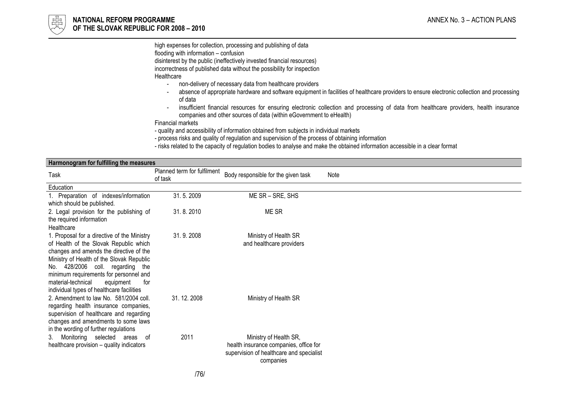

high expenses for collection, processing and publishing of data flooding with information – confusion

disinterest by the public (ineffectively invested financial resources)

incorrectness of published data without the possibility for inspection

Healthcare<br>n

- non-delivery of necessary data from healthcare providers -
- absence of appropriate hardware and software equipment in facilities of healthcare providers to ensure electronic collection and processing of data
- insufficient financial resources for ensuring electronic collection and processing of data from healthcare providers, health insurance companies and other sources of data (within eGovernment to eHealth)

Financial markets

- quality and accessibility of information obtained from subjects in individual markets

- process risks and quality of regulation and supervision of the process of obtaining information
- risks related to the capacity of regulation bodies to analyse and make the obtained information accessible in a clear format

| Harmonogram for fulfilling the measures                                                                                                                                                                                                                                                                                                            |                                        |                                                                                                                           |      |
|----------------------------------------------------------------------------------------------------------------------------------------------------------------------------------------------------------------------------------------------------------------------------------------------------------------------------------------------------|----------------------------------------|---------------------------------------------------------------------------------------------------------------------------|------|
| Task                                                                                                                                                                                                                                                                                                                                               | Planned term for fulfilment<br>of task | Body responsible for the given task                                                                                       | Note |
| Education                                                                                                                                                                                                                                                                                                                                          |                                        |                                                                                                                           |      |
| 1. Preparation of indexes/information<br>which should be published.                                                                                                                                                                                                                                                                                | 31.5.2009                              | ME SR - SRE, SHS                                                                                                          |      |
| 2. Legal provision for the publishing of<br>the required information<br>Healthcare                                                                                                                                                                                                                                                                 | 31.8.2010                              | ME SR                                                                                                                     |      |
| 1. Proposal for a directive of the Ministry<br>of Health of the Slovak Republic which<br>changes and amends the directive of the<br>Ministry of Health of the Slovak Republic<br>No. 428/2006 coll. regarding the<br>minimum requirements for personnel and<br>material-technical<br>equipment<br>for<br>individual types of healthcare facilities | 31.9.2008                              | Ministry of Health SR<br>and healthcare providers                                                                         |      |
| 2. Amendment to law No. 581/2004 coll.<br>regarding health insurance companies,<br>supervision of healthcare and regarding<br>changes and amendments to some laws<br>in the wording of further regulations                                                                                                                                         | 31.12.2008                             | Ministry of Health SR                                                                                                     |      |
| Monitoring selected areas of<br>3.<br>healthcare provision – quality indicators                                                                                                                                                                                                                                                                    | 2011                                   | Ministry of Health SR,<br>health insurance companies, office for<br>supervision of healthcare and specialist<br>companies |      |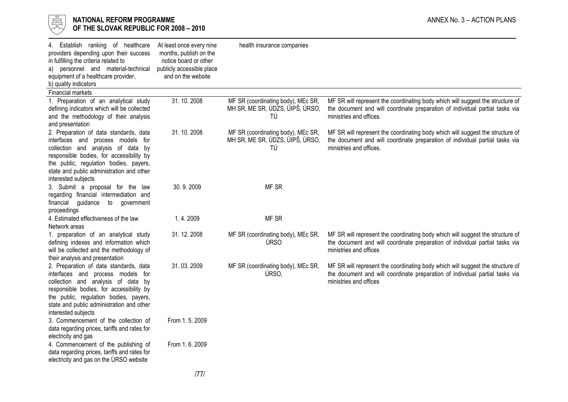

# $\begin{array}{cc} \frac{17}{150} \\ \frac{17}{150} \end{array}$  NATIONAL REFORM PROGRAMME<br>Of the slovak republic for 2008 – 2010 OF THE SLOVAK REPUBLIC FOR 2008 – 2010

| 4. Establish ranking of healthcare<br>providers depending upon their success<br>in fulfilling the criteria related to<br>a) personnel and material-technical<br>equipment of a healthcare provider,<br>b) quality indicators                                                | At least once every nine<br>months, publish on the<br>notice board or other<br>publicly accessible place<br>and on the website | health insurance companies                                                  |                                                                                                                                                                                           |
|-----------------------------------------------------------------------------------------------------------------------------------------------------------------------------------------------------------------------------------------------------------------------------|--------------------------------------------------------------------------------------------------------------------------------|-----------------------------------------------------------------------------|-------------------------------------------------------------------------------------------------------------------------------------------------------------------------------------------|
| Financial markets                                                                                                                                                                                                                                                           |                                                                                                                                |                                                                             |                                                                                                                                                                                           |
| 1. Preparation of an analytical study<br>defining indicators which will be collected<br>and the methodology of their analysis<br>and presentation                                                                                                                           | 31.10.2008                                                                                                                     | MF SR (coordinating body), MEc SR,<br>MH SR, ME SR, ÚDZS, ÚIPŠ, ÚRSO,<br>TÚ | MF SR will represent the coordinating body which will suggest the structure of<br>the document and will coordinate preparation of individual partial tasks via<br>ministries and offices. |
| 2. Preparation of data standards, data<br>interfaces and process models for<br>collection and analysis of data by<br>responsible bodies, for accessibility by<br>the public, regulation bodies, payers,<br>state and public administration and other<br>interested subjects | 31.10.2008                                                                                                                     | MF SR (coordinating body), MEc SR,<br>MH SR, ME SR, ÚDZS, ÚIPŠ, ÚRSO,<br>TÚ | MF SR will represent the coordinating body which will suggest the structure of<br>the document and will coordinate preparation of individual partial tasks via<br>ministries and offices. |
| 3. Submit a proposal for the law<br>regarding financial intermediation and<br>financial guidance to government<br>proceedings                                                                                                                                               | 30.9.2009                                                                                                                      | MF SR                                                                       |                                                                                                                                                                                           |
| 4. Estimated effectiveness of the law<br>Network areas                                                                                                                                                                                                                      | 1.4.2009                                                                                                                       | MF SR                                                                       |                                                                                                                                                                                           |
| 1. preparation of an analytical study<br>defining indexes and information which<br>will be collected and the methodology of<br>their analysis and presentation                                                                                                              | 31.12.2008                                                                                                                     | MF SR (coordinating body), MEc SR,<br>ÚRSO                                  | MF SR will represent the coordinating body which will suggest the structure of<br>the document and will coordinate preparation of individual partial tasks via<br>ministries and offices  |
| 2. Preparation of data standards, data<br>interfaces and process models for<br>collection and analysis of data by<br>responsible bodies, for accessibility by<br>the public, regulation bodies, payers,<br>state and public administration and other<br>interested subjects | 31.03.2009                                                                                                                     | MF SR (coordinating body), MEc SR,<br>ÚRSO,                                 | MF SR will represent the coordinating body which will suggest the structure of<br>the document and will coordinate preparation of individual partial tasks via<br>ministries and offices  |
| 3. Commencement of the collection of<br>data regarding prices, tariffs and rates for<br>electricity and gas                                                                                                                                                                 | From 1.5.2009                                                                                                                  |                                                                             |                                                                                                                                                                                           |
| 4. Commencement of the publishing of<br>data regarding prices, tariffs and rates for<br>electricity and gas on the URSO website                                                                                                                                             | From 1.6. 2009                                                                                                                 |                                                                             |                                                                                                                                                                                           |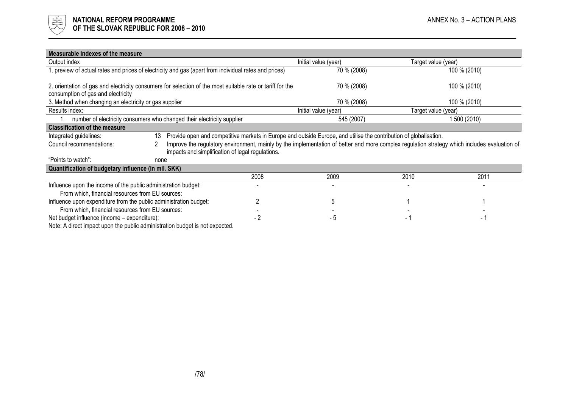

| Measurable indexes of the measure                                                                                                               |                                                                                                       |      |                                                                                                                                              |                     |                     |  |
|-------------------------------------------------------------------------------------------------------------------------------------------------|-------------------------------------------------------------------------------------------------------|------|----------------------------------------------------------------------------------------------------------------------------------------------|---------------------|---------------------|--|
| Output index                                                                                                                                    |                                                                                                       |      | Initial value (year)                                                                                                                         |                     | Target value (year) |  |
|                                                                                                                                                 | l. preview of actual rates and prices of electricity and gas (apart from individual rates and prices) |      | 70 % (2008)                                                                                                                                  |                     | 100 % (2010)        |  |
| 2. orientation of gas and electricity consumers for selection of the most suitable rate or tariff for the<br>consumption of gas and electricity |                                                                                                       |      | 70 % (2008)                                                                                                                                  |                     | 100 % (2010)        |  |
| 3. Method when changing an electricity or gas supplier                                                                                          |                                                                                                       |      | 70 % (2008)                                                                                                                                  |                     | 100 % (2010)        |  |
| Results index:                                                                                                                                  |                                                                                                       |      | Initial value (year)                                                                                                                         | Target value (year) |                     |  |
|                                                                                                                                                 | number of electricity consumers who changed their electricity supplier                                |      | 545 (2007)                                                                                                                                   |                     | 1 500 (2010)        |  |
| <b>Classification of the measure</b>                                                                                                            |                                                                                                       |      |                                                                                                                                              |                     |                     |  |
| Integrated guidelines:                                                                                                                          | 13                                                                                                    |      | Provide open and competitive markets in Europe and outside Europe, and utilise the contribution of globalisation.                            |                     |                     |  |
| Council recommendations:                                                                                                                        | impacts and simplification of legal regulations.                                                      |      | Improve the regulatory environment, mainly by the implementation of better and more complex regulation strategy which includes evaluation of |                     |                     |  |
| "Points to watch":                                                                                                                              | none                                                                                                  |      |                                                                                                                                              |                     |                     |  |
| Quantification of budgetary influence (in mil. SKK)                                                                                             |                                                                                                       |      |                                                                                                                                              |                     |                     |  |
|                                                                                                                                                 |                                                                                                       | 2008 | 2009                                                                                                                                         | 2010                | 2011                |  |
| Influence upon the income of the public administration budget:                                                                                  |                                                                                                       |      |                                                                                                                                              |                     |                     |  |
| From which, financial resources from EU sources:                                                                                                |                                                                                                       |      |                                                                                                                                              |                     |                     |  |
| Influence upon expenditure from the public administration budget:                                                                               |                                                                                                       |      |                                                                                                                                              |                     |                     |  |
| From which, financial resources from EU sources:                                                                                                |                                                                                                       |      |                                                                                                                                              |                     |                     |  |
| Net budget influence (income – expenditure):                                                                                                    |                                                                                                       |      |                                                                                                                                              |                     |                     |  |

Net budget influence (income – expenditure):  $-3$  - 2 - 5 - 5 - 1 - 1

Note: A direct impact upon the public administration budget is not expected.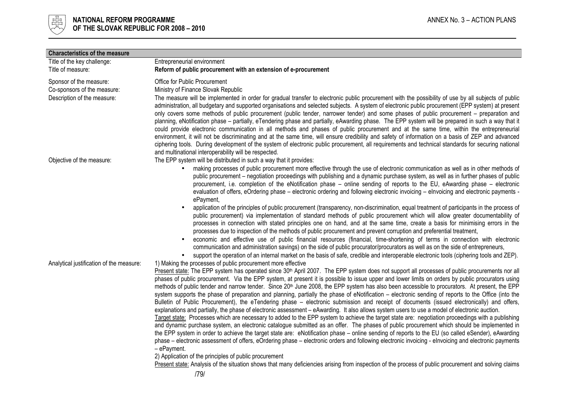

| <b>Characteristics of the measure</b>                  |                                                                                                                                                                                                                                                                                                                                                                                                                                                                                                                                                                                                                                                                                                                                                                                                                                                                                                                                                                                                                                                                                                                                                                                                                                                                                                                                                                                                                                                                                                                                                                                                                                                                                              |
|--------------------------------------------------------|----------------------------------------------------------------------------------------------------------------------------------------------------------------------------------------------------------------------------------------------------------------------------------------------------------------------------------------------------------------------------------------------------------------------------------------------------------------------------------------------------------------------------------------------------------------------------------------------------------------------------------------------------------------------------------------------------------------------------------------------------------------------------------------------------------------------------------------------------------------------------------------------------------------------------------------------------------------------------------------------------------------------------------------------------------------------------------------------------------------------------------------------------------------------------------------------------------------------------------------------------------------------------------------------------------------------------------------------------------------------------------------------------------------------------------------------------------------------------------------------------------------------------------------------------------------------------------------------------------------------------------------------------------------------------------------------|
| Title of the key challenge:                            | Entrepreneurial environment                                                                                                                                                                                                                                                                                                                                                                                                                                                                                                                                                                                                                                                                                                                                                                                                                                                                                                                                                                                                                                                                                                                                                                                                                                                                                                                                                                                                                                                                                                                                                                                                                                                                  |
| Title of measure:                                      | Reform of public procurement with an extension of e-procurement                                                                                                                                                                                                                                                                                                                                                                                                                                                                                                                                                                                                                                                                                                                                                                                                                                                                                                                                                                                                                                                                                                                                                                                                                                                                                                                                                                                                                                                                                                                                                                                                                              |
| Sponsor of the measure:<br>Co-sponsors of the measure: | Office for Public Procurement<br>Ministry of Finance Slovak Republic                                                                                                                                                                                                                                                                                                                                                                                                                                                                                                                                                                                                                                                                                                                                                                                                                                                                                                                                                                                                                                                                                                                                                                                                                                                                                                                                                                                                                                                                                                                                                                                                                         |
| Description of the measure:                            | The measure will be implemented in order for gradual transfer to electronic public procurement with the possibility of use by all subjects of public<br>administration, all budgetary and supported organisations and selected subjects. A system of electronic public procurement (EPP system) at present<br>only covers some methods of public procurement (public tender, narrower tender) and some phases of public procurement – preparation and<br>planning, eNotification phase - partially, eTendering phase and partially, eAwarding phase. The EPP system will be prepared in such a way that it<br>could provide electronic communication in all methods and phases of public procurement and at the same time, within the entrepreneurial<br>environment, it will not be discriminating and at the same time, will ensure credibility and safety of information on a basis of ZEP and advanced<br>ciphering tools. During development of the system of electronic public procurement, all requirements and technical standards for securing national<br>and multinational interoperability will be respected.                                                                                                                                                                                                                                                                                                                                                                                                                                                                                                                                                                    |
| Objective of the measure:                              | The EPP system will be distributed in such a way that it provides:                                                                                                                                                                                                                                                                                                                                                                                                                                                                                                                                                                                                                                                                                                                                                                                                                                                                                                                                                                                                                                                                                                                                                                                                                                                                                                                                                                                                                                                                                                                                                                                                                           |
|                                                        | making processes of public procurement more effective through the use of electronic communication as well as in other methods of<br>public procurement - negotiation proceedings with publishing and a dynamic purchase system, as well as in further phases of public<br>procurement, i.e. completion of the eNotification phase – online sending of reports to the EU, eAwarding phase – electronic<br>evaluation of offers, eOrdering phase – electronic ordering and following electronic invoicing – elnvoicing and electronic payments -<br>ePayment,                                                                                                                                                                                                                                                                                                                                                                                                                                                                                                                                                                                                                                                                                                                                                                                                                                                                                                                                                                                                                                                                                                                                  |
|                                                        | application of the principles of public procurement (transparency, non-discrimination, equal treatment of participants in the process of<br>public procurement) via implementation of standard methods of public procurement which will allow greater documentability of<br>processes in connection with stated principles one on hand, and at the same time, create a basis for minimising errors in the<br>processes due to inspection of the methods of public procurement and prevent corruption and preferential treatment,<br>economic and effective use of public financial resources (financial, time-shortening of terms in connection with electronic                                                                                                                                                                                                                                                                                                                                                                                                                                                                                                                                                                                                                                                                                                                                                                                                                                                                                                                                                                                                                              |
|                                                        | communication and administration savings) on the side of public procurator/procurators as well as on the side of entrepreneurs,<br>support the operation of an internal market on the basis of safe, credible and interoperable electronic tools (ciphering tools and ZEP).                                                                                                                                                                                                                                                                                                                                                                                                                                                                                                                                                                                                                                                                                                                                                                                                                                                                                                                                                                                                                                                                                                                                                                                                                                                                                                                                                                                                                  |
| Analytical justification of the measure:               | 1) Making the processes of public procurement more effective<br>Present state: The EPP system has operated since 30 <sup>th</sup> April 2007. The EPP system does not support all processes of public procurements nor all<br>phases of public procurement. Via the EPP system, at present it is possible to issue upper and lower limits on orders by public procurators using<br>methods of public tender and narrow tender. Since 20 <sup>th</sup> June 2008, the EPP system has also been accessible to procurators. At present, the EPP<br>system supports the phase of preparation and planning, partially the phase of eNotification – electronic sending of reports to the Office (into the<br>Bulletin of Public Procurement), the eTendering phase - electronic submission and receipt of documents (issued electronically) and offers,<br>explanations and partially, the phase of electronic assessment - eAwarding. It also allows system users to use a model of electronic auction.<br>Target state: Processes which are necessary to added to the EPP system to achieve the target state are: negotiation proceedings with a publishing<br>and dynamic purchase system, an electronic catalogue submitted as an offer. The phases of public procurement which should be implemented in<br>the EPP system in order to achieve the target state are: eNotification phase - online sending of reports to the EU (so called eSender), eAwarding<br>phase – electronic assessment of offers, eOrdering phase – electronic orders and following electronic invoicing - elnvoicing and electronic payments<br>- ePayment.<br>2) Application of the principles of public procurement |
|                                                        | Present state: Analysis of the situation shows that many deficiencies arising from inspection of the process of public procurement and solving claims                                                                                                                                                                                                                                                                                                                                                                                                                                                                                                                                                                                                                                                                                                                                                                                                                                                                                                                                                                                                                                                                                                                                                                                                                                                                                                                                                                                                                                                                                                                                        |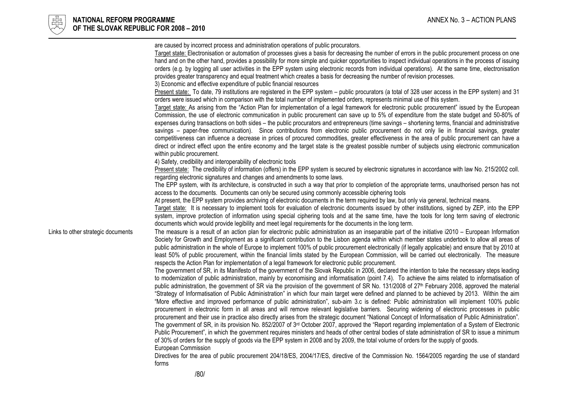

are caused by incorrect process and administration operations of public procurators. Target state: Electronisation or automation of processes gives a basis for decreasing the number of errors in the public procurement process on one hand and on the other hand, provides a possibility for more simple and quicker opportunities to inspect individual operations in the process of issuing orders (e.g. by logging all user activities in the EPP system using electronic records from individual operations). At the same time, electronisation provides greater transparency and equal treatment which creates a basis for decreasing the number of revision processes. 3) Economic and effective expenditure of public financial resources Present state: To date, 79 institutions are registered in the EPP system – public procurators (a total of 328 user access in the EPP system) and 31 orders were issued which in comparison with the total number of implemented orders, represents minimal use of this system. Target state: As arising from the "Action Plan for implementation of a legal framework for electronic public procurement" issued by the European Commission, the use of electronic communication in public procurement can save up to 5% of expenditure from the state budget and 50-80% of expenses during transactions on both sides – the public procurators and entrepreneurs (time savings – shortening terms, financial and administrative savings – paper-free communication). Since contributions from electronic public procurement do not only lie in financial savings, greater competitiveness can influence a decrease in prices of procured commodities, greater effectiveness in the area of public procurement can have a direct or indirect effect upon the entire economy and the target state is the greatest possible number of subjects using electronic communication within public procurement. 4) Safety, credibility and interoperability of electronic tools Present state: The credibility of information (offers) in the EPP system is secured by electronic signatures in accordance with law No. 215/2002 coll. regarding electronic signatures and changes and amendments to some laws. The EPP system, with its architecture, is constructed in such a way that prior to completion of the appropriate terms, unauthorised person has not access to the documents. Documents can only be secured using commonly accessible ciphering tools At present, the EPP system provides archiving of electronic documents in the term required by law, but only via general, technical means. Target state: It is necessary to implement tools for evaluation of electronic documents issued by other institutions, signed by ZEP, into the EPP system, improve protection of information using special ciphering tools and at the same time, have the tools for long term saving of electronic documents which would provide legibility and meet legal requirements for the documents in the long term. Links to other strategic documents The measure is a result of an action plan for electronic public administration as an inseparable part of the initiative i2010 – European Information Society for Growth and Employment as a significant contribution to the Lisbon agenda within which member states undertook to allow all areas of public administration in the whole of Europe to implement 100% of public procurement electronically (if legally applicable) and ensure that by 2010 at least 50% of public procurement, within the financial limits stated by the European Commission, will be carried out electronically. The measure respects the Action Plan for implementation of a legal framework for electronic public procurement. The government of SR, in its Manifesto of the government of the Slovak Republic in 2006, declared the intention to take the necessary steps leading to modernization of public administration, mainly by economising and informatisation (point 7.4). To achieve the aims related to informatisation of public administration, the government of SR via the provision of the government of SR No. 131/2008 of 27th February 2008, approved the material "Strategy of Informatisation of Public Administration" in which four main target were defined and planned to be achieved by 2013. Within the aim "More effective and improved performance of public administration", sub-aim 3.c is defined: Public administration will implement 100% public procurement in electronic form in all areas and will remove relevant legislative barriers. Securing widening of electronic processes in public procurement and their use in practice also directly arises from the strategic document "National Concept of Informatisation of Public Administration". The government of SR, in its provision No. 852/2007 of 3rd October 2007, approved the "Report regarding implementation of a System of Electronic Public Procurement", in which the government requires ministers and heads of other central bodies of state administration of SR to issue a minimum of 30% of orders for the supply of goods via the EPP system in 2008 and by 2009, the total volume of orders for the supply of goods. European Commission Directives for the area of public procurement 204/18/ES, 2004/17/ES, directive of the Commission No. 1564/2005 regarding the use of standard forms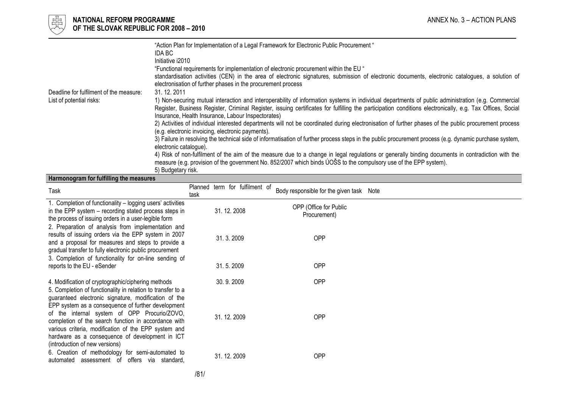

|                                         | "Action Plan for Implementation of a Legal Framework for Electronic Public Procurement"<br>IDA BC<br>Initiative i2010<br>"Eunctional requirements for implementation of electronic procurement within the EU"<br>standardisation activities (CEN) in the area of electronic signatures, submission of electronic documents, electronic catalogues, a solution of<br>electronisation of further phases in the procurement process |
|-----------------------------------------|----------------------------------------------------------------------------------------------------------------------------------------------------------------------------------------------------------------------------------------------------------------------------------------------------------------------------------------------------------------------------------------------------------------------------------|
| Deadline for fulfilment of the measure: | 31, 12, 2011                                                                                                                                                                                                                                                                                                                                                                                                                     |
| List of potential risks:                | 1) Non-securing mutual interaction and interoperability of information systems in individual departments of public administration (e.g. Commercial<br>Register, Business Register, Criminal Register, issuing certificates for fulfilling the participation conditions electronically, e.g. Tax Offices, Social<br>Insurance, Health Insurance, Labour Inspectorates)                                                            |
|                                         | 2) Activities of individual interested departments will not be coordinated during electronisation of further phases of the public procurement process<br>(e.g. electronic invoicing, electronic payments).                                                                                                                                                                                                                       |
|                                         | 3) Failure in resolving the technical side of informatisation of further process steps in the public procurement process (e.g. dynamic purchase system,<br>electronic catalogue).                                                                                                                                                                                                                                                |
|                                         | 4) Risk of non-fulfilment of the aim of the measure due to a change in legal regulations or generally binding documents in contradiction with the<br>measure (e.g. provision of the government No. 852/2007 which binds UOSS to the compulsory use of the EPP system).<br>5) Budgetary risk.                                                                                                                                     |

#### Harmonogram for fulfilling the measures

| Task                                                                                                                                                                                                                                                                                                                                                            | task | Planned term for fulfilment of | Body responsible for the given task Note |  |
|-----------------------------------------------------------------------------------------------------------------------------------------------------------------------------------------------------------------------------------------------------------------------------------------------------------------------------------------------------------------|------|--------------------------------|------------------------------------------|--|
| 1. Completion of functionality – logging users' activities<br>in the EPP system – recording stated process steps in<br>the process of issuing orders in a user-legible form                                                                                                                                                                                     |      | 31.12.2008                     | OPP (Office for Public<br>Procurement)   |  |
| 2. Preparation of analysis from implementation and<br>results of issuing orders via the EPP system in 2007<br>and a proposal for measures and steps to provide a<br>gradual transfer to fully electronic public procurement                                                                                                                                     |      | 31.3.2009                      | OPP                                      |  |
| 3. Completion of functionality for on-line sending of<br>reports to the EU - eSender                                                                                                                                                                                                                                                                            |      | 31.5.2009                      | <b>OPP</b>                               |  |
| 4. Modification of cryptographic/ciphering methods<br>5. Completion of functionality in relation to transfer to a                                                                                                                                                                                                                                               |      | 30.9.2009                      | <b>OPP</b>                               |  |
| guaranteed electronic signature, modification of the<br>EPP system as a consequence of further development<br>of the internal system of OPP Procurio/ZOVO,<br>completion of the search function in accordance with<br>various criteria, modification of the EPP system and<br>hardware as a consequence of development in ICT<br>(introduction of new versions) |      | 31.12.2009                     | OPP                                      |  |
| 6. Creation of methodology for semi-automated to<br>automated assessment of offers via standard.                                                                                                                                                                                                                                                                |      | 31.12.2009                     | <b>OPP</b>                               |  |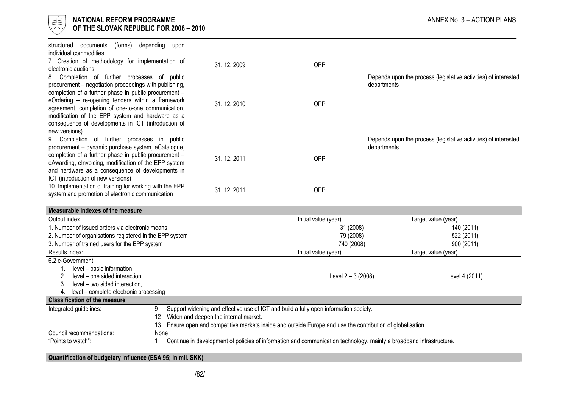

| (forms)<br>documents<br>structured<br>depending<br>upon<br>individual commodities                                                                           |              |            |                                                                                |
|-------------------------------------------------------------------------------------------------------------------------------------------------------------|--------------|------------|--------------------------------------------------------------------------------|
| 7. Creation of methodology for implementation of<br>electronic auctions                                                                                     | 31.12.2009   | <b>OPP</b> |                                                                                |
| 8. Completion of further processes of public                                                                                                                |              |            | Depends upon the process (legislative activities) of interested                |
| procurement – negotiation proceedings with publishing,<br>completion of a further phase in public procurement -                                             |              |            | departments                                                                    |
| eOrdering - re-opening tenders within a framework<br>agreement, completion of one-to-one communication,<br>modification of the EPP system and hardware as a | 31, 12, 2010 | <b>OPP</b> |                                                                                |
| consequence of developments in ICT (introduction of<br>new versions)                                                                                        |              |            |                                                                                |
| 9. Completion of further processes in public<br>procurement - dynamic purchase system, eCatalogue,                                                          |              |            | Depends upon the process (legislative activities) of interested<br>departments |
| completion of a further phase in public procurement -<br>eAwarding, eInvoicing, modification of the EPP system                                              | 31.12.2011   | <b>OPP</b> |                                                                                |
| and hardware as a consequence of developments in<br>ICT (introduction of new versions)                                                                      |              |            |                                                                                |
| 10. Implementation of training for working with the EPP<br>system and promotion of electronic communication                                                 | 31.12.2011   | <b>OPP</b> |                                                                                |

| Measurable indexes of the measure                       |                                                                                                                     |                      |                     |
|---------------------------------------------------------|---------------------------------------------------------------------------------------------------------------------|----------------------|---------------------|
| Output index                                            |                                                                                                                     | Initial value (year) | Target value (year) |
| 1. Number of issued orders via electronic means         |                                                                                                                     | 31 (2008)            | 140 (2011)          |
| 2. Number of organisations registered in the EPP system |                                                                                                                     | 79 (2008)            | 522 (2011)          |
| 3. Number of trained users for the EPP system           |                                                                                                                     | 740 (2008)           | 900 (2011)          |
| Results index:                                          |                                                                                                                     | Initial value (year) | Target value (year) |
| 6.2 e-Government                                        |                                                                                                                     |                      |                     |
| level – basic information,                              |                                                                                                                     |                      |                     |
| level – one sided interaction,                          |                                                                                                                     | Level 2 - 3 (2008)   | Level 4 (2011)      |
| level - two sided interaction,<br>3.                    |                                                                                                                     |                      |                     |
| level – complete electronic processing<br>4.            |                                                                                                                     |                      |                     |
| <b>Classification of the measure</b>                    |                                                                                                                     |                      |                     |
| Integrated guidelines:                                  | 9<br>Support widening and effective use of ICT and build a fully open information society.                          |                      |                     |
|                                                         | Widen and deepen the internal market.<br>12                                                                         |                      |                     |
|                                                         | Ensure open and competitive markets inside and outside Europe and use the contribution of globalisation.            |                      |                     |
| Council recommendations:                                | None                                                                                                                |                      |                     |
| "Points to watch":                                      | Continue in development of policies of information and communication technology, mainly a broadband infrastructure. |                      |                     |

# Quantification of budgetary influence (ESA 95; in mil. SKK)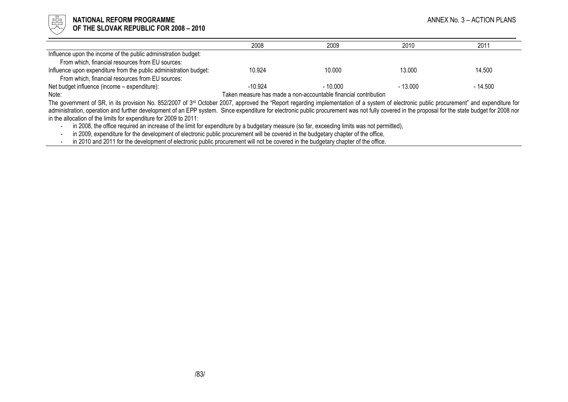

#### NATIONAL REFORM PROGRAMME ANNEX No. 3 – ACTION PLANS OF THE SLOVAK REPUBLIC FOR 2008 – 2010

|                                                                   | 2008      | 2009                                                            | 2010      | 2011     |
|-------------------------------------------------------------------|-----------|-----------------------------------------------------------------|-----------|----------|
| Influence upon the income of the public administration budget:    |           |                                                                 |           |          |
| From which, financial resources from EU sources:                  |           |                                                                 |           |          |
| Influence upon expenditure from the public administration budget: | 10.924    | 10.000                                                          | 13.000    | 14.500   |
| From which, financial resources from EU sources:                  |           |                                                                 |           |          |
| Net budget influence (income – expenditure):                      | $-10.924$ | $-10.000$                                                       | $-13.000$ | - 14.500 |
| Note:                                                             |           | Taken measure has made a non-accountable financial contribution |           |          |

The government of SR, in its provision No. 852/2007 of 3<sup>rd</sup> October 2007, approved the "Report regarding implementation of a system of electronic public procurement" and expenditure for administration, operation and further development of an EPP system. Since expenditure for electronic public procurement was not fully covered in the proposal for the state budget for 2008 nor in the allocation of the limits for expenditure for 2009 to 2011:

in 2008, the office required an increase of the limit for expenditure by a budgetary measure (so far, exceeding limits was not permitted), -

in 2009, expenditure for the development of electronic public procurement will be covered in the budgetary chapter of the office, -

in 2010 and 2011 for the development of electronic public procurement will not be covered in the budgetary chapter of the office.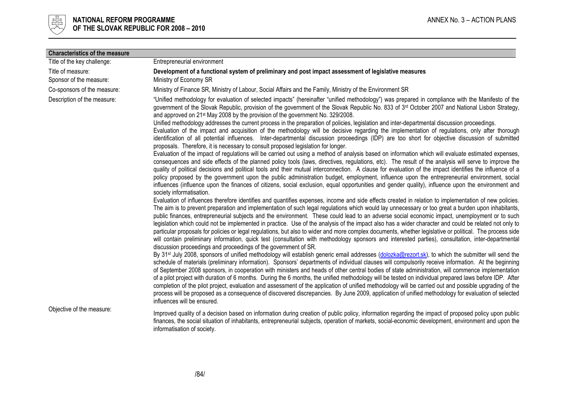

| <b>Characteristics of the measure</b>        |                                                                                                                                                                                                                                                                                                                                                                                                                                                                                                                                                                                                                                                                                                                                                                                                                                                                                                                                                                                                            |
|----------------------------------------------|------------------------------------------------------------------------------------------------------------------------------------------------------------------------------------------------------------------------------------------------------------------------------------------------------------------------------------------------------------------------------------------------------------------------------------------------------------------------------------------------------------------------------------------------------------------------------------------------------------------------------------------------------------------------------------------------------------------------------------------------------------------------------------------------------------------------------------------------------------------------------------------------------------------------------------------------------------------------------------------------------------|
| Title of the key challenge:                  | Entrepreneurial environment                                                                                                                                                                                                                                                                                                                                                                                                                                                                                                                                                                                                                                                                                                                                                                                                                                                                                                                                                                                |
| Title of measure:<br>Sponsor of the measure: | Development of a functional system of preliminary and post impact assessment of legislative measures<br>Ministry of Economy SR                                                                                                                                                                                                                                                                                                                                                                                                                                                                                                                                                                                                                                                                                                                                                                                                                                                                             |
| Co-sponsors of the measure:                  | Ministry of Finance SR, Ministry of Labour, Social Affairs and the Family, Ministry of the Environment SR                                                                                                                                                                                                                                                                                                                                                                                                                                                                                                                                                                                                                                                                                                                                                                                                                                                                                                  |
| Description of the measure:                  | "Unified methodology for evaluation of selected impacts" (hereinafter "unified methodology") was prepared in compliance with the Manifesto of the<br>government of the Slovak Republic, provision of the government of the Slovak Republic No. 833 of 3 <sup>rd</sup> October 2007 and National Lisbon Strategy,<br>and approved on 21 <sup>st</sup> May 2008 by the provision of the government No. 329/2008.                                                                                                                                                                                                                                                                                                                                                                                                                                                                                                                                                                                             |
|                                              | Unified methodology addresses the current process in the preparation of policies, legislation and inter-departmental discussion proceedings.<br>Evaluation of the impact and acquisition of the methodology will be decisive regarding the implementation of regulations, only after thorough<br>identification of all potential influences. Inter-departmental discussion proceedings (IDP) are too short for objective discussion of submitted<br>proposals. Therefore, it is necessary to consult proposed legislation for longer.                                                                                                                                                                                                                                                                                                                                                                                                                                                                      |
|                                              | Evaluation of the impact of regulations will be carried out using a method of analysis based on information which will evaluate estimated expenses,<br>consequences and side effects of the planned policy tools (laws, directives, regulations, etc). The result of the analysis will serve to improve the<br>quality of political decisions and political tools and their mutual interconnection. A clause for evaluation of the impact identifies the influence of a<br>policy proposed by the government upon the public administration budget, employment, influence upon the entrepreneurial environment, social<br>influences (influence upon the finances of citizens, social exclusion, equal opportunities and gender quality), influence upon the environment and<br>society informatisation.                                                                                                                                                                                                   |
|                                              | Evaluation of influences therefore identifies and quantifies expenses, income and side effects created in relation to implementation of new policies.<br>The aim is to prevent preparation and implementation of such legal regulations which would lay unnecessary or too great a burden upon inhabitants,<br>public finances, entrepreneurial subjects and the environment. These could lead to an adverse social economic impact, unemployment or to such<br>legislation which could not be implemented in practice. Use of the analysis of the impact also has a wider character and could be related not only to<br>particular proposals for policies or legal regulations, but also to wider and more complex documents, whether legislative or political. The process side<br>will contain preliminary information, quick test (consultation with methodology sponsors and interested parties), consultation, inter-departmental<br>discussion proceedings and proceedings of the government of SR. |
|                                              | By 31 <sup>st</sup> July 2008, sponsors of unified methodology will establish generic email addresses (dolozka@rezort.sk), to which the submitter will send the<br>schedule of materials (preliminary information). Sponsors' departments of individual clauses will compulsorily receive information. At the beginning<br>of September 2008 sponsors, in cooperation with ministers and heads of other central bodies of state administration, will commence implementation<br>of a pilot project with duration of 6 months. During the 6 months, the unified methodology will be tested on individual prepared laws before IDP. After<br>completion of the pilot project, evaluation and assessment of the application of unified methodology will be carried out and possible upgrading of the<br>process will be proposed as a consequence of discovered discrepancies. By June 2009, application of unified methodology for evaluation of selected<br>influences will be ensured.                     |
| Objective of the measure:                    | Improved quality of a decision based on information during creation of public policy, information regarding the impact of proposed policy upon public<br>finances, the social situation of inhabitants, entrepreneurial subjects, operation of markets, social-economic development, environment and upon the<br>informatisation of society.                                                                                                                                                                                                                                                                                                                                                                                                                                                                                                                                                                                                                                                               |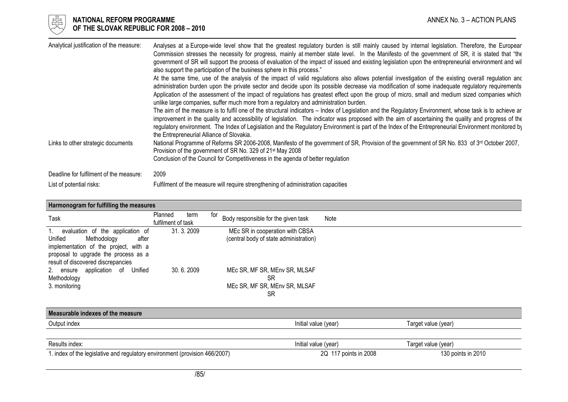

# $\begin{array}{cc} \frac{17}{150} \\ \frac{17}{150} \end{array}$  NATIONAL REFORM PROGRAMME<br>Of the slovak republic for 2008 – 2010 OF THE SLOVAK REPUBLIC FOR 2008 – 2010

| Analytical justification of the measure: | Analyses at a Europe-wide level show that the greatest regulatory burden is still mainly caused by internal legislation. Therefore, the Europear<br>Commission stresses the necessity for progress, mainly at member state level. In the Manifesto of the government of SR, it is stated that "the<br>government of SR will support the process of evaluation of the impact of issued and existing legislation upon the entrepreneurial environment and wil<br>also support the participation of the business sphere in this process."            |
|------------------------------------------|---------------------------------------------------------------------------------------------------------------------------------------------------------------------------------------------------------------------------------------------------------------------------------------------------------------------------------------------------------------------------------------------------------------------------------------------------------------------------------------------------------------------------------------------------|
|                                          | At the same time, use of the analysis of the impact of valid regulations also allows potential investigation of the existing overall regulation and<br>administration burden upon the private sector and decide upon its possible decrease via modification of some inadequate regulatory requirements<br>Application of the assessment of the impact of regulations has greatest effect upon the group of micro, small and medium sized companies which<br>unlike large companies, suffer much more from a regulatory and administration burden. |
|                                          | The aim of the measure is to fulfil one of the structural indicators – Index of Legislation and the Regulatory Environment, whose task is to achieve ar<br>improvement in the quality and accessibility of legislation. The indicator was proposed with the aim of ascertaining the quality and progress of the<br>regulatory environment. The Index of Legislation and the Regulatory Environment is part of the Index of the Entrepreneurial Environment monitored by<br>the Entrepreneurial Alliance of Slovakia.                              |
| Links to other strategic documents       | National Programme of Reforms SR 2006-2008, Manifesto of the government of SR, Provision of the government of SR No. 833 of 3 <sup>rd</sup> October 2007,<br>Provision of the government of SR No. 329 of 21 <sup>st</sup> May 2008<br>Conclusion of the Council for Competitiveness in the agenda of better regulation                                                                                                                                                                                                                           |
| Deadline for fulfilment of the measure:  | 2009                                                                                                                                                                                                                                                                                                                                                                                                                                                                                                                                              |
| List of potential risks:                 | Fulfilment of the measure will require strengthening of administration capacities                                                                                                                                                                                                                                                                                                                                                                                                                                                                 |

| Harmonogram for fulfilling the measures                                                                                                                                                    |                                       |                                                                            |                       |                     |
|--------------------------------------------------------------------------------------------------------------------------------------------------------------------------------------------|---------------------------------------|----------------------------------------------------------------------------|-----------------------|---------------------|
| Task                                                                                                                                                                                       | Planned<br>term<br>fulfilment of task | for<br>Body responsible for the given task                                 | Note                  |                     |
| evaluation of the application of<br>Unified<br>Methodology<br>after<br>implementation of the project, with a<br>proposal to upgrade the process as a<br>result of discovered discrepancies | 31. 3. 2009                           | MEc SR in cooperation with CBSA<br>(central body of state administration)  |                       |                     |
| application of Unified<br>ensure<br>2.<br>Methodology<br>3. monitoring                                                                                                                     | 30, 6, 2009                           | MEC SR, MF SR, MEnv SR, MLSAF<br>SR<br>MEC SR, MF SR, MEnv SR, MLSAF<br>SR |                       |                     |
| Measurable indexes of the measure                                                                                                                                                          |                                       |                                                                            |                       |                     |
| Output index                                                                                                                                                                               |                                       |                                                                            | Initial value (year)  | Target value (year) |
| Results index:                                                                                                                                                                             |                                       |                                                                            | Initial value (year)  | Target value (year) |
| 1. index of the legislative and regulatory environment (provision 466/2007)                                                                                                                |                                       |                                                                            | 2Q 117 points in 2008 | 130 points in 2010  |
|                                                                                                                                                                                            |                                       |                                                                            |                       |                     |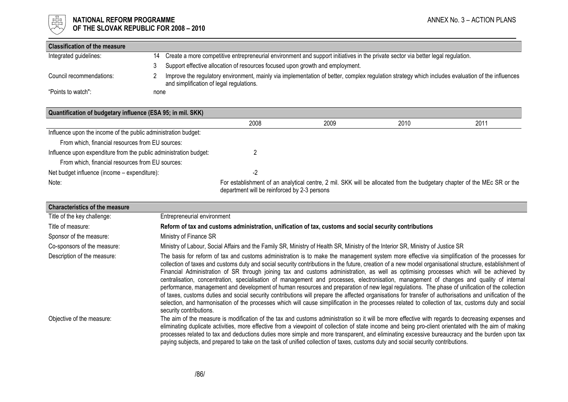

# $\begin{array}{cc} \frac{17}{150} \\ \frac{17}{150} \end{array}$  NATIONAL REFORM PROGRAMME<br>Of the slovak republic for 2008 – 2010 OF THE SLOVAK REPUBLIC FOR 2008 – 2010

| <b>Classification of the measure</b> |      |                                                                                                                                                                                              |
|--------------------------------------|------|----------------------------------------------------------------------------------------------------------------------------------------------------------------------------------------------|
| Integrated guidelines:               | 14   | Create a more competitive entrepreneurial environment and support initiatives in the private sector via better legal regulation.                                                             |
|                                      |      | Support effective allocation of resources focused upon growth and employment.                                                                                                                |
| Council recommendations:             |      | Improve the regulatory environment, mainly via implementation of better, complex regulation strategy which includes evaluation of the influences<br>and simplification of legal regulations. |
| "Points to watch":                   | none |                                                                                                                                                                                              |

| Quantification of budgetary influence (ESA 95; in mil. SKK)       |                                              |      |      |                                                                                                                         |
|-------------------------------------------------------------------|----------------------------------------------|------|------|-------------------------------------------------------------------------------------------------------------------------|
|                                                                   | 2008                                         | 2009 | 2010 | 2011                                                                                                                    |
| Influence upon the income of the public administration budget:    |                                              |      |      |                                                                                                                         |
| From which, financial resources from EU sources:                  |                                              |      |      |                                                                                                                         |
| Influence upon expenditure from the public administration budget: |                                              |      |      |                                                                                                                         |
| From which, financial resources from EU sources:                  |                                              |      |      |                                                                                                                         |
| Net budget influence (income – expenditure):                      | -2                                           |      |      |                                                                                                                         |
| Note:                                                             | department will be reinforced by 2-3 persons |      |      | For establishment of an analytical centre, 2 mil. SKK will be allocated from the budgetary chapter of the MEc SR or the |

| <b>Characteristics of the measure</b> |                                                                                                                                                                                                                                                                                                                                                                                                                                                                                                                                                                                                                                                                                                                                                                                                                                                                                                                                                                                                                                                                                                       |
|---------------------------------------|-------------------------------------------------------------------------------------------------------------------------------------------------------------------------------------------------------------------------------------------------------------------------------------------------------------------------------------------------------------------------------------------------------------------------------------------------------------------------------------------------------------------------------------------------------------------------------------------------------------------------------------------------------------------------------------------------------------------------------------------------------------------------------------------------------------------------------------------------------------------------------------------------------------------------------------------------------------------------------------------------------------------------------------------------------------------------------------------------------|
| Title of the key challenge:           | Entrepreneurial environment                                                                                                                                                                                                                                                                                                                                                                                                                                                                                                                                                                                                                                                                                                                                                                                                                                                                                                                                                                                                                                                                           |
| Title of measure:                     | Reform of tax and customs administration, unification of tax, customs and social security contributions                                                                                                                                                                                                                                                                                                                                                                                                                                                                                                                                                                                                                                                                                                                                                                                                                                                                                                                                                                                               |
| Sponsor of the measure:               | Ministry of Finance SR                                                                                                                                                                                                                                                                                                                                                                                                                                                                                                                                                                                                                                                                                                                                                                                                                                                                                                                                                                                                                                                                                |
| Co-sponsors of the measure:           | Ministry of Labour, Social Affairs and the Family SR, Ministry of Health SR, Ministry of the Interior SR, Ministry of Justice SR                                                                                                                                                                                                                                                                                                                                                                                                                                                                                                                                                                                                                                                                                                                                                                                                                                                                                                                                                                      |
| Description of the measure:           | The basis for reform of tax and customs administration is to make the management system more effective via simplification of the processes for<br>collection of taxes and customs duty and social security contributions in the future, creation of a new model organisational structure, establishment of<br>Financial Administration of SR through joining tax and customs administration, as well as optimising processes which will be achieved by<br>centralisation, concentration, specialisation of management and processes, electronisation, management of changes and quality of internal<br>performance, management and development of human resources and preparation of new legal regulations. The phase of unification of the collection<br>of taxes, customs duties and social security contributions will prepare the affected organisations for transfer of authorisations and unification of the<br>selection, and harmonisation of the processes which will cause simplification in the processes related to collection of tax, customs duty and social<br>security contributions. |
| Objective of the measure:             | The aim of the measure is modification of the tax and customs administration so it will be more effective with regards to decreasing expenses and<br>eliminating duplicate activities, more effective from a viewpoint of collection of state income and being pro-client orientated with the aim of making<br>processes related to tax and deductions duties more simple and more transparent, and eliminating excessive bureaucracy and the burden upon tax<br>paying subjects, and prepared to take on the task of unified collection of taxes, customs duty and social security contributions.                                                                                                                                                                                                                                                                                                                                                                                                                                                                                                    |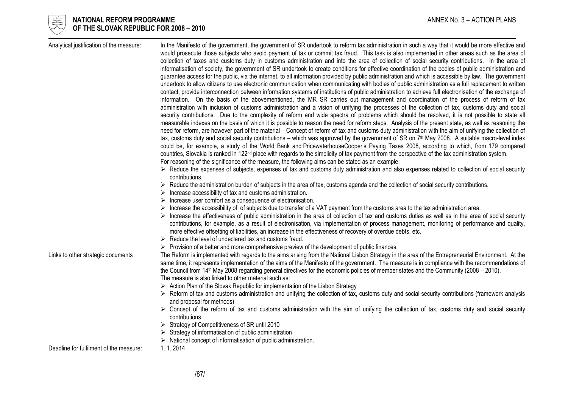

| Analytical justification of the measure: | In the Manifesto of the government, the government of SR undertook to reform tax administration in such a way that it would be more effective and<br>would prosecute those subjects who avoid payment of tax or commit tax fraud. This task is also implemented in other areas such as the area of<br>collection of taxes and customs duty in customs administration and into the area of collection of social security contributions. In the area of<br>informatisation of society, the government of SR undertook to create conditions for effective coordination of the bodies of public administration and<br>guarantee access for the public, via the internet, to all information provided by public administration and which is accessible by law. The government<br>undertook to allow citizens to use electronic communication when communicating with bodies of public administration as a full replacement to written<br>contact, provide interconnection between information systems of institutions of public administration to achieve full electronisation of the exchange of<br>information. On the basis of the abovementioned, the MR SR carries out management and coordination of the process of reform of tax<br>administration with inclusion of customs administration and a vision of unifying the processes of the collection of tax, customs duty and social<br>security contributions. Due to the complexity of reform and wide spectra of problems which should be resolved, it is not possible to state all<br>measurable indexes on the basis of which it is possible to reason the need for reform steps. Analysis of the present state, as well as reasoning the<br>need for reform, are however part of the material – Concept of reform of tax and customs duty administration with the aim of unifying the collection of<br>tax, customs duty and social security contributions – which was approved by the government of SR on 7th May 2008. A suitable macro-level index<br>could be, for example, a study of the World Bank and PricewaterhouseCooper's Paying Taxes 2008, according to which, from 179 compared<br>countries, Slovakia is ranked in 122 <sup>nd</sup> place with regards to the simplicity of tax payment from the perspective of the tax administration system.<br>For reasoning of the significance of the measure, the following aims can be stated as an example:<br>► Reduce the expenses of subjects, expenses of tax and customs duty administration and also expenses related to collection of social security<br>contributions.<br>► Reduce the administration burden of subjects in the area of tax, customs agenda and the collection of social security contributions. |
|------------------------------------------|-------------------------------------------------------------------------------------------------------------------------------------------------------------------------------------------------------------------------------------------------------------------------------------------------------------------------------------------------------------------------------------------------------------------------------------------------------------------------------------------------------------------------------------------------------------------------------------------------------------------------------------------------------------------------------------------------------------------------------------------------------------------------------------------------------------------------------------------------------------------------------------------------------------------------------------------------------------------------------------------------------------------------------------------------------------------------------------------------------------------------------------------------------------------------------------------------------------------------------------------------------------------------------------------------------------------------------------------------------------------------------------------------------------------------------------------------------------------------------------------------------------------------------------------------------------------------------------------------------------------------------------------------------------------------------------------------------------------------------------------------------------------------------------------------------------------------------------------------------------------------------------------------------------------------------------------------------------------------------------------------------------------------------------------------------------------------------------------------------------------------------------------------------------------------------------------------------------------------------------------------------------------------------------------------------------------------------------------------------------------------------------------------------------------------------------------------------------------------------------------------------------------------------------------------------------------------------------------------------------------------------------------------------------------------------------------------------------------------------------------|
|                                          | $\triangleright$ Increase accessibility of tax and customs administration.                                                                                                                                                                                                                                                                                                                                                                                                                                                                                                                                                                                                                                                                                                                                                                                                                                                                                                                                                                                                                                                                                                                                                                                                                                                                                                                                                                                                                                                                                                                                                                                                                                                                                                                                                                                                                                                                                                                                                                                                                                                                                                                                                                                                                                                                                                                                                                                                                                                                                                                                                                                                                                                                |
|                                          | $\triangleright$ Increase user comfort as a consequence of electronisation.                                                                                                                                                                                                                                                                                                                                                                                                                                                                                                                                                                                                                                                                                                                                                                                                                                                                                                                                                                                                                                                                                                                                                                                                                                                                                                                                                                                                                                                                                                                                                                                                                                                                                                                                                                                                                                                                                                                                                                                                                                                                                                                                                                                                                                                                                                                                                                                                                                                                                                                                                                                                                                                               |
|                                          | $\triangleright$ Increase the accessibility of of subjects due to transfer of a VAT payment from the customs area to the tax administration area.<br>> Increase the effectiveness of public administration in the area of collection of tax and customs duties as well as in the area of social security<br>contributions, for example, as a result of electronisation, via implementation of process management, monitoring of performance and quality,<br>more effective offsetting of liabilities, an increase in the effectiveness of recovery of overdue debts, etc.<br>$\triangleright$ Reduce the level of undeclared tax and customs fraud.                                                                                                                                                                                                                                                                                                                                                                                                                                                                                                                                                                                                                                                                                                                                                                                                                                                                                                                                                                                                                                                                                                                                                                                                                                                                                                                                                                                                                                                                                                                                                                                                                                                                                                                                                                                                                                                                                                                                                                                                                                                                                       |
|                                          | $\triangleright$ Provision of a better and more comprehensive preview of the development of public finances.                                                                                                                                                                                                                                                                                                                                                                                                                                                                                                                                                                                                                                                                                                                                                                                                                                                                                                                                                                                                                                                                                                                                                                                                                                                                                                                                                                                                                                                                                                                                                                                                                                                                                                                                                                                                                                                                                                                                                                                                                                                                                                                                                                                                                                                                                                                                                                                                                                                                                                                                                                                                                              |
| Links to other strategic documents       | The Reform is implemented with regards to the aims arising from the National Lisbon Strategy in the area of the Entrepreneurial Environment. At the<br>same time, it represents implementation of the aims of the Manifesto of the government. The measure is in compliance with the recommendations of<br>the Council from 14 <sup>th</sup> May 2008 regarding general directives for the economic policies of member states and the Community (2008 - 2010).<br>The measure is also linked to other material such as:                                                                                                                                                                                                                                                                                                                                                                                                                                                                                                                                                                                                                                                                                                                                                                                                                                                                                                                                                                                                                                                                                                                                                                                                                                                                                                                                                                                                                                                                                                                                                                                                                                                                                                                                                                                                                                                                                                                                                                                                                                                                                                                                                                                                                   |
|                                          | > Action Plan of the Slovak Republic for implementation of the Lisbon Strategy<br>► Reform of tax and customs administration and unifying the collection of tax, customs duty and social security contributions (framework analysis<br>and proposal for methods)                                                                                                                                                                                                                                                                                                                                                                                                                                                                                                                                                                                                                                                                                                                                                                                                                                                                                                                                                                                                                                                                                                                                                                                                                                                                                                                                                                                                                                                                                                                                                                                                                                                                                                                                                                                                                                                                                                                                                                                                                                                                                                                                                                                                                                                                                                                                                                                                                                                                          |
|                                          | > Concept of the reform of tax and customs administration with the aim of unifying the collection of tax, customs duty and social security<br>contributions                                                                                                                                                                                                                                                                                                                                                                                                                                                                                                                                                                                                                                                                                                                                                                                                                                                                                                                                                                                                                                                                                                                                                                                                                                                                                                                                                                                                                                                                                                                                                                                                                                                                                                                                                                                                                                                                                                                                                                                                                                                                                                                                                                                                                                                                                                                                                                                                                                                                                                                                                                               |
|                                          | $\triangleright$ Strategy of Competitiveness of SR until 2010                                                                                                                                                                                                                                                                                                                                                                                                                                                                                                                                                                                                                                                                                                                                                                                                                                                                                                                                                                                                                                                                                                                                                                                                                                                                                                                                                                                                                                                                                                                                                                                                                                                                                                                                                                                                                                                                                                                                                                                                                                                                                                                                                                                                                                                                                                                                                                                                                                                                                                                                                                                                                                                                             |
|                                          | $\triangleright$ Strategy of informatisation of public administration                                                                                                                                                                                                                                                                                                                                                                                                                                                                                                                                                                                                                                                                                                                                                                                                                                                                                                                                                                                                                                                                                                                                                                                                                                                                                                                                                                                                                                                                                                                                                                                                                                                                                                                                                                                                                                                                                                                                                                                                                                                                                                                                                                                                                                                                                                                                                                                                                                                                                                                                                                                                                                                                     |
|                                          | $\triangleright$ National concept of informatisation of public administration.                                                                                                                                                                                                                                                                                                                                                                                                                                                                                                                                                                                                                                                                                                                                                                                                                                                                                                                                                                                                                                                                                                                                                                                                                                                                                                                                                                                                                                                                                                                                                                                                                                                                                                                                                                                                                                                                                                                                                                                                                                                                                                                                                                                                                                                                                                                                                                                                                                                                                                                                                                                                                                                            |
| Deadline for fulfilment of the measure:  | 1.1.2014                                                                                                                                                                                                                                                                                                                                                                                                                                                                                                                                                                                                                                                                                                                                                                                                                                                                                                                                                                                                                                                                                                                                                                                                                                                                                                                                                                                                                                                                                                                                                                                                                                                                                                                                                                                                                                                                                                                                                                                                                                                                                                                                                                                                                                                                                                                                                                                                                                                                                                                                                                                                                                                                                                                                  |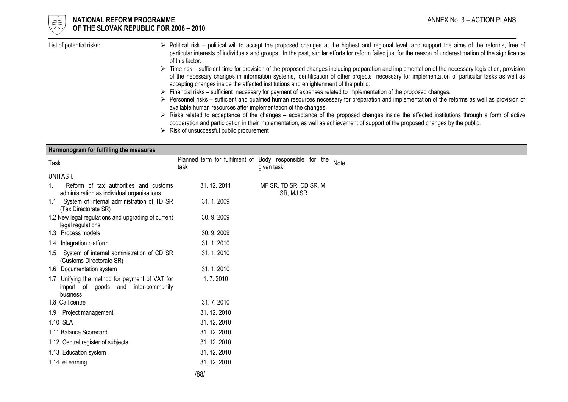

#### NATIONAL REFORM PROGRAMME ANNEX No. 3 – ACTION PLANS OF THE SLOVAK REPUBLIC FOR 2008 – 2010

| List of potential risks: | Political risk – political will to accept the proposed changes at the highest and regional level, and support the aims of the reforms, free of<br>particular interests of individuals and groups. In the past, similar efforts for reform failed just for the reason of underestimation of the significance |
|--------------------------|-------------------------------------------------------------------------------------------------------------------------------------------------------------------------------------------------------------------------------------------------------------------------------------------------------------|
|                          | of this factor.                                                                                                                                                                                                                                                                                             |
|                          | Time risk – sufficient time for provision of the proposed changes including preparation and implementation of the necessary legislation, provision                                                                                                                                                          |
|                          | of the necessary changes in information ovatoms, identification of other projects, necessary for implementation of particular tooks as well as                                                                                                                                                              |

- Fime risk sufficient time for provision of the proposed changes including preparation and implementation of the necessary legislation, provision<br>Time risk sufficient of provision systems, identification of other proje accepting changes inside the affected institutions and enlightenment of the public.
- $\triangleright$  Financial risks sufficient necessary for payment of expenses related to implementation of the proposed changes.<br>Between the sufficient and qualified burner resources peoplesny for proposition and implementation o
- Personnel risks sufficient and qualified human resources necessary for preparation and implementation of the reforms as well as provision of  $\sim$  overleble human resources of the reformation of the changes available human resources after implementation of the changes.
- $\triangleright$  Risks related to acceptance of the changes acceptance of the proposed changes inside the affected institutions through a form of active connection and perticipation in their implementation as well as ophiovement cooperation and participation in their implementation, as well as achievement of support of the proposed changes by the public.
- Risk of unsuccessful public procurement

| Harmonogram for fulfilling the measures                                                              |                                                                 |                                      |      |
|------------------------------------------------------------------------------------------------------|-----------------------------------------------------------------|--------------------------------------|------|
| Task                                                                                                 | Planned term for fulfilment of Body responsible for the<br>task | given task                           | Note |
| UNITAS I.                                                                                            |                                                                 |                                      |      |
| Reform of tax authorities and customs<br>administration as individual organisations                  | 31.12.2011                                                      | MF SR, TD SR, CD SR, MI<br>SR, MJ SR |      |
| System of internal administration of TD SR<br>1.1<br>(Tax Directorate SR)                            | 31.1.2009                                                       |                                      |      |
| 1.2 New legal regulations and upgrading of current<br>legal regulations                              | 30.9.2009                                                       |                                      |      |
| 1.3 Process models                                                                                   | 30.9.2009                                                       |                                      |      |
| 1.4 Integration platform                                                                             | 31.1.2010                                                       |                                      |      |
| System of internal administration of CD SR<br>1.5<br>(Customs Directorate SR)                        | 31.1.2010                                                       |                                      |      |
| 1.6 Documentation system                                                                             | 31.1.2010                                                       |                                      |      |
| Unifying the method for payment of VAT for<br>1.7<br>import of goods and inter-community<br>business | 1.7.2010                                                        |                                      |      |
| 1.8 Call centre                                                                                      | 31.7.2010                                                       |                                      |      |
| 1.9 Project management                                                                               | 31.12.2010                                                      |                                      |      |
| 1.10 SLA                                                                                             | 31.12.2010                                                      |                                      |      |
| 1.11 Balance Scorecard                                                                               | 31.12.2010                                                      |                                      |      |
| 1.12 Central register of subjects                                                                    | 31.12.2010                                                      |                                      |      |
| 1.13 Education system                                                                                | 31.12.2010                                                      |                                      |      |
| 1.14 eLearning                                                                                       | 31.12.2010                                                      |                                      |      |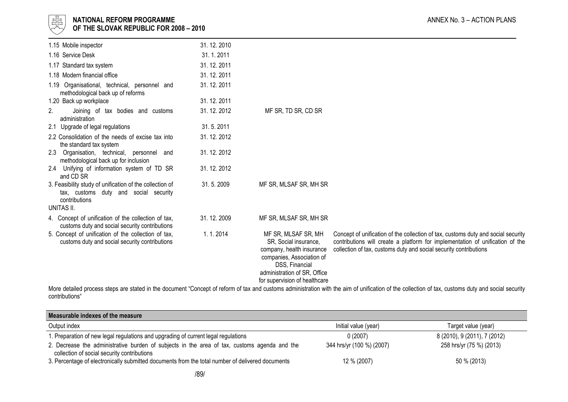

## l 너는 NATIONAL REFORM PROGRAMME AND THE SECOND MANNEX No. 3 – ACTION PLANS ANNEX No. 3 – ACTION PLANS  $\forall\forall$  OF THE SLOVAK REPUBLIC FOR 2008 – 2010

| 1.15 Mobile inspector                                                                                              | 31.12.2010 |                                                                                                                                                                                           |                                                                                                                                                                                                                                         |
|--------------------------------------------------------------------------------------------------------------------|------------|-------------------------------------------------------------------------------------------------------------------------------------------------------------------------------------------|-----------------------------------------------------------------------------------------------------------------------------------------------------------------------------------------------------------------------------------------|
| 1.16 Service Desk                                                                                                  | 31.1.2011  |                                                                                                                                                                                           |                                                                                                                                                                                                                                         |
| 1.17 Standard tax system                                                                                           | 31.12.2011 |                                                                                                                                                                                           |                                                                                                                                                                                                                                         |
| 1.18 Modern financial office                                                                                       | 31.12.2011 |                                                                                                                                                                                           |                                                                                                                                                                                                                                         |
| 1.19 Organisational, technical, personnel and<br>methodological back up of reforms                                 | 31.12.2011 |                                                                                                                                                                                           |                                                                                                                                                                                                                                         |
| 1.20 Back up workplace                                                                                             | 31.12.2011 |                                                                                                                                                                                           |                                                                                                                                                                                                                                         |
| 2.<br>Joining of tax bodies and customs<br>administration                                                          | 31.12.2012 | MF SR, TD SR, CD SR                                                                                                                                                                       |                                                                                                                                                                                                                                         |
| 2.1 Upgrade of legal regulations                                                                                   | 31.5.2011  |                                                                                                                                                                                           |                                                                                                                                                                                                                                         |
| 2.2 Consolidation of the needs of excise tax into<br>the standard tax system                                       | 31.12.2012 |                                                                                                                                                                                           |                                                                                                                                                                                                                                         |
| Organisation, technical, personnel and<br>2.3<br>methodological back up for inclusion                              | 31.12.2012 |                                                                                                                                                                                           |                                                                                                                                                                                                                                         |
| 2.4 Unifying of information system of TD SR<br>and CD SR                                                           | 31.12.2012 |                                                                                                                                                                                           |                                                                                                                                                                                                                                         |
| 3. Feasibility study of unification of the collection of<br>tax, customs duty and social security<br>contributions | 31.5.2009  | MF SR, MLSAF SR, MH SR                                                                                                                                                                    |                                                                                                                                                                                                                                         |
| UNITAS II.                                                                                                         |            |                                                                                                                                                                                           |                                                                                                                                                                                                                                         |
| 4. Concept of unification of the collection of tax,<br>customs duty and social security contributions              | 31.12.2009 | MF SR, MLSAF SR, MH SR                                                                                                                                                                    |                                                                                                                                                                                                                                         |
| 5. Concept of unification of the collection of tax,<br>customs duty and social security contributions              | 1.1.2014   | MF SR, MLSAF SR, MH<br>SR, Social insurance,<br>company, health insurance<br>companies, Association of<br>DSS, Financial<br>administration of SR, Office<br>for supervision of healthcare | Concept of unification of the collection of tax, customs duty and social security<br>contributions will create a platform for implementation of unification of the<br>collection of tax, customs duty and social security contributions |

 More detailed process steps are stated in the document "Concept of reform of tax and customs administration with the aim of unification of the collection of tax, customs duty and social security contributions"

| Measurable indexes of the measure                                                                                                           |                           |                              |
|---------------------------------------------------------------------------------------------------------------------------------------------|---------------------------|------------------------------|
| Output index                                                                                                                                | Initial value (year)      | Target value (year)          |
| 1. Preparation of new legal regulations and upgrading of current legal regulations                                                          | 0(2007)                   | 8 (2010), 9 (2011), 7 (2012) |
| 2. Decrease the administrative burden of subjects in the area of tax, customs agenda and the<br>collection of social security contributions | 344 hrs/yr (100 %) (2007) | 258 hrs/yr (75 %) (2013)     |
| 3. Percentage of electronically submitted documents from the total number of delivered documents                                            | 12 % (2007)               | 50 % (2013)                  |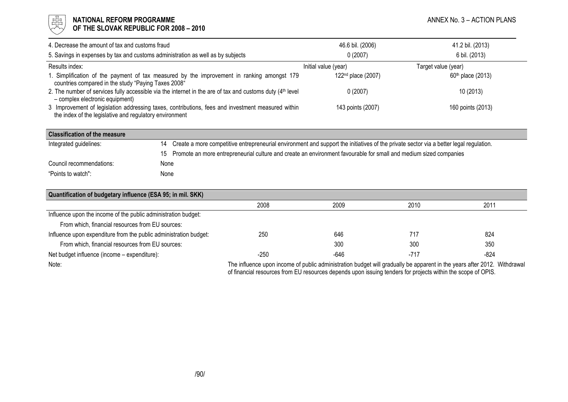#### l 너는 NATIONAL REFORM PROGRAMME AND THE SECOND MANNEX No. 3 – ACTION PLANS ANNEX No. 3 – ACTION PLANS  $\forall\forall$  OF THE SLOVAK REPUBLIC FOR 2008 – 2010

| 4. Decrease the amount of tax and customs fraud                                                                                                              | 46.6 bil. (2006)               | 41.2 bil. (2013)    |
|--------------------------------------------------------------------------------------------------------------------------------------------------------------|--------------------------------|---------------------|
| 5. Savings in expenses by tax and customs administration as well as by subjects                                                                              | 0(2007)                        | 6 bil. (2013)       |
| Results index:                                                                                                                                               | Initial value (year)           | Target value (year) |
| 1. Simplification of the payment of tax measured by the improvement in ranking amongst 179<br>countries compared in the study "Paying Taxes 2008"            | 122 <sup>nd</sup> place (2007) | $60th$ place (2013) |
| 2. The number of services fully accessible via the internet in the are of tax and customs duty $(4th$ level<br>- complex electronic equipment)               | 0(2007)                        | 10 (2013)           |
| 3 Improvement of legislation addressing taxes, contributions, fees and investment measured within<br>the index of the legislative and regulatory environment | 143 points (2007)              | 160 points (2013)   |

| <b>Classification of the measure</b> |      |                                                                                                                                           |
|--------------------------------------|------|-------------------------------------------------------------------------------------------------------------------------------------------|
| Integrated guidelines:               |      | 14 Create a more competitive entrepreneurial environment and support the initiatives of the private sector via a better legal regulation. |
|                                      |      | 15 Promote an more entrepreneurial culture and create an environment favourable for small and medium sized companies                      |
| Council recommendations:             | None |                                                                                                                                           |
| "Points to watch":                   | None |                                                                                                                                           |

| Quantification of budgetary influence (ESA 95; in mil. SKK)       |        |      |                                                                                                                          |        |  |  |
|-------------------------------------------------------------------|--------|------|--------------------------------------------------------------------------------------------------------------------------|--------|--|--|
|                                                                   | 2008   | 2009 | 2010                                                                                                                     | 2011   |  |  |
| Influence upon the income of the public administration budget:    |        |      |                                                                                                                          |        |  |  |
| From which, financial resources from EU sources:                  |        |      |                                                                                                                          |        |  |  |
| Influence upon expenditure from the public administration budget: | 250    | 646  | 717                                                                                                                      | 824    |  |  |
| From which, financial resources from EU sources:                  |        | 300  | 300                                                                                                                      | 350    |  |  |
| Net budget influence (income – expenditure):                      | $-250$ | -646 | -717                                                                                                                     | $-824$ |  |  |
| Note:                                                             |        |      | The influence upon income of public administration budget will gradually be apparent in the years after 2012. Withdrawal |        |  |  |

of financial resources from EU resources depends upon issuing tenders for projects within the scope of OPIS.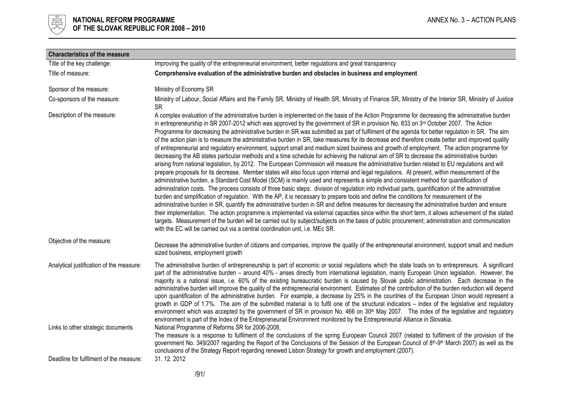

| <b>Characteristics of the measure</b>                                         |                                                                                                                                                                                                                                                                                                                                                                                                                                                                                                                                                                                                                                                                                                                                                                                                                                                                                                                                                                                                                                                                                                                                                                                                                                                                                                                                                                                                                                                                                                                                                                                                                                                                                                                                                                                                                                                                                                                                                                                                                                                                                                                                                                                 |
|-------------------------------------------------------------------------------|---------------------------------------------------------------------------------------------------------------------------------------------------------------------------------------------------------------------------------------------------------------------------------------------------------------------------------------------------------------------------------------------------------------------------------------------------------------------------------------------------------------------------------------------------------------------------------------------------------------------------------------------------------------------------------------------------------------------------------------------------------------------------------------------------------------------------------------------------------------------------------------------------------------------------------------------------------------------------------------------------------------------------------------------------------------------------------------------------------------------------------------------------------------------------------------------------------------------------------------------------------------------------------------------------------------------------------------------------------------------------------------------------------------------------------------------------------------------------------------------------------------------------------------------------------------------------------------------------------------------------------------------------------------------------------------------------------------------------------------------------------------------------------------------------------------------------------------------------------------------------------------------------------------------------------------------------------------------------------------------------------------------------------------------------------------------------------------------------------------------------------------------------------------------------------|
| Title of the key challenge:                                                   | Improving the quality of the entrepreneurial environment, better regulations and great transparency                                                                                                                                                                                                                                                                                                                                                                                                                                                                                                                                                                                                                                                                                                                                                                                                                                                                                                                                                                                                                                                                                                                                                                                                                                                                                                                                                                                                                                                                                                                                                                                                                                                                                                                                                                                                                                                                                                                                                                                                                                                                             |
| Title of measure:                                                             | Comprehensive evaluation of the administrative burden and obstacles in business and employment                                                                                                                                                                                                                                                                                                                                                                                                                                                                                                                                                                                                                                                                                                                                                                                                                                                                                                                                                                                                                                                                                                                                                                                                                                                                                                                                                                                                                                                                                                                                                                                                                                                                                                                                                                                                                                                                                                                                                                                                                                                                                  |
| Sponsor of the measure:                                                       | Ministry of Economy SR                                                                                                                                                                                                                                                                                                                                                                                                                                                                                                                                                                                                                                                                                                                                                                                                                                                                                                                                                                                                                                                                                                                                                                                                                                                                                                                                                                                                                                                                                                                                                                                                                                                                                                                                                                                                                                                                                                                                                                                                                                                                                                                                                          |
| Co-sponsors of the measure:                                                   | Ministry of Labour, Social Affairs and the Family SR, Ministry of Health SR, Ministry of Finance SR, Ministry of the Interior SR, Ministry of Justice<br><b>SR</b>                                                                                                                                                                                                                                                                                                                                                                                                                                                                                                                                                                                                                                                                                                                                                                                                                                                                                                                                                                                                                                                                                                                                                                                                                                                                                                                                                                                                                                                                                                                                                                                                                                                                                                                                                                                                                                                                                                                                                                                                              |
| Description of the measure:                                                   | A complex evaluation of the administrative burden is implemented on the basis of the Action Programme for decreasing the administrative burden<br>in entrepreneurship in SR 2007-2012 which was approved by the government of SR in provision No. 833 on 3rd October 2007. The Action<br>Programme for decreasing the administrative burden in SR was submitted as part of fulfilment of the agenda for better regulation in SR. The aim<br>of the action plan is to measure the administrative burden in SR, take measures for its decrease and therefore create better and improved quality<br>of entrepreneurial and regulatory environment, support small and medium sized business and growth of employment. The action programme for<br>decreasing the AB states particular methods and a time schedule for achieving the national aim of SR to decrease the administrative burden<br>arising from national legislation, by 2012. The European Commission will measure the administrative burden related to EU regulations and will<br>prepare proposals for its decrease. Member states will also focus upon internal and legal regulations. At present, within measurement of the<br>administrative burden, a Standard Cost Model (SCM) is mainly used and represents a simple and consistent method for quantification of<br>administration costs. The process consists of three basic steps: division of regulation into individual parts, quantification of the administrative<br>burden and simplification of regulation. With the AP, it is necessary to prepare tools and define the conditions for measurement of the<br>administrative burden in SR, quantify the administrative burden in SR and define measures for decreasing the administrative burden and ensure<br>their implementation. The action programme is implemented via external capacities since within the short term, it allows achievement of the stated<br>targets. Measurement of the burden will be carried out by subject/subjects on the basis of public procurement; administration and communication<br>with the EC will be carried out via a central coordination unit, i.e. MEc SR. |
| Objective of the measure:                                                     | Decrease the administrative burden of citizens and companies, improve the quality of the entrepreneurial environment, support small and medium<br>sized business, employment growth                                                                                                                                                                                                                                                                                                                                                                                                                                                                                                                                                                                                                                                                                                                                                                                                                                                                                                                                                                                                                                                                                                                                                                                                                                                                                                                                                                                                                                                                                                                                                                                                                                                                                                                                                                                                                                                                                                                                                                                             |
| Analytical justification of the measure:                                      | The administrative burden of entrepreneurship is part of economic or social regulations which the state loads on to entrepreneurs. A significant<br>part of the administrative burden - around 40% - arises directly from international legislation, mainly European Union legislation. However, the<br>majority is a national issue, i.e. 60% of the existing bureaucratic burden is caused by Slovak public administration. Each decrease in the<br>administrative burden will improve the quality of the entrepreneurial environment. Estimates of the contribution of the burden reduction will depend<br>upon quantification of the administrative burden. For example, a decrease by 25% in the countries of the European Union would represent a<br>growth in GDP of 1.7%. The aim of the submitted material is to fulfil one of the structural indicators – index of the legislative and regulatory<br>environment which was accepted by the government of SR in provision No. 466 on 30 <sup>th</sup> May 2007. The index of the legislative and regulatory<br>environment is part of the Index of the Entrepreneurial Environment monitored by the Entrepreneurial Alliance in Slovakia.                                                                                                                                                                                                                                                                                                                                                                                                                                                                                                                                                                                                                                                                                                                                                                                                                                                                                                                                                                              |
| Links to other strategic documents<br>Deadline for fulfilment of the measure: | National Programme of Reforms SR for 2006-2008,<br>The measure is a response to fulfilment of the conclusions of the spring European Council 2007 (related to fulfilment of the provision of the<br>government No. 349/2007 regarding the Report of the Conclusions of the Session of the European Council of 8th-9th March 2007) as well as the<br>conclusions of the Strategy Report regarding renewed Lisbon Strategy for growth and employment (2007).<br>31.12.2012                                                                                                                                                                                                                                                                                                                                                                                                                                                                                                                                                                                                                                                                                                                                                                                                                                                                                                                                                                                                                                                                                                                                                                                                                                                                                                                                                                                                                                                                                                                                                                                                                                                                                                        |
|                                                                               |                                                                                                                                                                                                                                                                                                                                                                                                                                                                                                                                                                                                                                                                                                                                                                                                                                                                                                                                                                                                                                                                                                                                                                                                                                                                                                                                                                                                                                                                                                                                                                                                                                                                                                                                                                                                                                                                                                                                                                                                                                                                                                                                                                                 |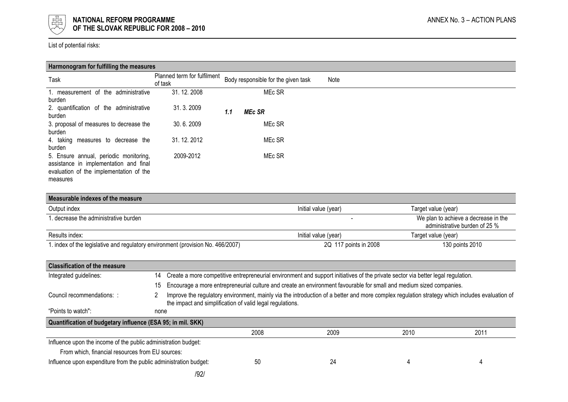

List of potential risks:

| Harmonogram for fulfilling the measures                                                                                                 |                                        |                                     |      |  |
|-----------------------------------------------------------------------------------------------------------------------------------------|----------------------------------------|-------------------------------------|------|--|
| Task                                                                                                                                    | Planned term for fulfilment<br>of task | Body responsible for the given task | Note |  |
| 1. measurement of the<br>administrative<br>burden                                                                                       | 31.12.2008                             | MEc SR                              |      |  |
| 2. quantification of the administrative<br>burden                                                                                       | 31.3.2009                              | <b>MEc SR</b><br>1.1                |      |  |
| 3. proposal of measures to decrease the<br>burden                                                                                       | 30.6.2009                              | MEc SR                              |      |  |
| 4. taking measures to decrease the<br>burden                                                                                            | 31.12.2012                             | MEc SR                              |      |  |
| 5. Ensure annual, periodic monitoring,<br>assistance in implementation and final<br>evaluation of the implementation of the<br>measures | 2009-2012                              | MEc SR                              |      |  |

| Measurable indexes of the measure                                               |                       |                                                                       |
|---------------------------------------------------------------------------------|-----------------------|-----------------------------------------------------------------------|
| Output index                                                                    | Initial value (year)  | Target value (year)                                                   |
| decrease the administrative burden.                                             |                       | We plan to achieve a decrease in the<br>administrative burden of 25 % |
| Results index:                                                                  | Initial value (year)  | Target value (year)                                                   |
| 1. index of the legislative and regulatory environment (provision No. 466/2007) | 2Q 117 points in 2008 | 130 points 2010                                                       |

| <b>Classification of the measure</b>                              |                                                                |      |                                                                                                                                  |                                                                                                                                               |      |      |
|-------------------------------------------------------------------|----------------------------------------------------------------|------|----------------------------------------------------------------------------------------------------------------------------------|-----------------------------------------------------------------------------------------------------------------------------------------------|------|------|
| Integrated guidelines:                                            | 14                                                             |      | Create a more competitive entrepreneurial environment and support initiatives of the private sector via better legal regulation. |                                                                                                                                               |      |      |
|                                                                   | 15                                                             |      |                                                                                                                                  | Encourage a more entrepreneurial culture and create an environment favourable for small and medium sized companies.                           |      |      |
| Council recommendations: :                                        |                                                                |      | the impact and simplification of valid legal regulations.                                                                        | Improve the regulatory environment, mainly via the introduction of a better and more complex regulation strategy which includes evaluation of |      |      |
| "Points to watch":                                                | none                                                           |      |                                                                                                                                  |                                                                                                                                               |      |      |
| Quantification of budgetary influence (ESA 95; in mil. SKK)       |                                                                |      |                                                                                                                                  |                                                                                                                                               |      |      |
|                                                                   |                                                                |      | 2008                                                                                                                             | 2009                                                                                                                                          | 2010 | 2011 |
|                                                                   | Influence upon the income of the public administration budget: |      |                                                                                                                                  |                                                                                                                                               |      |      |
| From which, financial resources from EU sources:                  |                                                                |      |                                                                                                                                  |                                                                                                                                               |      |      |
| Influence upon expenditure from the public administration budget: |                                                                |      | 50                                                                                                                               | 24                                                                                                                                            |      |      |
|                                                                   |                                                                | /92/ |                                                                                                                                  |                                                                                                                                               |      |      |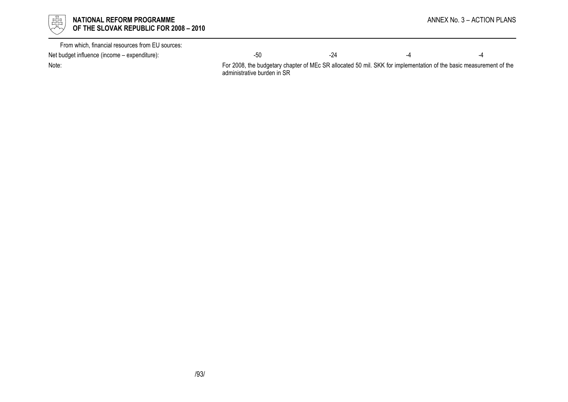

| From which, financial resources from EU sources: |     |  |  |
|--------------------------------------------------|-----|--|--|
| Net budget influence (income – expenditure):     | -50 |  |  |

Note: For 2008, the budgetary chapter of MEc SR allocated 50 mil. SKK for implementation of the basic measurement of the administrative burden in SR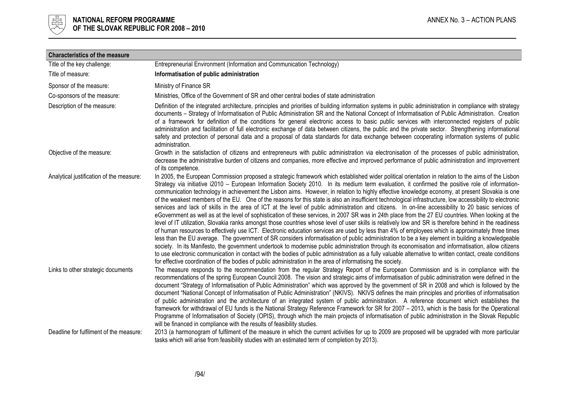

| <b>Characteristics of the measure</b>    |                                                                                                                                                                                                                                                                                                                                                                                                                                                                                                                                                                                                                                                                                                                                                                                                                                                                                                                                                                                                                                                                                                                                                                                                                                                                                                                                                                                                                                                                                                                                                                                                                                                                                                                                                                                                                                                 |
|------------------------------------------|-------------------------------------------------------------------------------------------------------------------------------------------------------------------------------------------------------------------------------------------------------------------------------------------------------------------------------------------------------------------------------------------------------------------------------------------------------------------------------------------------------------------------------------------------------------------------------------------------------------------------------------------------------------------------------------------------------------------------------------------------------------------------------------------------------------------------------------------------------------------------------------------------------------------------------------------------------------------------------------------------------------------------------------------------------------------------------------------------------------------------------------------------------------------------------------------------------------------------------------------------------------------------------------------------------------------------------------------------------------------------------------------------------------------------------------------------------------------------------------------------------------------------------------------------------------------------------------------------------------------------------------------------------------------------------------------------------------------------------------------------------------------------------------------------------------------------------------------------|
| Title of the key challenge:              | Entrepreneurial Environment (Information and Communication Technology)                                                                                                                                                                                                                                                                                                                                                                                                                                                                                                                                                                                                                                                                                                                                                                                                                                                                                                                                                                                                                                                                                                                                                                                                                                                                                                                                                                                                                                                                                                                                                                                                                                                                                                                                                                          |
| Title of measure:                        | Informatisation of public administration                                                                                                                                                                                                                                                                                                                                                                                                                                                                                                                                                                                                                                                                                                                                                                                                                                                                                                                                                                                                                                                                                                                                                                                                                                                                                                                                                                                                                                                                                                                                                                                                                                                                                                                                                                                                        |
| Sponsor of the measure:                  | Ministry of Finance SR                                                                                                                                                                                                                                                                                                                                                                                                                                                                                                                                                                                                                                                                                                                                                                                                                                                                                                                                                                                                                                                                                                                                                                                                                                                                                                                                                                                                                                                                                                                                                                                                                                                                                                                                                                                                                          |
| Co-sponsors of the measure:              | Ministries, Office of the Government of SR and other central bodies of state administration                                                                                                                                                                                                                                                                                                                                                                                                                                                                                                                                                                                                                                                                                                                                                                                                                                                                                                                                                                                                                                                                                                                                                                                                                                                                                                                                                                                                                                                                                                                                                                                                                                                                                                                                                     |
| Description of the measure:              | Definition of the integrated architecture, principles and priorities of building information systems in public administration in compliance with strategy<br>documents - Strategy of Informatisation of Public Administration SR and the National Concept of Informatisation of Public Administration. Creation<br>of a framework for definition of the conditions for general electronic access to basic public services with interconnected registers of public<br>administration and facilitation of full electronic exchange of data between citizens, the public and the private sector. Strengthening informational<br>safety and protection of personal data and a proposal of data standards for data exchange between cooperating information systems of public<br>administration.                                                                                                                                                                                                                                                                                                                                                                                                                                                                                                                                                                                                                                                                                                                                                                                                                                                                                                                                                                                                                                                     |
| Objective of the measure:                | Growth in the satisfaction of citizens and entrepreneurs with public administration via electronisation of the processes of public administration,<br>decrease the administrative burden of citizens and companies, more effective and improved performance of public administration and improvement<br>of its competence.                                                                                                                                                                                                                                                                                                                                                                                                                                                                                                                                                                                                                                                                                                                                                                                                                                                                                                                                                                                                                                                                                                                                                                                                                                                                                                                                                                                                                                                                                                                      |
| Analytical justification of the measure: | In 2005, the European Commission proposed a strategic framework which established wider political orientation in relation to the aims of the Lisbon<br>Strategy via initiative i2010 - European Information Society 2010. In its medium term evaluation, it confirmed the positive role of information-<br>communication technology in achievement the Lisbon aims. However, in relation to highly effective knowledge economy, at present Slovakia is one<br>of the weakest members of the EU. One of the reasons for this state is also an insufficient technological infrastructure, low accessibility to electronic<br>services and lack of skills in the area of ICT at the level of public administration and citizens. In on-line accessibility to 20 basic services of<br>eGovernment as well as at the level of sophistication of these services, in 2007 SR was in 24th place from the 27 EU countries. When looking at the<br>level of IT utilization, Slovakia ranks amongst those countries whose level of user skills is relatively low and SR is therefore behind in the readiness<br>of human resources to effectively use ICT. Electronic education services are used by less than 4% of employees which is approximately three times<br>less than the EU average. The government of SR considers informatisation of public administration to be a key element in building a knowledgeable<br>society. In its Manifesto, the government undertook to modernise public administration through its economisation and informatisation, allow citizens<br>to use electronic communication in contact with the bodies of public administration as a fully valuable alternative to written contact, create conditions<br>for effective coordination of the bodies of public administration in the area of informatising the society. |
| Links to other strategic documents       | The measure responds to the recommendation from the regular Strategy Report of the European Commission and is in compliance with the<br>recommendations of the spring European Council 2008. The vision and strategic aims of imformatisation of public administration were defined in the<br>document "Strategy of Informatisation of Public Administration" which was approved by the government of SR in 2008 and which is followed by the<br>document "National Concept of Informatisation of Public Administration" (NKIVS). NKIVS defines the main principles and priorities of informatisation<br>of public administration and the architecture of an integrated system of public administration. A reference document which establishes the<br>framework for withdrawal of EU funds is the National Strategy Reference Framework for SR for 2007 - 2013, which is the basis for the Operational<br>Programme of Informatisation of Society (OPIS), through which the main projects of informatisation of public administration in the Slovak Republic<br>will be financed in compliance with the results of feasibility studies.                                                                                                                                                                                                                                                                                                                                                                                                                                                                                                                                                                                                                                                                                                        |
| Deadline for fulfilment of the measure:  | 2013 (a harmonogram of fulfilment of the measure in which the current activities for up to 2009 are proposed will be upgraded with more particular<br>tasks which will arise from feasibility studies with an estimated term of completion by 2013).                                                                                                                                                                                                                                                                                                                                                                                                                                                                                                                                                                                                                                                                                                                                                                                                                                                                                                                                                                                                                                                                                                                                                                                                                                                                                                                                                                                                                                                                                                                                                                                            |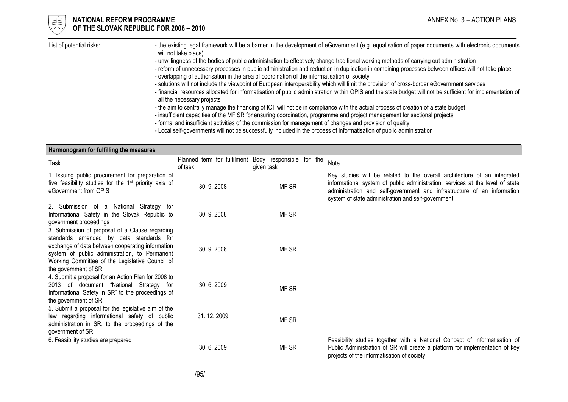

#### **OF ANATIONAL REFORM PROGRAMME** ANNEX No. 3 – ACTION PLANS OF THE SLOVAK REPUBLIC FOR 2008 – 2010

- List of potential risks: http://www.the-existing legal framework will be a barrier in the development of eGovernment (e.g. equalisation of paper documents with electronic documents will not take place)
	- unwillingness of the bodies of public administration to effectively change traditional working methods of carrying out administration
	- reform of unnecessary processes in public administration and reduction in duplication in combining processes between offices will not take place
	- overlapping of authorisation in the area of coordination of the informatisation of society
	- solutions will not include the viewpoint of European interoperability which will limit the provision of cross-border eGovernment services
	- financial resources allocated for informatisation of public administration within OPIS and the state budget will not be sufficient for implementation ofall the necessary projects
	- the aim to centrally manage the financing of ICT will not be in compliance with the actual process of creation of a state budget
	- insufficient capacities of the MF SR for ensuring coordination, programme and project management for sectional projects
	- formal and insufficient activities of the commission for management of changes and provision of quality
	- Local self-governments will not be successfully included in the process of informatisation of public administration

| Harmonogram for fulfilling the measures                                                                                                                                                                                                                                    |            |                                                                    |                                                                                                                                                                                                                                                                                            |
|----------------------------------------------------------------------------------------------------------------------------------------------------------------------------------------------------------------------------------------------------------------------------|------------|--------------------------------------------------------------------|--------------------------------------------------------------------------------------------------------------------------------------------------------------------------------------------------------------------------------------------------------------------------------------------|
| Task                                                                                                                                                                                                                                                                       | of task    | Planned term for fulfilment Body responsible for the<br>given task | Note                                                                                                                                                                                                                                                                                       |
| 1. Issuing public procurement for preparation of<br>five feasibility studies for the 1 <sup>st</sup> priority axis of<br>eGovernment from OPIS                                                                                                                             | 30.9.2008  | MF SR                                                              | Key studies will be related to the overall architecture of an integrated<br>informational system of public administration, services at the level of state<br>administration and self-government and infrastructure of an information<br>system of state administration and self-government |
| 2. Submission of a National Strategy for<br>Informational Safety in the Slovak Republic to<br>government proceedings                                                                                                                                                       | 30.9.2008  | MF SR                                                              |                                                                                                                                                                                                                                                                                            |
| 3. Submission of proposal of a Clause regarding<br>standards amended by data standards for<br>exchange of data between cooperating information<br>system of public administration, to Permanent<br>Working Committee of the Legislative Council of<br>the government of SR | 30.9.2008  | MF SR                                                              |                                                                                                                                                                                                                                                                                            |
| 4. Submit a proposal for an Action Plan for 2008 to<br>2013 of document "National Strategy for<br>Informational Safety in SR" to the proceedings of<br>the government of SR                                                                                                | 30.6.2009  | MF SR                                                              |                                                                                                                                                                                                                                                                                            |
| 5. Submit a proposal for the legislative aim of the<br>law regarding informational safety of public<br>administration in SR, to the proceedings of the<br>government of SR                                                                                                 | 31.12.2009 | MF SR                                                              |                                                                                                                                                                                                                                                                                            |
| 6. Feasibility studies are prepared                                                                                                                                                                                                                                        | 30.6.2009  | MF SR                                                              | Feasibility studies together with a National Concept of Informatisation of<br>Public Administration of SR will create a platform for implementation of key<br>projects of the informatisation of society                                                                                   |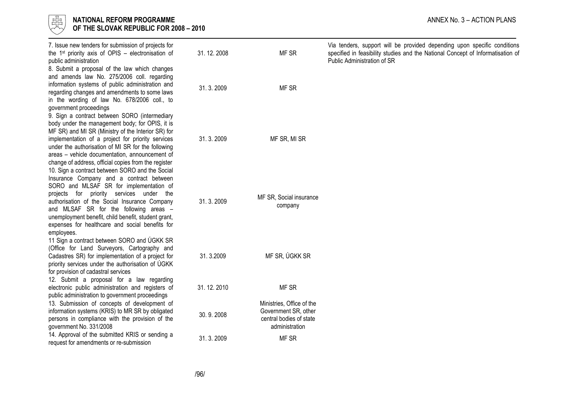| 嵒<br><b>NATIONAL REFORM PROGRAMME</b><br>OF THE SLOVAK REPUBLIC FOR 2008 - 2010                                                                                                                                                                                                                                                                                                                       |            | ANNEX No. 3 - ACTION PLANS                                                                     |                                                                                                                                                                                            |
|-------------------------------------------------------------------------------------------------------------------------------------------------------------------------------------------------------------------------------------------------------------------------------------------------------------------------------------------------------------------------------------------------------|------------|------------------------------------------------------------------------------------------------|--------------------------------------------------------------------------------------------------------------------------------------------------------------------------------------------|
| 7. Issue new tenders for submission of projects for<br>the 1 <sup>st</sup> priority axis of OPIS – electronisation of<br>public administration<br>8. Submit a proposal of the law which changes                                                                                                                                                                                                       | 31.12.2008 | MF SR                                                                                          | Via tenders, support will be provided depending upon specific conditions<br>specified in feasibility studies and the National Concept of Informatisation of<br>Public Administration of SR |
| and amends law No. 275/2006 coll. regarding<br>information systems of public administration and<br>regarding changes and amendments to some laws<br>in the wording of law No. 678/2006 coll., to<br>government proceedings                                                                                                                                                                            | 31.3.2009  | MF SR                                                                                          |                                                                                                                                                                                            |
| 9. Sign a contract between SORO (intermediary<br>body under the management body; for OPIS, it is<br>MF SR) and MI SR (Ministry of the Interior SR) for<br>implementation of a project for priority services<br>under the authorisation of MI SR for the following<br>areas - vehicle documentation, announcement of<br>change of address, official copies from the register                           | 31.3.2009  | MF SR, MI SR                                                                                   |                                                                                                                                                                                            |
| 10. Sign a contract between SORO and the Social<br>Insurance Company and a contract between<br>SORO and MLSAF SR for implementation of<br>projects for priority services under the<br>authorisation of the Social Insurance Company<br>and MLSAF SR for the following areas -<br>unemployment benefit, child benefit, student grant,<br>expenses for healthcare and social benefits for<br>employees. | 31.3.2009  | MF SR, Social insurance<br>company                                                             |                                                                                                                                                                                            |
| 11 Sign a contract between SORO and ÚGKK SR<br>(Office for Land Surveyors, Cartography and<br>Cadastres SR) for implementation of a project for<br>priority services under the authorisation of ÚGKK<br>for provision of cadastral services                                                                                                                                                           | 31.3.2009  | MF SR, ÚGKK SR                                                                                 |                                                                                                                                                                                            |
| 12. Submit a proposal for a law regarding<br>electronic public administration and registers of                                                                                                                                                                                                                                                                                                        | 31.12.2010 | MF SR                                                                                          |                                                                                                                                                                                            |
| public administration to government proceedings<br>13. Submission of concepts of development of<br>information systems (KRIS) to MR SR by obligated<br>persons in compliance with the provision of the<br>government No. 331/2008                                                                                                                                                                     | 30.9.2008  | Ministries, Office of the<br>Government SR, other<br>central bodies of state<br>administration |                                                                                                                                                                                            |
| 14. Approval of the submitted KRIS or sending a<br>request for amendments or re-submission                                                                                                                                                                                                                                                                                                            | 31.3.2009  | MF SR                                                                                          |                                                                                                                                                                                            |
|                                                                                                                                                                                                                                                                                                                                                                                                       |            |                                                                                                |                                                                                                                                                                                            |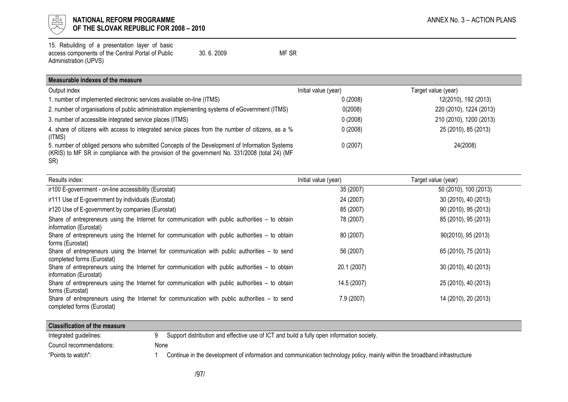

# $\begin{array}{cc} \mathbb{H} & \mathbb{R}^{\mathbb{Z}} \\ \mathbb{H} & \mathbb{R} \end{array}$  NATIONAL REFORM PROGRAMME<br>
OF THE SLOVAK REPUBLIC FOR 2008 – 2010 OF THE SLOVAK REPUBLIC FOR 2008 – 2010

15. Rebuilding of a presentation layer of basic access components of the Central Portal of Public Administration (UPVS) 30. 6. 2009 MF SR

| Measurable indexes of the measure |  |  |
|-----------------------------------|--|--|
|                                   |  |  |

| Output index                                                                                                                                                                                           | Initial value (year) | Target value (year)     |
|--------------------------------------------------------------------------------------------------------------------------------------------------------------------------------------------------------|----------------------|-------------------------|
| . number of implemented electronic services available on-line (ITMS)                                                                                                                                   | 0(2008)              | 12(2010), 192 (2013)    |
| 2. number of organisations of public administration implementing systems of eGovernment (ITMS)                                                                                                         | 0(2008)              | 220 (2010), 1224 (2013) |
| 3. number of accessible integrated service places (ITMS)                                                                                                                                               | 0(2008)              | 210 (2010), 1200 (2013) |
| 4. share of citizens with access to integrated service places from the number of citizens, as a %<br>(ITMS)                                                                                            | 0(2008)              | 25 (2010), 85 (2013)    |
| 5. number of obliged persons who submitted Concepts of the Development of Information Systems<br>(KRIS) to MF SR in compliance with the provision of the government No. 331/2008 (total 24) (MF<br>SR) | 0(2007)              | 24(2008)                |

| Results index:                                                                                                                | Initial value (year) | Target value (year)   |
|-------------------------------------------------------------------------------------------------------------------------------|----------------------|-----------------------|
| ir100 E-government - on-line accessibility (Eurostat)                                                                         | 35 (2007)            | 50 (2010), 100 (2013) |
| ir111 Use of E-government by individuals (Eurostat)                                                                           | 24 (2007)            | 30 (2010), 40 (2013)  |
| ir120 Use of E-government by companies (Eurostat)                                                                             | 85 (2007)            | 90 (2010), 95 (2013)  |
| Share of entrepreneurs using the Internet for communication with public authorities – to obtain<br>information (Eurostat)     | 78 (2007)            | 85 (2010), 95 (2013)  |
| Share of entrepreneurs using the Internet for communication with public authorities – to obtain<br>forms (Eurostat)           | 80 (2007)            | 90(2010), 95 (2013)   |
| Share of entrepreneurs using the Internet for communication with public authorities $-$ to send<br>completed forms (Eurostat) | 56 (2007)            | 65 (2010), 75 (2013)  |
| Share of entrepreneurs using the Internet for communication with public authorities – to obtain<br>information (Eurostat)     | 20.1 (2007)          | 30 (2010), 40 (2013)  |
| Share of entrepreneurs using the Internet for communication with public authorities – to obtain<br>forms (Eurostat)           | 14.5 (2007)          | 25 (2010), 40 (2013)  |
| Share of entrepreneurs using the Internet for communication with public authorities $-$ to send<br>completed forms (Eurostat) | 7.9 (2007)           | 14 (2010), 20 (2013)  |

| <b>Classification of the measure</b> |      |                                                                                                                            |
|--------------------------------------|------|----------------------------------------------------------------------------------------------------------------------------|
| Integrated guidelines:               |      | Support distribution and effective use of ICT and build a fully open information society.                                  |
| Council recommendations:             | None |                                                                                                                            |
| "Points to watch":                   |      | Continue in the development of information and communication technology policy, mainly within the broadband infrastructure |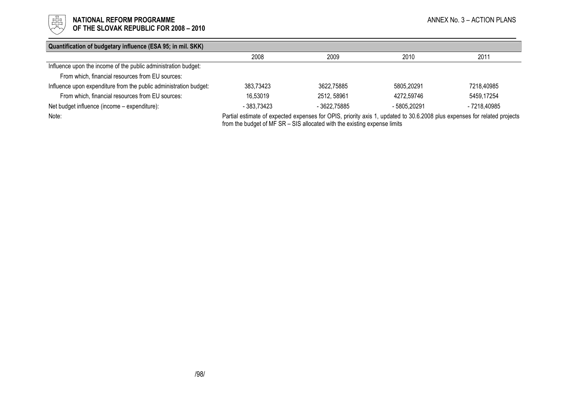

# **ENDETERRY OF THE SLOVAK REPUBLIC FOR 2008 – 2010**<br>  $\frac{E[T_1]}{T_2}$  **Of the slovak republic for 2008 – 2010**

OF THE SLOVAK REPUBLIC FOR 2008 – 2010

| Quantification of budgetary influence (ESA 95; in mil. SKK)       |             |                                                                                                                          |              |              |
|-------------------------------------------------------------------|-------------|--------------------------------------------------------------------------------------------------------------------------|--------------|--------------|
|                                                                   | 2008        | 2009                                                                                                                     | 2010         | 2011         |
| Influence upon the income of the public administration budget:    |             |                                                                                                                          |              |              |
| From which, financial resources from EU sources:                  |             |                                                                                                                          |              |              |
| Influence upon expenditure from the public administration budget: | 383,73423   | 3622,75885                                                                                                               | 5805,20291   | 7218,40985   |
| From which, financial resources from EU sources:                  | 16.53019    | 2512, 58961                                                                                                              | 4272.59746   | 5459,17254   |
| Net budget influence (income - expenditure):                      | - 383.73423 | - 3622.75885                                                                                                             | - 5805.20291 | - 7218.40985 |
| Note:                                                             |             | Partial estimate of expected expenses for OPIS, priority axis 1, updated to 30.6.2008 plus expenses for related projects |              |              |

from the budget of MF SR – SIS allocated with the existing expense limits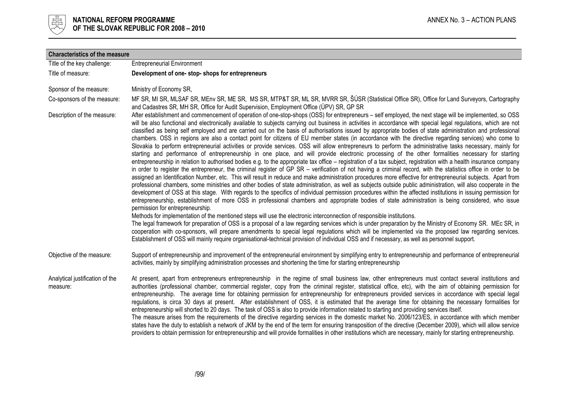

| <b>Characteristics of the measure</b>       |                                                                                                                                                                                                                                                                                                                                                                                                                                                                                                                                                                                                                                                                                                                                                                                                                                                                                                                                                                                                                                                                                                                                                                                                                                                                                                                                                                                                                                                                                                                                                                                                                                                                                                                                                                                                                                                                                                                                                                                                              |
|---------------------------------------------|--------------------------------------------------------------------------------------------------------------------------------------------------------------------------------------------------------------------------------------------------------------------------------------------------------------------------------------------------------------------------------------------------------------------------------------------------------------------------------------------------------------------------------------------------------------------------------------------------------------------------------------------------------------------------------------------------------------------------------------------------------------------------------------------------------------------------------------------------------------------------------------------------------------------------------------------------------------------------------------------------------------------------------------------------------------------------------------------------------------------------------------------------------------------------------------------------------------------------------------------------------------------------------------------------------------------------------------------------------------------------------------------------------------------------------------------------------------------------------------------------------------------------------------------------------------------------------------------------------------------------------------------------------------------------------------------------------------------------------------------------------------------------------------------------------------------------------------------------------------------------------------------------------------------------------------------------------------------------------------------------------------|
| Title of the key challenge:                 | <b>Entrepreneurial Environment</b>                                                                                                                                                                                                                                                                                                                                                                                                                                                                                                                                                                                                                                                                                                                                                                                                                                                                                                                                                                                                                                                                                                                                                                                                                                                                                                                                                                                                                                                                                                                                                                                                                                                                                                                                                                                                                                                                                                                                                                           |
| Title of measure:                           | Development of one-stop-shops for entrepreneurs                                                                                                                                                                                                                                                                                                                                                                                                                                                                                                                                                                                                                                                                                                                                                                                                                                                                                                                                                                                                                                                                                                                                                                                                                                                                                                                                                                                                                                                                                                                                                                                                                                                                                                                                                                                                                                                                                                                                                              |
| Sponsor of the measure:                     | Ministry of Economy SR,                                                                                                                                                                                                                                                                                                                                                                                                                                                                                                                                                                                                                                                                                                                                                                                                                                                                                                                                                                                                                                                                                                                                                                                                                                                                                                                                                                                                                                                                                                                                                                                                                                                                                                                                                                                                                                                                                                                                                                                      |
| Co-sponsors of the measure:                 | MF SR, MI SR, MLSAF SR, MEnv SR, ME SR, MS SR, MTP&T SR, ML SR, MVRR SR, ŠÚSR (Statistical Office SR), Office for Land Surveyors, Cartography<br>and Cadastres SR, MH SR, Office for Audit Supervision, Employment Office (UPV) SR, GP SR                                                                                                                                                                                                                                                                                                                                                                                                                                                                                                                                                                                                                                                                                                                                                                                                                                                                                                                                                                                                                                                                                                                                                                                                                                                                                                                                                                                                                                                                                                                                                                                                                                                                                                                                                                    |
| Description of the measure:                 | After establishment and commencement of operation of one-stop-shops (OSS) for entrepreneurs - self employed, the next stage will be implemented, so OSS<br>will be also functional and electronically available to subjects carrying out business in activities in accordance with special legal regulations, which are not<br>classified as being self employed and are carried out on the basis of authorisations issued by appropriate bodies of state administration and professional<br>chambers. OSS in regions are also a contact point for citizens of EU member states (in accordance with the directive regarding services) who come to<br>Slovakia to perform entrepreneurial activities or provide services. OSS will allow entrepreneurs to perform the administrative tasks necessary, mainly for<br>starting and performance of entrepreneurship in one place, and will provide electronic processing of the other formalities necessary for starting<br>entrepreneurship in relation to authorised bodies e.g. to the appropriate tax office – registration of a tax subject, registration with a health insurance company<br>in order to register the entrepreneur, the criminal register of GP SR – verification of not having a criminal record, with the statistics office in order to be<br>assigned an Identification Number, etc. This will result in reduce and make administration procedures more effective for entrepreneurial subjects. Apart from<br>professional chambers, some ministries and other bodies of state administration, as well as subjects outside public administration, will also cooperate in the<br>development of OSS at this stage. With regards to the specifics of individual permission procedures within the affected institutions in issuing permission for<br>entrepreneurship, establishment of more OSS in professional chambers and appropriate bodies of state administration is being considered, who issue<br>permission for entrepreneurship. |
|                                             | Methods for implementation of the mentioned steps will use the electronic interconnection of responsible institutions.<br>The legal framework for preparation of OSS is a proposal of a law regarding services which is under preparation by the Ministry of Economy SR. MEc SR, in<br>cooperation with co-sponsors, will prepare amendments to special legal regulations which will be implemented via the proposed law regarding services.<br>Establishment of OSS will mainly require organisational-technical provision of individual OSS and if necessary, as well as personnel support.                                                                                                                                                                                                                                                                                                                                                                                                                                                                                                                                                                                                                                                                                                                                                                                                                                                                                                                                                                                                                                                                                                                                                                                                                                                                                                                                                                                                                |
| Objective of the measure:                   | Support of entrepreneurship and improvement of the entrepreneurial environment by simplifying entry to entrepreneurship and performance of entrepreneurial<br>activities, mainly by simplifying administration processes and shortening the time for starting entrepreneurship                                                                                                                                                                                                                                                                                                                                                                                                                                                                                                                                                                                                                                                                                                                                                                                                                                                                                                                                                                                                                                                                                                                                                                                                                                                                                                                                                                                                                                                                                                                                                                                                                                                                                                                               |
| Analytical justification of the<br>measure: | At present, apart from entrepreneurs entrepreneurship in the regime of small business law, other entrepreneurs must contact several institutions and<br>authorities (professional chamber, commercial register, copy from the criminal register, statistical office, etc), with the aim of obtaining permission for<br>entrepreneurship. The average time for obtaining permission for entrepreneurship for entrepreneurs provided services in accordance with special legal<br>regulations, is circa 30 days at present. After establishment of OSS, it is estimated that the average time for obtaining the necessary formalities for<br>entrepreneurship will shorted to 20 days. The task of OSS is also to provide information related to starting and providing services itself.<br>The measure arises from the requirements of the directive regarding services in the domestic market No. 2006/123/ES, in accordance with which member<br>states have the duty to establish a network of JKM by the end of the term for ensuring transposition of the directive (December 2009), which will allow service<br>providers to obtain permission for entrepreneurship and will provide formalities in other institutions which are necessary, mainly for starting entrepreneurship.                                                                                                                                                                                                                                                                                                                                                                                                                                                                                                                                                                                                                                                                                                                       |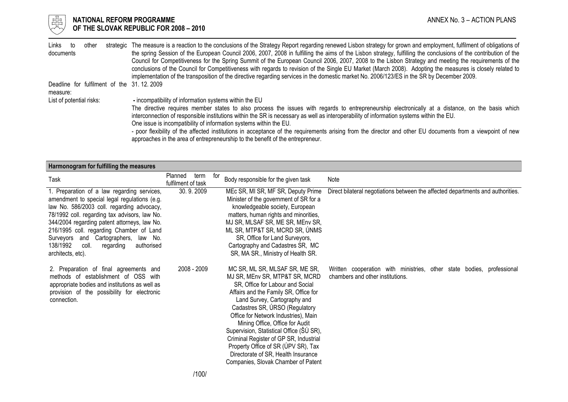

# $\frac{1}{\frac{1}{\sqrt{1-\frac{1}{\sqrt{1-\frac{1}{\sqrt{1-\frac{1}{\sqrt{1-\frac{1}{\sqrt{1-\frac{1}{\sqrt{1-\frac{1}{\sqrt{1-\frac{1}{\sqrt{1-\frac{1}{\sqrt{1-\frac{1}{\sqrt{1-\frac{1}{\sqrt{1+\frac{1}{\sqrt{1+\frac{1}{\sqrt{1+\frac{1}{\sqrt{1+\frac{1}{\sqrt{1+\frac{1}{\sqrt{1+\frac{1}{\sqrt{1+\frac{1}{\sqrt{1+\frac{1}{\sqrt{1+\frac{1}{\sqrt{1+\frac{1}{\sqrt{1+\frac{1}{\sqrt{1+\frac{1}{\sqrt{1+\frac{1}{\sqrt{$ OF THE SLOVAK REPUBLIC FOR 2008 – 2010

| Links to<br>other                         | strategic The measure is a reaction to the conclusions of the Strategy Report regarding renewed Lisbon strategy for grown and employment, fulfilment of obligations of |
|-------------------------------------------|------------------------------------------------------------------------------------------------------------------------------------------------------------------------|
| documents                                 | the spring Session of the European Council 2006, 2007, 2008 in fulfilling the aims of the Lisbon strategy, fulfilling the conclusions of the contribution of the       |
|                                           | Council for Competitiveness for the Spring Summit of the European Council 2006, 2007, 2008 to the Lisbon Strategy and meeting the requirements of the                  |
|                                           | conclusions of the Council for Competitiveness with regards to revision of the Single EU Market (March 2008). Adopting the measures is closely related to              |
|                                           | implementation of the transposition of the directive regarding services in the domestic market No. 2006/123/ES in the SR by December 2009.                             |
| Deadline for fulfilment of the 31.12.2009 |                                                                                                                                                                        |
| measure:                                  |                                                                                                                                                                        |
| List of potential risks:                  | - incompatibility of information systems within the EU                                                                                                                 |
|                                           | The directive requires member states to also process the issues with regards to entrepreneurship electronically at a distance, on the basis which                      |
|                                           | interconnection of responsible institutions within the SR is necessary as well as interoperability of information systems within the EU.                               |
|                                           | One issue is incompatibility of information systems within the EU.                                                                                                     |
|                                           | - poor flexibility of the affected institutions in acceptance of the requirements arising from the director and other EU documents from a viewpoint of new             |

- poor flexibility of the affected institutions in acceptance of the requirements arising from the director and other EU documents from a viewpoint of new approaches in the area of entrepreneurship to the benefit of the entrepreneur.

| Harmonogram for fulfilling the measures                                                                                                                                                                                                                                                                                                                                                             |                                       |                                                                                                                                                                                                                                                                                                                                                                                                                                                                                                       |                                                                                                           |
|-----------------------------------------------------------------------------------------------------------------------------------------------------------------------------------------------------------------------------------------------------------------------------------------------------------------------------------------------------------------------------------------------------|---------------------------------------|-------------------------------------------------------------------------------------------------------------------------------------------------------------------------------------------------------------------------------------------------------------------------------------------------------------------------------------------------------------------------------------------------------------------------------------------------------------------------------------------------------|-----------------------------------------------------------------------------------------------------------|
| Task                                                                                                                                                                                                                                                                                                                                                                                                | Planned<br>term<br>fulfilment of task | for<br>Body responsible for the given task                                                                                                                                                                                                                                                                                                                                                                                                                                                            | Note                                                                                                      |
| 1. Preparation of a law regarding services,<br>amendment to special legal regulations (e.g.<br>law No. 586/2003 coll. regarding advocacy,<br>78/1992 coll. regarding tax advisors, law No.<br>344/2004 regarding patent attorneys, law No.<br>216/1995 coll. regarding Chamber of Land<br>Surveyors and Cartographers, law No.<br>138/1992<br>coll.<br>authorised<br>regarding<br>architects, etc). | 30.9.2009                             | MEc SR, MI SR, MF SR, Deputy Prime<br>Minister of the government of SR for a<br>knowledgeable society, European<br>matters, human rights and minorities,<br>MJ SR, MLSAF SR, ME SR, MEnv SR,<br>ML SR, MTP&T SR, MCRD SR, ÚNMS<br>SR, Office for Land Surveyors,<br>Cartography and Cadastres SR, MC<br>SR, MA SR., Ministry of Health SR.                                                                                                                                                            | Direct bilateral negotiations between the affected departments and authorities.                           |
| 2. Preparation of final agreements and<br>methods of establishment of OSS with<br>appropriate bodies and institutions as well as<br>provision of the possibility for electronic<br>connection.                                                                                                                                                                                                      | 2008 - 2009                           | MC SR, ML SR, MLSAF SR, ME SR,<br>MJ SR, MEnv SR, MTP&T SR, MCRD<br>SR, Office for Labour and Social<br>Affairs and the Family SR, Office for<br>Land Survey, Cartography and<br>Cadastres SR, ÚRSO (Regulatory<br>Office for Network Industries), Main<br>Mining Office, Office for Audit<br>Supervision, Statistical Office (ŠÚ SR),<br>Criminal Register of GP SR, Industrial<br>Property Office of SR (UPV SR), Tax<br>Directorate of SR, Health Insurance<br>Companies, Slovak Chamber of Patent | Written cooperation with ministries, other state bodies, professional<br>chambers and other institutions. |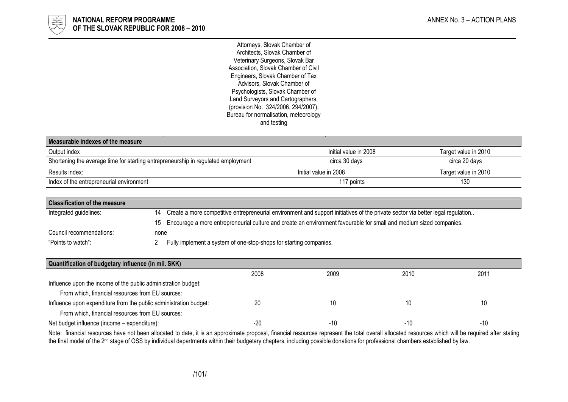

Attorneys, Slovak Chamber of Architects, Slovak Chamber of Veterinary Surgeons, Slovak Bar Association, Slovak Chamber of Civil Engineers, Slovak Chamber of Tax Advisors, Slovak Chamber of Psychologists, Slovak Chamber of Land Surveyors and Cartographers, (provision No. 324/2006, 294/2007), Bureau for normalisation, meteorology and testing

| Measurable indexes of the measure                                                 |                       |                      |
|-----------------------------------------------------------------------------------|-----------------------|----------------------|
| Output index                                                                      | Initial value in 2008 | Target value in 2010 |
| Shortening the average time for starting entrepreneurship in regulated employment | circa 30 days         | circa 20 days        |
| Results index:                                                                    | Initial value in 2008 | Target value in 2010 |
| Index of the entrepreneurial environment                                          | 117 points            | 130                  |

| <b>Classification of the measure</b> |                                                                                                                                    |
|--------------------------------------|------------------------------------------------------------------------------------------------------------------------------------|
| Integrated guidelines:               | 14 Create a more competitive entrepreneurial environment and support initiatives of the private sector via better legal regulation |
|                                      | 15 Encourage a more entrepreneurial culture and create an environment favourable for small and medium sized companies.             |
| Council recommendations:             | none                                                                                                                               |
| "Points to watch":                   | Fully implement a system of one-stop-shops for starting companies.                                                                 |

| Quantification of budgetary influence (in mil. SKK)                                                                                                                                                                                                                                                                                                                                             |      |      |      |      |  |
|-------------------------------------------------------------------------------------------------------------------------------------------------------------------------------------------------------------------------------------------------------------------------------------------------------------------------------------------------------------------------------------------------|------|------|------|------|--|
|                                                                                                                                                                                                                                                                                                                                                                                                 | 2008 | 2009 | 2010 | 2011 |  |
| Influence upon the income of the public administration budget:                                                                                                                                                                                                                                                                                                                                  |      |      |      |      |  |
| From which, financial resources from EU sources:                                                                                                                                                                                                                                                                                                                                                |      |      |      |      |  |
| Influence upon expenditure from the public administration budget:                                                                                                                                                                                                                                                                                                                               |      |      | 10   | 10   |  |
| From which, financial resources from EU sources:                                                                                                                                                                                                                                                                                                                                                |      |      |      |      |  |
| Net budget influence (income - expenditure):                                                                                                                                                                                                                                                                                                                                                    | -20  | -10  | -10  | -10  |  |
| Note: financial resources have not been allocated to date, it is an approximate proposal, financial resources represent the total overall allocated resources which will be required after stating<br>the final model of the 2 <sup>nd</sup> stage of OSS by individual departments within their budgetary chapters, including possible donations for professional chambers established by law. |      |      |      |      |  |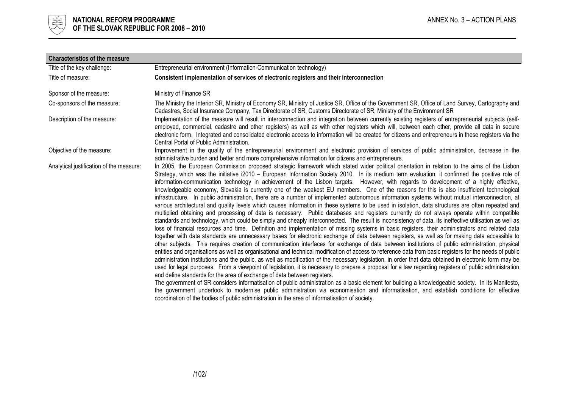

| <b>Characteristics of the measure</b>    |                                                                                                                                                                                                                                                                                                                                                                                                                                                                                                                                                                                                                                                                                                                                                                                                                                                                                                                                                                                                                                                                                                                                                                                                                                                                                                                                                                                                                                                                                                                                                                                                                                                                                                                                                                                                                                                                                                                                                                                                                                                                                                                                                                                                                                                                                                                                                                                                                                                                                                                                                                                                                                   |
|------------------------------------------|-----------------------------------------------------------------------------------------------------------------------------------------------------------------------------------------------------------------------------------------------------------------------------------------------------------------------------------------------------------------------------------------------------------------------------------------------------------------------------------------------------------------------------------------------------------------------------------------------------------------------------------------------------------------------------------------------------------------------------------------------------------------------------------------------------------------------------------------------------------------------------------------------------------------------------------------------------------------------------------------------------------------------------------------------------------------------------------------------------------------------------------------------------------------------------------------------------------------------------------------------------------------------------------------------------------------------------------------------------------------------------------------------------------------------------------------------------------------------------------------------------------------------------------------------------------------------------------------------------------------------------------------------------------------------------------------------------------------------------------------------------------------------------------------------------------------------------------------------------------------------------------------------------------------------------------------------------------------------------------------------------------------------------------------------------------------------------------------------------------------------------------------------------------------------------------------------------------------------------------------------------------------------------------------------------------------------------------------------------------------------------------------------------------------------------------------------------------------------------------------------------------------------------------------------------------------------------------------------------------------------------------|
| Title of the key challenge:              | Entrepreneurial environment (Information-Communication technology)                                                                                                                                                                                                                                                                                                                                                                                                                                                                                                                                                                                                                                                                                                                                                                                                                                                                                                                                                                                                                                                                                                                                                                                                                                                                                                                                                                                                                                                                                                                                                                                                                                                                                                                                                                                                                                                                                                                                                                                                                                                                                                                                                                                                                                                                                                                                                                                                                                                                                                                                                                |
| Title of measure:                        | Consistent implementation of services of electronic registers and their interconnection                                                                                                                                                                                                                                                                                                                                                                                                                                                                                                                                                                                                                                                                                                                                                                                                                                                                                                                                                                                                                                                                                                                                                                                                                                                                                                                                                                                                                                                                                                                                                                                                                                                                                                                                                                                                                                                                                                                                                                                                                                                                                                                                                                                                                                                                                                                                                                                                                                                                                                                                           |
| Sponsor of the measure:                  | Ministry of Finance SR                                                                                                                                                                                                                                                                                                                                                                                                                                                                                                                                                                                                                                                                                                                                                                                                                                                                                                                                                                                                                                                                                                                                                                                                                                                                                                                                                                                                                                                                                                                                                                                                                                                                                                                                                                                                                                                                                                                                                                                                                                                                                                                                                                                                                                                                                                                                                                                                                                                                                                                                                                                                            |
| Co-sponsors of the measure:              | The Ministry the Interior SR, Ministry of Economy SR, Ministry of Justice SR, Office of the Government SR, Office of Land Survey, Cartography and<br>Cadastres, Social Insurance Company, Tax Directorate of SR, Customs Directorate of SR, Ministry of the Environment SR                                                                                                                                                                                                                                                                                                                                                                                                                                                                                                                                                                                                                                                                                                                                                                                                                                                                                                                                                                                                                                                                                                                                                                                                                                                                                                                                                                                                                                                                                                                                                                                                                                                                                                                                                                                                                                                                                                                                                                                                                                                                                                                                                                                                                                                                                                                                                        |
| Description of the measure:              | Implementation of the measure will result in interconnection and integration between currently existing registers of entrepreneurial subjects (self-<br>employed, commercial, cadastre and other registers) as well as with other registers which will, between each other, provide all data in secure<br>electronic form. Integrated and consolidated electronic access to information will be created for citizens and entrepreneurs in these registers via the<br>Central Portal of Public Administration.                                                                                                                                                                                                                                                                                                                                                                                                                                                                                                                                                                                                                                                                                                                                                                                                                                                                                                                                                                                                                                                                                                                                                                                                                                                                                                                                                                                                                                                                                                                                                                                                                                                                                                                                                                                                                                                                                                                                                                                                                                                                                                                     |
| Objective of the measure:                | Improvement in the quality of the entrepreneurial environment and electronic provision of services of public administration, decrease in the<br>administrative burden and better and more comprehensive information for citizens and entrepreneurs.                                                                                                                                                                                                                                                                                                                                                                                                                                                                                                                                                                                                                                                                                                                                                                                                                                                                                                                                                                                                                                                                                                                                                                                                                                                                                                                                                                                                                                                                                                                                                                                                                                                                                                                                                                                                                                                                                                                                                                                                                                                                                                                                                                                                                                                                                                                                                                               |
| Analytical justification of the measure: | In 2005, the European Commission proposed strategic framework which stated wider political orientation in relation to the aims of the Lisbon<br>Strategy, which was the initiative i2010 – European Information Society 2010. In its medium term evaluation, it confirmed the positive role of<br>information-communication technology in achievement of the Lisbon targets. However, with regards to development of a highly effective,<br>knowledgeable economy, Slovakia is currently one of the weakest EU members. One of the reasons for this is also insufficient technological<br>infrastructure. In public administration, there are a number of implemented autonomous information systems without mutual interconnection, at<br>various architectural and quality levels which causes information in these systems to be used in isolation, data structures are often repeated and<br>multiplied obtaining and processing of data is necessary. Public databases and registers currently do not always operate within compatible<br>standards and technology, which could be simply and cheaply interconnected. The result is inconsistency of data, its ineffective utilisation as well as<br>loss of financial resources and time. Definition and implementation of missing systems in basic registers, their administrators and related data<br>together with data standards are unnecessary bases for electronic exchange of data between registers, as well as for making data accessible to<br>other subjects. This requires creation of communication interfaces for exchange of data between institutions of public administration, physical<br>entities and organisations as well as organisational and technical modification of access to reference data from basic registers for the needs of public<br>administration institutions and the public, as well as modification of the necessary legislation, in order that data obtained in electronic form may be<br>used for legal purposes. From a viewpoint of legislation, it is necessary to prepare a proposal for a law regarding registers of public administration<br>and define standards for the area of exchange of data between registers.<br>The government of SR considers informatisation of public administration as a basic element for building a knowledgeable society. In its Manifesto,<br>the government undertook to modernise public administration via economisation and informatisation, and establish conditions for effective<br>coordination of the bodies of public administration in the area of informatisation of society. |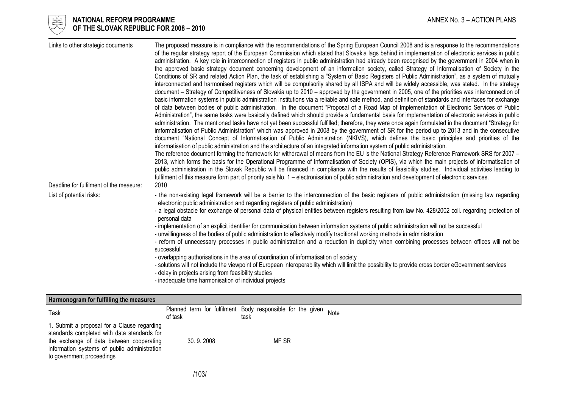

#### l 너는 NATIONAL REFORM PROGRAMME AND THE SECOND MANNEX No. 3 – ACTION PLANS ANNEX No. 3 – ACTION PLANS  $\forall\forall$  OF THE SLOVAK REPUBLIC FOR 2008 – 2010

| Links to other strategic documents      | The proposed measure is in compliance with the recommendations of the Spring European Council 2008 and is a response to the recommendations                                                                                                                                                        |
|-----------------------------------------|----------------------------------------------------------------------------------------------------------------------------------------------------------------------------------------------------------------------------------------------------------------------------------------------------|
|                                         | of the regular strategy report of the European Commission which stated that Slovakia lags behind in implementation of electronic services in public                                                                                                                                                |
|                                         | administration. A key role in interconnection of registers in public administration had already been recognised by the government in 2004 when in<br>the approved basic strategy document concerning development of an information society, called Strategy of Informatisation of Society in the   |
|                                         | Conditions of SR and related Action Plan, the task of establishing a "System of Basic Registers of Public Administration", as a system of mutually                                                                                                                                                 |
|                                         | interconnected and harmonised registers which will be compulsorily shared by all ISPA and will be widely accessible, was stated. In the strategy                                                                                                                                                   |
|                                         | document - Strategy of Competitiveness of Slovakia up to 2010 - approved by the government in 2005, one of the priorities was interconnection of                                                                                                                                                   |
|                                         | basic information systems in public administration institutions via a reliable and safe method, and definition of standards and interfaces for exchange                                                                                                                                            |
|                                         | of data between bodies of public administration. In the document "Proposal of a Road Map of Implementation of Electronic Services of Public<br>Administration", the same tasks were basically defined which should provide a fundamental basis for implementation of electronic services in public |
|                                         | administration. The mentioned tasks have not yet been successful fulfilled; therefore, they were once again formulated in the document "Strategy for                                                                                                                                               |
|                                         | imformatisation of Public Administration" which was approved in 2008 by the government of SR for the period up to 2013 and in the consecutive                                                                                                                                                      |
|                                         | document "National Concept of Informatisation of Public Administration (NKIVS), which defines the basic principles and priorities of the                                                                                                                                                           |
|                                         | informatisation of public administration and the architecture of an integrated information system of public administration.                                                                                                                                                                        |
|                                         | The reference document forming the framework for withdrawal of means from the EU is the National Strategy Reference Framework SRS for 2007 -<br>2013, which forms the basis for the Operational Programme of Informatisation of Society (OPIS), via which the main projects of informatisation of  |
|                                         | public administration in the Slovak Republic will be financed in compliance with the results of feasibility studies. Individual activities leading to                                                                                                                                              |
|                                         | fulfilment of this measure form part of priority axis No. 1 – electronisation of public administration and development of electronic services.                                                                                                                                                     |
| Deadline for fulfilment of the measure: | 2010                                                                                                                                                                                                                                                                                               |
| List of potential risks:                | - the non-existing legal framework will be a barrier to the interconnection of the basic registers of public administration (missing law regarding<br>electronic public administration and regarding registers of public administration)                                                           |
|                                         | - a legal obstacle for exchange of personal data of physical entities between registers resulting from law No. 428/2002 coll. regarding protection of<br>personal data                                                                                                                             |
|                                         | - implementation of an explicit identifier for communication between information systems of public administration will not be successful                                                                                                                                                           |
|                                         | - unwillingness of the bodies of public administration to effectively modify traditional working methods in administration                                                                                                                                                                         |
|                                         | - reform of unnecessary processes in public administration and a reduction in duplicity when combining processes between offices will not be<br>successful                                                                                                                                         |
|                                         | - overlapping authorisations in the area of coordination of informatisation of society                                                                                                                                                                                                             |
|                                         | - solutions will not include the viewpoint of European interoperability which will limit the possibility to provide cross border eGovernment services                                                                                                                                              |
|                                         | - delay in projects arising from feasibility studies                                                                                                                                                                                                                                               |
|                                         | - inadequate time harmonisation of individual projects                                                                                                                                                                                                                                             |

| Harmonogram for fulfilling the measures                                                                                                                                                                             |           |                                                                    |      |  |
|---------------------------------------------------------------------------------------------------------------------------------------------------------------------------------------------------------------------|-----------|--------------------------------------------------------------------|------|--|
| Task                                                                                                                                                                                                                | of task   | Planned term for fulfilment Body responsible for the given<br>task | Note |  |
| 1. Submit a proposal for a Clause regarding<br>standards completed with data standards for<br>the exchange of data between cooperating<br>information systems of public administration<br>to government proceedings | 30.9.2008 | MF SR                                                              |      |  |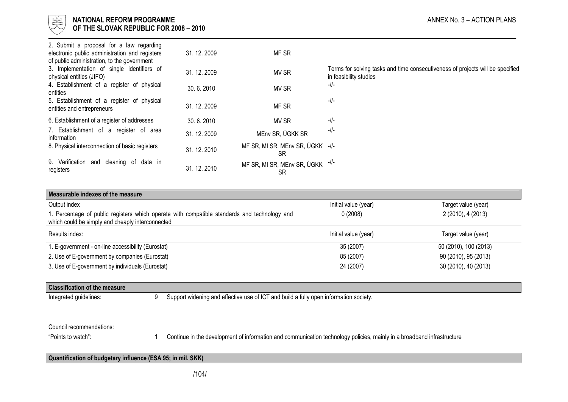

| 2. Submit a proposal for a law regarding<br>electronic public administration and registers<br>of public administration, to the government | 31.12.2009   | MF SR                                   |                                                                                                          |
|-------------------------------------------------------------------------------------------------------------------------------------------|--------------|-----------------------------------------|----------------------------------------------------------------------------------------------------------|
| 3. Implementation of single identifiers of<br>physical entities (JIFO)                                                                    | 31, 12, 2009 | MV SR                                   | Terms for solving tasks and time consecutiveness of projects will be specified<br>in feasibility studies |
| 4. Establishment of a register of physical<br>entities                                                                                    | 30.6.2010    | MV SR                                   | $-11$                                                                                                    |
| 5. Establishment of a register of physical<br>entities and entrepreneurs                                                                  | 31.12.2009   | MF SR                                   | $-11$                                                                                                    |
| 6. Establishment of a register of addresses                                                                                               | 30.6.2010    | MV SR                                   | $-11$                                                                                                    |
| 7. Establishment of a register of area<br>information                                                                                     | 31.12.2009   | MEnv SR, ÚGKK SR                        | -//-                                                                                                     |
| 8. Physical interconnection of basic registers                                                                                            | 31.12.2010   | MF SR, MI SR, MEnv SR, ÚGKK -//-<br>SR  |                                                                                                          |
| 9. Verification<br>cleaning of data in<br>and<br>registers                                                                                | 31.12.2010   | MF SR, MI SR, MEnv SR, ÚGKK -//-<br>SR. |                                                                                                          |

| Measurable indexes of the measure                                                                                                                |                      |                       |
|--------------------------------------------------------------------------------------------------------------------------------------------------|----------------------|-----------------------|
| Output index                                                                                                                                     | Initial value (year) | Target value (year)   |
| 1. Percentage of public registers which operate with compatible standards and technology and<br>which could be simply and cheaply interconnected | 0(2008)              | 2 (2010), 4 (2013)    |
| Results index:                                                                                                                                   | Initial value (year) | Target value (year)   |
| 1. E-government - on-line accessibility (Eurostat)                                                                                               | 35 (2007)            | 50 (2010), 100 (2013) |
| 2. Use of E-government by companies (Eurostat)                                                                                                   | 85 (2007)            | 90 (2010), 95 (2013)  |
| 3. Use of E-government by individuals (Eurostat)                                                                                                 | 24 (2007)            | 30 (2010), 40 (2013)  |

## Classification of the measure

Integrated guidelines: 9 Support widening and effective use of ICT and build a fully open information society.

### Council recommendations:

"Points to watch": 1 Continue in the development of information and communication technology policies, mainly in a broadband infrastructure

## Quantification of budgetary influence (ESA 95; in mil. SKK)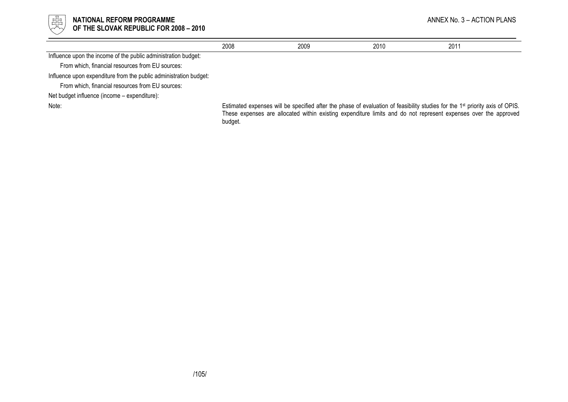

#### l 너는 NATIONAL REFORM PROGRAMME AND THE SECOND MANNEX No. 3 – ACTION PLANS ANNEX No. 3 – ACTION PLANS  $\forall\forall$  OF THE SLOVAK REPUBLIC FOR 2008 – 2010

|                                                                   | 2008                                                                                                                                                                                                                                                                   | 2009 | 2010 | 2011 |
|-------------------------------------------------------------------|------------------------------------------------------------------------------------------------------------------------------------------------------------------------------------------------------------------------------------------------------------------------|------|------|------|
| Influence upon the income of the public administration budget:    |                                                                                                                                                                                                                                                                        |      |      |      |
| From which, financial resources from EU sources:                  |                                                                                                                                                                                                                                                                        |      |      |      |
| Influence upon expenditure from the public administration budget: |                                                                                                                                                                                                                                                                        |      |      |      |
| From which, financial resources from EU sources:                  |                                                                                                                                                                                                                                                                        |      |      |      |
| Net budget influence (income – expenditure):                      |                                                                                                                                                                                                                                                                        |      |      |      |
| Note:                                                             | Estimated expenses will be specified after the phase of evaluation of feasibility studies for the 1 <sup>st</sup> priority axis of OPIS.<br>These expenses are allocated within existing expenditure limits and do not represent expenses over the approved<br>budget. |      |      |      |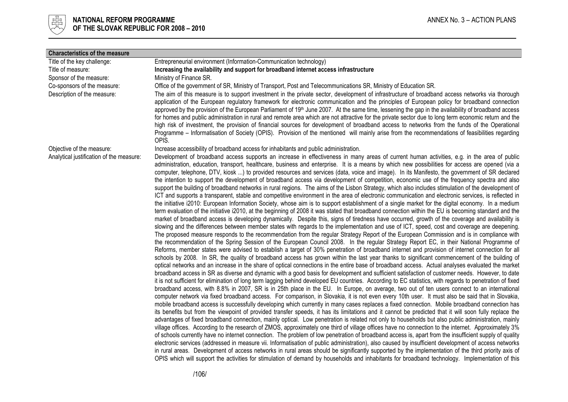

| <b>Characteristics of the measure</b>    |                                                                                                                                                                                                                                                                                                                                                                                                                                                                                                                                                                                                                                                                                                                                                                                                                                                                                                                                                                                                                                                                                                                                                                                                                                                                                                                                                                                                                                                                                                                                                                                                                                                                                                                                                                                                                                                                                                                                                                                                                                                                                                                                                                                                                                                                                                                                                                                                                                                                                                                                                                                                                                                                                                                                                                                                                                                                                                                                                                                                                                                                                                                                                                                                                                                                                                                                                                                                                                                                                                                                                                                                                                                                                                                                                                                                                                                                                                                                                                                                                                                                                                                                                        |
|------------------------------------------|--------------------------------------------------------------------------------------------------------------------------------------------------------------------------------------------------------------------------------------------------------------------------------------------------------------------------------------------------------------------------------------------------------------------------------------------------------------------------------------------------------------------------------------------------------------------------------------------------------------------------------------------------------------------------------------------------------------------------------------------------------------------------------------------------------------------------------------------------------------------------------------------------------------------------------------------------------------------------------------------------------------------------------------------------------------------------------------------------------------------------------------------------------------------------------------------------------------------------------------------------------------------------------------------------------------------------------------------------------------------------------------------------------------------------------------------------------------------------------------------------------------------------------------------------------------------------------------------------------------------------------------------------------------------------------------------------------------------------------------------------------------------------------------------------------------------------------------------------------------------------------------------------------------------------------------------------------------------------------------------------------------------------------------------------------------------------------------------------------------------------------------------------------------------------------------------------------------------------------------------------------------------------------------------------------------------------------------------------------------------------------------------------------------------------------------------------------------------------------------------------------------------------------------------------------------------------------------------------------------------------------------------------------------------------------------------------------------------------------------------------------------------------------------------------------------------------------------------------------------------------------------------------------------------------------------------------------------------------------------------------------------------------------------------------------------------------------------------------------------------------------------------------------------------------------------------------------------------------------------------------------------------------------------------------------------------------------------------------------------------------------------------------------------------------------------------------------------------------------------------------------------------------------------------------------------------------------------------------------------------------------------------------------------------------------------------------------------------------------------------------------------------------------------------------------------------------------------------------------------------------------------------------------------------------------------------------------------------------------------------------------------------------------------------------------------------------------------------------------------------------------------------------------|
| Title of the key challenge:              | Entrepreneurial environment (Information-Communication technology)                                                                                                                                                                                                                                                                                                                                                                                                                                                                                                                                                                                                                                                                                                                                                                                                                                                                                                                                                                                                                                                                                                                                                                                                                                                                                                                                                                                                                                                                                                                                                                                                                                                                                                                                                                                                                                                                                                                                                                                                                                                                                                                                                                                                                                                                                                                                                                                                                                                                                                                                                                                                                                                                                                                                                                                                                                                                                                                                                                                                                                                                                                                                                                                                                                                                                                                                                                                                                                                                                                                                                                                                                                                                                                                                                                                                                                                                                                                                                                                                                                                                                     |
| Title of measure:                        | Increasing the availability and support for broadband internet access infrastructure                                                                                                                                                                                                                                                                                                                                                                                                                                                                                                                                                                                                                                                                                                                                                                                                                                                                                                                                                                                                                                                                                                                                                                                                                                                                                                                                                                                                                                                                                                                                                                                                                                                                                                                                                                                                                                                                                                                                                                                                                                                                                                                                                                                                                                                                                                                                                                                                                                                                                                                                                                                                                                                                                                                                                                                                                                                                                                                                                                                                                                                                                                                                                                                                                                                                                                                                                                                                                                                                                                                                                                                                                                                                                                                                                                                                                                                                                                                                                                                                                                                                   |
| Sponsor of the measure:                  | Ministry of Finance SR.                                                                                                                                                                                                                                                                                                                                                                                                                                                                                                                                                                                                                                                                                                                                                                                                                                                                                                                                                                                                                                                                                                                                                                                                                                                                                                                                                                                                                                                                                                                                                                                                                                                                                                                                                                                                                                                                                                                                                                                                                                                                                                                                                                                                                                                                                                                                                                                                                                                                                                                                                                                                                                                                                                                                                                                                                                                                                                                                                                                                                                                                                                                                                                                                                                                                                                                                                                                                                                                                                                                                                                                                                                                                                                                                                                                                                                                                                                                                                                                                                                                                                                                                |
| Co-sponsors of the measure:              | Office of the government of SR, Ministry of Transport, Post and Telecommunications SR, Ministry of Education SR.                                                                                                                                                                                                                                                                                                                                                                                                                                                                                                                                                                                                                                                                                                                                                                                                                                                                                                                                                                                                                                                                                                                                                                                                                                                                                                                                                                                                                                                                                                                                                                                                                                                                                                                                                                                                                                                                                                                                                                                                                                                                                                                                                                                                                                                                                                                                                                                                                                                                                                                                                                                                                                                                                                                                                                                                                                                                                                                                                                                                                                                                                                                                                                                                                                                                                                                                                                                                                                                                                                                                                                                                                                                                                                                                                                                                                                                                                                                                                                                                                                       |
| Description of the measure:              | The aim of this measure is to support investment in the private sector, development of infrastructure of broadband access networks via thorough<br>application of the European regulatory framework for electronic communication and the principles of European policy for broadband connection<br>approved by the provision of the European Parliament of 19 <sup>th</sup> June 2007. At the same time, lessening the gap in the availability of broadband access<br>for homes and public administration in rural and remote area which are not attractive for the private sector due to long term economic return and the<br>high risk of investment, the provision of financial sources for development of broadband access to networks from the funds of the Operational<br>Programme – Informatisation of Society (OPIS). Provision of the mentioned will mainly arise from the recommendations of feasibilities regarding<br>OPIS.                                                                                                                                                                                                                                                                                                                                                                                                                                                                                                                                                                                                                                                                                                                                                                                                                                                                                                                                                                                                                                                                                                                                                                                                                                                                                                                                                                                                                                                                                                                                                                                                                                                                                                                                                                                                                                                                                                                                                                                                                                                                                                                                                                                                                                                                                                                                                                                                                                                                                                                                                                                                                                                                                                                                                                                                                                                                                                                                                                                                                                                                                                                                                                                                               |
| Objective of the measure:                | Increase accessibility of broadband access for inhabitants and public administration.                                                                                                                                                                                                                                                                                                                                                                                                                                                                                                                                                                                                                                                                                                                                                                                                                                                                                                                                                                                                                                                                                                                                                                                                                                                                                                                                                                                                                                                                                                                                                                                                                                                                                                                                                                                                                                                                                                                                                                                                                                                                                                                                                                                                                                                                                                                                                                                                                                                                                                                                                                                                                                                                                                                                                                                                                                                                                                                                                                                                                                                                                                                                                                                                                                                                                                                                                                                                                                                                                                                                                                                                                                                                                                                                                                                                                                                                                                                                                                                                                                                                  |
| Analytical justification of the measure: | Development of broadband access supports an increase in effectiveness in many areas of current human activities, e.g. in the area of public<br>administration, education, transport, healthcare, business and enterprise. It is a means by which new possibilities for access are opened (via a<br>computer, telephone, DTV, kiosk ) to provided resources and services (data, voice and image). In its Manifesto, the government of SR declared<br>the intention to support the development of broadband access via development of competition, economic use of the frequency spectra and also<br>support the building of broadband networks in rural regions. The aims of the Lisbon Strategy, which also includes stimulation of the development of<br>ICT and supports a transparent, stable and competitive environment in the area of electronic communication and electronic services, is reflected in<br>the initiative i2010: European Information Society, whose aim is to support establishment of a single market for the digital economy. In a medium<br>term evaluation of the initiative i2010, at the beginning of 2008 it was stated that broadband connection within the EU is becoming standard and the<br>market of broadband access is developing dynamically. Despite this, signs of tiredness have occurred, growth of the coverage and availability is<br>slowing and the differences between member states with regards to the implementation and use of ICT, speed, cost and coverage are deepening.<br>The proposed measure responds to the recommendation from the regular Strategy Report of the European Commission and is in compliance with<br>the recommendation of the Spring Session of the European Council 2008. In the regular Strategy Report EC, in their National Programme of<br>Reforms, member states were advised to establish a target of 30% penetration of broadband internet and provision of internet connection for all<br>schools by 2008. In SR, the quality of broadband access has grown within the last year thanks to significant commencement of the building of<br>optical networks and an increase in the share of optical connections in the entire base of broadband access. Actual analyses evaluated the market<br>broadband access in SR as diverse and dynamic with a good basis for development and sufficient satisfaction of customer needs. However, to date<br>it is not sufficient for elimination of long term lagging behind developed EU countries. According to EC statistics, with regards to penetration of fixed<br>broadband access, with 8.8% in 2007, SR is in 25th place in the EU. In Europe, on average, two out of ten users connect to an international<br>computer network via fixed broadband access. For comparison, in Slovakia, it is not even every 10th user. It must also be said that in Slovakia,<br>mobile broadband access is successfully developing which currently in many cases replaces a fixed connection. Mobile broadband connection has<br>its benefits but from the viewpoint of provided transfer speeds, it has its limitations and it cannot be predicted that it will soon fully replace the<br>advantages of fixed broadband connection, mainly optical. Low penetration is related not only to households but also public administration, mainly<br>village offices. According to the research of ZMOS, approximately one third of village offices have no connection to the internet. Approximately 3%<br>of schools currently have no internet connection. The problem of low penetration of broadband access is, apart from the insufficient supply of quality<br>electronic services (addressed in measure vii. Informatisation of public administration), also caused by insufficient development of access networks<br>in rural areas. Development of access networks in rural areas should be significantly supported by the implementation of the third priority axis of<br>OPIS which will support the activities for stimulation of demand by households and inhabitants for broadband technology. Implementation of this |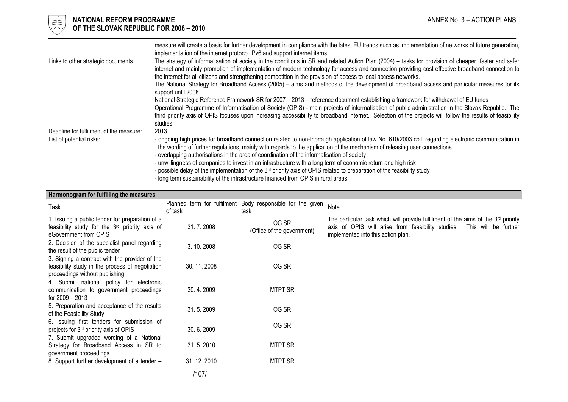

## $\frac{175}{65}$  NATIONAL REFORM PROGRAMME and the set of the set of the set of the set of the set of the set of the set of the set of the set of the set of the set of the set of the set of the set of the set of the set of th OF THE SLOVAK REPUBLIC FOR 2008 – 2010

|                                         | measure will create a basis for further development in compliance with the latest EU trends such as implementation of networks of future generation,<br>implementation of the internet protocol IPv6 and support internet items.                                                                                                                                                                                                                                  |
|-----------------------------------------|-------------------------------------------------------------------------------------------------------------------------------------------------------------------------------------------------------------------------------------------------------------------------------------------------------------------------------------------------------------------------------------------------------------------------------------------------------------------|
| Links to other strategic documents      | The strategy of informatisation of society in the conditions in SR and related Action Plan (2004) – tasks for provision of cheaper, faster and safer<br>internet and mainly promotion of implementation of modern technology for access and connection providing cost effective broadband connection to<br>the internet for all citizens and strengthening competition in the provision of access to local access networks.                                       |
|                                         | The National Strategy for Broadband Access (2005) – aims and methods of the development of broadband access and particular measures for its<br>support until 2008                                                                                                                                                                                                                                                                                                 |
|                                         | National Strategic Reference Framework SR for 2007 - 2013 - reference document establishing a framework for withdrawal of EU funds<br>Operational Programme of Informatisation of Society (OPIS) - main projects of informatisation of public administration in the Slovak Republic. The<br>third priority axis of OPIS focuses upon increasing accessibility to broadband internet. Selection of the projects will follow the results of feasibility<br>studies. |
| Deadline for fulfilment of the measure: | 2013                                                                                                                                                                                                                                                                                                                                                                                                                                                              |
| List of potential risks:                | - ongoing high prices for broadband connection related to non-thorough application of law No. 610/2003 coll. regarding electronic communication in<br>the wording of further regulations, mainly with regards to the application of the mechanism of releasing user connections<br>- overlapping authorisations in the area of coordination of the informatisation of society                                                                                     |
|                                         | - unwillingness of companies to invest in an infrastructure with a long term of economic return and high risk<br>- possible delay of the implementation of the $3^{rd}$ priority axis of OPIS related to preparation of the feasibility study                                                                                                                                                                                                                     |
|                                         |                                                                                                                                                                                                                                                                                                                                                                                                                                                                   |

- long term sustainability of the infrastructure financed from OPIS in rural areas

|  |  | Harmonogram for fulfilling the measures |
|--|--|-----------------------------------------|
|--|--|-----------------------------------------|

| Task                                                                                                                                         | of task    | Planned term for fulfilment Body responsible for the given<br>task | Note                                                                                                                                                                                                 |
|----------------------------------------------------------------------------------------------------------------------------------------------|------------|--------------------------------------------------------------------|------------------------------------------------------------------------------------------------------------------------------------------------------------------------------------------------------|
| 1. Issuing a public tender for preparation of a<br>feasibility study for the 3 <sup>rd</sup> priority axis of<br>eGovernment from OPIS       | 31.7.2008  | OG SR<br>(Office of the government)                                | The particular task which will provide fulfilment of the aims of the 3rd priority<br>axis of OPIS will arise from feasibility studies.<br>This will be further<br>implemented into this action plan. |
| 2. Decision of the specialist panel regarding<br>the result of the public tender                                                             | 3.10.2008  | OG SR                                                              |                                                                                                                                                                                                      |
| 3. Signing a contract with the provider of the<br>feasibility study in the process of negotiation<br>proceedings without publishing          | 30.11.2008 | OG SR                                                              |                                                                                                                                                                                                      |
| 4. Submit national policy for electronic<br>communication to government proceedings<br>for 2009 – 2013                                       | 30.4.2009  | <b>MTPT SR</b>                                                     |                                                                                                                                                                                                      |
| 5. Preparation and acceptance of the results<br>of the Feasibility Study                                                                     | 31.5.2009  | OG SR                                                              |                                                                                                                                                                                                      |
| 6. Issuing first tenders for submission of<br>projects for 3 <sup>rd</sup> priority axis of OPIS<br>7. Submit upgraded wording of a National | 30.6.2009  | OG SR                                                              |                                                                                                                                                                                                      |
| Strategy for Broadband Access in SR to<br>government proceedings                                                                             | 31.5.2010  | <b>MTPT SR</b>                                                     |                                                                                                                                                                                                      |
| 8. Support further development of a tender -                                                                                                 | 31.12.2010 | <b>MTPT SR</b>                                                     |                                                                                                                                                                                                      |
|                                                                                                                                              | /107/      |                                                                    |                                                                                                                                                                                                      |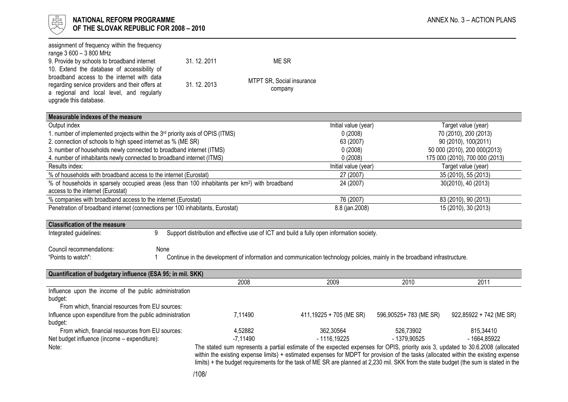

| assignment of frequency within the frequency<br>range 3 600 - 3 800 MHz                                                                                                             |            |                           |                                                                                           |                                                                                                                           |                                                                                                                                                                                                                                                                                                                                                                                                                  |  |
|-------------------------------------------------------------------------------------------------------------------------------------------------------------------------------------|------------|---------------------------|-------------------------------------------------------------------------------------------|---------------------------------------------------------------------------------------------------------------------------|------------------------------------------------------------------------------------------------------------------------------------------------------------------------------------------------------------------------------------------------------------------------------------------------------------------------------------------------------------------------------------------------------------------|--|
| 9. Provide by schools to broadband internet                                                                                                                                         | 31.12.2011 | ME SR                     |                                                                                           |                                                                                                                           |                                                                                                                                                                                                                                                                                                                                                                                                                  |  |
| 10. Extend the database of accessibility of                                                                                                                                         |            |                           |                                                                                           |                                                                                                                           |                                                                                                                                                                                                                                                                                                                                                                                                                  |  |
| broadband access to the internet with data<br>regarding service providers and their offers at                                                                                       | 31.12.2013 | MTPT SR, Social insurance |                                                                                           |                                                                                                                           |                                                                                                                                                                                                                                                                                                                                                                                                                  |  |
| a regional and local level, and regularly                                                                                                                                           |            | company                   |                                                                                           |                                                                                                                           |                                                                                                                                                                                                                                                                                                                                                                                                                  |  |
| upgrade this database.                                                                                                                                                              |            |                           |                                                                                           |                                                                                                                           |                                                                                                                                                                                                                                                                                                                                                                                                                  |  |
|                                                                                                                                                                                     |            |                           |                                                                                           |                                                                                                                           |                                                                                                                                                                                                                                                                                                                                                                                                                  |  |
| Measurable indexes of the measure<br>Output index                                                                                                                                   |            |                           | Initial value (year)                                                                      |                                                                                                                           | Target value (year)                                                                                                                                                                                                                                                                                                                                                                                              |  |
| 1. number of implemented projects within the 3rd priority axis of OPIS (ITMS)                                                                                                       |            |                           | 0(2008)                                                                                   |                                                                                                                           | 70 (2010), 200 (2013)                                                                                                                                                                                                                                                                                                                                                                                            |  |
| 2. connection of schools to high speed internet as % (ME SR)                                                                                                                        |            |                           | 63 (2007)                                                                                 |                                                                                                                           | 90 (2010), 100(2011)                                                                                                                                                                                                                                                                                                                                                                                             |  |
| 3. number of households newly connected to broadband internet (ITMS)                                                                                                                |            |                           | 0(2008)                                                                                   |                                                                                                                           | 50 000 (2010), 200 000(2013)                                                                                                                                                                                                                                                                                                                                                                                     |  |
| 4. number of inhabitants newly connected to broadband internet (ITMS)                                                                                                               |            |                           | 0(2008)                                                                                   |                                                                                                                           | 175 000 (2010), 700 000 (2013)                                                                                                                                                                                                                                                                                                                                                                                   |  |
| Results index:                                                                                                                                                                      |            |                           | Initial value (year)                                                                      |                                                                                                                           | Target value (year)                                                                                                                                                                                                                                                                                                                                                                                              |  |
| % of households with broadband access to the internet (Eurostat)                                                                                                                    |            |                           | 27 (2007)                                                                                 |                                                                                                                           | 35 (2010), 55 (2013)                                                                                                                                                                                                                                                                                                                                                                                             |  |
| % of households in sparsely occupied areas (less than 100 inhabitants per km <sup>2</sup> ) with broadband<br>24 (2007)<br>30(2010), 40 (2013)<br>access to the internet (Eurostat) |            |                           |                                                                                           |                                                                                                                           |                                                                                                                                                                                                                                                                                                                                                                                                                  |  |
| % companies with broadband access to the internet (Eurostat)                                                                                                                        |            |                           | 76 (2007)                                                                                 |                                                                                                                           | 83 (2010), 90 (2013)                                                                                                                                                                                                                                                                                                                                                                                             |  |
| Penetration of broadband internet (connections per 100 inhabitants, Eurostat)                                                                                                       |            |                           | 8.8 (jan.2008)                                                                            |                                                                                                                           | 15 (2010), 30 (2013)                                                                                                                                                                                                                                                                                                                                                                                             |  |
| <b>Classification of the measure</b>                                                                                                                                                |            |                           |                                                                                           |                                                                                                                           |                                                                                                                                                                                                                                                                                                                                                                                                                  |  |
| Integrated guidelines:<br>9                                                                                                                                                         |            |                           | Support distribution and effective use of ICT and build a fully open information society. |                                                                                                                           |                                                                                                                                                                                                                                                                                                                                                                                                                  |  |
| Council recommendations:                                                                                                                                                            |            |                           |                                                                                           |                                                                                                                           |                                                                                                                                                                                                                                                                                                                                                                                                                  |  |
| None<br>"Points to watch":                                                                                                                                                          |            |                           |                                                                                           | Continue in the development of information and communication technology policies, mainly in the broadband infrastructure. |                                                                                                                                                                                                                                                                                                                                                                                                                  |  |
|                                                                                                                                                                                     |            |                           |                                                                                           |                                                                                                                           |                                                                                                                                                                                                                                                                                                                                                                                                                  |  |
| Quantification of budgetary influence (ESA 95; in mil. SKK)                                                                                                                         |            |                           |                                                                                           |                                                                                                                           |                                                                                                                                                                                                                                                                                                                                                                                                                  |  |
|                                                                                                                                                                                     |            | 2008                      | 2009                                                                                      | 2010                                                                                                                      | 2011                                                                                                                                                                                                                                                                                                                                                                                                             |  |
| Influence upon the income of the public administration                                                                                                                              |            |                           |                                                                                           |                                                                                                                           |                                                                                                                                                                                                                                                                                                                                                                                                                  |  |
| budget:                                                                                                                                                                             |            |                           |                                                                                           |                                                                                                                           |                                                                                                                                                                                                                                                                                                                                                                                                                  |  |
| From which, financial resources from EU sources:                                                                                                                                    |            |                           |                                                                                           |                                                                                                                           |                                                                                                                                                                                                                                                                                                                                                                                                                  |  |
| Influence upon expenditure from the public administration<br>budget:                                                                                                                |            | 7,11490                   | $411,19225 + 705$ (ME SR)                                                                 | 596,90525+783 (ME SR)                                                                                                     | 922,85922 + 742 (ME SR)                                                                                                                                                                                                                                                                                                                                                                                          |  |
| From which, financial resources from EU sources:<br>4,52882                                                                                                                         |            |                           | 362,30564                                                                                 | 526,73902                                                                                                                 | 815,34410                                                                                                                                                                                                                                                                                                                                                                                                        |  |
| Net budget influence (income - expenditure):<br>$-7,11490$                                                                                                                          |            |                           | $-1116,19225$                                                                             | - 1379,90525                                                                                                              | - 1664,85922                                                                                                                                                                                                                                                                                                                                                                                                     |  |
| Note:                                                                                                                                                                               |            |                           |                                                                                           |                                                                                                                           | The stated sum represents a partial estimate of the expected expenses for OPIS, priority axis 3, updated to 30.6.2008 (allocated<br>within the existing expense limits) + estimated expenses for MDPT for provision of the tasks (allocated within the existing expense<br>limits) + the budget requirements for the task of ME SR are planned at 2,230 mil. SKK from the state budget (the sum is stated in the |  |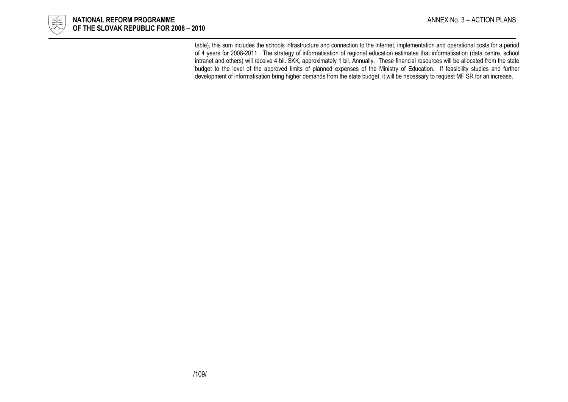

table), this sum includes the schools infrastructure and connection to the internet, implementation and operational costs for a period of 4 years for 2008-2011. The strategy of informatisation of regional education estimates that informatisation (data centre, school intranet and others) will receive 4 bil. SKK, approximately 1 bil. Annually. These financial resources will be allocated from the state budget to the level of the approved limits of planned expenses of the Ministry of Education. If feasibility studies and further development of informatisation bring higher demands from the state budget, it will be necessary to request MF SR for an increase.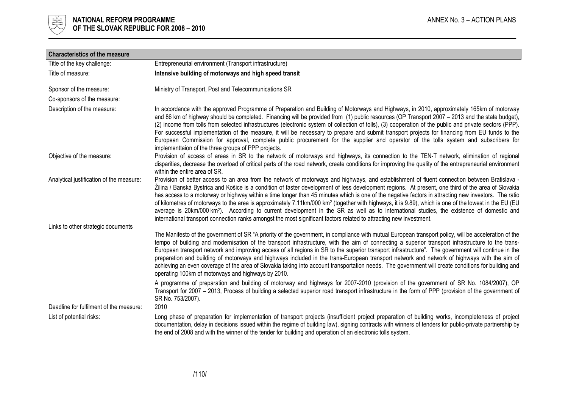

| <b>Characteristics of the measure</b>    |                                                                                                                                                                                                                                                                                                                                                                                                                                                                                                                                                                                                                                                                                                                                                                                                                                                                                                                  |
|------------------------------------------|------------------------------------------------------------------------------------------------------------------------------------------------------------------------------------------------------------------------------------------------------------------------------------------------------------------------------------------------------------------------------------------------------------------------------------------------------------------------------------------------------------------------------------------------------------------------------------------------------------------------------------------------------------------------------------------------------------------------------------------------------------------------------------------------------------------------------------------------------------------------------------------------------------------|
| Title of the key challenge:              | Entrepreneurial environment (Transport infrastructure)                                                                                                                                                                                                                                                                                                                                                                                                                                                                                                                                                                                                                                                                                                                                                                                                                                                           |
| Title of measure:                        | Intensive building of motorways and high speed transit                                                                                                                                                                                                                                                                                                                                                                                                                                                                                                                                                                                                                                                                                                                                                                                                                                                           |
| Sponsor of the measure:                  | Ministry of Transport, Post and Telecommunications SR                                                                                                                                                                                                                                                                                                                                                                                                                                                                                                                                                                                                                                                                                                                                                                                                                                                            |
| Co-sponsors of the measure:              |                                                                                                                                                                                                                                                                                                                                                                                                                                                                                                                                                                                                                                                                                                                                                                                                                                                                                                                  |
| Description of the measure:              | In accordance with the approved Programme of Preparation and Building of Motorways and Highways, in 2010, approximately 165km of motorway<br>and 86 km of highway should be completed. Financing will be provided from (1) public resources (OP Transport 2007 - 2013 and the state budget),<br>(2) income from tolls from selected infrastructures (electronic system of collection of tolls), (3) cooperation of the public and private sectors (PPP).<br>For successful implementation of the measure, it will be necessary to prepare and submit transport projects for financing from EU funds to the<br>European Commission for approval, complete public procurement for the supplier and operator of the tolls system and subscribers for<br>implementtaion of the three groups of PPP projects.                                                                                                         |
| Objective of the measure:                | Provision of access of areas in SR to the network of motorways and highways, its connection to the TEN-T network, elimination of regional<br>disparities, decrease the overload of critical parts of the road network, create conditions for improving the quality of the entrepreneurial environment<br>within the entire area of SR.                                                                                                                                                                                                                                                                                                                                                                                                                                                                                                                                                                           |
| Analytical justification of the measure: | Provision of better access to an area from the network of motorways and highways, and establishment of fluent connection between Bratislava -<br>Žilina / Banská Bystrica and Košice is a condition of faster development of less development regions. At present, one third of the area of Slovakia<br>has access to a motorway or highway within a time longer than 45 minutes which is one of the negative factors in attracting new investors. The ratio<br>of kilometres of motorways to the area is approximately 7.11km/000 km <sup>2</sup> (together with highways, it is 9.89), which is one of the lowest in the EU (EU<br>average is 20km/000 km <sup>2</sup> ). According to current development in the SR as well as to international studies, the existence of domestic and<br>international transport connection ranks amongst the most significant factors related to attracting new investment. |
| Links to other strategic documents       |                                                                                                                                                                                                                                                                                                                                                                                                                                                                                                                                                                                                                                                                                                                                                                                                                                                                                                                  |
|                                          | The Manifesto of the government of SR "A priority of the government, in compliance with mutual European transport policy, will be acceleration of the<br>tempo of building and modernisation of the transport infrastructure, with the aim of connecting a superior transport infrastructure to the trans-<br>European transport network and improving access of all regions in SR to the superior transport infrastructure". The government will continue in the<br>preparation and building of motorways and highways included in the trans-European transport network and network of highways with the aim of<br>achieving an even coverage of the area of Slovakia taking into account transportation needs. The government will create conditions for building and<br>operating 100km of motorways and highways by 2010.                                                                                    |
| Deadline for fulfilment of the measure:  | A programme of preparation and building of motorway and highways for 2007-2010 (provision of the government of SR No. 1084/2007), OP<br>Transport for 2007 - 2013, Process of building a selected superior road transport infrastructure in the form of PPP (provision of the government of<br>SR No. 753/2007).<br>2010                                                                                                                                                                                                                                                                                                                                                                                                                                                                                                                                                                                         |
| List of potential risks:                 | Long phase of preparation for implementation of transport projects (insufficient project preparation of building works, incompleteness of project<br>documentation, delay in decisions issued within the regime of building law), signing contracts with winners of tenders for public-private partnership by<br>the end of 2008 and with the winner of the tender for building and operation of an electronic tolls system.                                                                                                                                                                                                                                                                                                                                                                                                                                                                                     |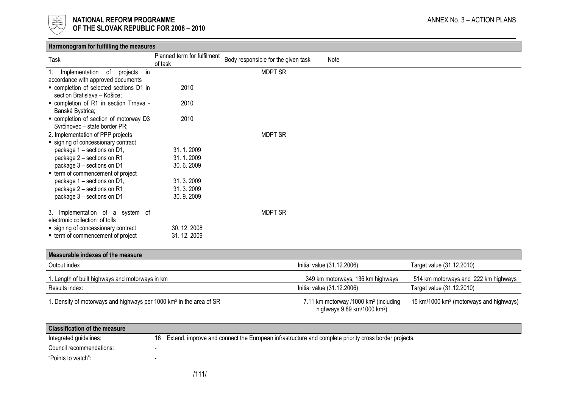

|                                         | Planned term for fulfilment |                                     |                            |                           |
|-----------------------------------------|-----------------------------|-------------------------------------|----------------------------|---------------------------|
| Task                                    | of task                     | Body responsible for the given task | Note                       |                           |
| Implementation of<br>in<br>projects     |                             | <b>MDPT SR</b>                      |                            |                           |
| accordance with approved documents      |                             |                                     |                            |                           |
| • completion of selected sections D1 in | 2010                        |                                     |                            |                           |
| section Bratislava - Košice;            |                             |                                     |                            |                           |
| - completion of R1 in section Trnava -  | 2010                        |                                     |                            |                           |
| Banská Bystrica;                        |                             |                                     |                            |                           |
| " completion of section of motorway D3  | 2010                        |                                     |                            |                           |
| Svrčinovec - state border PR;           |                             |                                     |                            |                           |
| 2. Implementation of PPP projects       |                             | <b>MDPT SR</b>                      |                            |                           |
| ■ signing of concessionary contract     |                             |                                     |                            |                           |
| package 1 - sections on D1,             | 31.1.2009                   |                                     |                            |                           |
| package 2 - sections on R1              | 31.1.2009                   |                                     |                            |                           |
| package 3 - sections on D1              | 30.6.2009                   |                                     |                            |                           |
| ■ term of commencement of project       |                             |                                     |                            |                           |
| package 1 - sections on D1,             | 31.3.2009                   |                                     |                            |                           |
| package 2 - sections on R1              | 31.3.2009                   |                                     |                            |                           |
| package 3 - sections on D1              | 30.9.2009                   |                                     |                            |                           |
| 3. Implementation of a system of        |                             | <b>MDPT SR</b>                      |                            |                           |
| electronic collection of tolls          |                             |                                     |                            |                           |
| ■ signing of concessionary contract     | 30.12.2008                  |                                     |                            |                           |
| ■ term of commencement of project       | 31.12.2009                  |                                     |                            |                           |
|                                         |                             |                                     |                            |                           |
| Measurable indexes of the measure       |                             |                                     |                            |                           |
| Output index                            |                             |                                     | Initial value (31.12.2006) | Target value (31.12.2010) |

| 1. Length of built highways and motorways in km                                | 349 km motorways, 136 km highways                                                              | 514 km motorways and 222 km highways                |
|--------------------------------------------------------------------------------|------------------------------------------------------------------------------------------------|-----------------------------------------------------|
| Results index:                                                                 | Initial value (31.12.2006)                                                                     | Target value (31.12.2010)                           |
| . Density of motorways and highways per 1000 km <sup>2</sup> in the area of SR | 7.11 km motorway /1000 km <sup>2</sup> (including<br>highways $9.89$ km/1000 km <sup>2</sup> ) | 15 km/1000 km <sup>2</sup> (motorways and highways) |

| <b>Classification of the measure</b> |                                                                                                         |
|--------------------------------------|---------------------------------------------------------------------------------------------------------|
| Integrated guidelines:               | 16 Extend, improve and connect the European infrastructure and complete priority cross border projects. |
| Council recommendations:             |                                                                                                         |
| "Points to watch":                   |                                                                                                         |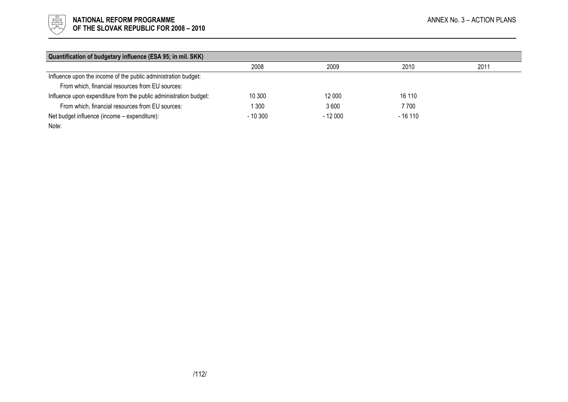

| Quantification of budgetary influence (ESA 95; in mil. SKK)       |           |          |          |      |
|-------------------------------------------------------------------|-----------|----------|----------|------|
|                                                                   | 2008      | 2009     | 2010     | 2011 |
| Influence upon the income of the public administration budget:    |           |          |          |      |
| From which, financial resources from EU sources:                  |           |          |          |      |
| Influence upon expenditure from the public administration budget: | 10 300    | 12 000   | 16 110   |      |
| From which, financial resources from EU sources:                  | 300       | 3600     | 7700     |      |
| Net budget influence (income - expenditure):                      | $-10.300$ | $-12000$ | $-16110$ |      |
| Note:                                                             |           |          |          |      |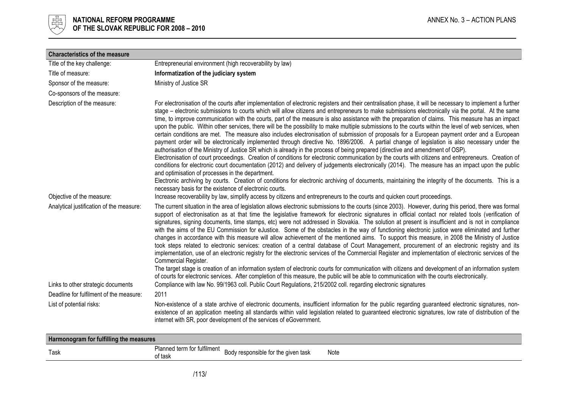

| <b>Characteristics of the measure</b>    |                                                                                                                                                                                                                                                                                                                                                                                                                                                                                                                                                                                                                                                                                                                                                                                                                                                                                                                                                                                                                                                                                                                                                                                                                                                                                                                                                                                                                                                                                                                                                                                                                                                         |
|------------------------------------------|---------------------------------------------------------------------------------------------------------------------------------------------------------------------------------------------------------------------------------------------------------------------------------------------------------------------------------------------------------------------------------------------------------------------------------------------------------------------------------------------------------------------------------------------------------------------------------------------------------------------------------------------------------------------------------------------------------------------------------------------------------------------------------------------------------------------------------------------------------------------------------------------------------------------------------------------------------------------------------------------------------------------------------------------------------------------------------------------------------------------------------------------------------------------------------------------------------------------------------------------------------------------------------------------------------------------------------------------------------------------------------------------------------------------------------------------------------------------------------------------------------------------------------------------------------------------------------------------------------------------------------------------------------|
| Title of the key challenge:              | Entrepreneurial environment (high recoverability by law)                                                                                                                                                                                                                                                                                                                                                                                                                                                                                                                                                                                                                                                                                                                                                                                                                                                                                                                                                                                                                                                                                                                                                                                                                                                                                                                                                                                                                                                                                                                                                                                                |
| Title of measure:                        | Informatization of the judiciary system                                                                                                                                                                                                                                                                                                                                                                                                                                                                                                                                                                                                                                                                                                                                                                                                                                                                                                                                                                                                                                                                                                                                                                                                                                                                                                                                                                                                                                                                                                                                                                                                                 |
| Sponsor of the measure:                  | Ministry of Justice SR                                                                                                                                                                                                                                                                                                                                                                                                                                                                                                                                                                                                                                                                                                                                                                                                                                                                                                                                                                                                                                                                                                                                                                                                                                                                                                                                                                                                                                                                                                                                                                                                                                  |
| Co-sponsors of the measure:              |                                                                                                                                                                                                                                                                                                                                                                                                                                                                                                                                                                                                                                                                                                                                                                                                                                                                                                                                                                                                                                                                                                                                                                                                                                                                                                                                                                                                                                                                                                                                                                                                                                                         |
| Description of the measure:              | For electronisation of the courts after implementation of electronic registers and their centralisation phase, it will be necessary to implement a further<br>stage – electronic submissions to courts which will allow citizens and entrepreneurs to make submissions electronically via the portal. At the same<br>time, to improve communication with the courts, part of the measure is also assistance with the preparation of claims. This measure has an impact<br>upon the public. Within other services, there will be the possibility to make multiple submissions to the courts within the level of web services, when<br>certain conditions are met. The measure also includes electronisation of submission of proposals for a European payment order and a European<br>payment order will be electronically implemented through directive No. 1896/2006. A partial change of legislation is also necessary under the<br>authorisation of the Ministry of Justice SR which is already in the process of being prepared (directive and amendment of OSP).<br>Electronisation of court proceedings. Creation of conditions for electronic communication by the courts with citizens and entrepreneurs. Creation of<br>conditions for electronic court documentation (2012) and delivery of judgements electronically (2014). The measure has an impact upon the public<br>and optimisation of processes in the department.<br>Electronic archiving by courts. Creation of conditions for electronic archiving of documents, maintaining the integrity of the documents. This is a<br>necessary basis for the existence of electronic courts. |
| Objective of the measure:                | Increase recoverability by law, simplify access by citizens and entrepreneurs to the courts and quicken court proceedings.                                                                                                                                                                                                                                                                                                                                                                                                                                                                                                                                                                                                                                                                                                                                                                                                                                                                                                                                                                                                                                                                                                                                                                                                                                                                                                                                                                                                                                                                                                                              |
| Analytical justification of the measure: | The current situation in the area of legislation allows electronic submissions to the courts (since 2003). However, during this period, there was formal<br>support of electronisation as at that time the legislative framework for electronic signatures in official contact nor related tools (verification of<br>signatures, signing documents, time stamps, etc) were not addressed in Slovakia. The solution at present is insufficient and is not in compliance<br>with the aims of the EU Commission for eJustice. Some of the obstacles in the way of functioning electronic justice were eliminated and further<br>changes in accordance with this measure will allow achievement of the mentioned aims. To support this measure, in 2008 the Ministry of Justice<br>took steps related to electronic services: creation of a central database of Court Management, procurement of an electronic registry and its<br>implementation, use of an electronic registry for the electronic services of the Commercial Register and implementation of electronic services of the<br>Commercial Register.<br>The target stage is creation of an information system of electronic courts for communication with citizens and development of an information system                                                                                                                                                                                                                                                                                                                                                                                     |
|                                          | of courts for electronic services. After completion of this measure, the public will be able to communication with the courts electronically.                                                                                                                                                                                                                                                                                                                                                                                                                                                                                                                                                                                                                                                                                                                                                                                                                                                                                                                                                                                                                                                                                                                                                                                                                                                                                                                                                                                                                                                                                                           |
| Links to other strategic documents       | Compliance with law No. 99/1963 coll. Public Court Regulations, 215/2002 coll. regarding electronic signatures                                                                                                                                                                                                                                                                                                                                                                                                                                                                                                                                                                                                                                                                                                                                                                                                                                                                                                                                                                                                                                                                                                                                                                                                                                                                                                                                                                                                                                                                                                                                          |
| Deadline for fulfilment of the measure:  | 2011                                                                                                                                                                                                                                                                                                                                                                                                                                                                                                                                                                                                                                                                                                                                                                                                                                                                                                                                                                                                                                                                                                                                                                                                                                                                                                                                                                                                                                                                                                                                                                                                                                                    |
| List of potential risks:                 | Non-existence of a state archive of electronic documents, insufficient information for the public regarding guaranteed electronic signatures, non-<br>existence of an application meeting all standards within valid legislation related to guaranteed electronic signatures, low rate of distribution of the<br>internet with SR, poor development of the services of eGovernment.                                                                                                                                                                                                                                                                                                                                                                                                                                                                                                                                                                                                                                                                                                                                                                                                                                                                                                                                                                                                                                                                                                                                                                                                                                                                     |

| Harmonogram for fulfilling the measures |                                                    |                                       |      |  |  |
|-----------------------------------------|----------------------------------------------------|---------------------------------------|------|--|--|
| Task                                    | .<br>Planned term for fulfilment $\Box$<br>of task | responsible for the given task<br>DUU | Note |  |  |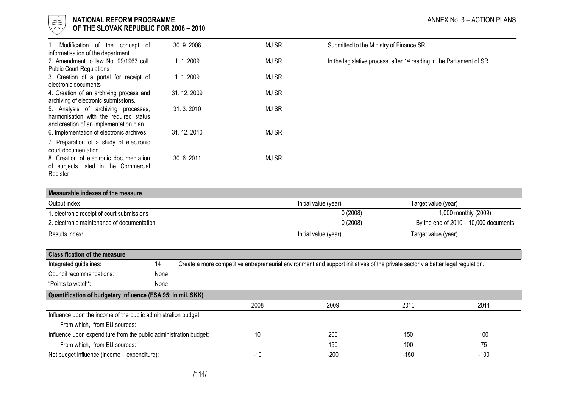

## NATIONAL REFORM PROGRAMME AND STATES AND ANNEX No. 3 - ACTION PLANS

| OF THE SLOVAK REPUBLIC FOR 2008 - 2010 |  |
|----------------------------------------|--|
|----------------------------------------|--|

| 1. Modification of the concept of<br>informatisation of the department                                                  | 30.9.2008   | MJ SR        | Submitted to the Ministry of Finance SR                                           |
|-------------------------------------------------------------------------------------------------------------------------|-------------|--------------|-----------------------------------------------------------------------------------|
| 2. Amendment to law No. 99/1963 coll.<br><b>Public Court Regulations</b>                                                | 1.1.2009    | MJ SR        | In the legislative process, after 1 <sup>st</sup> reading in the Parliament of SR |
| 3. Creation of a portal for receipt of<br>electronic documents                                                          | 1.1.2009    | <b>MJ SR</b> |                                                                                   |
| 4. Creation of an archiving process and<br>archiving of electronic submissions.                                         | 31.12.2009  | <b>MJ SR</b> |                                                                                   |
| 5. Analysis of archiving processes,<br>harmonisation with the required status<br>and creation of an implementation plan | 31, 3, 2010 | <b>MJ SR</b> |                                                                                   |
| 6. Implementation of electronic archives                                                                                | 31.12.2010  | MJ SR        |                                                                                   |
| 7. Preparation of a study of electronic<br>court documentation                                                          |             |              |                                                                                   |
| 8. Creation of electronic documentation<br>of subjects listed in the Commercial<br>Register                             | 30.6.2011   | MJ SR        |                                                                                   |

| Measurable indexes of the measure          |                      |                                         |
|--------------------------------------------|----------------------|-----------------------------------------|
| Output index                               | Initial value (year) | Target value (year)                     |
| 1. electronic receipt of court submissions | 0(2008)              | 1,000 monthly (2009)                    |
| 2. electronic maintenance of documentation | 0(2008)              | By the end of $2010 - 10,000$ documents |
| Results index:                             | Initial value (year) | Target value (year)                     |

| <b>Classification of the measure</b>                              |      |  |      |                                                                                                                                 |        |        |  |
|-------------------------------------------------------------------|------|--|------|---------------------------------------------------------------------------------------------------------------------------------|--------|--------|--|
| Integrated guidelines:                                            | 14   |  |      | Create a more competitive entrepreneurial environment and support initiatives of the private sector via better legal regulation |        |        |  |
| Council recommendations:                                          | None |  |      |                                                                                                                                 |        |        |  |
| "Points to watch":                                                | None |  |      |                                                                                                                                 |        |        |  |
| Quantification of budgetary influence (ESA 95; in mil. SKK)       |      |  |      |                                                                                                                                 |        |        |  |
|                                                                   |      |  | 2008 | 2009                                                                                                                            | 2010   | 2011   |  |
| Influence upon the income of the public administration budget:    |      |  |      |                                                                                                                                 |        |        |  |
| From which, from EU sources:                                      |      |  |      |                                                                                                                                 |        |        |  |
| Influence upon expenditure from the public administration budget: |      |  | 10   | 200                                                                                                                             | 150    | 100    |  |
| From which, from EU sources:                                      |      |  |      | 150                                                                                                                             | 100    | 75     |  |
| Net budget influence (income - expenditure):                      |      |  | -10  | -200                                                                                                                            | $-150$ | $-100$ |  |